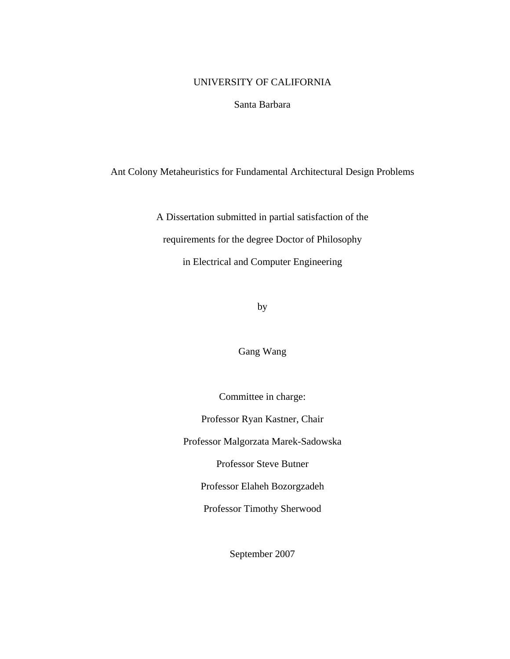#### UNIVERSITY OF CALIFORNIA

#### Santa Barbara

#### Ant Colony Metaheuristics for Fundamental Architectural Design Problems

A Dissertation submitted in partial satisfaction of the requirements for the degree Doctor of Philosophy in Electrical and Computer Engineering

by

Gang Wang

Committee in charge:

Professor Ryan Kastner, Chair

Professor Malgorzata Marek-Sadowska

Professor Steve Butner

Professor Elaheh Bozorgzadeh

Professor Timothy Sherwood

September 2007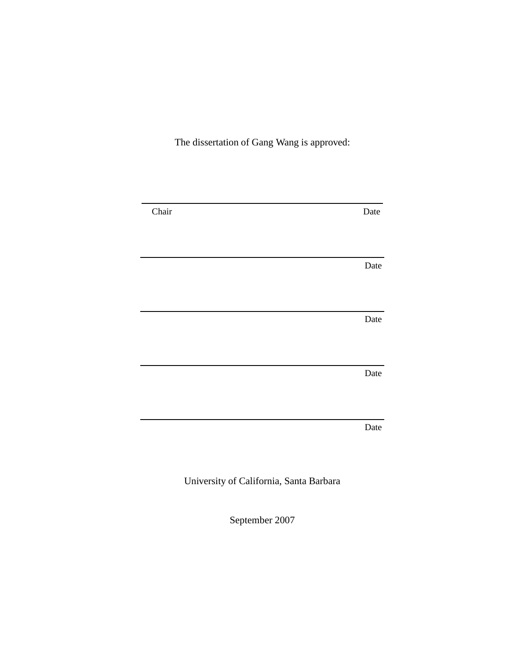The dissertation of Gang Wang is approved:

| Date |
|------|
|      |
|      |
|      |
| Date |
|      |
|      |
|      |
| Date |
|      |
|      |
| Date |
|      |
|      |
|      |
| Date |
|      |

University of California, Santa Barbara

September 2007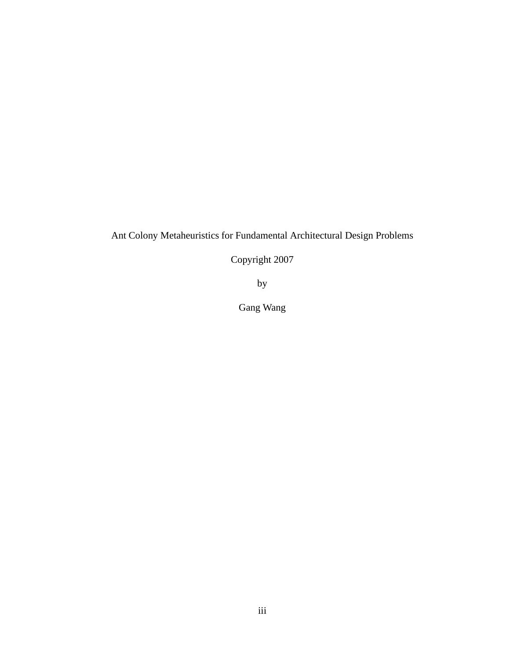### Ant Colony Metaheuristics for Fundamental Architectural Design Problems

Copyright 2007

by

Gang Wang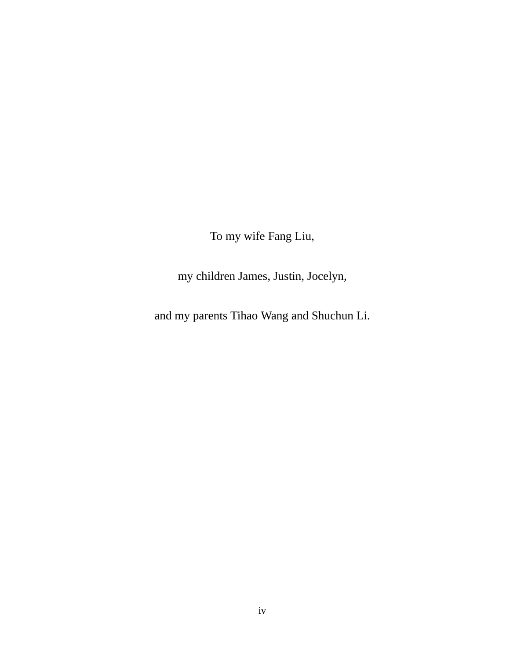To my wife Fang Liu,

my children James, Justin, Jocelyn,

and my parents Tihao Wang and Shuchun Li.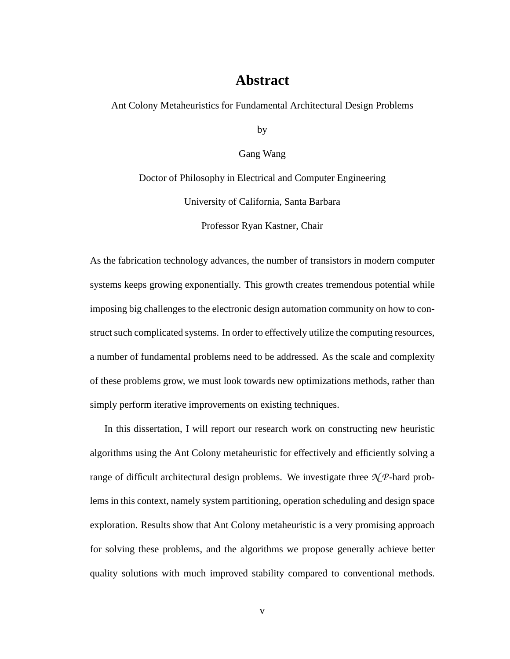#### **Abstract**

Ant Colony Metaheuristics for Fundamental Architectural Design Problems

by

Gang Wang

Doctor of Philosophy in Electrical and Computer Engineering University of California, Santa Barbara

Professor Ryan Kastner, Chair

As the fabrication technology advances, the number of transistors in modern computer systems keeps growing exponentially. This growth creates tremendous potential while imposing big challenges to the electronic design automation community on how to construct such complicated systems. In order to effectively utilize the computing resources, a number of fundamental problems need to be addressed. As the scale and complexity of these problems grow, we must look towards new optimizations methods, rather than simply perform iterative improvements on existing techniques.

In this dissertation, I will report our research work on constructing new heuristic algorithms using the Ant Colony metaheuristic for effectively and efficiently solving a range of difficult architectural design problems. We investigate three  $\mathcal{N}P$ -hard problems in this context, namely system partitioning, operation scheduling and design space exploration. Results show that Ant Colony metaheuristic is a very promising approach for solving these problems, and the algorithms we propose generally achieve better quality solutions with much improved stability compared to conventional methods.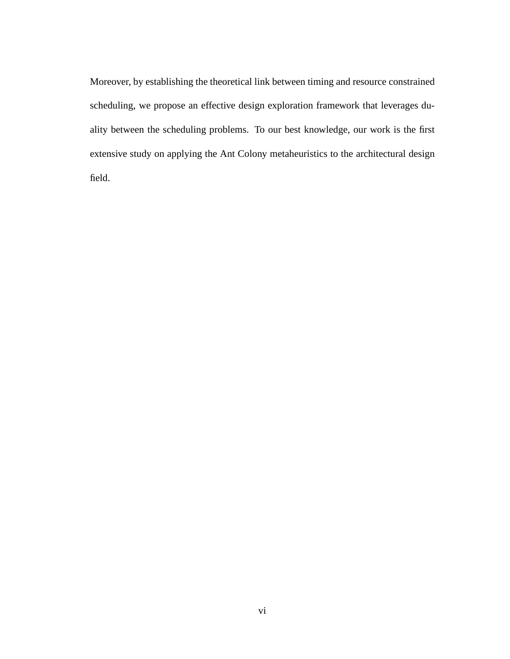Moreover, by establishing the theoretical link between timing and resource constrained scheduling, we propose an effective design exploration framework that leverages duality between the scheduling problems. To our best knowledge, our work is the first extensive study on applying the Ant Colony metaheuristics to the architectural design field.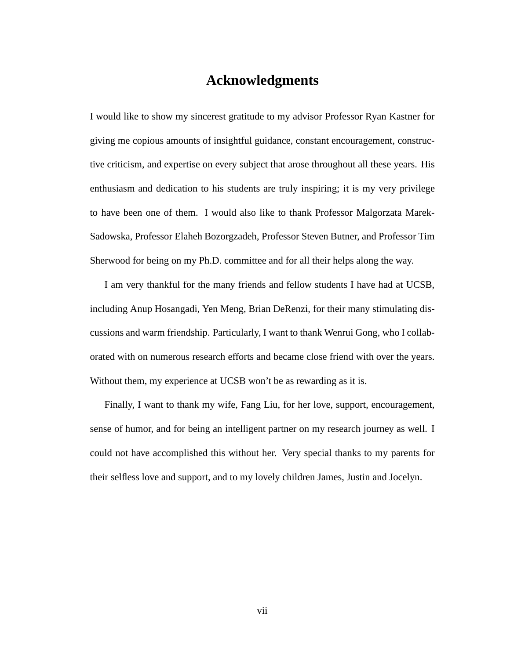### **Acknowledgments**

I would like to show my sincerest gratitude to my advisor Professor Ryan Kastner for giving me copious amounts of insightful guidance, constant encouragement, constructive criticism, and expertise on every subject that arose throughout all these years. His enthusiasm and dedication to his students are truly inspiring; it is my very privilege to have been one of them. I would also like to thank Professor Malgorzata Marek-Sadowska, Professor Elaheh Bozorgzadeh, Professor Steven Butner, and Professor Tim Sherwood for being on my Ph.D. committee and for all their helps along the way.

I am very thankful for the many friends and fellow students I have had at UCSB, including Anup Hosangadi, Yen Meng, Brian DeRenzi, for their many stimulating discussions and warm friendship. Particularly, I want to thank Wenrui Gong, who I collaborated with on numerous research efforts and became close friend with over the years. Without them, my experience at UCSB won't be as rewarding as it is.

Finally, I want to thank my wife, Fang Liu, for her love, support, encouragement, sense of humor, and for being an intelligent partner on my research journey as well. I could not have accomplished this without her. Very special thanks to my parents for their selfless love and support, and to my lovely children James, Justin and Jocelyn.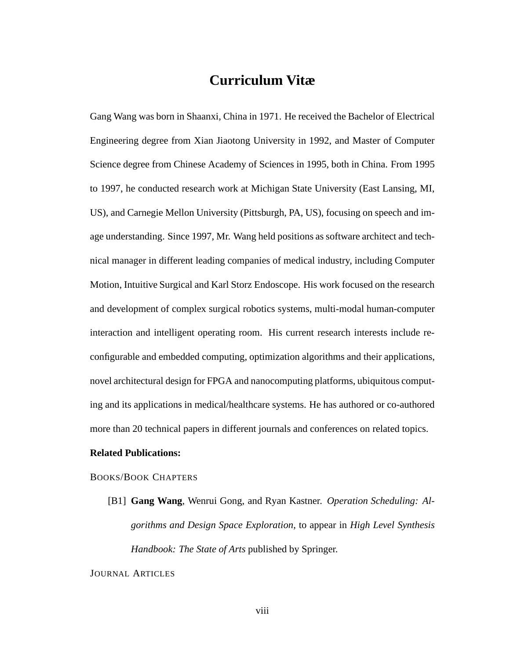### **Curriculum Vitæ**

Gang Wang was born in Shaanxi, China in 1971. He received the Bachelor of Electrical Engineering degree from Xian Jiaotong University in 1992, and Master of Computer Science degree from Chinese Academy of Sciences in 1995, both in China. From 1995 to 1997, he conducted research work at Michigan State University (East Lansing, MI, US), and Carnegie Mellon University (Pittsburgh, PA, US), focusing on speech and image understanding. Since 1997, Mr. Wang held positions as software architect and technical manager in different leading companies of medical industry, including Computer Motion, Intuitive Surgical and Karl Storz Endoscope. His work focused on the research and development of complex surgical robotics systems, multi-modal human-computer interaction and intelligent operating room. His current research interests include reconfigurable and embedded computing, optimization algorithms and their applications, novel architectural design for FPGA and nanocomputing platforms, ubiquitous computing and its applications in medical/healthcare systems. He has authored or co-authored more than 20 technical papers in different journals and conferences on related topics.

#### **Related Publications:**

#### BOOKS/BOOK CHAPTERS

[B1] **Gang Wang**, Wenrui Gong, and Ryan Kastner. *Operation Scheduling: Algorithms and Design Space Exploration*, to appear in *High Level Synthesis Handbook: The State of Arts* published by Springer.

JOURNAL ARTICLES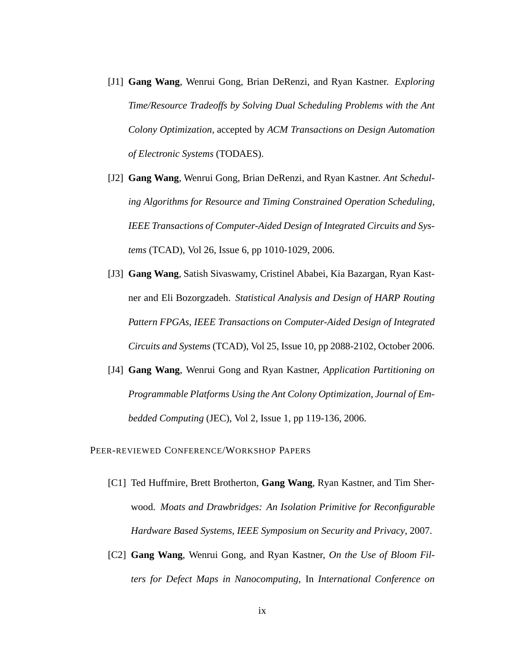- [J1] **Gang Wang**, Wenrui Gong, Brian DeRenzi, and Ryan Kastner. *Exploring Time/Resource Tradeoffs by Solving Dual Scheduling Problems with the Ant Colony Optimization*, accepted by *ACM Transactions on Design Automation of Electronic Systems* (TODAES).
- [J2] **Gang Wang**, Wenrui Gong, Brian DeRenzi, and Ryan Kastner. *Ant Scheduling Algorithms for Resource and Timing Constrained Operation Scheduling*, *IEEE Transactions of Computer-Aided Design of Integrated Circuits and Systems* (TCAD), Vol 26, Issue 6, pp 1010-1029, 2006.
- [J3] **Gang Wang**, Satish Sivaswamy, Cristinel Ababei, Kia Bazargan, Ryan Kastner and Eli Bozorgzadeh. *Statistical Analysis and Design of HARP Routing Pattern FPGAs*, *IEEE Transactions on Computer-Aided Design of Integrated Circuits and Systems* (TCAD), Vol 25, Issue 10, pp 2088-2102, October 2006.
- [J4] **Gang Wang**, Wenrui Gong and Ryan Kastner, *Application Partitioning on Programmable Platforms Using the Ant Colony Optimization*, *Journal of Embedded Computing* (JEC), Vol 2, Issue 1, pp 119-136, 2006.

PEER-REVIEWED CONFERENCE/WORKSHOP PAPERS

- [C1] Ted Huffmire, Brett Brotherton, **Gang Wang**, Ryan Kastner, and Tim Sherwood. *Moats and Drawbridges: An Isolation Primitive for Reconfigurable Hardware Based Systems*, *IEEE Symposium on Security and Privacy*, 2007.
- [C2] **Gang Wang**, Wenrui Gong, and Ryan Kastner, *On the Use of Bloom Filters for Defect Maps in Nanocomputing*, In *International Conference on*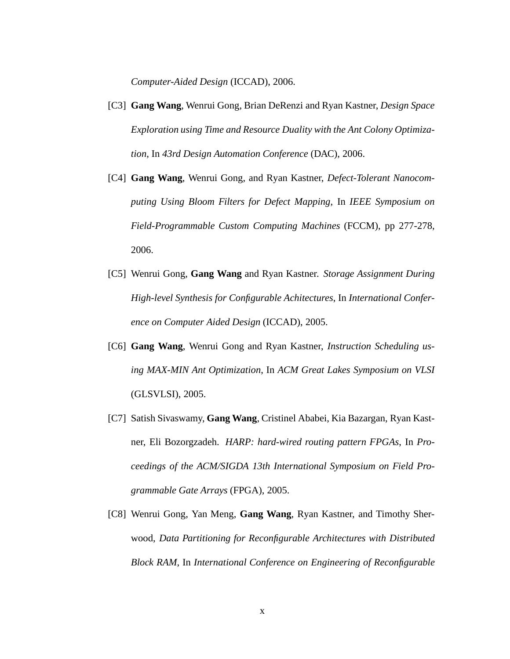*Computer-Aided Design* (ICCAD), 2006.

- [C3] **Gang Wang**, Wenrui Gong, Brian DeRenzi and Ryan Kastner, *Design Space Exploration using Time and Resource Duality with the Ant Colony Optimization*, In *43rd Design Automation Conference* (DAC), 2006.
- [C4] **Gang Wang**, Wenrui Gong, and Ryan Kastner, *Defect-Tolerant Nanocomputing Using Bloom Filters for Defect Mapping*, In *IEEE Symposium on Field-Programmable Custom Computing Machines* (FCCM), pp 277-278, 2006.
- [C5] Wenrui Gong, **Gang Wang** and Ryan Kastner. *Storage Assignment During High-level Synthesis for Configurable Achitectures*, In *International Conference on Computer Aided Design* (ICCAD), 2005.
- [C6] **Gang Wang**, Wenrui Gong and Ryan Kastner, *Instruction Scheduling using MAX-MIN Ant Optimization*, In *ACM Great Lakes Symposium on VLSI* (GLSVLSI), 2005.
- [C7] Satish Sivaswamy, **Gang Wang**, Cristinel Ababei, Kia Bazargan, Ryan Kastner, Eli Bozorgzadeh. *HARP: hard-wired routing pattern FPGAs*, In *Proceedings of the ACM/SIGDA 13th International Symposium on Field Programmable Gate Arrays* (FPGA), 2005.
- [C8] Wenrui Gong, Yan Meng, **Gang Wang**, Ryan Kastner, and Timothy Sherwood, *Data Partitioning for Reconfigurable Architectures with Distributed Block RAM*, In *International Conference on Engineering of Reconfigurable*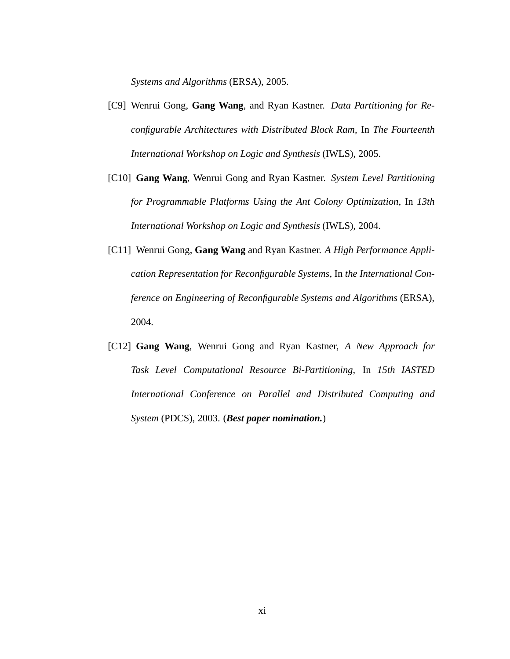*Systems and Algorithms* (ERSA), 2005.

- [C9] Wenrui Gong, **Gang Wang**, and Ryan Kastner. *Data Partitioning for Reconfigurable Architectures with Distributed Block Ram*, In *The Fourteenth International Workshop on Logic and Synthesis* (IWLS), 2005.
- [C10] **Gang Wang**, Wenrui Gong and Ryan Kastner. *System Level Partitioning for Programmable Platforms Using the Ant Colony Optimization*, In *13th International Workshop on Logic and Synthesis* (IWLS), 2004.
- [C11] Wenrui Gong, **Gang Wang** and Ryan Kastner. *A High Performance Application Representation for Reconfigurable Systems*, In *the International Conference on Engineering of Reconfigurable Systems and Algorithms* (ERSA), 2004.
- [C12] **Gang Wang**, Wenrui Gong and Ryan Kastner, *A New Approach for Task Level Computational Resource Bi-Partitioning*, In *15th IASTED International Conference on Parallel and Distributed Computing and System* (PDCS), 2003. (*Best paper nomination.*)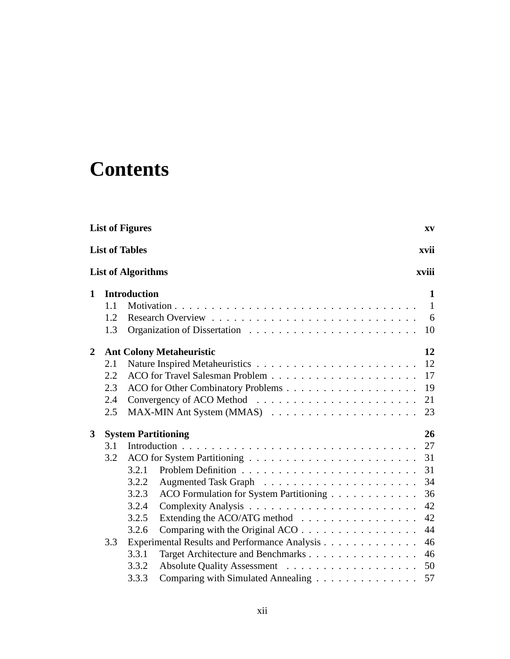## **Contents**

|                |                                 | <b>List of Figures</b>                                               |                                                                                                                                                                                                     |  |  |  |  | XV                                                             |
|----------------|---------------------------------|----------------------------------------------------------------------|-----------------------------------------------------------------------------------------------------------------------------------------------------------------------------------------------------|--|--|--|--|----------------------------------------------------------------|
|                |                                 | <b>List of Tables</b>                                                |                                                                                                                                                                                                     |  |  |  |  | xvii                                                           |
|                |                                 | <b>List of Algorithms</b>                                            |                                                                                                                                                                                                     |  |  |  |  | xviii                                                          |
| 1              | 1.1                             | <b>Introduction</b>                                                  |                                                                                                                                                                                                     |  |  |  |  | 1<br>$\mathbf{1}$                                              |
|                | 1.2<br>1.3                      |                                                                      |                                                                                                                                                                                                     |  |  |  |  | 6<br>10                                                        |
| $\overline{2}$ | 2.1<br>2.2<br>2.3<br>2.4<br>2.5 |                                                                      | <b>Ant Colony Metaheuristic</b>                                                                                                                                                                     |  |  |  |  | 12<br>12<br>17<br>19<br>21<br>23                               |
| 3              |                                 |                                                                      | <b>System Partitioning</b>                                                                                                                                                                          |  |  |  |  | 26                                                             |
|                | 3.1<br>3.2<br>3.3               | 3.2.1<br>3.2.2<br>3.2.3<br>3.2.4<br>3.2.5<br>3.2.6<br>3.3.1<br>3.3.2 | ACO Formulation for System Partitioning<br>Extending the ACO/ATG method $\ldots \ldots \ldots \ldots \ldots$<br>Experimental Results and Performance Analysis<br>Target Architecture and Benchmarks |  |  |  |  | 27<br>31<br>31<br>34<br>36<br>42<br>42<br>44<br>46<br>46<br>50 |
|                |                                 | 3.3.3                                                                | Comparing with Simulated Annealing                                                                                                                                                                  |  |  |  |  | 57                                                             |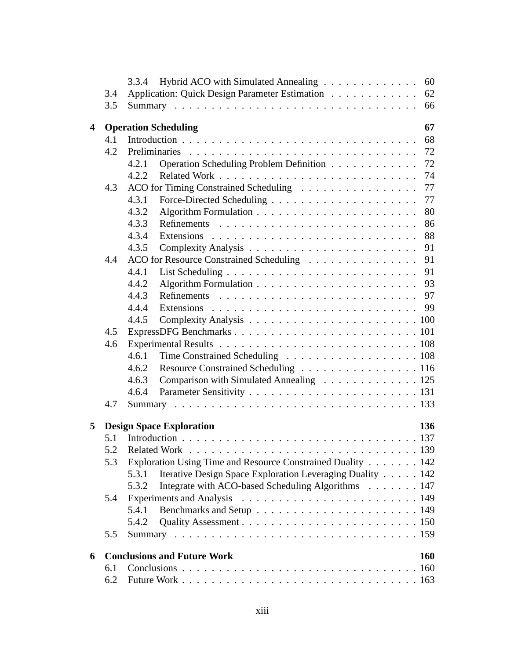|                         |     | 3.3.4 Hybrid ACO with Simulated Annealing 60                       |     |
|-------------------------|-----|--------------------------------------------------------------------|-----|
|                         | 3.4 | Application: Quick Design Parameter Estimation 62                  |     |
|                         | 3.5 |                                                                    | 66  |
| $\overline{\mathbf{4}}$ |     | <b>Operation Scheduling</b>                                        | 67  |
|                         | 4.1 |                                                                    | 68  |
|                         | 4.2 |                                                                    | 72  |
|                         |     | Operation Scheduling Problem Definition<br>4.2.1                   | 72  |
|                         |     | 4.2.2                                                              | 74  |
|                         | 4.3 | ACO for Timing Constrained Scheduling                              | 77  |
|                         |     | 4.3.1                                                              | 77  |
|                         |     | 4.3.2                                                              | 80  |
|                         |     | 4.3.3                                                              | 86  |
|                         |     | 4.3.4                                                              | 88  |
|                         |     | 4.3.5                                                              | 91  |
|                         | 4.4 | ACO for Resource Constrained Scheduling                            | 91  |
|                         |     | 4.4.1                                                              | 91  |
|                         |     | 4.4.2                                                              |     |
|                         |     | 4.4.3                                                              |     |
|                         |     | 4.4.4                                                              |     |
|                         |     | 4.4.5                                                              |     |
|                         | 4.5 |                                                                    |     |
|                         | 4.6 |                                                                    |     |
|                         |     | Time Constrained Scheduling 108<br>4.6.1                           |     |
|                         |     | 4.6.2<br>Resource Constrained Scheduling 116                       |     |
|                         |     | 4.6.3<br>Comparison with Simulated Annealing 125                   |     |
|                         |     | 4.6.4                                                              |     |
|                         | 4.7 |                                                                    |     |
| 5                       |     | <b>Design Space Exploration</b>                                    | 136 |
|                         | 5.1 |                                                                    |     |
|                         |     |                                                                    |     |
|                         | 5.3 | Exploration Using Time and Resource Constrained Duality 142        |     |
|                         |     | Iterative Design Space Exploration Leveraging Duality 142<br>5.3.1 |     |
|                         |     | Integrate with ACO-based Scheduling Algorithms 147<br>5.3.2        |     |
|                         | 5.4 |                                                                    |     |
|                         |     | 5.4.1                                                              |     |
|                         |     | 5.4.2                                                              |     |
|                         | 5.5 |                                                                    |     |
| 6                       |     | <b>Conclusions and Future Work</b>                                 | 160 |
|                         | 6.1 |                                                                    |     |
|                         | 6.2 |                                                                    |     |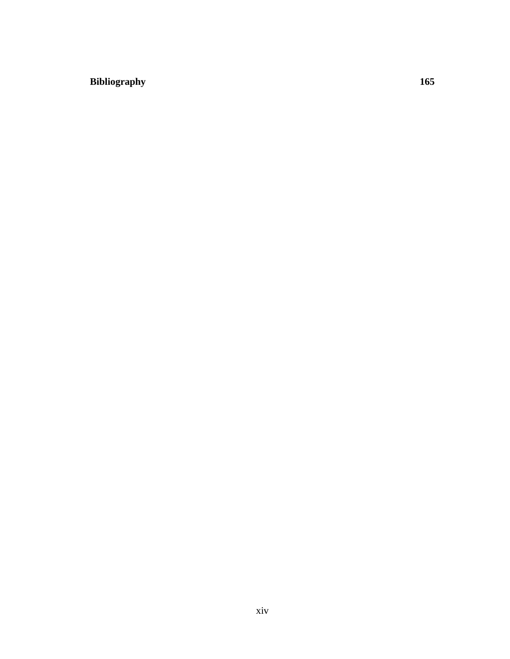### **Bibliography 165**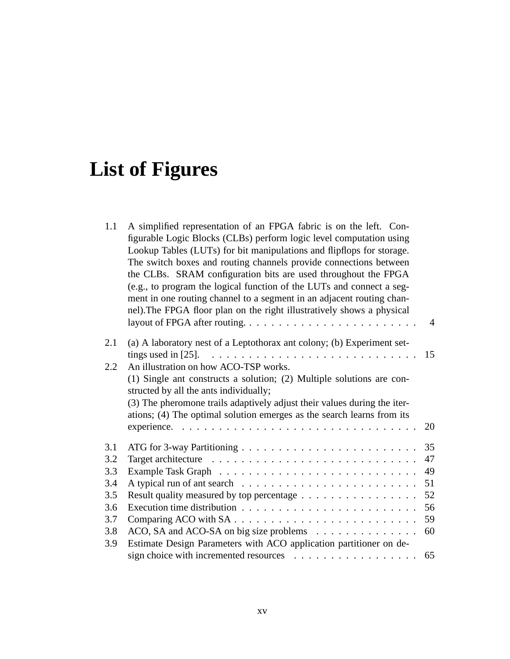# **List of Figures**

| 1.1 | A simplified representation of an FPGA fabric is on the left. Con-<br>figurable Logic Blocks (CLBs) perform logic level computation using<br>Lookup Tables (LUTs) for bit manipulations and flipflops for storage.<br>The switch boxes and routing channels provide connections between<br>the CLBs. SRAM configuration bits are used throughout the FPGA<br>(e.g., to program the logical function of the LUTs and connect a seg-<br>ment in one routing channel to a segment in an adjacent routing chan- |                |
|-----|-------------------------------------------------------------------------------------------------------------------------------------------------------------------------------------------------------------------------------------------------------------------------------------------------------------------------------------------------------------------------------------------------------------------------------------------------------------------------------------------------------------|----------------|
|     | nel). The FPGA floor plan on the right illustratively shows a physical                                                                                                                                                                                                                                                                                                                                                                                                                                      |                |
|     |                                                                                                                                                                                                                                                                                                                                                                                                                                                                                                             | $\overline{4}$ |
| 2.1 | (a) A laboratory nest of a Leptothorax ant colony; (b) Experiment set-<br>tings used in $[25]$ .                                                                                                                                                                                                                                                                                                                                                                                                            | 15             |
| 2.2 | An illustration on how ACO-TSP works.<br>(1) Single ant constructs a solution; (2) Multiple solutions are con-<br>structed by all the ants individually;<br>(3) The pheromone trails adaptively adjust their values during the iter-<br>ations; (4) The optimal solution emerges as the search learns from its                                                                                                                                                                                              | 20             |
| 3.1 |                                                                                                                                                                                                                                                                                                                                                                                                                                                                                                             | 35             |
| 3.2 |                                                                                                                                                                                                                                                                                                                                                                                                                                                                                                             | 47             |
| 3.3 |                                                                                                                                                                                                                                                                                                                                                                                                                                                                                                             | 49             |
| 3.4 |                                                                                                                                                                                                                                                                                                                                                                                                                                                                                                             | 51             |
| 3.5 | Result quality measured by top percentage                                                                                                                                                                                                                                                                                                                                                                                                                                                                   | 52             |
| 3.6 |                                                                                                                                                                                                                                                                                                                                                                                                                                                                                                             | 56             |
| 3.7 |                                                                                                                                                                                                                                                                                                                                                                                                                                                                                                             | 59             |
| 3.8 | $ACO$ , SA and $ACO-SA$ on big size problems $\ldots \ldots \ldots \ldots$                                                                                                                                                                                                                                                                                                                                                                                                                                  | 60             |
| 3.9 | Estimate Design Parameters with ACO application partitioner on de-                                                                                                                                                                                                                                                                                                                                                                                                                                          |                |
|     |                                                                                                                                                                                                                                                                                                                                                                                                                                                                                                             | 65             |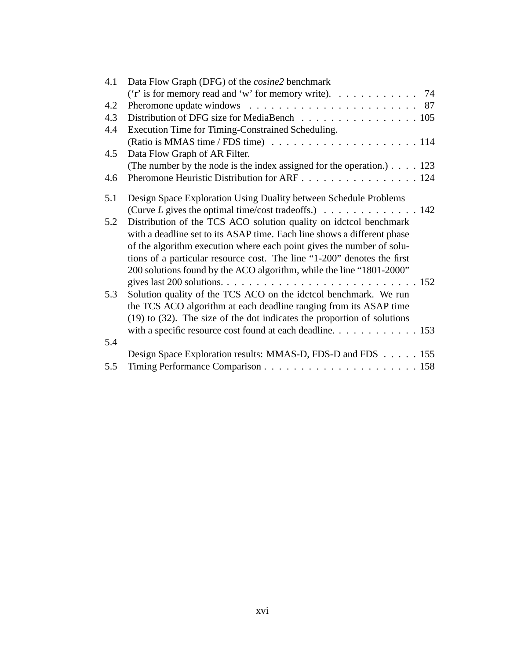| 4.1 | Data Flow Graph (DFG) of the <i>cosine2</i> benchmark                                         |
|-----|-----------------------------------------------------------------------------------------------|
|     | $('r'$ is for memory read and 'w' for memory write). 74                                       |
| 4.2 |                                                                                               |
| 4.3 | Distribution of DFG size for MediaBench 105                                                   |
| 4.4 | Execution Time for Timing-Constrained Scheduling.                                             |
|     | (Ratio is MMAS time / FDS time) $\ldots \ldots \ldots \ldots \ldots \ldots \ldots \ldots 114$ |
| 4.5 | Data Flow Graph of AR Filter.                                                                 |
|     | (The number by the node is the index assigned for the operation.) $\ldots$ . 123              |
| 4.6 | Pheromone Heuristic Distribution for ARF 124                                                  |
| 5.1 | Design Space Exploration Using Duality between Schedule Problems                              |
|     | (Curve L gives the optimal time/cost tradeoffs.) $\ldots \ldots \ldots \ldots \ldots$ 142     |
| 5.2 | Distribution of the TCS ACO solution quality on idctcol benchmark                             |
|     | with a deadline set to its ASAP time. Each line shows a different phase                       |
|     | of the algorithm execution where each point gives the number of solu-                         |
|     | tions of a particular resource cost. The line "1-200" denotes the first                       |
|     | 200 solutions found by the ACO algorithm, while the line "1801-2000"                          |
|     |                                                                                               |
| 5.3 | Solution quality of the TCS ACO on the idctcol benchmark. We run                              |
|     | the TCS ACO algorithm at each deadline ranging from its ASAP time                             |
|     | $(19)$ to $(32)$ . The size of the dot indicates the proportion of solutions                  |
|     | with a specific resource cost found at each deadline. 153                                     |
| 5.4 |                                                                                               |
|     | Design Space Exploration results: MMAS-D, FDS-D and FDS 155                                   |
| 5.5 |                                                                                               |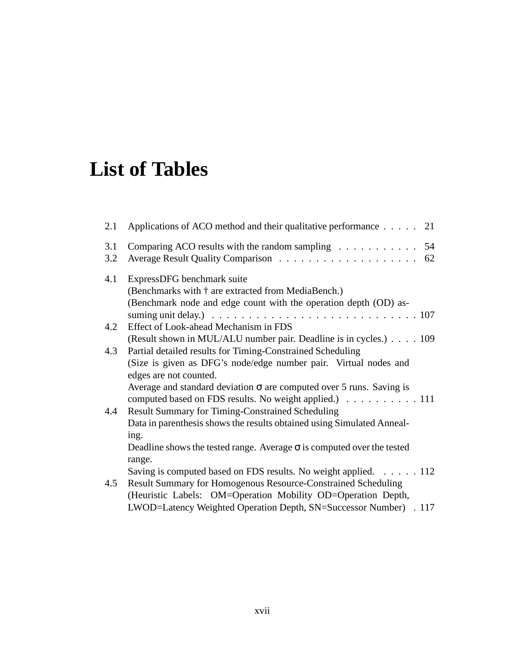## **List of Tables**

| 2.1        | Applications of ACO method and their qualitative performance $\ldots$ 21                                      |
|------------|---------------------------------------------------------------------------------------------------------------|
| 3.1<br>3.2 | Comparing ACO results with the random sampling 54                                                             |
| 4.1        | ExpressDFG benchmark suite                                                                                    |
|            | (Benchmarks with $\dagger$ are extracted from MediaBench.)                                                    |
|            | (Benchmark node and edge count with the operation depth (OD) as-                                              |
|            | suming unit delay.) $\ldots \ldots \ldots \ldots \ldots \ldots \ldots \ldots \ldots \ldots \ldots \ldots 107$ |
| 4.2        | Effect of Look-ahead Mechanism in FDS                                                                         |
|            | (Result shown in MUL/ALU number pair. Deadline is in cycles.) 109                                             |
| 4.3        | Partial detailed results for Timing-Constrained Scheduling                                                    |
|            | (Size is given as DFG's node/edge number pair. Virtual nodes and                                              |
|            | edges are not counted.                                                                                        |
|            | Average and standard deviation $\sigma$ are computed over 5 runs. Saving is                                   |
|            | computed based on FDS results. No weight applied.) 111                                                        |
| 4.4        | <b>Result Summary for Timing-Constrained Scheduling</b>                                                       |
|            | Data in parenthesis shows the results obtained using Simulated Anneal-                                        |
|            | ing.                                                                                                          |
|            | Deadline shows the tested range. Average $\sigma$ is computed over the tested                                 |
|            | range.                                                                                                        |
|            | Saving is computed based on FDS results. No weight applied. 112                                               |
| 4.5        | Result Summary for Homogenous Resource-Constrained Scheduling                                                 |
|            | (Heuristic Labels: OM=Operation Mobility OD=Operation Depth,                                                  |
|            | LWOD=Latency Weighted Operation Depth, SN=Successor Number) . 117                                             |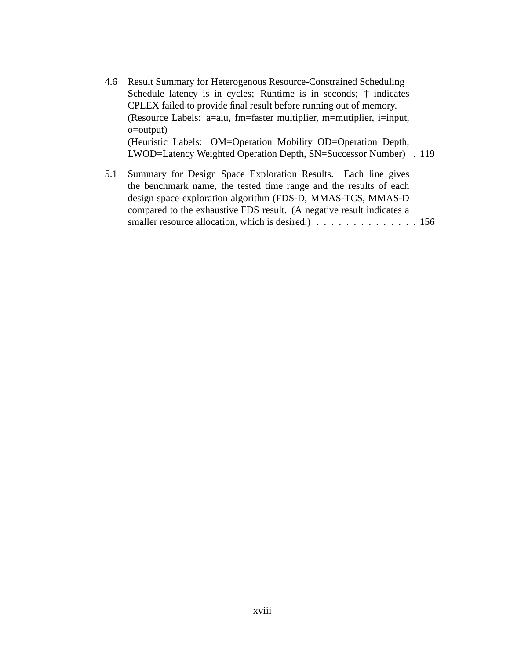- 4.6 Result Summary for Heterogenous Resource-Constrained Scheduling Schedule latency is in cycles; Runtime is in seconds; † indicates CPLEX failed to provide final result before running out of memory. (Resource Labels: a=alu, fm=faster multiplier, m=mutiplier, i=input, o=output) (Heuristic Labels: OM=Operation Mobility OD=Operation Depth, LWOD=Latency Weighted Operation Depth, SN=Successor Number) . 119
- 5.1 Summary for Design Space Exploration Results. Each line gives the benchmark name, the tested time range and the results of each design space exploration algorithm (FDS-D, MMAS-TCS, MMAS-D compared to the exhaustive FDS result. (A negative result indicates a smaller resource allocation, which is desired.) . . . . . . . . . . . . . . . 156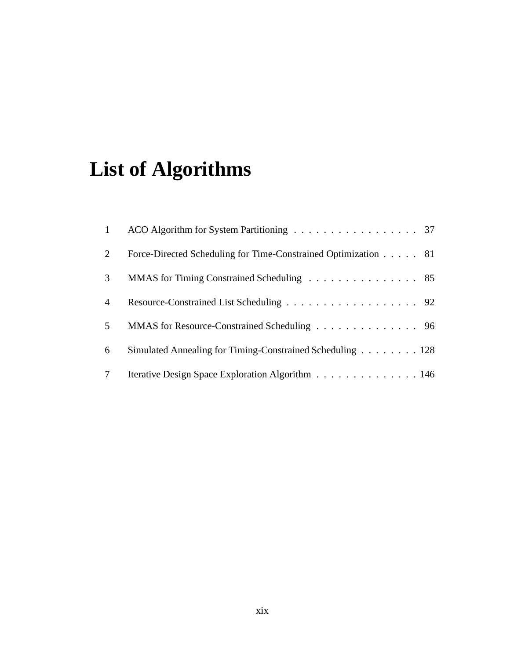# **List of Algorithms**

| $\mathbf{1}$   | ACO Algorithm for System Partitioning 37                       |  |
|----------------|----------------------------------------------------------------|--|
| $\overline{2}$ | Force-Directed Scheduling for Time-Constrained Optimization 81 |  |
| $\mathfrak{Z}$ | MMAS for Timing Constrained Scheduling 85                      |  |
| $\overline{4}$ | Resource-Constrained List Scheduling 92                        |  |
| 5 <sup>5</sup> | MMAS for Resource-Constrained Scheduling 96                    |  |
| 6              | Simulated Annealing for Timing-Constrained Scheduling 128      |  |
| $7^{\circ}$    | Iterative Design Space Exploration Algorithm 146               |  |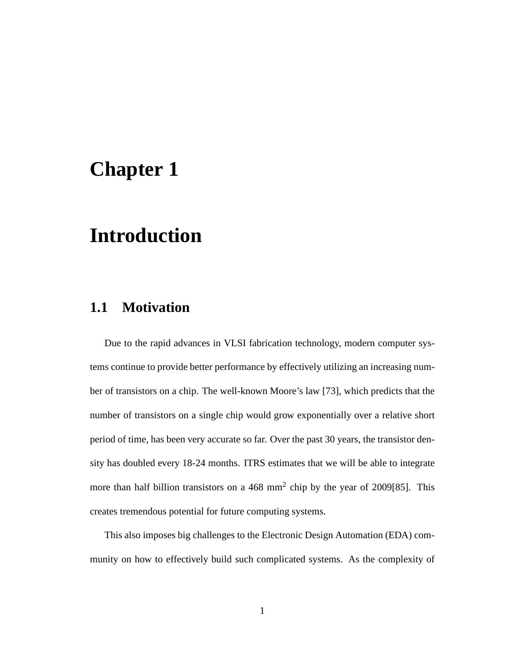## **Chapter 1**

## **Introduction**

### **1.1 Motivation**

Due to the rapid advances in VLSI fabrication technology, modern computer systems continue to provide better performance by effectively utilizing an increasing number of transistors on a chip. The well-known Moore's law [73], which predicts that the number of transistors on a single chip would grow exponentially over a relative short period of time, has been very accurate so far. Over the past 30 years, the transistor density has doubled every 18-24 months. ITRS estimates that we will be able to integrate more than half billion transistors on a  $468 \text{ mm}^2$  chip by the year of 2009[85]. This creates tremendous potential for future computing systems.

This also imposes big challenges to the Electronic Design Automation (EDA) community on how to effectively build such complicated systems. As the complexity of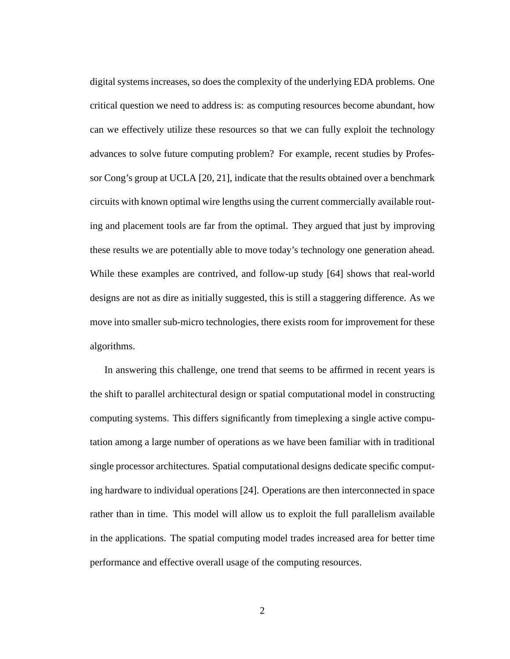digital systems increases, so does the complexity of the underlying EDA problems. One critical question we need to address is: as computing resources become abundant, how can we effectively utilize these resources so that we can fully exploit the technology advances to solve future computing problem? For example, recent studies by Professor Cong's group at UCLA [20, 21], indicate that the results obtained over a benchmark circuits with known optimal wire lengths using the current commercially available routing and placement tools are far from the optimal. They argued that just by improving these results we are potentially able to move today's technology one generation ahead. While these examples are contrived, and follow-up study [64] shows that real-world designs are not as dire as initially suggested, this is still a staggering difference. As we move into smaller sub-micro technologies, there exists room for improvement for these algorithms.

In answering this challenge, one trend that seems to be affirmed in recent years is the shift to parallel architectural design or spatial computational model in constructing computing systems. This differs significantly from timeplexing a single active computation among a large number of operations as we have been familiar with in traditional single processor architectures. Spatial computational designs dedicate specific computing hardware to individual operations [24]. Operations are then interconnected in space rather than in time. This model will allow us to exploit the full parallelism available in the applications. The spatial computing model trades increased area for better time performance and effective overall usage of the computing resources.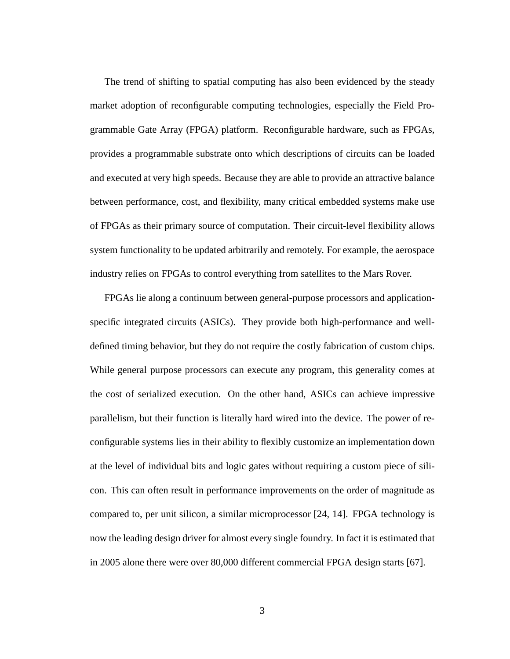The trend of shifting to spatial computing has also been evidenced by the steady market adoption of reconfigurable computing technologies, especially the Field Programmable Gate Array (FPGA) platform. Reconfigurable hardware, such as FPGAs, provides a programmable substrate onto which descriptions of circuits can be loaded and executed at very high speeds. Because they are able to provide an attractive balance between performance, cost, and flexibility, many critical embedded systems make use of FPGAs as their primary source of computation. Their circuit-level flexibility allows system functionality to be updated arbitrarily and remotely. For example, the aerospace industry relies on FPGAs to control everything from satellites to the Mars Rover.

FPGAs lie along a continuum between general-purpose processors and applicationspecific integrated circuits (ASICs). They provide both high-performance and welldefined timing behavior, but they do not require the costly fabrication of custom chips. While general purpose processors can execute any program, this generality comes at the cost of serialized execution. On the other hand, ASICs can achieve impressive parallelism, but their function is literally hard wired into the device. The power of reconfigurable systems lies in their ability to flexibly customize an implementation down at the level of individual bits and logic gates without requiring a custom piece of silicon. This can often result in performance improvements on the order of magnitude as compared to, per unit silicon, a similar microprocessor [24, 14]. FPGA technology is now the leading design driver for almost every single foundry. In fact it is estimated that in 2005 alone there were over 80,000 different commercial FPGA design starts [67].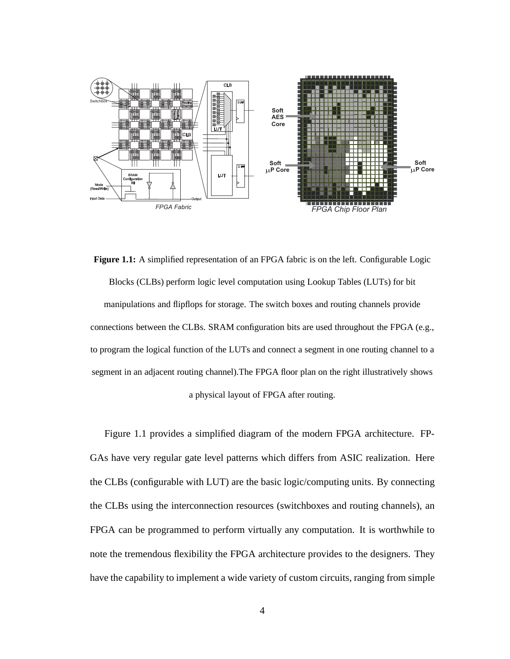

**Figure 1.1:** A simplified representation of an FPGA fabric is on the left. Configurable Logic Blocks (CLBs) perform logic level computation using Lookup Tables (LUTs) for bit manipulations and flipflops for storage. The switch boxes and routing channels provide connections between the CLBs. SRAM configuration bits are used throughout the FPGA (e.g., to program the logical function of the LUTs and connect a segment in one routing channel to a segment in an adjacent routing channel).The FPGA floor plan on the right illustratively shows a physical layout of FPGA after routing.

Figure 1.1 provides a simplified diagram of the modern FPGA architecture. FP-GAs have very regular gate level patterns which differs from ASIC realization. Here the CLBs (configurable with LUT) are the basic logic/computing units. By connecting the CLBs using the interconnection resources (switchboxes and routing channels), an FPGA can be programmed to perform virtually any computation. It is worthwhile to note the tremendous flexibility the FPGA architecture provides to the designers. They have the capability to implement a wide variety of custom circuits, ranging from simple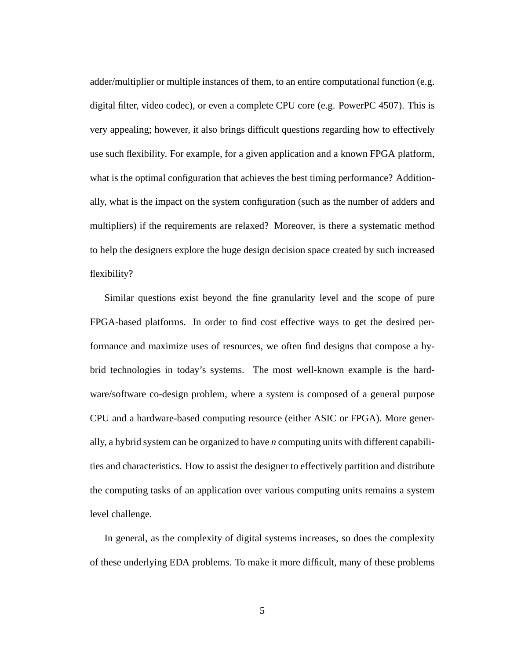adder/multiplier or multiple instances of them, to an entire computational function (e.g. digital filter, video codec), or even a complete CPU core (e.g. PowerPC 4507). This is very appealing; however, it also brings difficult questions regarding how to effectively use such flexibility. For example, for a given application and a known FPGA platform, what is the optimal configuration that achieves the best timing performance? Additionally, what is the impact on the system configuration (such as the number of adders and multipliers) if the requirements are relaxed? Moreover, is there a systematic method to help the designers explore the huge design decision space created by such increased flexibility?

Similar questions exist beyond the fine granularity level and the scope of pure FPGA-based platforms. In order to find cost effective ways to get the desired performance and maximize uses of resources, we often find designs that compose a hybrid technologies in today's systems. The most well-known example is the hardware/software co-design problem, where a system is composed of a general purpose CPU and a hardware-based computing resource (either ASIC or FPGA). More generally, a hybrid system can be organized to have *n* computing units with different capabilities and characteristics. How to assist the designer to effectively partition and distribute the computing tasks of an application over various computing units remains a system level challenge.

In general, as the complexity of digital systems increases, so does the complexity of these underlying EDA problems. To make it more difficult, many of these problems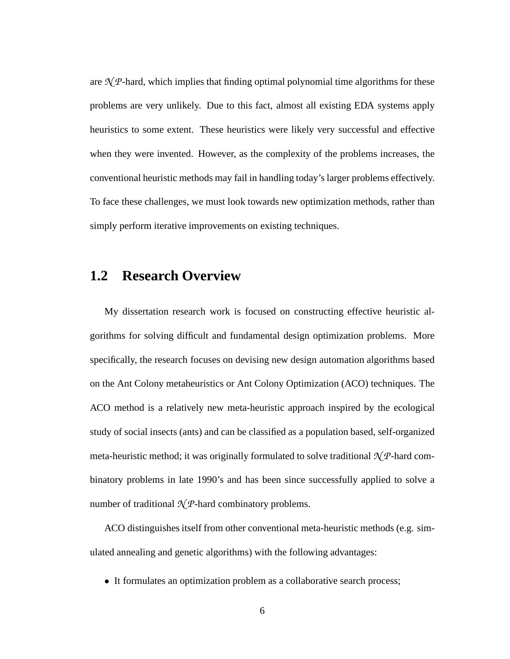are  $\mathcal{N}$ *P*-hard, which implies that finding optimal polynomial time algorithms for these problems are very unlikely. Due to this fact, almost all existing EDA systems apply heuristics to some extent. These heuristics were likely very successful and effective when they were invented. However, as the complexity of the problems increases, the conventional heuristic methods may fail in handling today's larger problems effectively. To face these challenges, we must look towards new optimization methods, rather than simply perform iterative improvements on existing techniques.

### **1.2 Research Overview**

My dissertation research work is focused on constructing effective heuristic algorithms for solving difficult and fundamental design optimization problems. More specifically, the research focuses on devising new design automation algorithms based on the Ant Colony metaheuristics or Ant Colony Optimization (ACO) techniques. The ACO method is a relatively new meta-heuristic approach inspired by the ecological study of social insects (ants) and can be classified as a population based, self-organized meta-heuristic method; it was originally formulated to solve traditional  $\mathcal{N}$  *P*-hard combinatory problems in late 1990's and has been since successfully applied to solve a number of traditional  $\mathcal{N}$ *P*-hard combinatory problems.

ACO distinguishes itself from other conventional meta-heuristic methods (e.g. simulated annealing and genetic algorithms) with the following advantages:

• It formulates an optimization problem as a collaborative search process;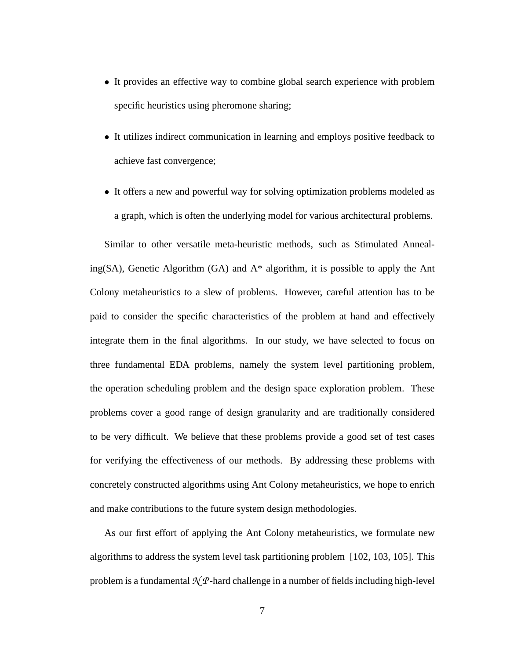- It provides an effective way to combine global search experience with problem specific heuristics using pheromone sharing;
- It utilizes indirect communication in learning and employs positive feedback to achieve fast convergence;
- It offers a new and powerful way for solving optimization problems modeled as a graph, which is often the underlying model for various architectural problems.

Similar to other versatile meta-heuristic methods, such as Stimulated Annealing(SA), Genetic Algorithm (GA) and A\* algorithm, it is possible to apply the Ant Colony metaheuristics to a slew of problems. However, careful attention has to be paid to consider the specific characteristics of the problem at hand and effectively integrate them in the final algorithms. In our study, we have selected to focus on three fundamental EDA problems, namely the system level partitioning problem, the operation scheduling problem and the design space exploration problem. These problems cover a good range of design granularity and are traditionally considered to be very difficult. We believe that these problems provide a good set of test cases for verifying the effectiveness of our methods. By addressing these problems with concretely constructed algorithms using Ant Colony metaheuristics, we hope to enrich and make contributions to the future system design methodologies.

As our first effort of applying the Ant Colony metaheuristics, we formulate new algorithms to address the system level task partitioning problem [102, 103, 105]. This problem is a fundamental  $\mathcal{N}P$ -hard challenge in a number of fields including high-level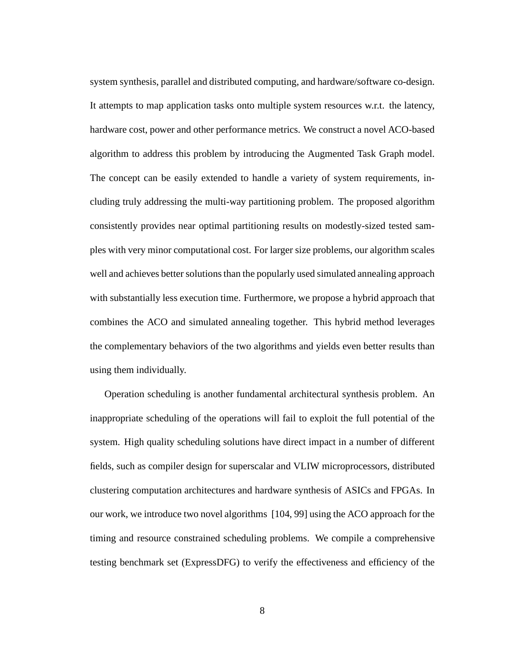system synthesis, parallel and distributed computing, and hardware/software co-design. It attempts to map application tasks onto multiple system resources w.r.t. the latency, hardware cost, power and other performance metrics. We construct a novel ACO-based algorithm to address this problem by introducing the Augmented Task Graph model. The concept can be easily extended to handle a variety of system requirements, including truly addressing the multi-way partitioning problem. The proposed algorithm consistently provides near optimal partitioning results on modestly-sized tested samples with very minor computational cost. For larger size problems, our algorithm scales well and achieves better solutions than the popularly used simulated annealing approach with substantially less execution time. Furthermore, we propose a hybrid approach that combines the ACO and simulated annealing together. This hybrid method leverages the complementary behaviors of the two algorithms and yields even better results than using them individually.

Operation scheduling is another fundamental architectural synthesis problem. An inappropriate scheduling of the operations will fail to exploit the full potential of the system. High quality scheduling solutions have direct impact in a number of different fields, such as compiler design for superscalar and VLIW microprocessors, distributed clustering computation architectures and hardware synthesis of ASICs and FPGAs. In our work, we introduce two novel algorithms [104, 99] using the ACO approach for the timing and resource constrained scheduling problems. We compile a comprehensive testing benchmark set (ExpressDFG) to verify the effectiveness and efficiency of the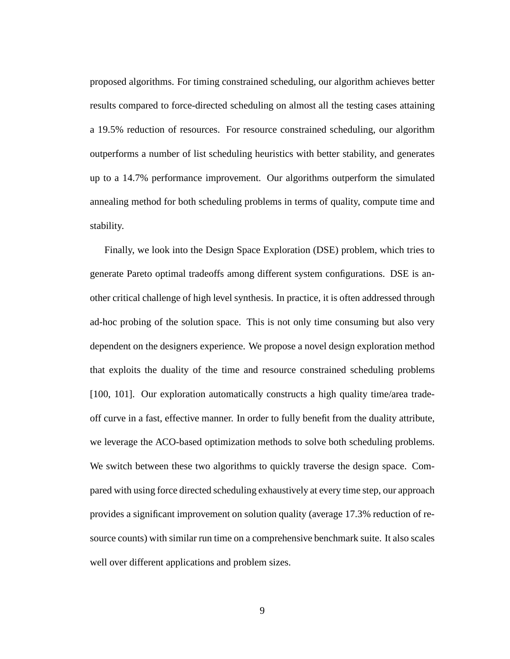proposed algorithms. For timing constrained scheduling, our algorithm achieves better results compared to force-directed scheduling on almost all the testing cases attaining a 19.5% reduction of resources. For resource constrained scheduling, our algorithm outperforms a number of list scheduling heuristics with better stability, and generates up to a 14.7% performance improvement. Our algorithms outperform the simulated annealing method for both scheduling problems in terms of quality, compute time and stability.

Finally, we look into the Design Space Exploration (DSE) problem, which tries to generate Pareto optimal tradeoffs among different system configurations. DSE is another critical challenge of high level synthesis. In practice, it is often addressed through ad-hoc probing of the solution space. This is not only time consuming but also very dependent on the designers experience. We propose a novel design exploration method that exploits the duality of the time and resource constrained scheduling problems [100, 101]. Our exploration automatically constructs a high quality time/area tradeoff curve in a fast, effective manner. In order to fully benefit from the duality attribute, we leverage the ACO-based optimization methods to solve both scheduling problems. We switch between these two algorithms to quickly traverse the design space. Compared with using force directed scheduling exhaustively at every time step, our approach provides a significant improvement on solution quality (average 17.3% reduction of resource counts) with similar run time on a comprehensive benchmark suite. It also scales well over different applications and problem sizes.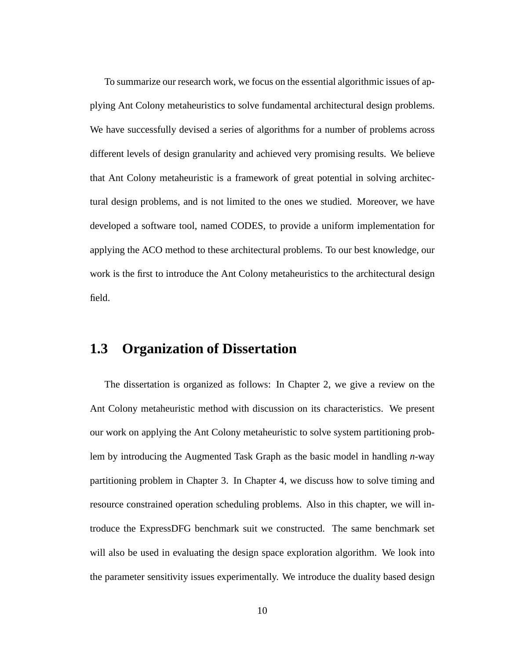To summarize our research work, we focus on the essential algorithmic issues of applying Ant Colony metaheuristics to solve fundamental architectural design problems. We have successfully devised a series of algorithms for a number of problems across different levels of design granularity and achieved very promising results. We believe that Ant Colony metaheuristic is a framework of great potential in solving architectural design problems, and is not limited to the ones we studied. Moreover, we have developed a software tool, named CODES, to provide a uniform implementation for applying the ACO method to these architectural problems. To our best knowledge, our work is the first to introduce the Ant Colony metaheuristics to the architectural design field.

### **1.3 Organization of Dissertation**

The dissertation is organized as follows: In Chapter 2, we give a review on the Ant Colony metaheuristic method with discussion on its characteristics. We present our work on applying the Ant Colony metaheuristic to solve system partitioning problem by introducing the Augmented Task Graph as the basic model in handling *n*-way partitioning problem in Chapter 3. In Chapter 4, we discuss how to solve timing and resource constrained operation scheduling problems. Also in this chapter, we will introduce the ExpressDFG benchmark suit we constructed. The same benchmark set will also be used in evaluating the design space exploration algorithm. We look into the parameter sensitivity issues experimentally. We introduce the duality based design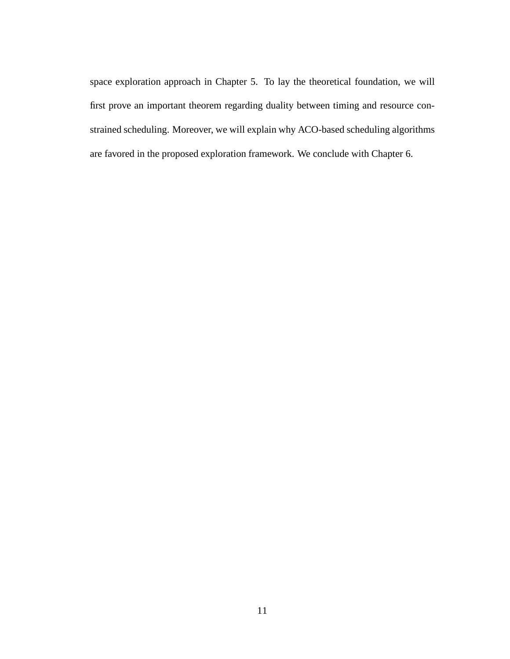space exploration approach in Chapter 5. To lay the theoretical foundation, we will first prove an important theorem regarding duality between timing and resource constrained scheduling. Moreover, we will explain why ACO-based scheduling algorithms are favored in the proposed exploration framework. We conclude with Chapter 6.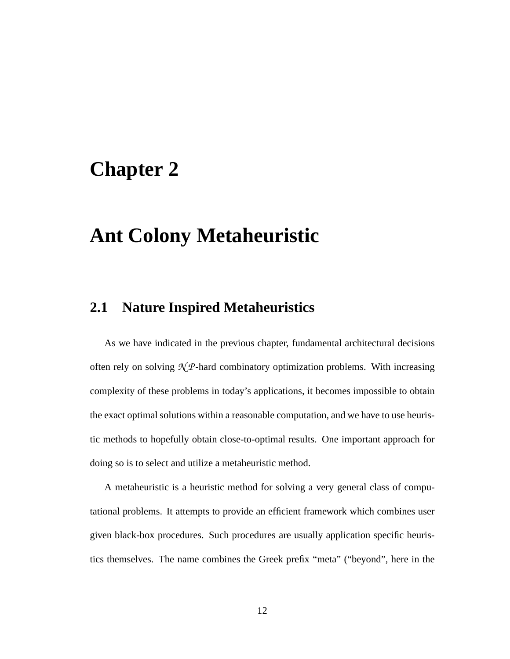## **Chapter 2**

### **Ant Colony Metaheuristic**

### **2.1 Nature Inspired Metaheuristics**

As we have indicated in the previous chapter, fundamental architectural decisions often rely on solving  $\mathcal{N}P$ -hard combinatory optimization problems. With increasing complexity of these problems in today's applications, it becomes impossible to obtain the exact optimal solutions within a reasonable computation, and we have to use heuristic methods to hopefully obtain close-to-optimal results. One important approach for doing so is to select and utilize a metaheuristic method.

A metaheuristic is a heuristic method for solving a very general class of computational problems. It attempts to provide an efficient framework which combines user given black-box procedures. Such procedures are usually application specific heuristics themselves. The name combines the Greek prefix "meta" ("beyond", here in the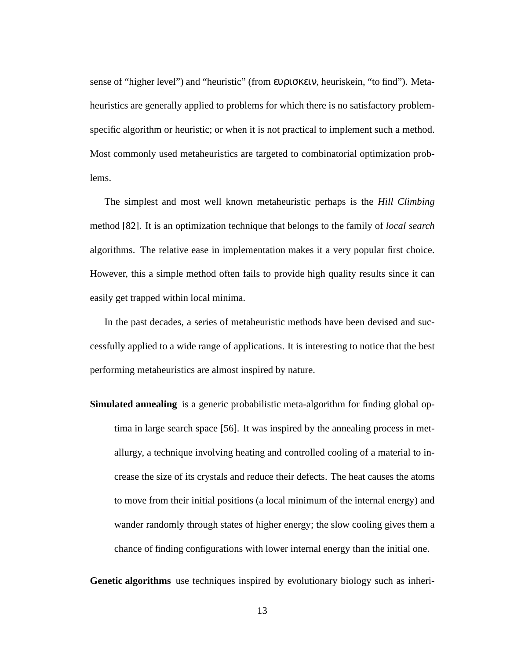sense of "higher level") and "heuristic" (from ευρισκειν, heuriskein, "to find"). Metaheuristics are generally applied to problems for which there is no satisfactory problemspecific algorithm or heuristic; or when it is not practical to implement such a method. Most commonly used metaheuristics are targeted to combinatorial optimization problems.

The simplest and most well known metaheuristic perhaps is the *Hill Climbing* method [82]. It is an optimization technique that belongs to the family of *local search* algorithms. The relative ease in implementation makes it a very popular first choice. However, this a simple method often fails to provide high quality results since it can easily get trapped within local minima.

In the past decades, a series of metaheuristic methods have been devised and successfully applied to a wide range of applications. It is interesting to notice that the best performing metaheuristics are almost inspired by nature.

**Simulated annealing** is a generic probabilistic meta-algorithm for finding global optima in large search space [56]. It was inspired by the annealing process in metallurgy, a technique involving heating and controlled cooling of a material to increase the size of its crystals and reduce their defects. The heat causes the atoms to move from their initial positions (a local minimum of the internal energy) and wander randomly through states of higher energy; the slow cooling gives them a chance of finding configurations with lower internal energy than the initial one.

**Genetic algorithms** use techniques inspired by evolutionary biology such as inheri-

13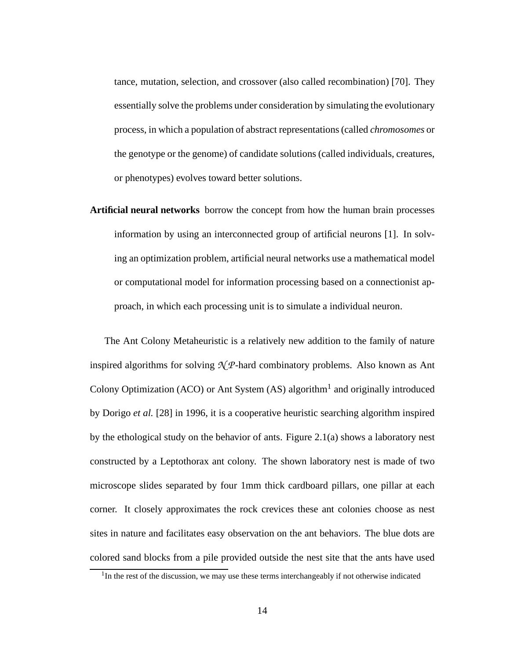tance, mutation, selection, and crossover (also called recombination) [70]. They essentially solve the problems under consideration by simulating the evolutionary process, in which a population of abstract representations(called *chromosomes* or the genotype or the genome) of candidate solutions (called individuals, creatures, or phenotypes) evolves toward better solutions.

**Artificial neural networks** borrow the concept from how the human brain processes information by using an interconnected group of artificial neurons [1]. In solving an optimization problem, artificial neural networks use a mathematical model or computational model for information processing based on a connectionist approach, in which each processing unit is to simulate a individual neuron.

The Ant Colony Metaheuristic is a relatively new addition to the family of nature inspired algorithms for solving  $\mathcal{N}$  *P*-hard combinatory problems. Also known as Ant Colony Optimization (ACO) or Ant System (AS) algorithm<sup>1</sup> and originally introduced by Dorigo *et al.* [28] in 1996, it is a cooperative heuristic searching algorithm inspired by the ethological study on the behavior of ants. Figure 2.1(a) shows a laboratory nest constructed by a Leptothorax ant colony. The shown laboratory nest is made of two microscope slides separated by four 1mm thick cardboard pillars, one pillar at each corner. It closely approximates the rock crevices these ant colonies choose as nest sites in nature and facilitates easy observation on the ant behaviors. The blue dots are colored sand blocks from a pile provided outside the nest site that the ants have used

<sup>&</sup>lt;sup>1</sup>In the rest of the discussion, we may use these terms interchangeably if not otherwise indicated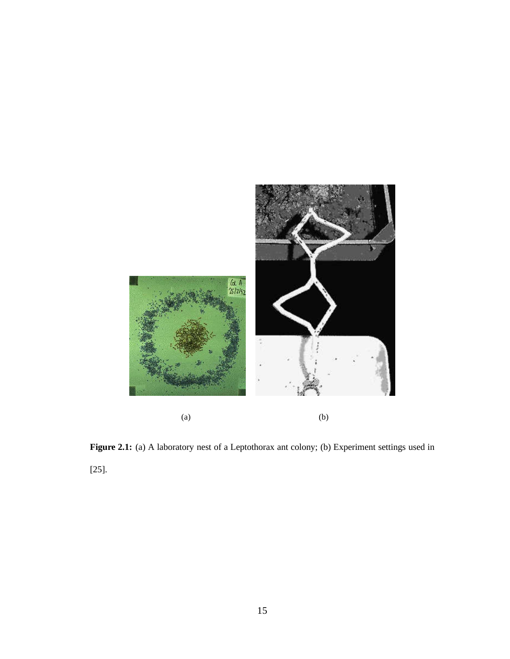

Figure 2.1: (a) A laboratory nest of a Leptothorax ant colony; (b) Experiment settings used in [25].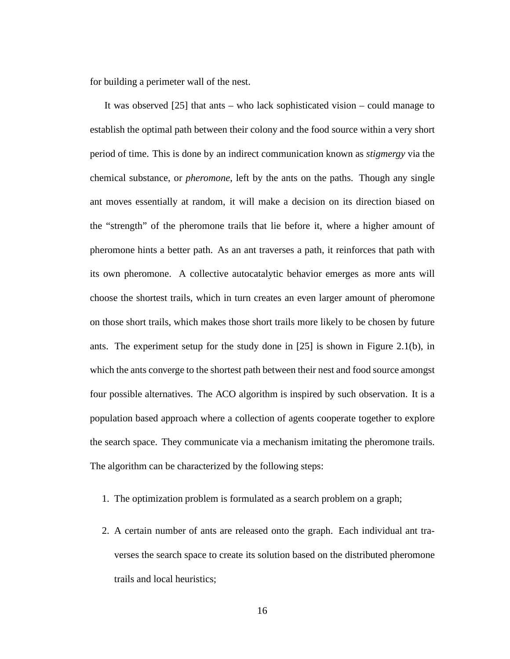for building a perimeter wall of the nest.

It was observed [25] that ants – who lack sophisticated vision – could manage to establish the optimal path between their colony and the food source within a very short period of time. This is done by an indirect communication known as *stigmergy* via the chemical substance, or *pheromone*, left by the ants on the paths. Though any single ant moves essentially at random, it will make a decision on its direction biased on the "strength" of the pheromone trails that lie before it, where a higher amount of pheromone hints a better path. As an ant traverses a path, it reinforces that path with its own pheromone. A collective autocatalytic behavior emerges as more ants will choose the shortest trails, which in turn creates an even larger amount of pheromone on those short trails, which makes those short trails more likely to be chosen by future ants. The experiment setup for the study done in [25] is shown in Figure 2.1(b), in which the ants converge to the shortest path between their nest and food source amongst four possible alternatives. The ACO algorithm is inspired by such observation. It is a population based approach where a collection of agents cooperate together to explore the search space. They communicate via a mechanism imitating the pheromone trails. The algorithm can be characterized by the following steps:

- 1. The optimization problem is formulated as a search problem on a graph;
- 2. A certain number of ants are released onto the graph. Each individual ant traverses the search space to create its solution based on the distributed pheromone trails and local heuristics;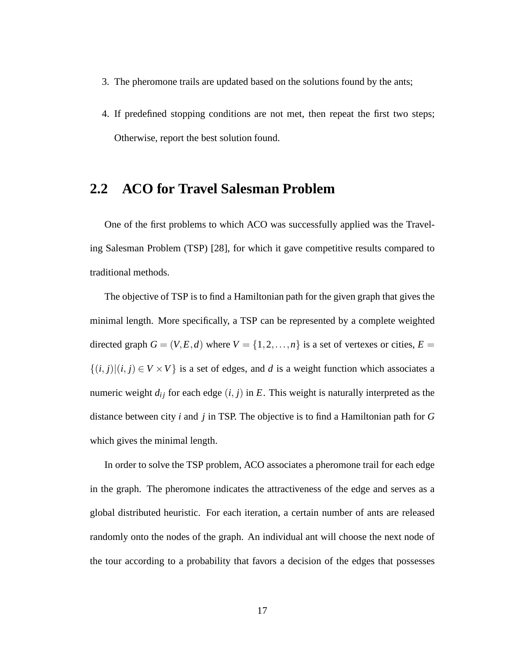- 3. The pheromone trails are updated based on the solutions found by the ants;
- 4. If predefined stopping conditions are not met, then repeat the first two steps; Otherwise, report the best solution found.

### **2.2 ACO for Travel Salesman Problem**

One of the first problems to which ACO was successfully applied was the Traveling Salesman Problem (TSP) [28], for which it gave competitive results compared to traditional methods.

The objective of TSP is to find a Hamiltonian path for the given graph that gives the minimal length. More specifically, a TSP can be represented by a complete weighted directed graph  $G = (V, E, d)$  where  $V = \{1, 2, ..., n\}$  is a set of vertexes or cities,  $E =$  $\{(i, j) | (i, j) \in V \times V\}$  is a set of edges, and *d* is a weight function which associates a numeric weight  $d_{ij}$  for each edge  $(i, j)$  in  $E$ . This weight is naturally interpreted as the distance between city *i* and *j* in TSP. The objective is to find a Hamiltonian path for *G* which gives the minimal length.

In order to solve the TSP problem, ACO associates a pheromone trail for each edge in the graph. The pheromone indicates the attractiveness of the edge and serves as a global distributed heuristic. For each iteration, a certain number of ants are released randomly onto the nodes of the graph. An individual ant will choose the next node of the tour according to a probability that favors a decision of the edges that possesses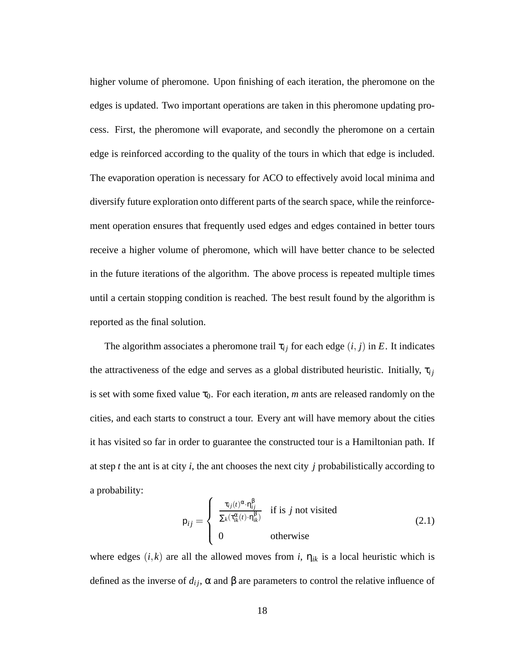higher volume of pheromone. Upon finishing of each iteration, the pheromone on the edges is updated. Two important operations are taken in this pheromone updating process. First, the pheromone will evaporate, and secondly the pheromone on a certain edge is reinforced according to the quality of the tours in which that edge is included. The evaporation operation is necessary for ACO to effectively avoid local minima and diversify future exploration onto different parts of the search space, while the reinforcement operation ensures that frequently used edges and edges contained in better tours receive a higher volume of pheromone, which will have better chance to be selected in the future iterations of the algorithm. The above process is repeated multiple times until a certain stopping condition is reached. The best result found by the algorithm is reported as the final solution.

The algorithm associates a pheromone trail  $\tau_{ij}$  for each edge  $(i, j)$  in *E*. It indicates the attractiveness of the edge and serves as a global distributed heuristic. Initially,  $\tau_{ij}$ is set with some fixed value  $\tau_0$ . For each iteration, *m* ants are released randomly on the cities, and each starts to construct a tour. Every ant will have memory about the cities it has visited so far in order to guarantee the constructed tour is a Hamiltonian path. If at step *t* the ant is at city *i*, the ant chooses the next city *j* probabilistically according to a probability:

$$
\mathsf{p}_{ij} = \begin{cases}\n\frac{\tau_{ij}(t)^{\alpha} \cdot \eta_{ij}^{\beta}}{\sum_{k} (\tau_{ik}^{\alpha}(t) \cdot \eta_{ik}^{\beta})} & \text{if is } j \text{ not visited} \\
0 & \text{otherwise}\n\end{cases}
$$
\n(2.1)

where edges  $(i, k)$  are all the allowed moves from *i*,  $\eta_{ik}$  is a local heuristic which is defined as the inverse of  $d_{ij}$ ,  $\alpha$  and  $\beta$  are parameters to control the relative influence of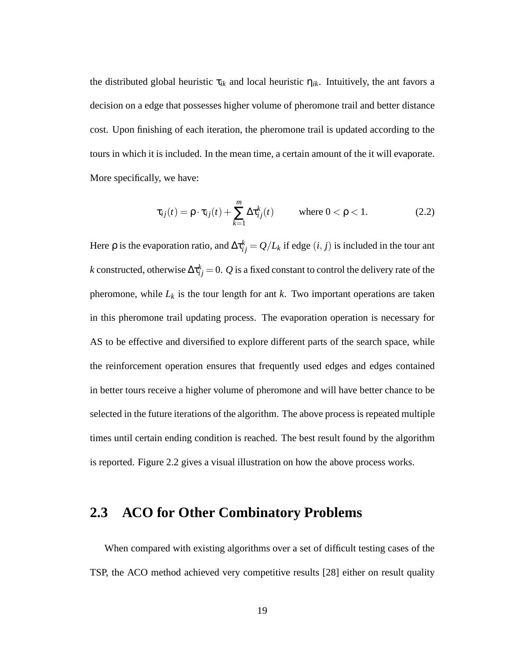the distributed global heuristic  $\tau_{ik}$  and local heuristic  $\eta_{ik}$ . Intuitively, the ant favors a decision on a edge that possesses higher volume of pheromone trail and better distance cost. Upon finishing of each iteration, the pheromone trail is updated according to the tours in which it is included. In the mean time, a certain amount of the it will evaporate. More specifically, we have:

$$
\tau_{ij}(t) = \rho \cdot \tau_{ij}(t) + \sum_{k=1}^{m} \Delta \tau_{ij}^{k}(t) \quad \text{where } 0 < \rho < 1. \tag{2.2}
$$

Here ρ is the evaporation ratio, and  $\Delta \tau_{ij}^k = Q/L_k$  if edge  $(i, j)$  is included in the tour ant *k* constructed, otherwise  $\Delta\tau_{ij}^k=0.$   $Q$  is a fixed constant to control the delivery rate of the pheromone, while  $L_k$  is the tour length for ant  $k$ . Two important operations are taken in this pheromone trail updating process. The evaporation operation is necessary for AS to be effective and diversified to explore different parts of the search space, while the reinforcement operation ensures that frequently used edges and edges contained in better tours receive a higher volume of pheromone and will have better chance to be selected in the future iterations of the algorithm. The above process is repeated multiple times until certain ending condition is reached. The best result found by the algorithm is reported. Figure 2.2 gives a visual illustration on how the above process works.

## **2.3 ACO for Other Combinatory Problems**

When compared with existing algorithms over a set of difficult testing cases of the TSP, the ACO method achieved very competitive results [28] either on result quality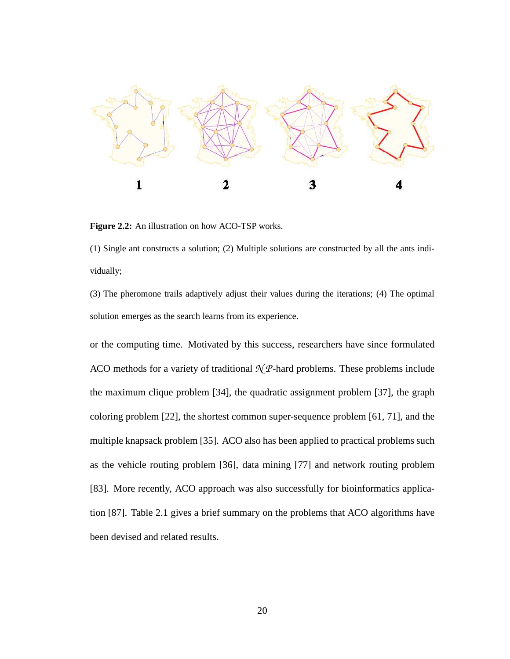

**Figure 2.2:** An illustration on how ACO-TSP works.

(1) Single ant constructs a solution; (2) Multiple solutions are constructed by all the ants individually;

(3) The pheromone trails adaptively adjust their values during the iterations; (4) The optimal solution emerges as the search learns from its experience.

or the computing time. Motivated by this success, researchers have since formulated ACO methods for a variety of traditional *N P*-hard problems. These problems include the maximum clique problem [34], the quadratic assignment problem [37], the graph coloring problem [22], the shortest common super-sequence problem [61, 71], and the multiple knapsack problem [35]. ACO also has been applied to practical problems such as the vehicle routing problem [36], data mining [77] and network routing problem [83]. More recently, ACO approach was also successfully for bioinformatics application [87]. Table 2.1 gives a brief summary on the problems that ACO algorithms have been devised and related results.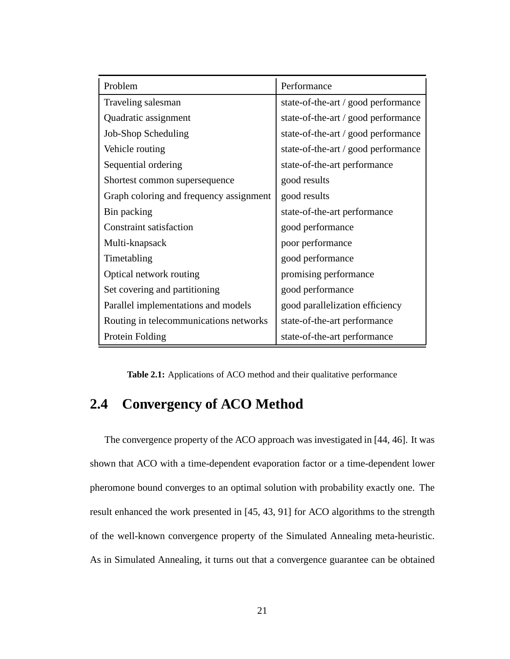| Problem                                 | Performance                         |
|-----------------------------------------|-------------------------------------|
| Traveling salesman                      | state-of-the-art / good performance |
| Quadratic assignment                    | state-of-the-art / good performance |
| Job-Shop Scheduling                     | state-of-the-art / good performance |
| Vehicle routing                         | state-of-the-art / good performance |
| Sequential ordering                     | state-of-the-art performance        |
| Shortest common supersequence           | good results                        |
| Graph coloring and frequency assignment | good results                        |
| Bin packing                             | state-of-the-art performance        |
| <b>Constraint satisfaction</b>          | good performance                    |
| Multi-knapsack                          | poor performance                    |
| Timetabling                             | good performance                    |
| Optical network routing                 | promising performance               |
| Set covering and partitioning           | good performance                    |
| Parallel implementations and models     | good parallelization efficiency     |
| Routing in telecommunications networks  | state-of-the-art performance        |
| Protein Folding                         | state-of-the-art performance        |

**Table 2.1:** Applications of ACO method and their qualitative performance

# **2.4 Convergency of ACO Method**

The convergence property of the ACO approach was investigated in [44, 46]. It was shown that ACO with a time-dependent evaporation factor or a time-dependent lower pheromone bound converges to an optimal solution with probability exactly one. The result enhanced the work presented in [45, 43, 91] for ACO algorithms to the strength of the well-known convergence property of the Simulated Annealing meta-heuristic. As in Simulated Annealing, it turns out that a convergence guarantee can be obtained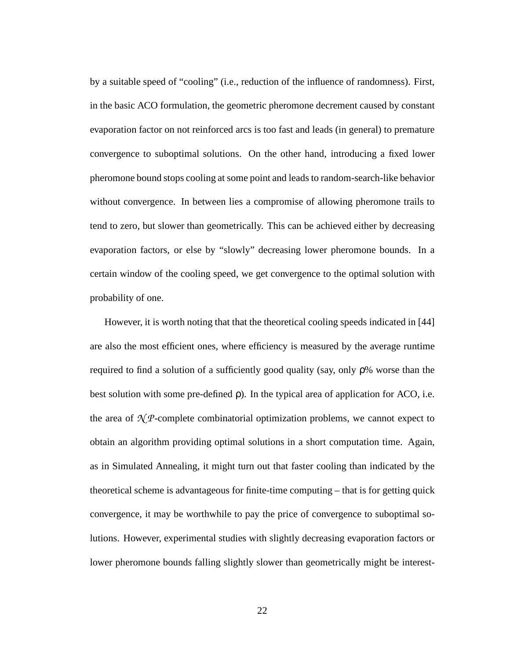by a suitable speed of "cooling" (i.e., reduction of the influence of randomness). First, in the basic ACO formulation, the geometric pheromone decrement caused by constant evaporation factor on not reinforced arcs is too fast and leads (in general) to premature convergence to suboptimal solutions. On the other hand, introducing a fixed lower pheromone bound stops cooling at some point and leads to random-search-like behavior without convergence. In between lies a compromise of allowing pheromone trails to tend to zero, but slower than geometrically. This can be achieved either by decreasing evaporation factors, or else by "slowly" decreasing lower pheromone bounds. In a certain window of the cooling speed, we get convergence to the optimal solution with probability of one.

However, it is worth noting that that the theoretical cooling speeds indicated in [44] are also the most efficient ones, where efficiency is measured by the average runtime required to find a solution of a sufficiently good quality (say, only ρ% worse than the best solution with some pre-defined ρ). In the typical area of application for ACO, i.e. the area of  $\mathcal{N}$ *P*-complete combinatorial optimization problems, we cannot expect to obtain an algorithm providing optimal solutions in a short computation time. Again, as in Simulated Annealing, it might turn out that faster cooling than indicated by the theoretical scheme is advantageous for finite-time computing – that is for getting quick convergence, it may be worthwhile to pay the price of convergence to suboptimal solutions. However, experimental studies with slightly decreasing evaporation factors or lower pheromone bounds falling slightly slower than geometrically might be interest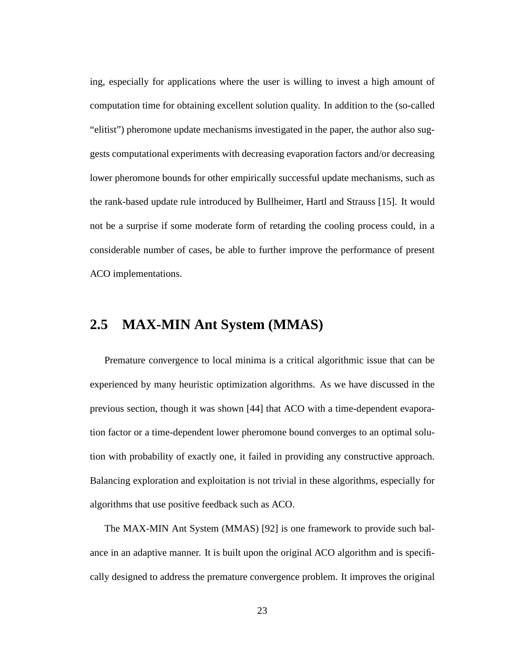ing, especially for applications where the user is willing to invest a high amount of computation time for obtaining excellent solution quality. In addition to the (so-called "elitist") pheromone update mechanisms investigated in the paper, the author also suggests computational experiments with decreasing evaporation factors and/or decreasing lower pheromone bounds for other empirically successful update mechanisms, such as the rank-based update rule introduced by Bullheimer, Hartl and Strauss [15]. It would not be a surprise if some moderate form of retarding the cooling process could, in a considerable number of cases, be able to further improve the performance of present ACO implementations.

## **2.5 MAX-MIN Ant System (MMAS)**

Premature convergence to local minima is a critical algorithmic issue that can be experienced by many heuristic optimization algorithms. As we have discussed in the previous section, though it was shown [44] that ACO with a time-dependent evaporation factor or a time-dependent lower pheromone bound converges to an optimal solution with probability of exactly one, it failed in providing any constructive approach. Balancing exploration and exploitation is not trivial in these algorithms, especially for algorithms that use positive feedback such as ACO.

The MAX-MIN Ant System (MMAS) [92] is one framework to provide such balance in an adaptive manner. It is built upon the original ACO algorithm and is specifically designed to address the premature convergence problem. It improves the original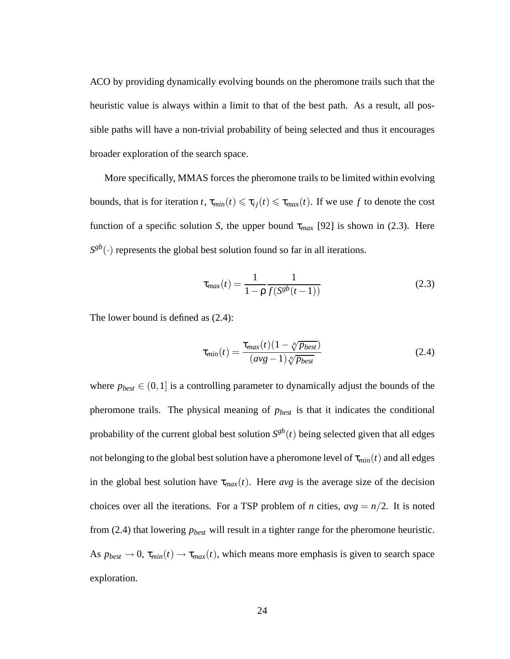ACO by providing dynamically evolving bounds on the pheromone trails such that the heuristic value is always within a limit to that of the best path. As a result, all possible paths will have a non-trivial probability of being selected and thus it encourages broader exploration of the search space.

More specifically, MMAS forces the pheromone trails to be limited within evolving bounds, that is for iteration *t*,  $\tau_{min}(t) \leq \tau_{ij}(t) \leq \tau_{max}(t)$ . If we use *f* to denote the cost function of a specific solution *S*, the upper bound  $\tau_{max}$  [92] is shown in (2.3). Here  $S^{gb}(\cdot)$  represents the global best solution found so far in all iterations.

$$
\tau_{max}(t) = \frac{1}{1 - \rho} \frac{1}{f(S^{gb}(t - 1))}
$$
\n(2.3)

The lower bound is defined as (2.4):

$$
\tau_{min}(t) = \frac{\tau_{max}(t)(1 - \sqrt[n]{p_{best}})}{(avg - 1)\sqrt[n]{p_{best}}}
$$
\n(2.4)

where  $p_{best} \in (0,1]$  is a controlling parameter to dynamically adjust the bounds of the pheromone trails. The physical meaning of *pbest* is that it indicates the conditional probability of the current global best solution  $S^{gb}(t)$  being selected given that all edges not belonging to the global best solution have a pheromone level of  $\tau_{min}(t)$  and all edges in the global best solution have  $\tau_{max}(t)$ . Here *avg* is the average size of the decision choices over all the iterations. For a TSP problem of *n* cities,  $avg = n/2$ . It is noted from (2.4) that lowering *pbest* will result in a tighter range for the pheromone heuristic. As  $p_{best} \rightarrow 0$ ,  $\tau_{min}(t) \rightarrow \tau_{max}(t)$ , which means more emphasis is given to search space exploration.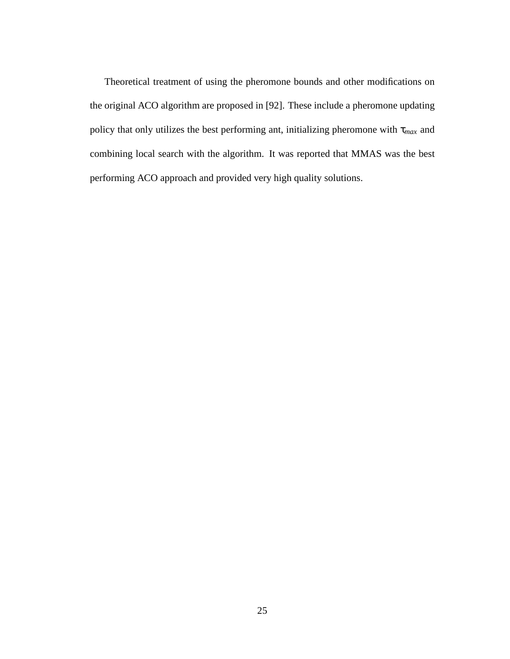Theoretical treatment of using the pheromone bounds and other modifications on the original ACO algorithm are proposed in [92]. These include a pheromone updating policy that only utilizes the best performing ant, initializing pheromone with τ*max* and combining local search with the algorithm. It was reported that MMAS was the best performing ACO approach and provided very high quality solutions.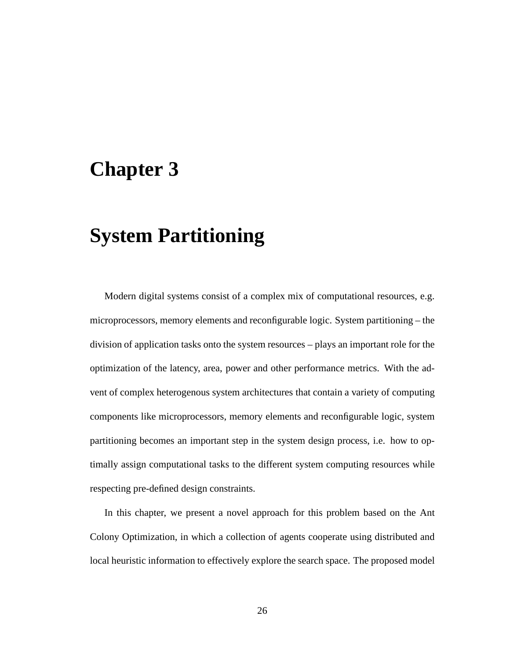# **Chapter 3**

# **System Partitioning**

Modern digital systems consist of a complex mix of computational resources, e.g. microprocessors, memory elements and reconfigurable logic. System partitioning – the division of application tasks onto the system resources – plays an important role for the optimization of the latency, area, power and other performance metrics. With the advent of complex heterogenous system architectures that contain a variety of computing components like microprocessors, memory elements and reconfigurable logic, system partitioning becomes an important step in the system design process, i.e. how to optimally assign computational tasks to the different system computing resources while respecting pre-defined design constraints.

In this chapter, we present a novel approach for this problem based on the Ant Colony Optimization, in which a collection of agents cooperate using distributed and local heuristic information to effectively explore the search space. The proposed model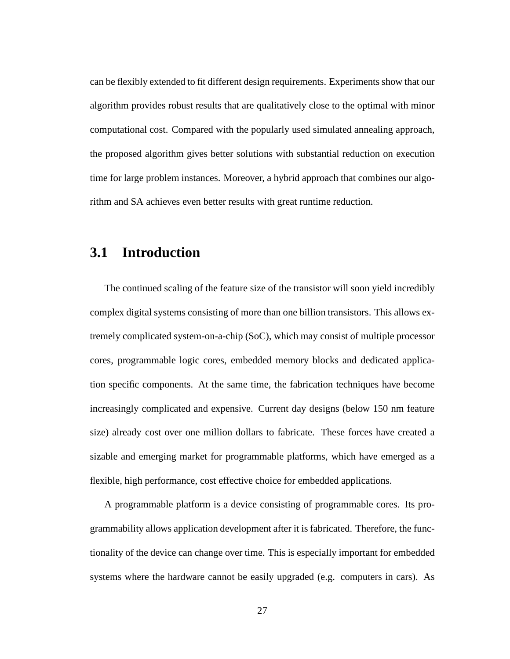can be flexibly extended to fit different design requirements. Experiments show that our algorithm provides robust results that are qualitatively close to the optimal with minor computational cost. Compared with the popularly used simulated annealing approach, the proposed algorithm gives better solutions with substantial reduction on execution time for large problem instances. Moreover, a hybrid approach that combines our algorithm and SA achieves even better results with great runtime reduction.

# **3.1 Introduction**

The continued scaling of the feature size of the transistor will soon yield incredibly complex digital systems consisting of more than one billion transistors. This allows extremely complicated system-on-a-chip (SoC), which may consist of multiple processor cores, programmable logic cores, embedded memory blocks and dedicated application specific components. At the same time, the fabrication techniques have become increasingly complicated and expensive. Current day designs (below 150 nm feature size) already cost over one million dollars to fabricate. These forces have created a sizable and emerging market for programmable platforms, which have emerged as a flexible, high performance, cost effective choice for embedded applications.

A programmable platform is a device consisting of programmable cores. Its programmability allows application development after it is fabricated. Therefore, the functionality of the device can change over time. This is especially important for embedded systems where the hardware cannot be easily upgraded (e.g. computers in cars). As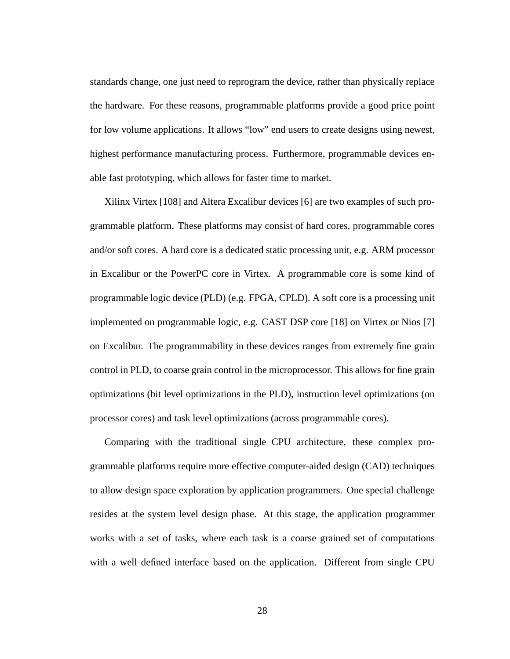standards change, one just need to reprogram the device, rather than physically replace the hardware. For these reasons, programmable platforms provide a good price point for low volume applications. It allows "low" end users to create designs using newest, highest performance manufacturing process. Furthermore, programmable devices enable fast prototyping, which allows for faster time to market.

Xilinx Virtex [108] and Altera Excalibur devices [6] are two examples of such programmable platform. These platforms may consist of hard cores, programmable cores and/or soft cores. A hard core is a dedicated static processing unit, e.g. ARM processor in Excalibur or the PowerPC core in Virtex. A programmable core is some kind of programmable logic device (PLD) (e.g. FPGA, CPLD). A soft core is a processing unit implemented on programmable logic, e.g. CAST DSP core [18] on Virtex or Nios [7] on Excalibur. The programmability in these devices ranges from extremely fine grain control in PLD, to coarse grain control in the microprocessor. This allows for fine grain optimizations (bit level optimizations in the PLD), instruction level optimizations (on processor cores) and task level optimizations (across programmable cores).

Comparing with the traditional single CPU architecture, these complex programmable platforms require more effective computer-aided design (CAD) techniques to allow design space exploration by application programmers. One special challenge resides at the system level design phase. At this stage, the application programmer works with a set of tasks, where each task is a coarse grained set of computations with a well defined interface based on the application. Different from single CPU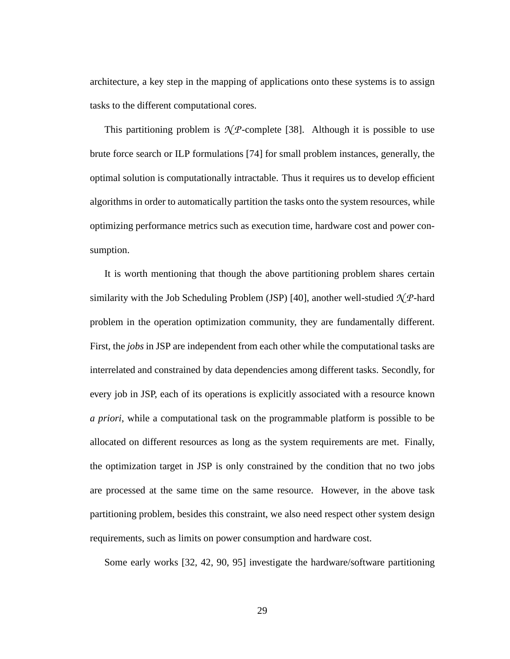architecture, a key step in the mapping of applications onto these systems is to assign tasks to the different computational cores.

This partitioning problem is  $\mathcal{N}$  P-complete [38]. Although it is possible to use brute force search or ILP formulations [74] for small problem instances, generally, the optimal solution is computationally intractable. Thus it requires us to develop efficient algorithms in order to automatically partition the tasks onto the system resources, while optimizing performance metrics such as execution time, hardware cost and power consumption.

It is worth mentioning that though the above partitioning problem shares certain similarity with the Job Scheduling Problem (JSP) [40], another well-studied  $\mathcal{N}$  *P*-hard problem in the operation optimization community, they are fundamentally different. First, the *jobs* in JSP are independent from each other while the computational tasks are interrelated and constrained by data dependencies among different tasks. Secondly, for every job in JSP, each of its operations is explicitly associated with a resource known *a priori*, while a computational task on the programmable platform is possible to be allocated on different resources as long as the system requirements are met. Finally, the optimization target in JSP is only constrained by the condition that no two jobs are processed at the same time on the same resource. However, in the above task partitioning problem, besides this constraint, we also need respect other system design requirements, such as limits on power consumption and hardware cost.

Some early works [32, 42, 90, 95] investigate the hardware/software partitioning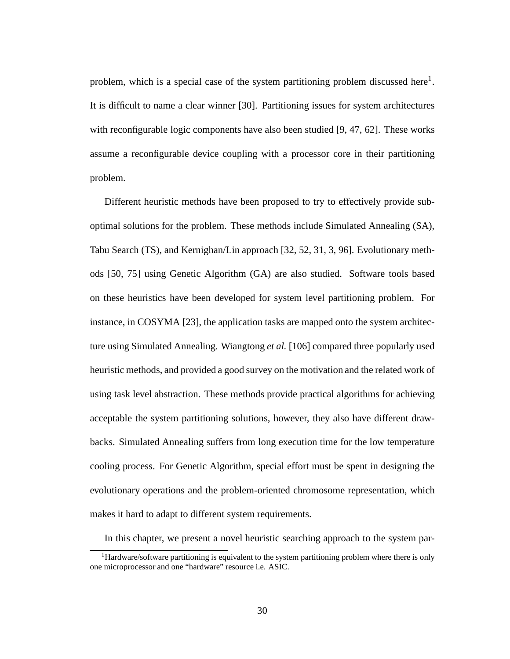problem, which is a special case of the system partitioning problem discussed here $<sup>1</sup>$ .</sup> It is difficult to name a clear winner [30]. Partitioning issues for system architectures with reconfigurable logic components have also been studied [9, 47, 62]. These works assume a reconfigurable device coupling with a processor core in their partitioning problem.

Different heuristic methods have been proposed to try to effectively provide suboptimal solutions for the problem. These methods include Simulated Annealing (SA), Tabu Search (TS), and Kernighan/Lin approach [32, 52, 31, 3, 96]. Evolutionary methods [50, 75] using Genetic Algorithm (GA) are also studied. Software tools based on these heuristics have been developed for system level partitioning problem. For instance, in COSYMA [23], the application tasks are mapped onto the system architecture using Simulated Annealing. Wiangtong *et al.* [106] compared three popularly used heuristic methods, and provided a good survey on the motivation and the related work of using task level abstraction. These methods provide practical algorithms for achieving acceptable the system partitioning solutions, however, they also have different drawbacks. Simulated Annealing suffers from long execution time for the low temperature cooling process. For Genetic Algorithm, special effort must be spent in designing the evolutionary operations and the problem-oriented chromosome representation, which makes it hard to adapt to different system requirements.

In this chapter, we present a novel heuristic searching approach to the system par-

<sup>&</sup>lt;sup>1</sup>Hardware/software partitioning is equivalent to the system partitioning problem where there is only one microprocessor and one "hardware" resource i.e. ASIC.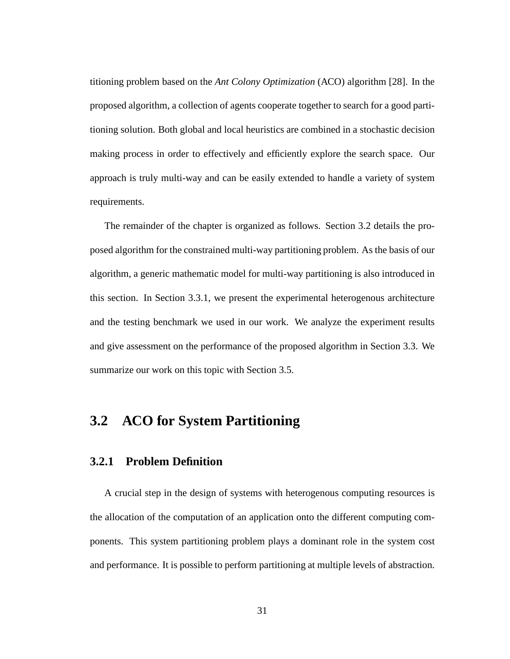titioning problem based on the *Ant Colony Optimization* (ACO) algorithm [28]. In the proposed algorithm, a collection of agents cooperate together to search for a good partitioning solution. Both global and local heuristics are combined in a stochastic decision making process in order to effectively and efficiently explore the search space. Our approach is truly multi-way and can be easily extended to handle a variety of system requirements.

The remainder of the chapter is organized as follows. Section 3.2 details the proposed algorithm for the constrained multi-way partitioning problem. As the basis of our algorithm, a generic mathematic model for multi-way partitioning is also introduced in this section. In Section 3.3.1, we present the experimental heterogenous architecture and the testing benchmark we used in our work. We analyze the experiment results and give assessment on the performance of the proposed algorithm in Section 3.3. We summarize our work on this topic with Section 3.5.

## **3.2 ACO for System Partitioning**

#### **3.2.1 Problem Definition**

A crucial step in the design of systems with heterogenous computing resources is the allocation of the computation of an application onto the different computing components. This system partitioning problem plays a dominant role in the system cost and performance. It is possible to perform partitioning at multiple levels of abstraction.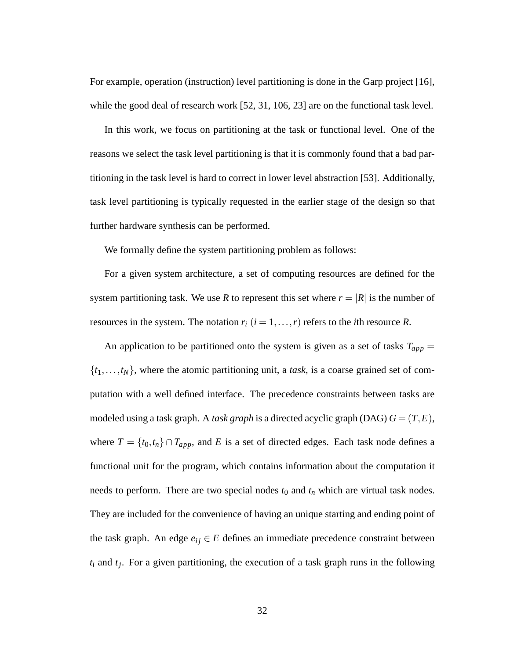For example, operation (instruction) level partitioning is done in the Garp project [16], while the good deal of research work [52, 31, 106, 23] are on the functional task level.

In this work, we focus on partitioning at the task or functional level. One of the reasons we select the task level partitioning is that it is commonly found that a bad partitioning in the task level is hard to correct in lower level abstraction [53]. Additionally, task level partitioning is typically requested in the earlier stage of the design so that further hardware synthesis can be performed.

We formally define the system partitioning problem as follows:

For a given system architecture, a set of computing resources are defined for the system partitioning task. We use *R* to represent this set where  $r = |R|$  is the number of resources in the system. The notation  $r_i$  ( $i = 1, ..., r$ ) refers to the *i*th resource *R*.

An application to be partitioned onto the system is given as a set of tasks  $T_{app}$  =  $\{t_1, \ldots, t_N\}$ , where the atomic partitioning unit, a *task*, is a coarse grained set of computation with a well defined interface. The precedence constraints between tasks are modeled using a task graph. A *task graph* is a directed acyclic graph (DAG)  $G = (T, E)$ , where  $T = \{t_0, t_n\} \cap T_{app}$ , and *E* is a set of directed edges. Each task node defines a functional unit for the program, which contains information about the computation it needs to perform. There are two special nodes  $t_0$  and  $t_n$  which are virtual task nodes. They are included for the convenience of having an unique starting and ending point of the task graph. An edge  $e_{ij} \in E$  defines an immediate precedence constraint between *t<sup>i</sup>* and *t<sup>j</sup>* . For a given partitioning, the execution of a task graph runs in the following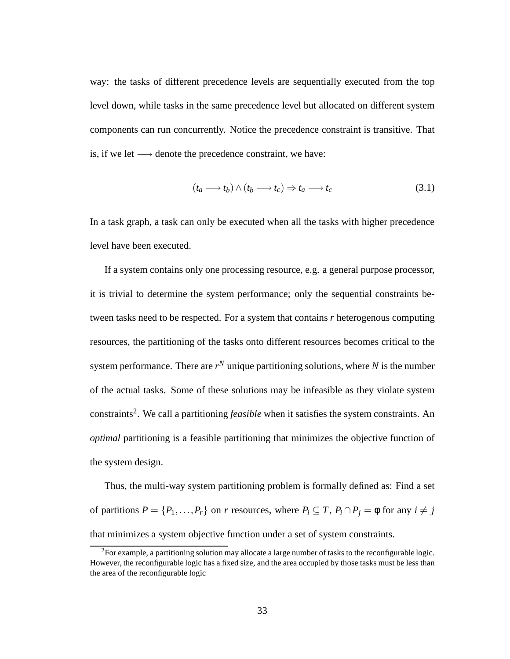way: the tasks of different precedence levels are sequentially executed from the top level down, while tasks in the same precedence level but allocated on different system components can run concurrently. Notice the precedence constraint is transitive. That is, if we let  $\longrightarrow$  denote the precedence constraint, we have:

$$
(t_a \longrightarrow t_b) \land (t_b \longrightarrow t_c) \Rightarrow t_a \longrightarrow t_c \tag{3.1}
$$

In a task graph, a task can only be executed when all the tasks with higher precedence level have been executed.

If a system contains only one processing resource, e.g. a general purpose processor, it is trivial to determine the system performance; only the sequential constraints between tasks need to be respected. For a system that contains *r* heterogenous computing resources, the partitioning of the tasks onto different resources becomes critical to the system performance. There are  $r^N$  unique partitioning solutions, where  $N$  is the number of the actual tasks. Some of these solutions may be infeasible as they violate system constraints<sup>2</sup>. We call a partitioning *feasible* when it satisfies the system constraints. An *optimal* partitioning is a feasible partitioning that minimizes the objective function of the system design.

Thus, the multi-way system partitioning problem is formally defined as: Find a set of partitions  $P = \{P_1, \ldots, P_r\}$  on *r* resources, where  $P_i \subseteq T$ ,  $P_i \cap P_j = \emptyset$  for any  $i \neq j$ that minimizes a system objective function under a set of system constraints.

 ${}^{2}$ For example, a partitioning solution may allocate a large number of tasks to the reconfigurable logic. However, the reconfigurable logic has a fixed size, and the area occupied by those tasks must be less than the area of the reconfigurable logic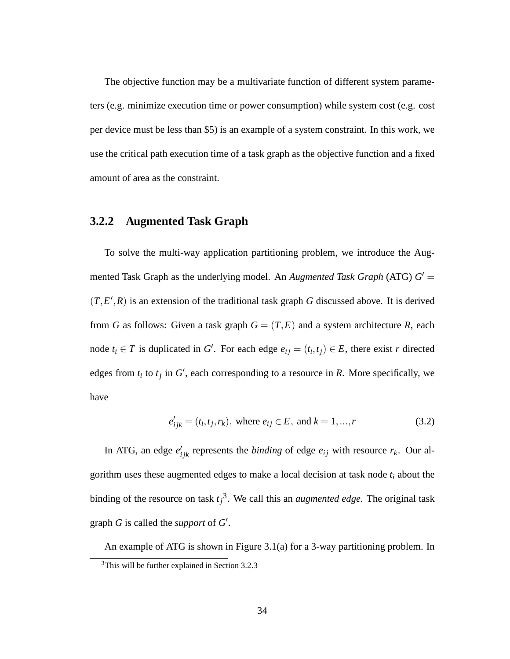The objective function may be a multivariate function of different system parameters (e.g. minimize execution time or power consumption) while system cost (e.g. cost per device must be less than \$5) is an example of a system constraint. In this work, we use the critical path execution time of a task graph as the objective function and a fixed amount of area as the constraint.

#### **3.2.2 Augmented Task Graph**

To solve the multi-way application partitioning problem, we introduce the Augmented Task Graph as the underlying model. An *Augmented Task Graph* (ATG)  $G' =$  $(T, E', R)$  is an extension of the traditional task graph *G* discussed above. It is derived from *G* as follows: Given a task graph  $G = (T, E)$  and a system architecture *R*, each node  $t_i \in T$  is duplicated in *G*'. For each edge  $e_{ij} = (t_i, t_j) \in E$ , there exist *r* directed edges from  $t_i$  to  $t_j$  in  $G'$ , each corresponding to a resource in  $R$ . More specifically, we have

$$
e'_{ijk} = (t_i, t_j, r_k)
$$
, where  $e_{ij} \in E$ , and  $k = 1, ..., r$  (3.2)

In ATG, an edge  $e'_{ijk}$  represents the *binding* of edge  $e_{ij}$  with resource  $r_k$ . Our algorithm uses these augmented edges to make a local decision at task node *t<sup>i</sup>* about the binding of the resource on task *t<sup>j</sup>* 3 . We call this an *augmented edge*. The original task graph *G* is called the *support* of *G* ′ .

An example of ATG is shown in Figure 3.1(a) for a 3-way partitioning problem. In

<sup>3</sup>This will be further explained in Section 3.2.3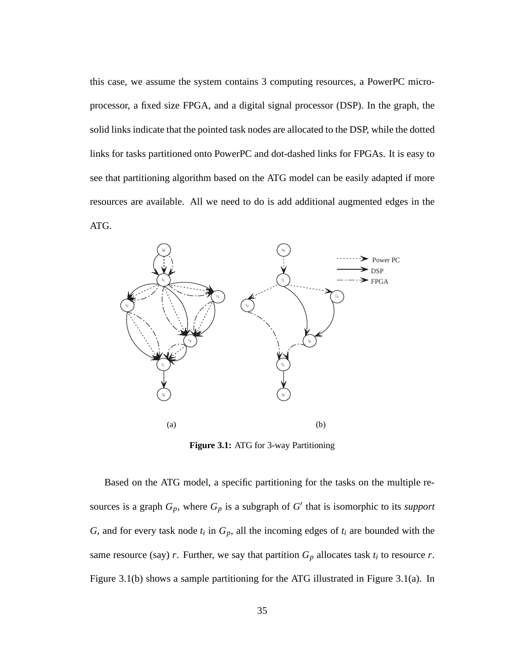this case, we assume the system contains 3 computing resources, a PowerPC microprocessor, a fixed size FPGA, and a digital signal processor (DSP). In the graph, the solid links indicate that the pointed task nodes are allocated to the DSP, while the dotted links for tasks partitioned onto PowerPC and dot-dashed links for FPGAs. It is easy to see that partitioning algorithm based on the ATG model can be easily adapted if more resources are available. All we need to do is add additional augmented edges in the ATG.



**Figure 3.1:** ATG for 3-way Partitioning

Based on the ATG model, a specific partitioning for the tasks on the multiple resources is a graph  $G_p$ , where  $G_p$  is a subgraph of  $G'$  that is isomorphic to its *support G*, and for every task node  $t_i$  in  $G_p$ , all the incoming edges of  $t_i$  are bounded with the same resource (say) *r*. Further, we say that partition  $G_p$  allocates task  $t_i$  to resource *r*. Figure 3.1(b) shows a sample partitioning for the ATG illustrated in Figure 3.1(a). In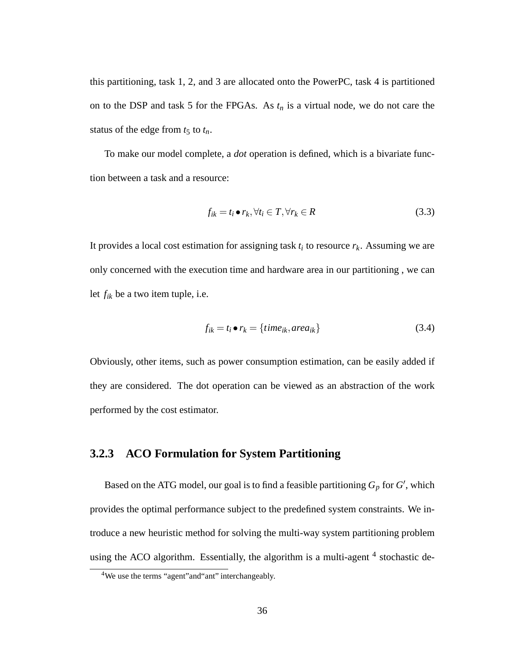this partitioning, task 1, 2, and 3 are allocated onto the PowerPC, task 4 is partitioned on to the DSP and task 5 for the FPGAs. As  $t_n$  is a virtual node, we do not care the status of the edge from  $t_5$  to  $t_n$ .

To make our model complete, a *dot* operation is defined, which is a bivariate function between a task and a resource:

$$
f_{ik} = t_i \bullet r_k, \forall t_i \in T, \forall r_k \in R
$$
\n(3.3)

It provides a local cost estimation for assigning task  $t_i$  to resource  $r_k$ . Assuming we are only concerned with the execution time and hardware area in our partitioning , we can let *fik* be a two item tuple, i.e.

$$
f_{ik} = t_i \bullet r_k = \{time_{ik}, area_{ik}\}\tag{3.4}
$$

Obviously, other items, such as power consumption estimation, can be easily added if they are considered. The dot operation can be viewed as an abstraction of the work performed by the cost estimator.

### **3.2.3 ACO Formulation for System Partitioning**

Based on the ATG model, our goal is to find a feasible partitioning  $G_p$  for  $G'$ , which provides the optimal performance subject to the predefined system constraints. We introduce a new heuristic method for solving the multi-way system partitioning problem using the ACO algorithm. Essentially, the algorithm is a multi-agent <sup>4</sup> stochastic de-

<sup>&</sup>lt;sup>4</sup>We use the terms "agent" and "ant" interchangeably.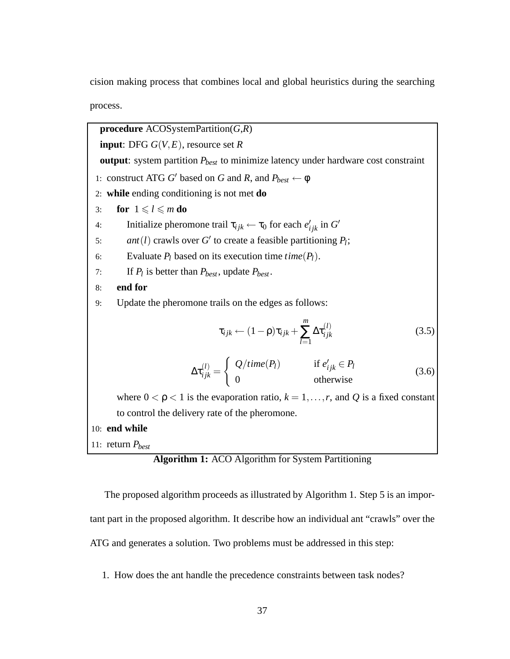cision making process that combines local and global heuristics during the searching process.

**procedure** ACOSystemPartition(*G*,*R*) **input**: DFG *G*(*V*,*E*), resource set *R* **output**: system partition *Pbest* to minimize latency under hardware cost constraint 1: construct ATG *G'* based on *G* and *R*, and  $P_{best} \leftarrow \phi$ 2: **while** ending conditioning is not met **do** 3: **for**  $1 \leq l \leq m$  **do** 4: Initialize pheromone trail  $\tau_{ijk} \leftarrow \tau_0$  for each  $e'_{ijk}$  in  $G'$ 5: *ant*(*l*) crawls over *G*<sup> $\prime$ </sup> to create a feasible partitioning *P*<sub>*l*</sub>; 6: Evaluate  $P_l$  based on its execution time  $time(P_l)$ . 7: If  $P_l$  is better than  $P_{best}$ , update  $P_{best}$ . 8: **end for** 9: Update the pheromone trails on the edges as follows:  $\tau_{ijk}$  ←  $(1-\rho)\tau_{ijk} +$ *m* ∑ *l*=1  $\Delta\mathfrak{r}_{i\,ik}^{(l)}$  $(3.5)$  $\Delta\tau_{ijk}^{(l)}=$  $\int Q/t$ *ime*(*P*<sub>*l*</sub>) if  $e'_{ijk} \in P_l$ 0 otherwise (3.6) where  $0 < \rho < 1$  is the evaporation ratio,  $k = 1, \ldots, r$ , and Q is a fixed constant to control the delivery rate of the pheromone. 10: **end while** 11: return *Pbest*

## **Algorithm 1:** ACO Algorithm for System Partitioning

The proposed algorithm proceeds as illustrated by Algorithm 1. Step 5 is an important part in the proposed algorithm. It describe how an individual ant "crawls" over the ATG and generates a solution. Two problems must be addressed in this step:

1. How does the ant handle the precedence constraints between task nodes?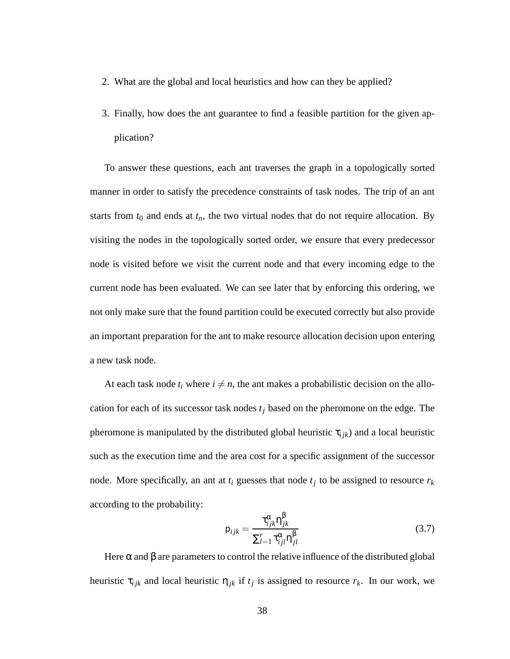- 2. What are the global and local heuristics and how can they be applied?
- 3. Finally, how does the ant guarantee to find a feasible partition for the given application?

To answer these questions, each ant traverses the graph in a topologically sorted manner in order to satisfy the precedence constraints of task nodes. The trip of an ant starts from  $t_0$  and ends at  $t_n$ , the two virtual nodes that do not require allocation. By visiting the nodes in the topologically sorted order, we ensure that every predecessor node is visited before we visit the current node and that every incoming edge to the current node has been evaluated. We can see later that by enforcing this ordering, we not only make sure that the found partition could be executed correctly but also provide an important preparation for the ant to make resource allocation decision upon entering a new task node.

At each task node  $t_i$  where  $i \neq n$ , the ant makes a probabilistic decision on the allocation for each of its successor task nodes  $t_j$  based on the pheromone on the edge. The pheromone is manipulated by the distributed global heuristic  $\tau_{ijk}$ ) and a local heuristic such as the execution time and the area cost for a specific assignment of the successor node. More specifically, an ant at  $t_i$  guesses that node  $t_j$  to be assigned to resource  $r_k$ according to the probability:

$$
\mathsf{p}_{ijk} = \frac{\tau_{ijk}^{\alpha} \eta_{jk}^{\beta}}{\sum_{l=1}^{r} \tau_{ijl}^{\alpha} \eta_{jl}^{\beta}}
$$
(3.7)

Here  $\alpha$  and  $\beta$  are parameters to control the relative influence of the distributed global heuristic  $\tau_{ijk}$  and local heuristic  $\eta_{jk}$  if  $t_j$  is assigned to resource  $r_k$ . In our work, we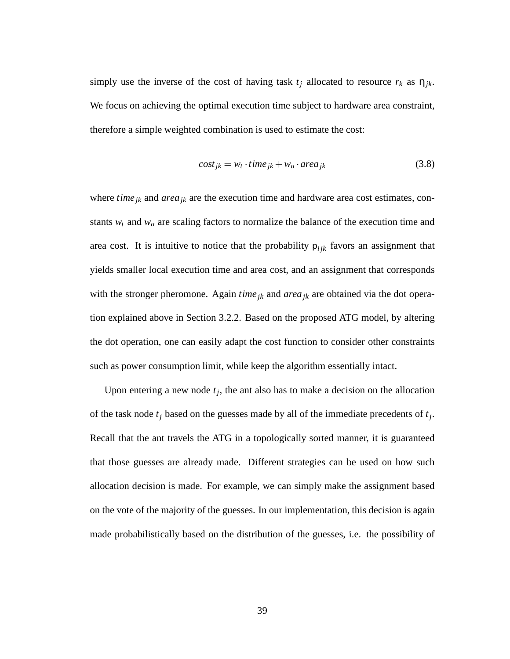simply use the inverse of the cost of having task  $t_j$  allocated to resource  $r_k$  as  $\eta_{jk}$ . We focus on achieving the optimal execution time subject to hardware area constraint, therefore a simple weighted combination is used to estimate the cost:

$$
cost_{jk} = w_t \cdot time_{jk} + w_a \cdot area_{jk}
$$
\n(3.8)

where *time*<sub>jk</sub> and *area*<sub>jk</sub> are the execution time and hardware area cost estimates, constants  $w_t$  and  $w_a$  are scaling factors to normalize the balance of the execution time and area cost. It is intuitive to notice that the probability  $p_{ijk}$  favors an assignment that yields smaller local execution time and area cost, and an assignment that corresponds with the stronger pheromone. Again *timejk* and *areajk* are obtained via the dot operation explained above in Section 3.2.2. Based on the proposed ATG model, by altering the dot operation, one can easily adapt the cost function to consider other constraints such as power consumption limit, while keep the algorithm essentially intact.

Upon entering a new node  $t_j$ , the ant also has to make a decision on the allocation of the task node *t<sup>j</sup>* based on the guesses made by all of the immediate precedents of *t<sup>j</sup>* . Recall that the ant travels the ATG in a topologically sorted manner, it is guaranteed that those guesses are already made. Different strategies can be used on how such allocation decision is made. For example, we can simply make the assignment based on the vote of the majority of the guesses. In our implementation, this decision is again made probabilistically based on the distribution of the guesses, i.e. the possibility of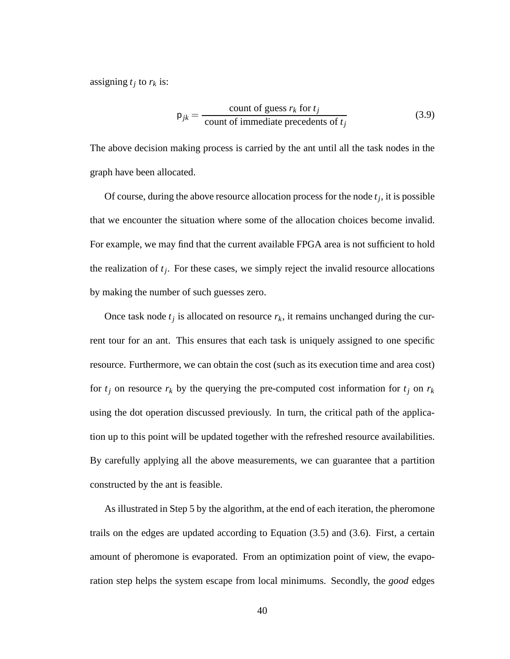assigning  $t_j$  to  $r_k$  is:

$$
p_{jk} = \frac{\text{count of guess } r_k \text{ for } t_j}{\text{count of immediate precedents of } t_j}
$$
(3.9)

The above decision making process is carried by the ant until all the task nodes in the graph have been allocated.

Of course, during the above resource allocation process for the node  $t_j$ , it is possible that we encounter the situation where some of the allocation choices become invalid. For example, we may find that the current available FPGA area is not sufficient to hold the realization of  $t_j$ . For these cases, we simply reject the invalid resource allocations by making the number of such guesses zero.

Once task node  $t_j$  is allocated on resource  $r_k$ , it remains unchanged during the current tour for an ant. This ensures that each task is uniquely assigned to one specific resource. Furthermore, we can obtain the cost (such as its execution time and area cost) for  $t_i$  on resource  $r_k$  by the querying the pre-computed cost information for  $t_i$  on  $r_k$ using the dot operation discussed previously. In turn, the critical path of the application up to this point will be updated together with the refreshed resource availabilities. By carefully applying all the above measurements, we can guarantee that a partition constructed by the ant is feasible.

As illustrated in Step 5 by the algorithm, at the end of each iteration, the pheromone trails on the edges are updated according to Equation (3.5) and (3.6). First, a certain amount of pheromone is evaporated. From an optimization point of view, the evaporation step helps the system escape from local minimums. Secondly, the *good* edges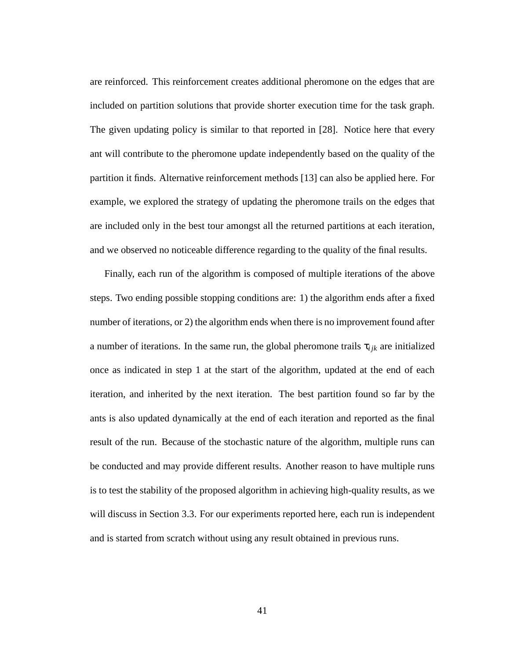are reinforced. This reinforcement creates additional pheromone on the edges that are included on partition solutions that provide shorter execution time for the task graph. The given updating policy is similar to that reported in [28]. Notice here that every ant will contribute to the pheromone update independently based on the quality of the partition it finds. Alternative reinforcement methods [13] can also be applied here. For example, we explored the strategy of updating the pheromone trails on the edges that are included only in the best tour amongst all the returned partitions at each iteration, and we observed no noticeable difference regarding to the quality of the final results.

Finally, each run of the algorithm is composed of multiple iterations of the above steps. Two ending possible stopping conditions are: 1) the algorithm ends after a fixed number of iterations, or 2) the algorithm ends when there is no improvement found after a number of iterations. In the same run, the global pheromone trails  $\tau_{ijk}$  are initialized once as indicated in step 1 at the start of the algorithm, updated at the end of each iteration, and inherited by the next iteration. The best partition found so far by the ants is also updated dynamically at the end of each iteration and reported as the final result of the run. Because of the stochastic nature of the algorithm, multiple runs can be conducted and may provide different results. Another reason to have multiple runs is to test the stability of the proposed algorithm in achieving high-quality results, as we will discuss in Section 3.3. For our experiments reported here, each run is independent and is started from scratch without using any result obtained in previous runs.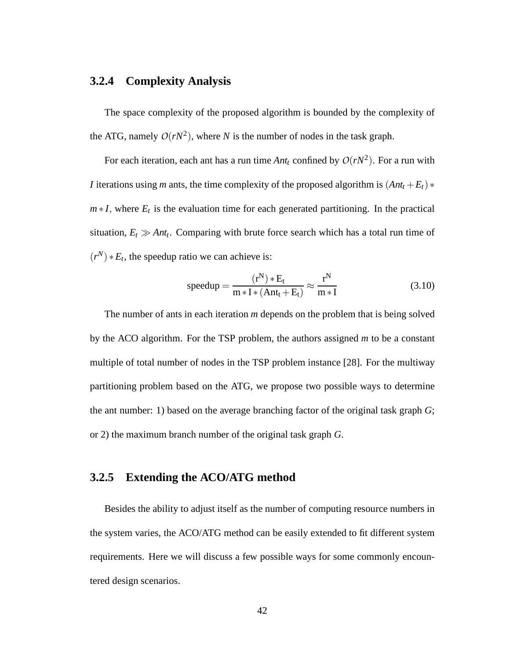### **3.2.4 Complexity Analysis**

The space complexity of the proposed algorithm is bounded by the complexity of the ATG, namely  $O(rN^2)$ , where *N* is the number of nodes in the task graph.

For each iteration, each ant has a run time  $Ant_t$  confined by  $O(rN^2)$ . For a run with *I* iterations using *m* ants, the time complexity of the proposed algorithm is  $(Ant_t + E_t)$  \*  $m * I$ , where  $E_t$  is the evaluation time for each generated partitioning. In the practical situation,  $E_t \gg Ant_t$ . Comparing with brute force search which has a total run time of  $(r^N) * E_t$ , the speedup ratio we can achieve is:

$$
speedup = \frac{(r^N) * E_t}{m * I * (Ant_t + E_t)} \approx \frac{r^N}{m * I}
$$
\n(3.10)

The number of ants in each iteration *m* depends on the problem that is being solved by the ACO algorithm. For the TSP problem, the authors assigned *m* to be a constant multiple of total number of nodes in the TSP problem instance [28]. For the multiway partitioning problem based on the ATG, we propose two possible ways to determine the ant number: 1) based on the average branching factor of the original task graph *G*; or 2) the maximum branch number of the original task graph *G*.

### **3.2.5 Extending the ACO/ATG method**

Besides the ability to adjust itself as the number of computing resource numbers in the system varies, the ACO/ATG method can be easily extended to fit different system requirements. Here we will discuss a few possible ways for some commonly encountered design scenarios.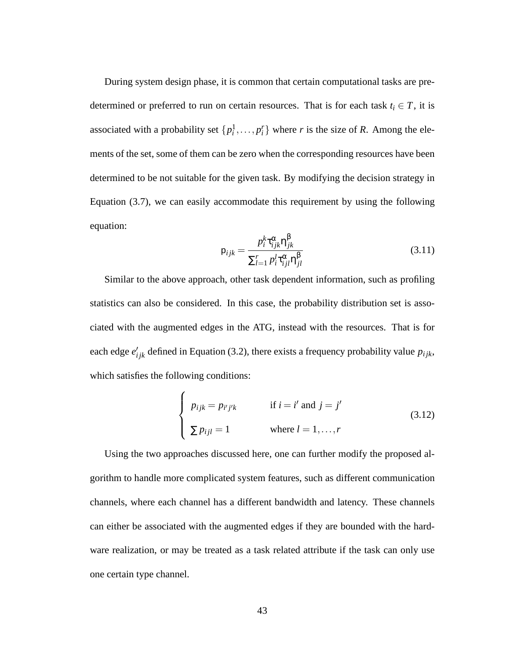During system design phase, it is common that certain computational tasks are predetermined or preferred to run on certain resources. That is for each task  $t_i \in T$ , it is associated with a probability set  $\{p_i^1, \ldots, p_i^r\}$  where *r* is the size of *R*. Among the elements of the set, some of them can be zero when the corresponding resources have been determined to be not suitable for the given task. By modifying the decision strategy in Equation (3.7), we can easily accommodate this requirement by using the following equation:

$$
\mathsf{p}_{ijk} = \frac{p_i^k \tau_{ijk}^\alpha \eta_{jk}^\beta}{\sum_{l=1}^r p_i^l \tau_{ijl}^\alpha \eta_{jl}^\beta}
$$
(3.11)

Similar to the above approach, other task dependent information, such as profiling statistics can also be considered. In this case, the probability distribution set is associated with the augmented edges in the ATG, instead with the resources. That is for each edge  $e'_{ijk}$  defined in Equation (3.2), there exists a frequency probability value  $p_{ijk}$ , which satisfies the following conditions:

$$
\begin{cases}\n p_{ijk} = p_{i'j'k} & \text{if } i = i' \text{ and } j = j' \\
 \sum p_{ijl} = 1 & \text{where } l = 1, ..., r\n\end{cases}
$$
\n(3.12)

Using the two approaches discussed here, one can further modify the proposed algorithm to handle more complicated system features, such as different communication channels, where each channel has a different bandwidth and latency. These channels can either be associated with the augmented edges if they are bounded with the hardware realization, or may be treated as a task related attribute if the task can only use one certain type channel.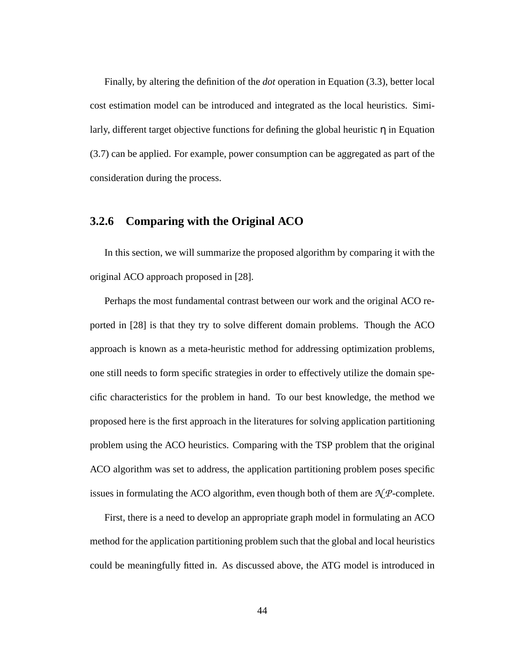Finally, by altering the definition of the *dot* operation in Equation (3.3), better local cost estimation model can be introduced and integrated as the local heuristics. Similarly, different target objective functions for defining the global heuristic η in Equation (3.7) can be applied. For example, power consumption can be aggregated as part of the consideration during the process.

### **3.2.6 Comparing with the Original ACO**

In this section, we will summarize the proposed algorithm by comparing it with the original ACO approach proposed in [28].

Perhaps the most fundamental contrast between our work and the original ACO reported in [28] is that they try to solve different domain problems. Though the ACO approach is known as a meta-heuristic method for addressing optimization problems, one still needs to form specific strategies in order to effectively utilize the domain specific characteristics for the problem in hand. To our best knowledge, the method we proposed here is the first approach in the literatures for solving application partitioning problem using the ACO heuristics. Comparing with the TSP problem that the original ACO algorithm was set to address, the application partitioning problem poses specific issues in formulating the ACO algorithm, even though both of them are  $\mathcal{N}$ *P*-complete.

First, there is a need to develop an appropriate graph model in formulating an ACO method for the application partitioning problem such that the global and local heuristics could be meaningfully fitted in. As discussed above, the ATG model is introduced in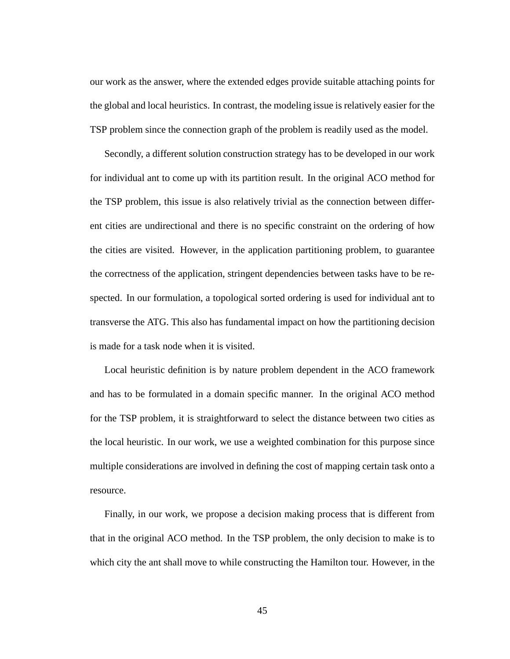our work as the answer, where the extended edges provide suitable attaching points for the global and local heuristics. In contrast, the modeling issue is relatively easier for the TSP problem since the connection graph of the problem is readily used as the model.

Secondly, a different solution construction strategy has to be developed in our work for individual ant to come up with its partition result. In the original ACO method for the TSP problem, this issue is also relatively trivial as the connection between different cities are undirectional and there is no specific constraint on the ordering of how the cities are visited. However, in the application partitioning problem, to guarantee the correctness of the application, stringent dependencies between tasks have to be respected. In our formulation, a topological sorted ordering is used for individual ant to transverse the ATG. This also has fundamental impact on how the partitioning decision is made for a task node when it is visited.

Local heuristic definition is by nature problem dependent in the ACO framework and has to be formulated in a domain specific manner. In the original ACO method for the TSP problem, it is straightforward to select the distance between two cities as the local heuristic. In our work, we use a weighted combination for this purpose since multiple considerations are involved in defining the cost of mapping certain task onto a resource.

Finally, in our work, we propose a decision making process that is different from that in the original ACO method. In the TSP problem, the only decision to make is to which city the ant shall move to while constructing the Hamilton tour. However, in the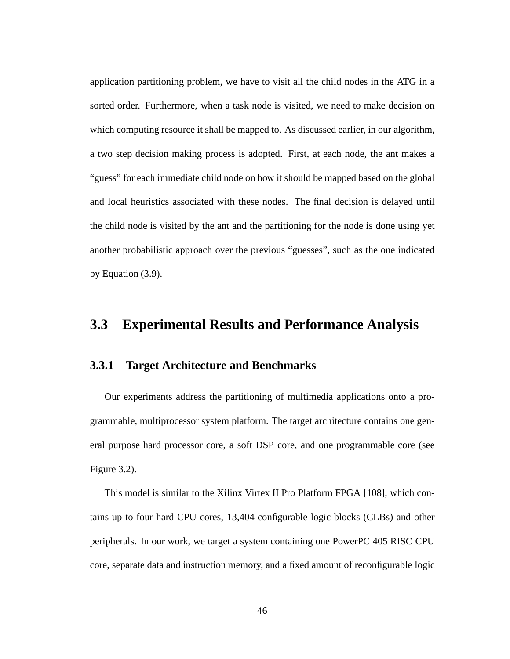application partitioning problem, we have to visit all the child nodes in the ATG in a sorted order. Furthermore, when a task node is visited, we need to make decision on which computing resource it shall be mapped to. As discussed earlier, in our algorithm, a two step decision making process is adopted. First, at each node, the ant makes a "guess" for each immediate child node on how it should be mapped based on the global and local heuristics associated with these nodes. The final decision is delayed until the child node is visited by the ant and the partitioning for the node is done using yet another probabilistic approach over the previous "guesses", such as the one indicated by Equation (3.9).

## **3.3 Experimental Results and Performance Analysis**

#### **3.3.1 Target Architecture and Benchmarks**

Our experiments address the partitioning of multimedia applications onto a programmable, multiprocessor system platform. The target architecture contains one general purpose hard processor core, a soft DSP core, and one programmable core (see Figure 3.2).

This model is similar to the Xilinx Virtex II Pro Platform FPGA [108], which contains up to four hard CPU cores, 13,404 configurable logic blocks (CLBs) and other peripherals. In our work, we target a system containing one PowerPC 405 RISC CPU core, separate data and instruction memory, and a fixed amount of reconfigurable logic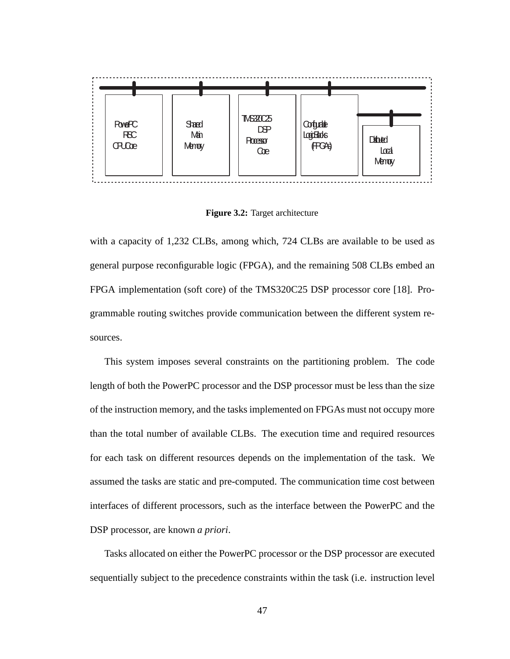

**Figure 3.2:** Target architecture

with a capacity of 1,232 CLBs, among which, 724 CLBs are available to be used as general purpose reconfigurable logic (FPGA), and the remaining 508 CLBs embed an FPGA implementation (soft core) of the TMS320C25 DSP processor core [18]. Programmable routing switches provide communication between the different system resources.

This system imposes several constraints on the partitioning problem. The code length of both the PowerPC processor and the DSP processor must be less than the size of the instruction memory, and the tasks implemented on FPGAs must not occupy more than the total number of available CLBs. The execution time and required resources for each task on different resources depends on the implementation of the task. We assumed the tasks are static and pre-computed. The communication time cost between interfaces of different processors, such as the interface between the PowerPC and the DSP processor, are known *a priori*.

Tasks allocated on either the PowerPC processor or the DSP processor are executed sequentially subject to the precedence constraints within the task (i.e. instruction level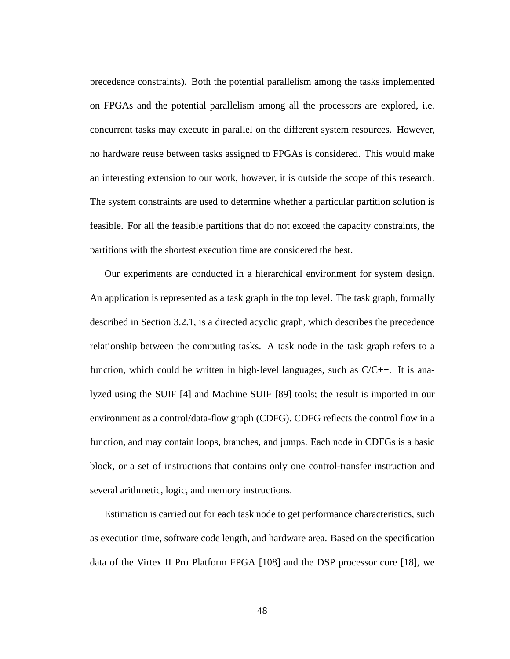precedence constraints). Both the potential parallelism among the tasks implemented on FPGAs and the potential parallelism among all the processors are explored, i.e. concurrent tasks may execute in parallel on the different system resources. However, no hardware reuse between tasks assigned to FPGAs is considered. This would make an interesting extension to our work, however, it is outside the scope of this research. The system constraints are used to determine whether a particular partition solution is feasible. For all the feasible partitions that do not exceed the capacity constraints, the partitions with the shortest execution time are considered the best.

Our experiments are conducted in a hierarchical environment for system design. An application is represented as a task graph in the top level. The task graph, formally described in Section 3.2.1, is a directed acyclic graph, which describes the precedence relationship between the computing tasks. A task node in the task graph refers to a function, which could be written in high-level languages, such as C/C++. It is analyzed using the SUIF [4] and Machine SUIF [89] tools; the result is imported in our environment as a control/data-flow graph (CDFG). CDFG reflects the control flow in a function, and may contain loops, branches, and jumps. Each node in CDFGs is a basic block, or a set of instructions that contains only one control-transfer instruction and several arithmetic, logic, and memory instructions.

Estimation is carried out for each task node to get performance characteristics, such as execution time, software code length, and hardware area. Based on the specification data of the Virtex II Pro Platform FPGA [108] and the DSP processor core [18], we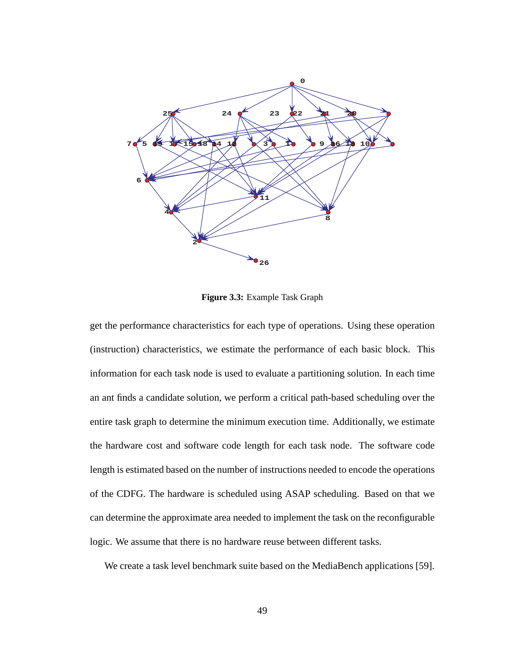

**Figure 3.3:** Example Task Graph

get the performance characteristics for each type of operations. Using these operation (instruction) characteristics, we estimate the performance of each basic block. This information for each task node is used to evaluate a partitioning solution. In each time an ant finds a candidate solution, we perform a critical path-based scheduling over the entire task graph to determine the minimum execution time. Additionally, we estimate the hardware cost and software code length for each task node. The software code length is estimated based on the number of instructions needed to encode the operations of the CDFG. The hardware is scheduled using ASAP scheduling. Based on that we can determine the approximate area needed to implement the task on the reconfigurable logic. We assume that there is no hardware reuse between different tasks.

We create a task level benchmark suite based on the MediaBench applications [59].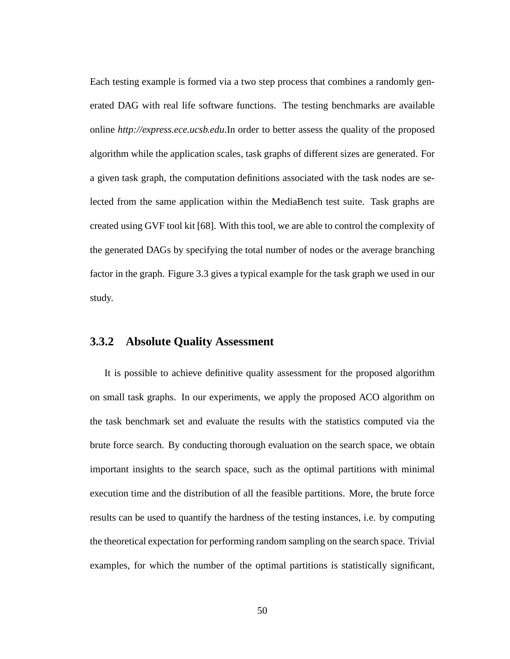Each testing example is formed via a two step process that combines a randomly generated DAG with real life software functions. The testing benchmarks are available online *http://express.ece.ucsb.edu*.In order to better assess the quality of the proposed algorithm while the application scales, task graphs of different sizes are generated. For a given task graph, the computation definitions associated with the task nodes are selected from the same application within the MediaBench test suite. Task graphs are created using GVF tool kit [68]. With this tool, we are able to control the complexity of the generated DAGs by specifying the total number of nodes or the average branching factor in the graph. Figure 3.3 gives a typical example for the task graph we used in our study.

#### **3.3.2 Absolute Quality Assessment**

It is possible to achieve definitive quality assessment for the proposed algorithm on small task graphs. In our experiments, we apply the proposed ACO algorithm on the task benchmark set and evaluate the results with the statistics computed via the brute force search. By conducting thorough evaluation on the search space, we obtain important insights to the search space, such as the optimal partitions with minimal execution time and the distribution of all the feasible partitions. More, the brute force results can be used to quantify the hardness of the testing instances, i.e. by computing the theoretical expectation for performing random sampling on the search space. Trivial examples, for which the number of the optimal partitions is statistically significant,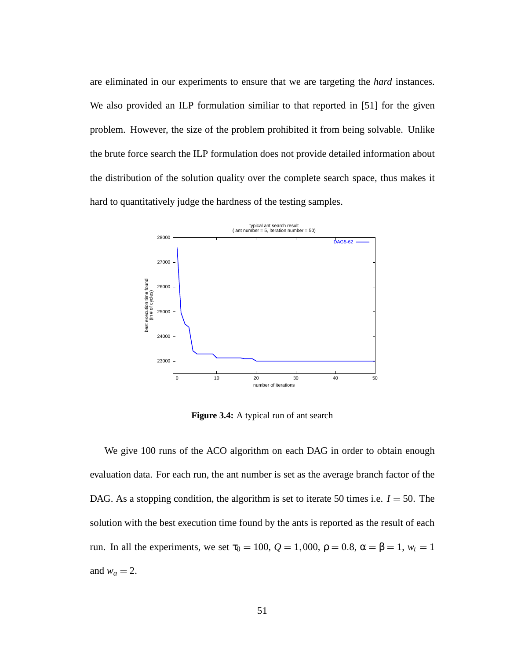are eliminated in our experiments to ensure that we are targeting the *hard* instances. We also provided an ILP formulation similiar to that reported in [51] for the given problem. However, the size of the problem prohibited it from being solvable. Unlike the brute force search the ILP formulation does not provide detailed information about the distribution of the solution quality over the complete search space, thus makes it hard to quantitatively judge the hardness of the testing samples.



**Figure 3.4:** A typical run of ant search

We give 100 runs of the ACO algorithm on each DAG in order to obtain enough evaluation data. For each run, the ant number is set as the average branch factor of the DAG. As a stopping condition, the algorithm is set to iterate 50 times i.e.  $I = 50$ . The solution with the best execution time found by the ants is reported as the result of each run. In all the experiments, we set  $\tau_0 = 100$ ,  $Q = 1,000$ ,  $\rho = 0.8$ ,  $\alpha = \beta = 1$ ,  $w_t = 1$ and  $w_a = 2$ .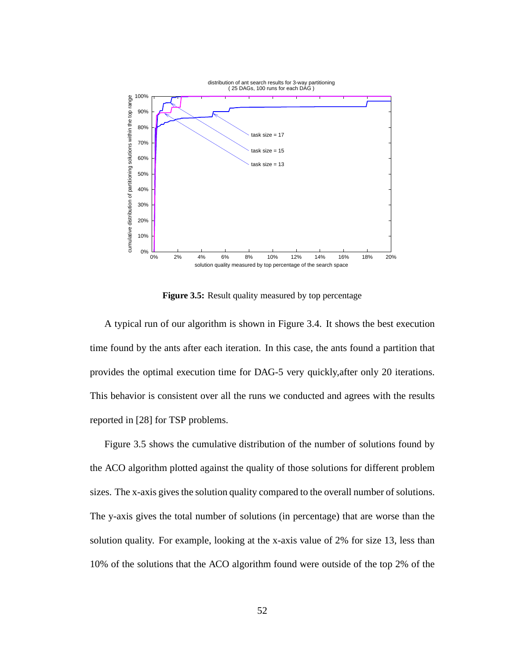

**Figure 3.5:** Result quality measured by top percentage

A typical run of our algorithm is shown in Figure 3.4. It shows the best execution time found by the ants after each iteration. In this case, the ants found a partition that provides the optimal execution time for DAG-5 very quickly,after only 20 iterations. This behavior is consistent over all the runs we conducted and agrees with the results reported in [28] for TSP problems.

Figure 3.5 shows the cumulative distribution of the number of solutions found by the ACO algorithm plotted against the quality of those solutions for different problem sizes. The x-axis gives the solution quality compared to the overall number of solutions. The y-axis gives the total number of solutions (in percentage) that are worse than the solution quality. For example, looking at the x-axis value of 2% for size 13, less than 10% of the solutions that the ACO algorithm found were outside of the top 2% of the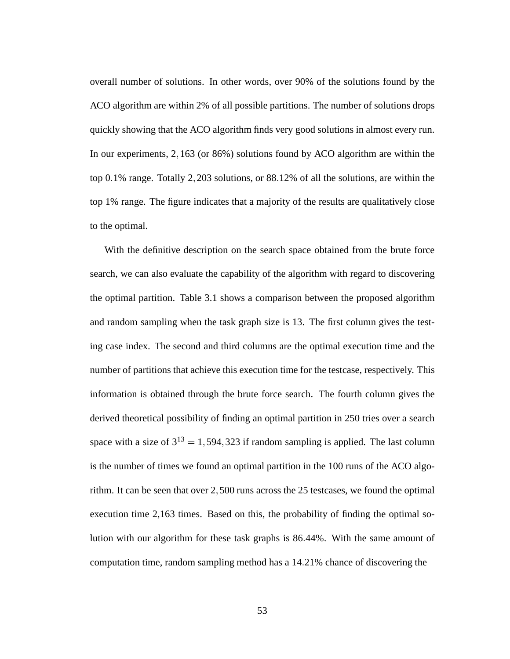overall number of solutions. In other words, over 90% of the solutions found by the ACO algorithm are within 2% of all possible partitions. The number of solutions drops quickly showing that the ACO algorithm finds very good solutions in almost every run. In our experiments, 2,163 (or 86%) solutions found by ACO algorithm are within the top 0.1% range. Totally 2,203 solutions, or 88.12% of all the solutions, are within the top 1% range. The figure indicates that a majority of the results are qualitatively close to the optimal.

With the definitive description on the search space obtained from the brute force search, we can also evaluate the capability of the algorithm with regard to discovering the optimal partition. Table 3.1 shows a comparison between the proposed algorithm and random sampling when the task graph size is 13. The first column gives the testing case index. The second and third columns are the optimal execution time and the number of partitions that achieve this execution time for the testcase, respectively. This information is obtained through the brute force search. The fourth column gives the derived theoretical possibility of finding an optimal partition in 250 tries over a search space with a size of  $3^{13} = 1,594,323$  if random sampling is applied. The last column is the number of times we found an optimal partition in the 100 runs of the ACO algorithm. It can be seen that over 2,500 runs across the 25 testcases, we found the optimal execution time 2,163 times. Based on this, the probability of finding the optimal solution with our algorithm for these task graphs is 86.44%. With the same amount of computation time, random sampling method has a 14.21% chance of discovering the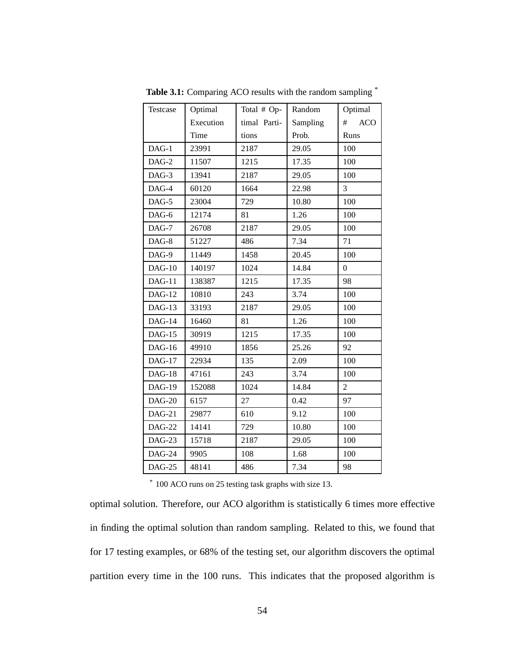| Testcase      | Optimal   | Total # Op-  | Random   | Optimal          |  |
|---------------|-----------|--------------|----------|------------------|--|
|               | Execution | timal Parti- | Sampling | #<br><b>ACO</b>  |  |
|               | Time      | tions        | Prob.    | Runs             |  |
| $DAG-1$       | 23991     | 2187         | 29.05    | 100              |  |
| DAG-2         | 11507     | 1215         | 17.35    | 100              |  |
| DAG-3         | 13941     | 2187         | 29.05    | 100              |  |
| DAG-4         | 60120     | 1664         | 22.98    | 3                |  |
| DAG-5         | 23004     | 729          | 10.80    | 100              |  |
| DAG-6         | 12174     | 81           | 1.26     | 100              |  |
| DAG-7         | 26708     | 2187         | 29.05    | 100              |  |
| $DAG-8$       | 51227     | 486          | 7.34     | 71               |  |
| DAG-9         | 11449     | 1458         | 20.45    | 100              |  |
| $DAG-10$      | 140197    | 1024         | 14.84    | $\boldsymbol{0}$ |  |
| $DAG-11$      | 138387    | 1215         | 17.35    | 98               |  |
| <b>DAG-12</b> | 10810     | 243          | 3.74     | 100              |  |
| $DAG-13$      | 33193     | 2187         | 29.05    | 100              |  |
| $DAG-14$      | 16460     | 81           | 1.26     | 100              |  |
| $DAG-15$      | 30919     | 1215         | 17.35    | 100              |  |
| $DAG-16$      | 49910     | 1856         | 25.26    | 92               |  |
| $DAG-17$      | 22934     | 135          | 2.09     | 100              |  |
| $DAG-18$      | 47161     | 243          | 3.74     | 100              |  |
| <b>DAG-19</b> | 152088    | 1024         | 14.84    | $\overline{2}$   |  |
| <b>DAG-20</b> | 6157      | 27           | 0.42     | 97               |  |
| <b>DAG-21</b> | 29877     | 610          | 9.12     | 100              |  |
| <b>DAG-22</b> | 14141     | 729          | 10.80    | 100              |  |
| <b>DAG-23</b> | 15718     | 2187         | 29.05    | 100              |  |
| DAG-24        | 9905      | 108          | 1.68     | 100              |  |
| <b>DAG-25</b> | 48141     | 486          | 7.34     | 98               |  |

**Table 3.1:** Comparing ACO results with the random sampling \*

\* 100 ACO runs on 25 testing task graphs with size 13.

optimal solution. Therefore, our ACO algorithm is statistically 6 times more effective in finding the optimal solution than random sampling. Related to this, we found that for 17 testing examples, or 68% of the testing set, our algorithm discovers the optimal partition every time in the 100 runs. This indicates that the proposed algorithm is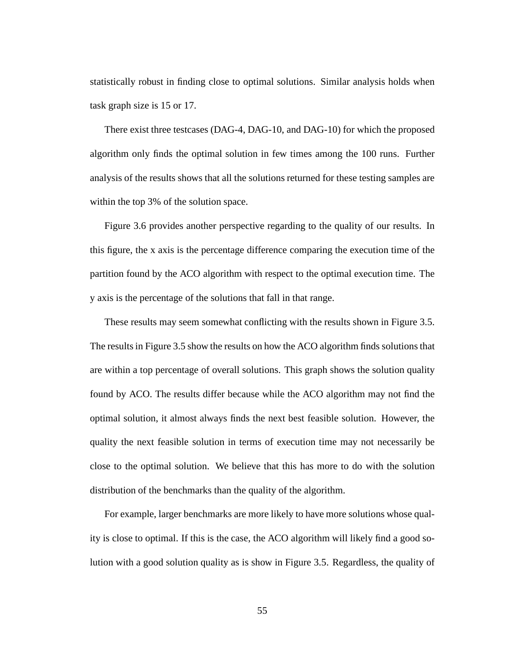statistically robust in finding close to optimal solutions. Similar analysis holds when task graph size is 15 or 17.

There exist three testcases (DAG-4, DAG-10, and DAG-10) for which the proposed algorithm only finds the optimal solution in few times among the 100 runs. Further analysis of the results shows that all the solutions returned for these testing samples are within the top 3% of the solution space.

Figure 3.6 provides another perspective regarding to the quality of our results. In this figure, the x axis is the percentage difference comparing the execution time of the partition found by the ACO algorithm with respect to the optimal execution time. The y axis is the percentage of the solutions that fall in that range.

These results may seem somewhat conflicting with the results shown in Figure 3.5. The results in Figure 3.5 show the results on how the ACO algorithm finds solutions that are within a top percentage of overall solutions. This graph shows the solution quality found by ACO. The results differ because while the ACO algorithm may not find the optimal solution, it almost always finds the next best feasible solution. However, the quality the next feasible solution in terms of execution time may not necessarily be close to the optimal solution. We believe that this has more to do with the solution distribution of the benchmarks than the quality of the algorithm.

For example, larger benchmarks are more likely to have more solutions whose quality is close to optimal. If this is the case, the ACO algorithm will likely find a good solution with a good solution quality as is show in Figure 3.5. Regardless, the quality of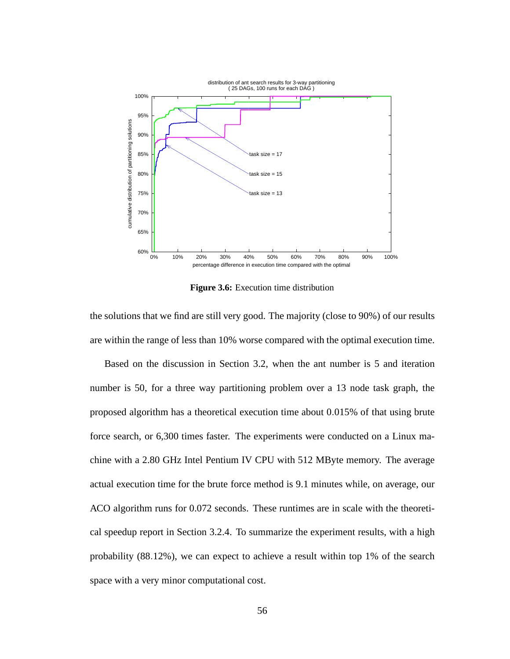

**Figure 3.6:** Execution time distribution

the solutions that we find are still very good. The majority (close to 90%) of our results are within the range of less than 10% worse compared with the optimal execution time.

Based on the discussion in Section 3.2, when the ant number is 5 and iteration number is 50, for a three way partitioning problem over a 13 node task graph, the proposed algorithm has a theoretical execution time about 0.015% of that using brute force search, or 6,300 times faster. The experiments were conducted on a Linux machine with a 2.80 GHz Intel Pentium IV CPU with 512 MByte memory. The average actual execution time for the brute force method is 9.1 minutes while, on average, our ACO algorithm runs for 0.072 seconds. These runtimes are in scale with the theoretical speedup report in Section 3.2.4. To summarize the experiment results, with a high probability (88.12%), we can expect to achieve a result within top 1% of the search space with a very minor computational cost.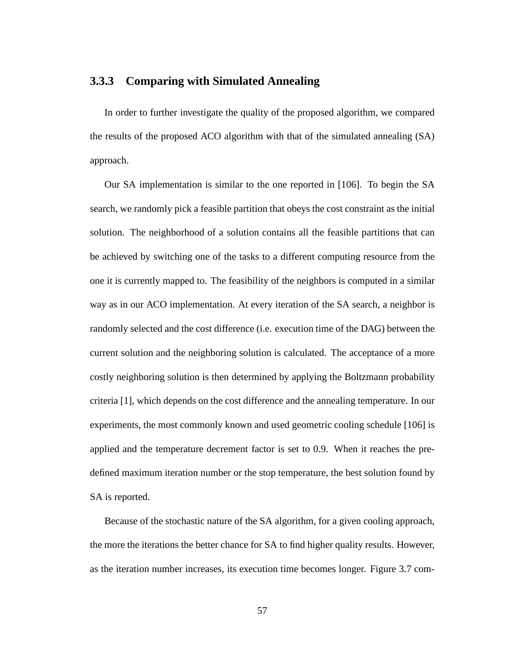### **3.3.3 Comparing with Simulated Annealing**

In order to further investigate the quality of the proposed algorithm, we compared the results of the proposed ACO algorithm with that of the simulated annealing (SA) approach.

Our SA implementation is similar to the one reported in [106]. To begin the SA search, we randomly pick a feasible partition that obeys the cost constraint as the initial solution. The neighborhood of a solution contains all the feasible partitions that can be achieved by switching one of the tasks to a different computing resource from the one it is currently mapped to. The feasibility of the neighbors is computed in a similar way as in our ACO implementation. At every iteration of the SA search, a neighbor is randomly selected and the cost difference (i.e. execution time of the DAG) between the current solution and the neighboring solution is calculated. The acceptance of a more costly neighboring solution is then determined by applying the Boltzmann probability criteria [1], which depends on the cost difference and the annealing temperature. In our experiments, the most commonly known and used geometric cooling schedule [106] is applied and the temperature decrement factor is set to 0.9. When it reaches the predefined maximum iteration number or the stop temperature, the best solution found by SA is reported.

Because of the stochastic nature of the SA algorithm, for a given cooling approach, the more the iterations the better chance for SA to find higher quality results. However, as the iteration number increases, its execution time becomes longer. Figure 3.7 com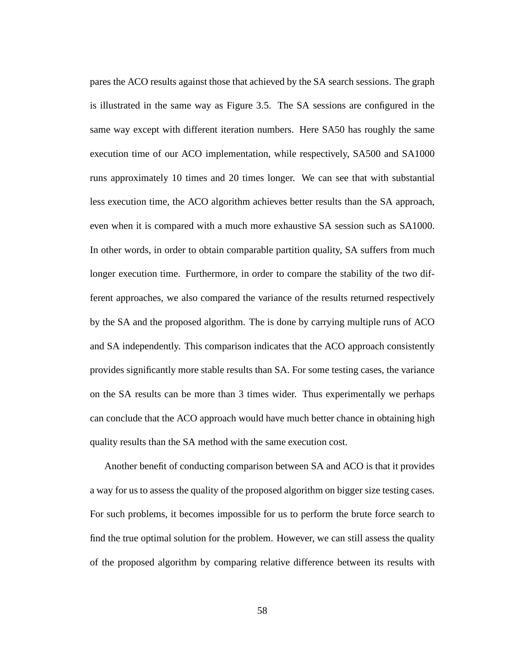pares the ACO results against those that achieved by the SA search sessions. The graph is illustrated in the same way as Figure 3.5. The SA sessions are configured in the same way except with different iteration numbers. Here SA50 has roughly the same execution time of our ACO implementation, while respectively, SA500 and SA1000 runs approximately 10 times and 20 times longer. We can see that with substantial less execution time, the ACO algorithm achieves better results than the SA approach, even when it is compared with a much more exhaustive SA session such as SA1000. In other words, in order to obtain comparable partition quality, SA suffers from much longer execution time. Furthermore, in order to compare the stability of the two different approaches, we also compared the variance of the results returned respectively by the SA and the proposed algorithm. The is done by carrying multiple runs of ACO and SA independently. This comparison indicates that the ACO approach consistently provides significantly more stable results than SA. For some testing cases, the variance on the SA results can be more than 3 times wider. Thus experimentally we perhaps can conclude that the ACO approach would have much better chance in obtaining high quality results than the SA method with the same execution cost.

Another benefit of conducting comparison between SA and ACO is that it provides a way for us to assess the quality of the proposed algorithm on bigger size testing cases. For such problems, it becomes impossible for us to perform the brute force search to find the true optimal solution for the problem. However, we can still assess the quality of the proposed algorithm by comparing relative difference between its results with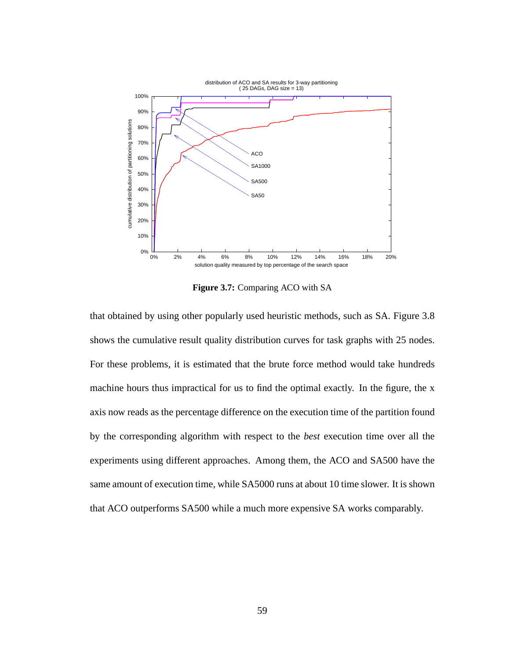

**Figure 3.7:** Comparing ACO with SA

that obtained by using other popularly used heuristic methods, such as SA. Figure 3.8 shows the cumulative result quality distribution curves for task graphs with 25 nodes. For these problems, it is estimated that the brute force method would take hundreds machine hours thus impractical for us to find the optimal exactly. In the figure, the x axis now reads as the percentage difference on the execution time of the partition found by the corresponding algorithm with respect to the *best* execution time over all the experiments using different approaches. Among them, the ACO and SA500 have the same amount of execution time, while SA5000 runs at about 10 time slower. It is shown that ACO outperforms SA500 while a much more expensive SA works comparably.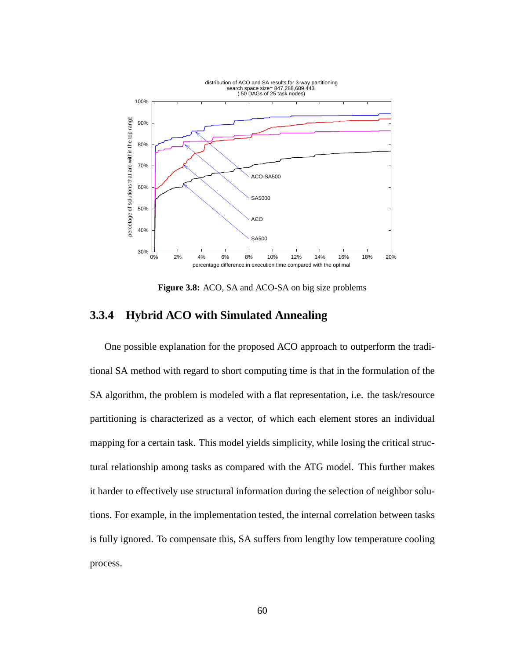

**Figure 3.8:** ACO, SA and ACO-SA on big size problems

### **3.3.4 Hybrid ACO with Simulated Annealing**

One possible explanation for the proposed ACO approach to outperform the traditional SA method with regard to short computing time is that in the formulation of the SA algorithm, the problem is modeled with a flat representation, i.e. the task/resource partitioning is characterized as a vector, of which each element stores an individual mapping for a certain task. This model yields simplicity, while losing the critical structural relationship among tasks as compared with the ATG model. This further makes it harder to effectively use structural information during the selection of neighbor solutions. For example, in the implementation tested, the internal correlation between tasks is fully ignored. To compensate this, SA suffers from lengthy low temperature cooling process.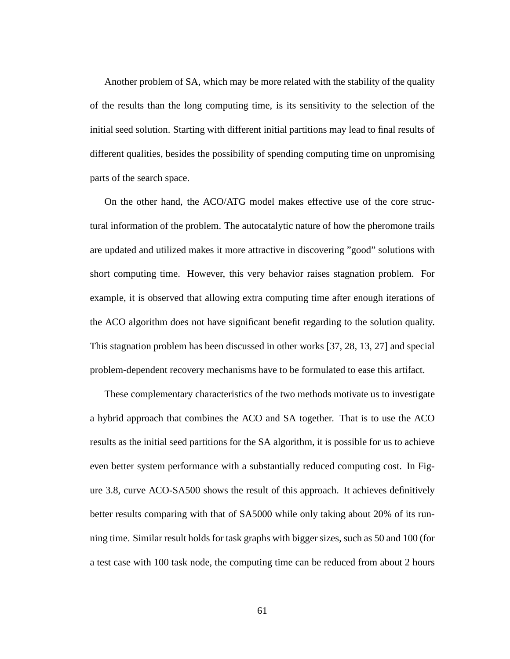Another problem of SA, which may be more related with the stability of the quality of the results than the long computing time, is its sensitivity to the selection of the initial seed solution. Starting with different initial partitions may lead to final results of different qualities, besides the possibility of spending computing time on unpromising parts of the search space.

On the other hand, the ACO/ATG model makes effective use of the core structural information of the problem. The autocatalytic nature of how the pheromone trails are updated and utilized makes it more attractive in discovering "good" solutions with short computing time. However, this very behavior raises stagnation problem. For example, it is observed that allowing extra computing time after enough iterations of the ACO algorithm does not have significant benefit regarding to the solution quality. This stagnation problem has been discussed in other works [37, 28, 13, 27] and special problem-dependent recovery mechanisms have to be formulated to ease this artifact.

These complementary characteristics of the two methods motivate us to investigate a hybrid approach that combines the ACO and SA together. That is to use the ACO results as the initial seed partitions for the SA algorithm, it is possible for us to achieve even better system performance with a substantially reduced computing cost. In Figure 3.8, curve ACO-SA500 shows the result of this approach. It achieves definitively better results comparing with that of SA5000 while only taking about 20% of its running time. Similar result holds for task graphs with bigger sizes, such as 50 and 100 (for a test case with 100 task node, the computing time can be reduced from about 2 hours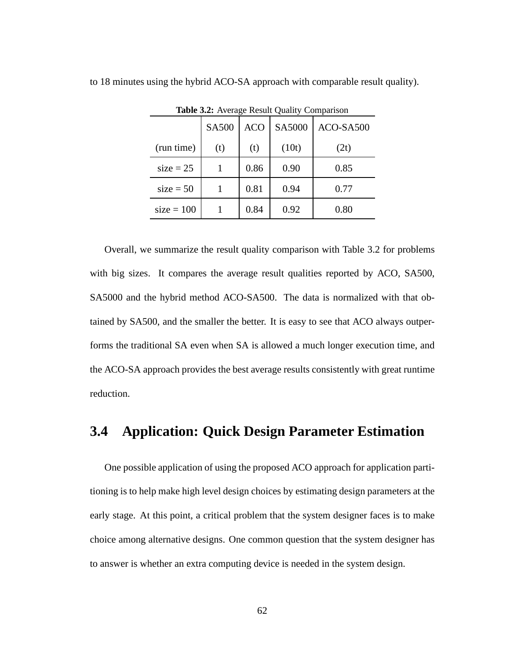| <b>Table 3.2:</b> Average Result Quality Comparison |              |            |        |           |  |  |
|-----------------------------------------------------|--------------|------------|--------|-----------|--|--|
|                                                     | <b>SA500</b> | <b>ACO</b> | SA5000 | ACO-SA500 |  |  |
| (run time)                                          | (t)          | (t)        | (10t)  | (2t)      |  |  |
| $size = 25$                                         |              | 0.86       | 0.90   | 0.85      |  |  |
| $size = 50$                                         |              | 0.81       | 0.94   | 0.77      |  |  |
| $size = 100$                                        |              | 0.84       | 0.92   | 0.80      |  |  |

to 18 minutes using the hybrid ACO-SA approach with comparable result quality).

Overall, we summarize the result quality comparison with Table 3.2 for problems with big sizes. It compares the average result qualities reported by ACO, SA500, SA5000 and the hybrid method ACO-SA500. The data is normalized with that obtained by SA500, and the smaller the better. It is easy to see that ACO always outperforms the traditional SA even when SA is allowed a much longer execution time, and the ACO-SA approach provides the best average results consistently with great runtime reduction.

## **3.4 Application: Quick Design Parameter Estimation**

One possible application of using the proposed ACO approach for application partitioning is to help make high level design choices by estimating design parameters at the early stage. At this point, a critical problem that the system designer faces is to make choice among alternative designs. One common question that the system designer has to answer is whether an extra computing device is needed in the system design.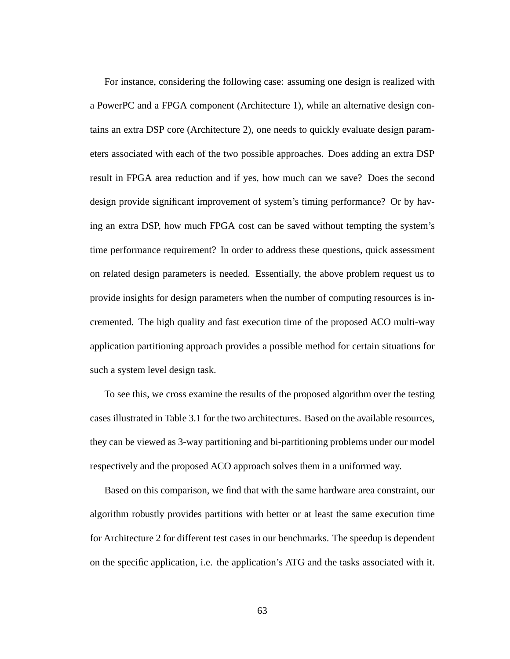For instance, considering the following case: assuming one design is realized with a PowerPC and a FPGA component (Architecture 1), while an alternative design contains an extra DSP core (Architecture 2), one needs to quickly evaluate design parameters associated with each of the two possible approaches. Does adding an extra DSP result in FPGA area reduction and if yes, how much can we save? Does the second design provide significant improvement of system's timing performance? Or by having an extra DSP, how much FPGA cost can be saved without tempting the system's time performance requirement? In order to address these questions, quick assessment on related design parameters is needed. Essentially, the above problem request us to provide insights for design parameters when the number of computing resources is incremented. The high quality and fast execution time of the proposed ACO multi-way application partitioning approach provides a possible method for certain situations for such a system level design task.

To see this, we cross examine the results of the proposed algorithm over the testing cases illustrated in Table 3.1 for the two architectures. Based on the available resources, they can be viewed as 3-way partitioning and bi-partitioning problems under our model respectively and the proposed ACO approach solves them in a uniformed way.

Based on this comparison, we find that with the same hardware area constraint, our algorithm robustly provides partitions with better or at least the same execution time for Architecture 2 for different test cases in our benchmarks. The speedup is dependent on the specific application, i.e. the application's ATG and the tasks associated with it.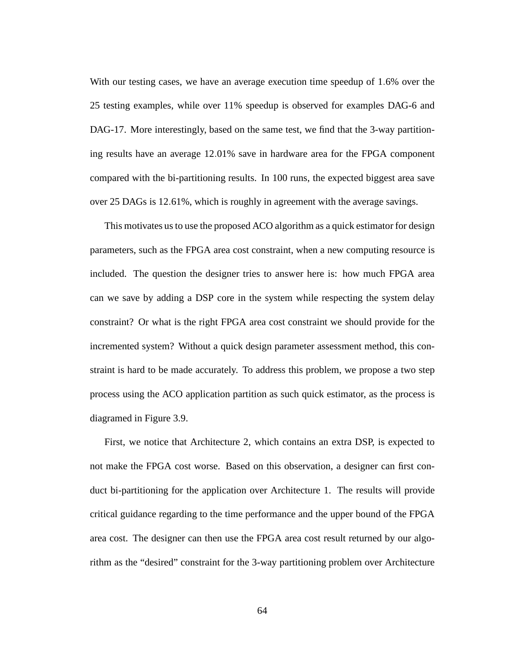With our testing cases, we have an average execution time speedup of 1.6% over the 25 testing examples, while over 11% speedup is observed for examples DAG-6 and DAG-17. More interestingly, based on the same test, we find that the 3-way partitioning results have an average 12.01% save in hardware area for the FPGA component compared with the bi-partitioning results. In 100 runs, the expected biggest area save over 25 DAGs is 12.61%, which is roughly in agreement with the average savings.

This motivates us to use the proposed ACO algorithm as a quick estimator for design parameters, such as the FPGA area cost constraint, when a new computing resource is included. The question the designer tries to answer here is: how much FPGA area can we save by adding a DSP core in the system while respecting the system delay constraint? Or what is the right FPGA area cost constraint we should provide for the incremented system? Without a quick design parameter assessment method, this constraint is hard to be made accurately. To address this problem, we propose a two step process using the ACO application partition as such quick estimator, as the process is diagramed in Figure 3.9.

First, we notice that Architecture 2, which contains an extra DSP, is expected to not make the FPGA cost worse. Based on this observation, a designer can first conduct bi-partitioning for the application over Architecture 1. The results will provide critical guidance regarding to the time performance and the upper bound of the FPGA area cost. The designer can then use the FPGA area cost result returned by our algorithm as the "desired" constraint for the 3-way partitioning problem over Architecture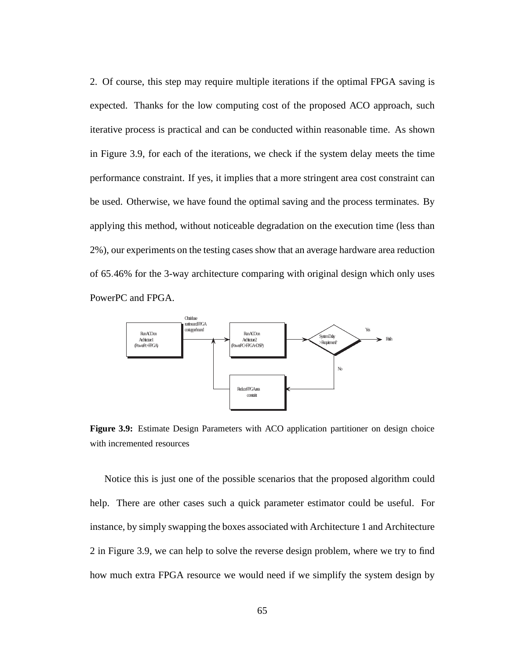2. Of course, this step may require multiple iterations if the optimal FPGA saving is expected. Thanks for the low computing cost of the proposed ACO approach, such iterative process is practical and can be conducted within reasonable time. As shown in Figure 3.9, for each of the iterations, we check if the system delay meets the time performance constraint. If yes, it implies that a more stringent area cost constraint can be used. Otherwise, we have found the optimal saving and the process terminates. By applying this method, without noticeable degradation on the execution time (less than 2%), our experiments on the testing cases show that an average hardware area reduction of 65.46% for the 3-way architecture comparing with original design which only uses PowerPC and FPGA.



**Figure 3.9:** Estimate Design Parameters with ACO application partitioner on design choice with incremented resources

Notice this is just one of the possible scenarios that the proposed algorithm could help. There are other cases such a quick parameter estimator could be useful. For instance, by simply swapping the boxes associated with Architecture 1 and Architecture 2 in Figure 3.9, we can help to solve the reverse design problem, where we try to find how much extra FPGA resource we would need if we simplify the system design by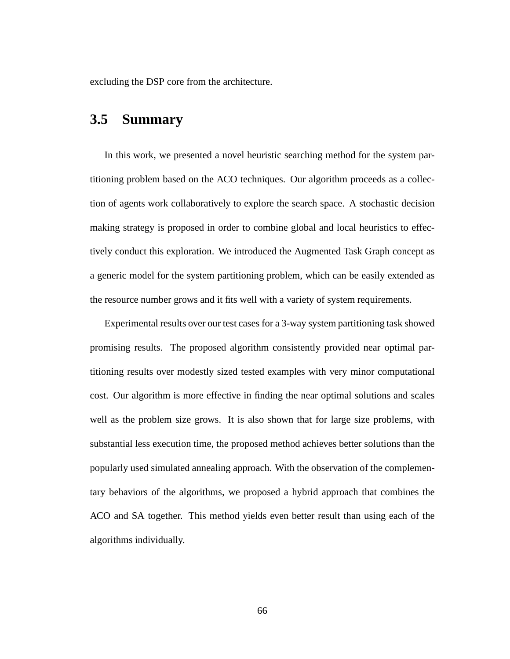excluding the DSP core from the architecture.

# **3.5 Summary**

In this work, we presented a novel heuristic searching method for the system partitioning problem based on the ACO techniques. Our algorithm proceeds as a collection of agents work collaboratively to explore the search space. A stochastic decision making strategy is proposed in order to combine global and local heuristics to effectively conduct this exploration. We introduced the Augmented Task Graph concept as a generic model for the system partitioning problem, which can be easily extended as the resource number grows and it fits well with a variety of system requirements.

Experimental results over our test cases for a 3-way system partitioning task showed promising results. The proposed algorithm consistently provided near optimal partitioning results over modestly sized tested examples with very minor computational cost. Our algorithm is more effective in finding the near optimal solutions and scales well as the problem size grows. It is also shown that for large size problems, with substantial less execution time, the proposed method achieves better solutions than the popularly used simulated annealing approach. With the observation of the complementary behaviors of the algorithms, we proposed a hybrid approach that combines the ACO and SA together. This method yields even better result than using each of the algorithms individually.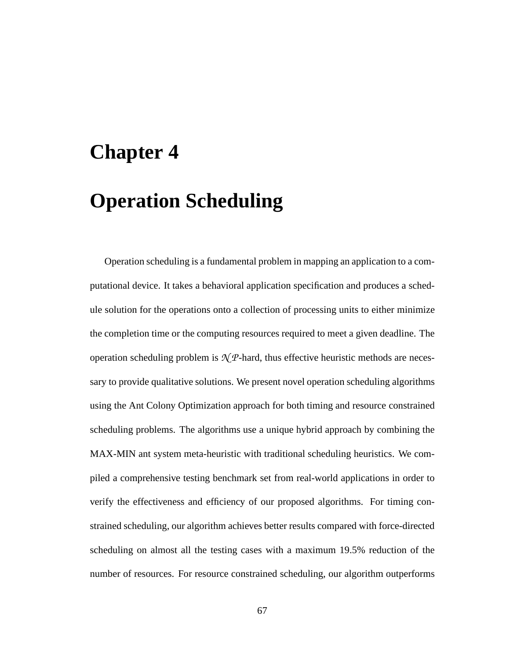# **Chapter 4**

# **Operation Scheduling**

Operation scheduling is a fundamental problem in mapping an application to a computational device. It takes a behavioral application specification and produces a schedule solution for the operations onto a collection of processing units to either minimize the completion time or the computing resources required to meet a given deadline. The operation scheduling problem is  $\mathcal{N}$  *P*-hard, thus effective heuristic methods are necessary to provide qualitative solutions. We present novel operation scheduling algorithms using the Ant Colony Optimization approach for both timing and resource constrained scheduling problems. The algorithms use a unique hybrid approach by combining the MAX-MIN ant system meta-heuristic with traditional scheduling heuristics. We compiled a comprehensive testing benchmark set from real-world applications in order to verify the effectiveness and efficiency of our proposed algorithms. For timing constrained scheduling, our algorithm achieves better results compared with force-directed scheduling on almost all the testing cases with a maximum 19.5% reduction of the number of resources. For resource constrained scheduling, our algorithm outperforms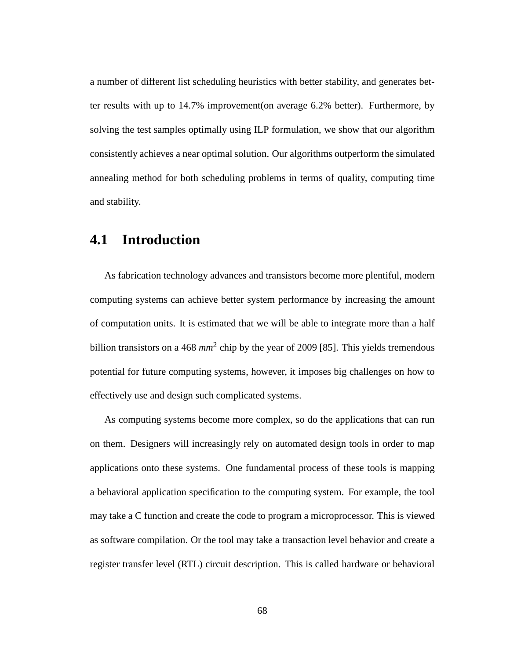a number of different list scheduling heuristics with better stability, and generates better results with up to 14.7% improvement(on average 6.2% better). Furthermore, by solving the test samples optimally using ILP formulation, we show that our algorithm consistently achieves a near optimal solution. Our algorithms outperform the simulated annealing method for both scheduling problems in terms of quality, computing time and stability.

## **4.1 Introduction**

As fabrication technology advances and transistors become more plentiful, modern computing systems can achieve better system performance by increasing the amount of computation units. It is estimated that we will be able to integrate more than a half billion transistors on a 468 *mm*<sup>2</sup> chip by the year of 2009 [85]. This yields tremendous potential for future computing systems, however, it imposes big challenges on how to effectively use and design such complicated systems.

As computing systems become more complex, so do the applications that can run on them. Designers will increasingly rely on automated design tools in order to map applications onto these systems. One fundamental process of these tools is mapping a behavioral application specification to the computing system. For example, the tool may take a C function and create the code to program a microprocessor. This is viewed as software compilation. Or the tool may take a transaction level behavior and create a register transfer level (RTL) circuit description. This is called hardware or behavioral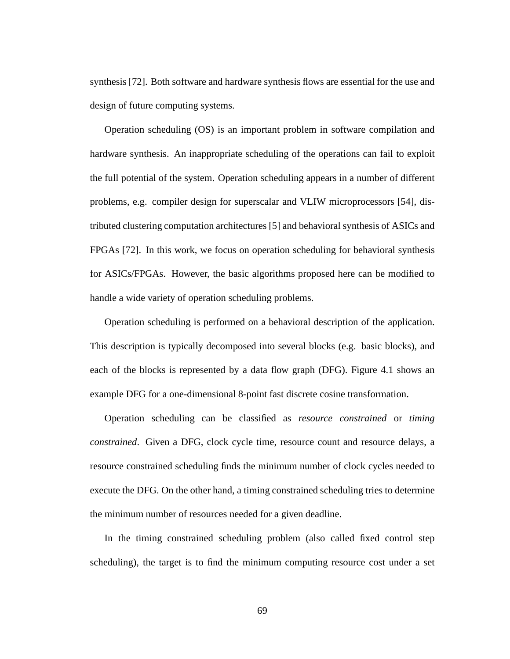synthesis [72]. Both software and hardware synthesis flows are essential for the use and design of future computing systems.

Operation scheduling (OS) is an important problem in software compilation and hardware synthesis. An inappropriate scheduling of the operations can fail to exploit the full potential of the system. Operation scheduling appears in a number of different problems, e.g. compiler design for superscalar and VLIW microprocessors [54], distributed clustering computation architectures [5] and behavioral synthesis of ASICs and FPGAs [72]. In this work, we focus on operation scheduling for behavioral synthesis for ASICs/FPGAs. However, the basic algorithms proposed here can be modified to handle a wide variety of operation scheduling problems.

Operation scheduling is performed on a behavioral description of the application. This description is typically decomposed into several blocks (e.g. basic blocks), and each of the blocks is represented by a data flow graph (DFG). Figure 4.1 shows an example DFG for a one-dimensional 8-point fast discrete cosine transformation.

Operation scheduling can be classified as *resource constrained* or *timing constrained*. Given a DFG, clock cycle time, resource count and resource delays, a resource constrained scheduling finds the minimum number of clock cycles needed to execute the DFG. On the other hand, a timing constrained scheduling tries to determine the minimum number of resources needed for a given deadline.

In the timing constrained scheduling problem (also called fixed control step scheduling), the target is to find the minimum computing resource cost under a set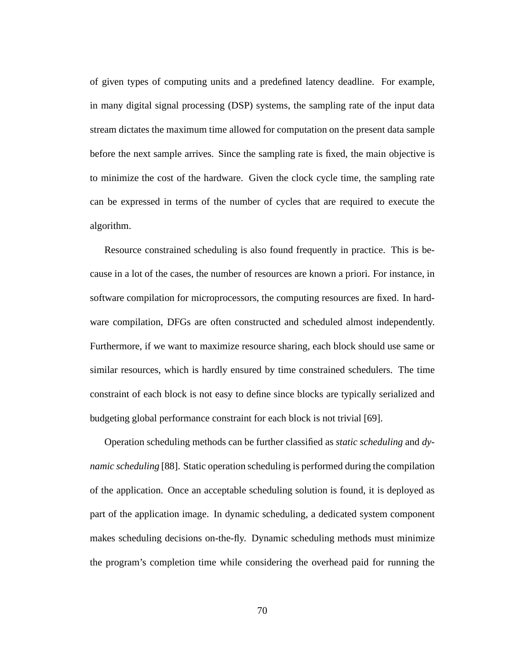of given types of computing units and a predefined latency deadline. For example, in many digital signal processing (DSP) systems, the sampling rate of the input data stream dictates the maximum time allowed for computation on the present data sample before the next sample arrives. Since the sampling rate is fixed, the main objective is to minimize the cost of the hardware. Given the clock cycle time, the sampling rate can be expressed in terms of the number of cycles that are required to execute the algorithm.

Resource constrained scheduling is also found frequently in practice. This is because in a lot of the cases, the number of resources are known a priori. For instance, in software compilation for microprocessors, the computing resources are fixed. In hardware compilation, DFGs are often constructed and scheduled almost independently. Furthermore, if we want to maximize resource sharing, each block should use same or similar resources, which is hardly ensured by time constrained schedulers. The time constraint of each block is not easy to define since blocks are typically serialized and budgeting global performance constraint for each block is not trivial [69].

Operation scheduling methods can be further classified as *static scheduling* and *dynamic scheduling* [88]. Static operation scheduling is performed during the compilation of the application. Once an acceptable scheduling solution is found, it is deployed as part of the application image. In dynamic scheduling, a dedicated system component makes scheduling decisions on-the-fly. Dynamic scheduling methods must minimize the program's completion time while considering the overhead paid for running the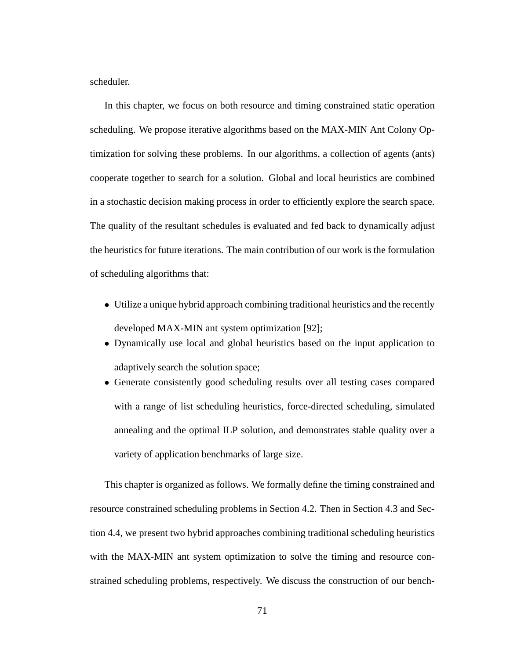scheduler.

In this chapter, we focus on both resource and timing constrained static operation scheduling. We propose iterative algorithms based on the MAX-MIN Ant Colony Optimization for solving these problems. In our algorithms, a collection of agents (ants) cooperate together to search for a solution. Global and local heuristics are combined in a stochastic decision making process in order to efficiently explore the search space. The quality of the resultant schedules is evaluated and fed back to dynamically adjust the heuristics for future iterations. The main contribution of our work is the formulation of scheduling algorithms that:

- Utilize a unique hybrid approach combining traditional heuristics and the recently developed MAX-MIN ant system optimization [92];
- Dynamically use local and global heuristics based on the input application to adaptively search the solution space;
- Generate consistently good scheduling results over all testing cases compared with a range of list scheduling heuristics, force-directed scheduling, simulated annealing and the optimal ILP solution, and demonstrates stable quality over a variety of application benchmarks of large size.

This chapter is organized as follows. We formally define the timing constrained and resource constrained scheduling problems in Section 4.2. Then in Section 4.3 and Section 4.4, we present two hybrid approaches combining traditional scheduling heuristics with the MAX-MIN ant system optimization to solve the timing and resource constrained scheduling problems, respectively. We discuss the construction of our bench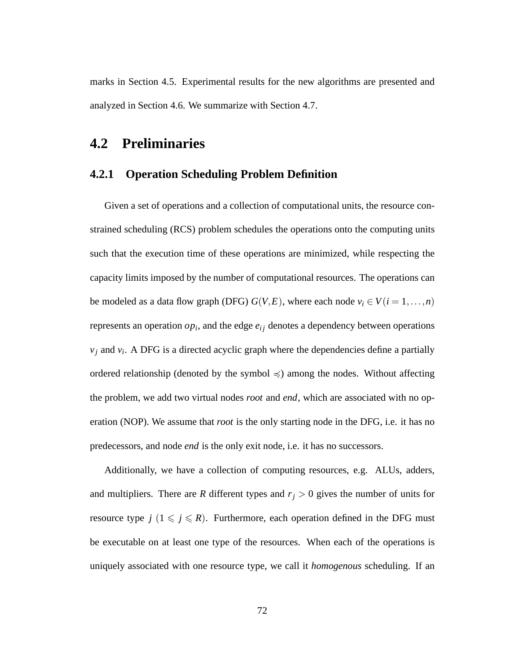marks in Section 4.5. Experimental results for the new algorithms are presented and analyzed in Section 4.6. We summarize with Section 4.7.

# **4.2 Preliminaries**

### **4.2.1 Operation Scheduling Problem Definition**

Given a set of operations and a collection of computational units, the resource constrained scheduling (RCS) problem schedules the operations onto the computing units such that the execution time of these operations are minimized, while respecting the capacity limits imposed by the number of computational resources. The operations can be modeled as a data flow graph (DFG)  $G(V, E)$ , where each node  $v_i \in V(i = 1, ..., n)$ represents an operation  $op_i$ , and the edge  $e_{ij}$  denotes a dependency between operations  $v_j$  and  $v_i$ . A DFG is a directed acyclic graph where the dependencies define a partially ordered relationship (denoted by the symbol  $\preccurlyeq$ ) among the nodes. Without affecting the problem, we add two virtual nodes *root* and *end*, which are associated with no operation (NOP). We assume that *root* is the only starting node in the DFG, i.e. it has no predecessors, and node *end* is the only exit node, i.e. it has no successors.

Additionally, we have a collection of computing resources, e.g. ALUs, adders, and multipliers. There are *R* different types and  $r_j > 0$  gives the number of units for resource type  $j$  ( $1 \leq j \leq R$ ). Furthermore, each operation defined in the DFG must be executable on at least one type of the resources. When each of the operations is uniquely associated with one resource type, we call it *homogenous* scheduling. If an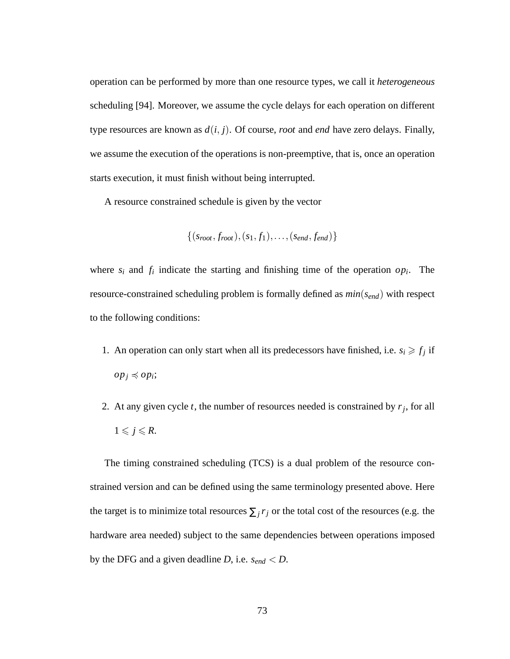operation can be performed by more than one resource types, we call it *heterogeneous* scheduling [94]. Moreover, we assume the cycle delays for each operation on different type resources are known as  $d(i, j)$ . Of course, *root* and *end* have zero delays. Finally, we assume the execution of the operations is non-preemptive, that is, once an operation starts execution, it must finish without being interrupted.

A resource constrained schedule is given by the vector

$$
\{(s_{root}, f_{root}), (s_1, f_1), \ldots, (s_{end}, f_{end})\}
$$

where  $s_i$  and  $f_i$  indicate the starting and finishing time of the operation  $op_i$ . The resource-constrained scheduling problem is formally defined as *min*(*send*) with respect to the following conditions:

- 1. An operation can only start when all its predecessors have finished, i.e.  $s_i \ge f_j$  if  $op_j \preccurlyeq op_i$ ;
- 2. At any given cycle  $t$ , the number of resources needed is constrained by  $r_j$ , for all  $1 \leqslant j \leqslant R$ .

The timing constrained scheduling (TCS) is a dual problem of the resource constrained version and can be defined using the same terminology presented above. Here the target is to minimize total resources  $\sum_j r_j$  or the total cost of the resources (e.g. the hardware area needed) subject to the same dependencies between operations imposed by the DFG and a given deadline *D*, i.e. *send* < *D*.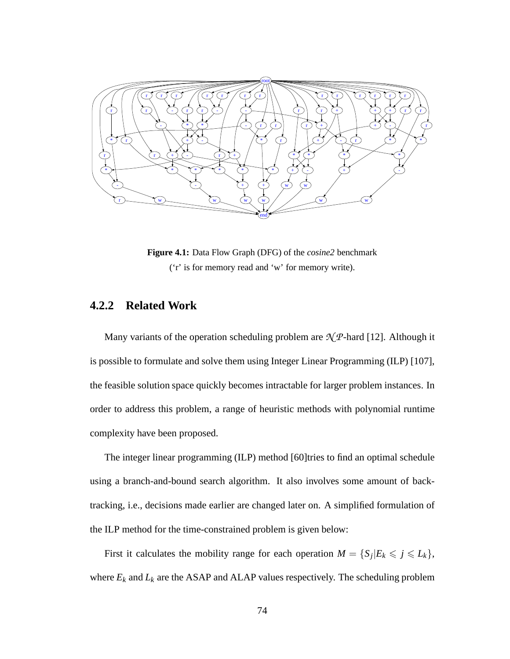

**Figure 4.1:** Data Flow Graph (DFG) of the *cosine2* benchmark ('r' is for memory read and 'w' for memory write).

### **4.2.2 Related Work**

Many variants of the operation scheduling problem are *N P*-hard [12]. Although it is possible to formulate and solve them using Integer Linear Programming (ILP) [107], the feasible solution space quickly becomes intractable for larger problem instances. In order to address this problem, a range of heuristic methods with polynomial runtime complexity have been proposed.

The integer linear programming (ILP) method [60]tries to find an optimal schedule using a branch-and-bound search algorithm. It also involves some amount of backtracking, i.e., decisions made earlier are changed later on. A simplified formulation of the ILP method for the time-constrained problem is given below:

First it calculates the mobility range for each operation  $M = \{S_j | E_k \leq j \leq L_k\}$ , where  $E_k$  and  $L_k$  are the ASAP and ALAP values respectively. The scheduling problem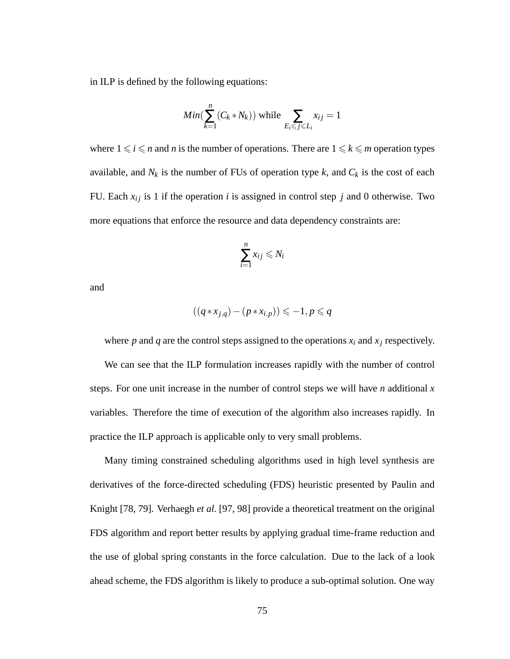in ILP is defined by the following equations:

$$
Min(\sum_{k=1}^{n} (C_k * N_k))
$$
 while 
$$
\sum_{E_i \le j \le L_i} x_{ij} = 1
$$

where  $1 \le i \le n$  and *n* is the number of operations. There are  $1 \le k \le m$  operation types available, and  $N_k$  is the number of FUs of operation type  $k$ , and  $C_k$  is the cost of each FU. Each  $x_{ij}$  is 1 if the operation *i* is assigned in control step *j* and 0 otherwise. Two more equations that enforce the resource and data dependency constraints are:

$$
\sum_{i=1}^n x_{ij} \leqslant N_i
$$

and

$$
((q * x_{j,q}) - (p * x_{i,p})) \leq -1, p \leq q
$$

where *p* and *q* are the control steps assigned to the operations  $x_i$  and  $x_j$  respectively.

We can see that the ILP formulation increases rapidly with the number of control steps. For one unit increase in the number of control steps we will have *n* additional *x* variables. Therefore the time of execution of the algorithm also increases rapidly. In practice the ILP approach is applicable only to very small problems.

Many timing constrained scheduling algorithms used in high level synthesis are derivatives of the force-directed scheduling (FDS) heuristic presented by Paulin and Knight [78, 79]. Verhaegh *et al.* [97, 98] provide a theoretical treatment on the original FDS algorithm and report better results by applying gradual time-frame reduction and the use of global spring constants in the force calculation. Due to the lack of a look ahead scheme, the FDS algorithm is likely to produce a sub-optimal solution. One way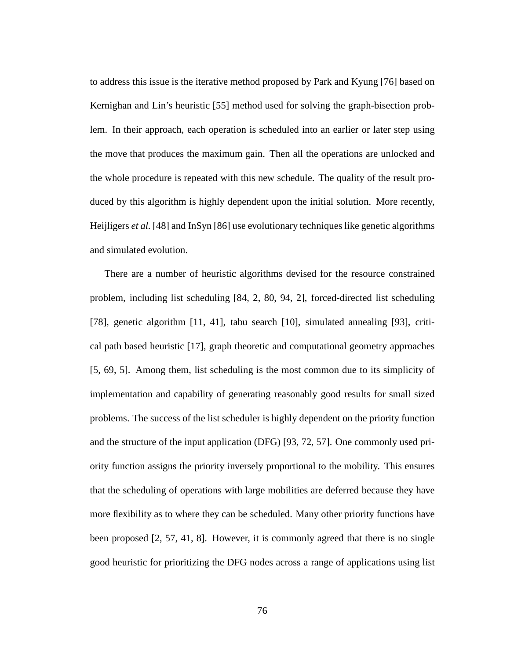to address this issue is the iterative method proposed by Park and Kyung [76] based on Kernighan and Lin's heuristic [55] method used for solving the graph-bisection problem. In their approach, each operation is scheduled into an earlier or later step using the move that produces the maximum gain. Then all the operations are unlocked and the whole procedure is repeated with this new schedule. The quality of the result produced by this algorithm is highly dependent upon the initial solution. More recently, Heijligers *et al.* [48] and InSyn [86] use evolutionary techniques like genetic algorithms and simulated evolution.

There are a number of heuristic algorithms devised for the resource constrained problem, including list scheduling [84, 2, 80, 94, 2], forced-directed list scheduling [78], genetic algorithm [11, 41], tabu search [10], simulated annealing [93], critical path based heuristic [17], graph theoretic and computational geometry approaches [5, 69, 5]. Among them, list scheduling is the most common due to its simplicity of implementation and capability of generating reasonably good results for small sized problems. The success of the list scheduler is highly dependent on the priority function and the structure of the input application (DFG) [93, 72, 57]. One commonly used priority function assigns the priority inversely proportional to the mobility. This ensures that the scheduling of operations with large mobilities are deferred because they have more flexibility as to where they can be scheduled. Many other priority functions have been proposed [2, 57, 41, 8]. However, it is commonly agreed that there is no single good heuristic for prioritizing the DFG nodes across a range of applications using list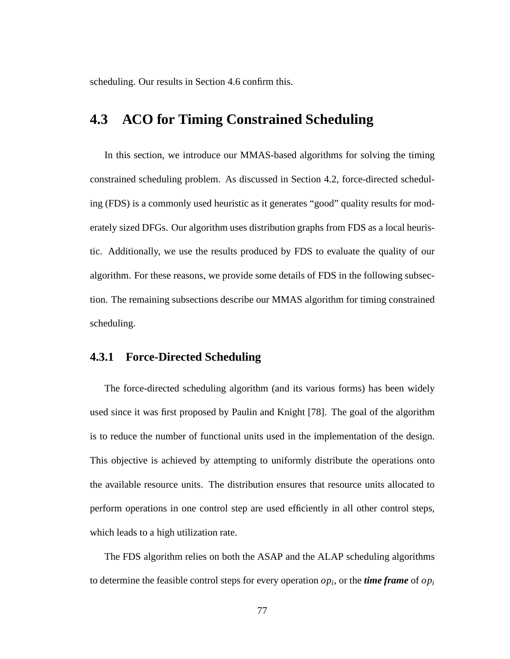scheduling. Our results in Section 4.6 confirm this.

## **4.3 ACO for Timing Constrained Scheduling**

In this section, we introduce our MMAS-based algorithms for solving the timing constrained scheduling problem. As discussed in Section 4.2, force-directed scheduling (FDS) is a commonly used heuristic as it generates "good" quality results for moderately sized DFGs. Our algorithm uses distribution graphs from FDS as a local heuristic. Additionally, we use the results produced by FDS to evaluate the quality of our algorithm. For these reasons, we provide some details of FDS in the following subsection. The remaining subsections describe our MMAS algorithm for timing constrained scheduling.

### **4.3.1 Force-Directed Scheduling**

The force-directed scheduling algorithm (and its various forms) has been widely used since it was first proposed by Paulin and Knight [78]. The goal of the algorithm is to reduce the number of functional units used in the implementation of the design. This objective is achieved by attempting to uniformly distribute the operations onto the available resource units. The distribution ensures that resource units allocated to perform operations in one control step are used efficiently in all other control steps, which leads to a high utilization rate.

The FDS algorithm relies on both the ASAP and the ALAP scheduling algorithms to determine the feasible control steps for every operation  $op_i$ , or the *time frame* of  $op_i$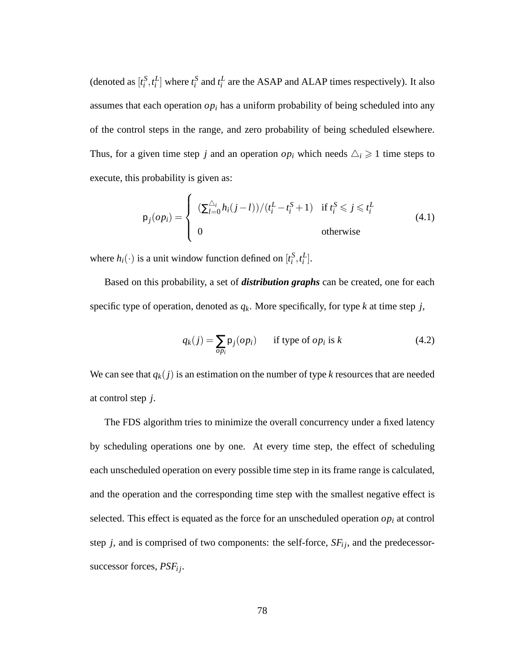(denoted as  $[t_i^S, t_i^L]$  where  $t_i^S$  and  $t_i^L$  are the ASAP and ALAP times respectively). It also assumes that each operation *op<sup>i</sup>* has a uniform probability of being scheduled into any of the control steps in the range, and zero probability of being scheduled elsewhere. Thus, for a given time step *j* and an operation  $op_i$  which needs  $\triangle_i \geq 1$  time steps to execute, this probability is given as:

$$
\mathsf{p}_j(op_i) = \begin{cases}\n(\sum_{l=0}^{\triangle_i} h_i(j-l))/(t_i^L - t_i^S + 1) & \text{if } t_i^S \leqslant j \leqslant t_i^L \\
0 & \text{otherwise}\n\end{cases}
$$
\n(4.1)

where  $h_i(\cdot)$  is a unit window function defined on  $[t_i^S, t_i^L]$ .

Based on this probability, a set of *distribution graphs* can be created, one for each specific type of operation, denoted as *qk*. More specifically, for type *k* at time step *j*,

$$
q_k(j) = \sum_{op_i} \mathsf{p}_j(op_i) \qquad \text{if type of } op_i \text{ is } k \tag{4.2}
$$

We can see that  $q_k(j)$  is an estimation on the number of type *k* resources that are needed at control step *j*.

The FDS algorithm tries to minimize the overall concurrency under a fixed latency by scheduling operations one by one. At every time step, the effect of scheduling each unscheduled operation on every possible time step in its frame range is calculated, and the operation and the corresponding time step with the smallest negative effect is selected. This effect is equated as the force for an unscheduled operation  $op_i$  at control step  $j$ , and is comprised of two components: the self-force,  $SF_{ij}$ , and the predecessorsuccessor forces, *PSFi j*.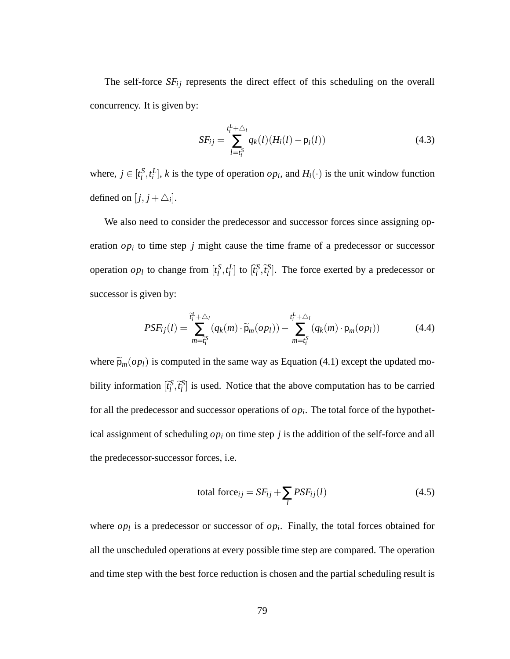The self-force  $SF_{ij}$  represents the direct effect of this scheduling on the overall concurrency. It is given by:

$$
SF_{ij} = \sum_{l=t_i^S}^{t_i^L + \triangle_i} q_k(l) (H_i(l) - \mathsf{p}_i(l))
$$
\n(4.3)

where,  $j \in [t_i^S, t_i^L]$ , *k* is the type of operation  $op_i$ , and  $H_i(\cdot)$  is the unit window function defined on  $[j, j + \triangle_i]$ .

We also need to consider the predecessor and successor forces since assigning operation  $op_i$  to time step  $j$  might cause the time frame of a predecessor or successor operation  $op_l$  to change from  $[t_l^S]$  $_l^S, t_l^L$  $\left[\begin{matrix}L\\l\end{matrix}\right]$  to  $\left[\begin{matrix}t\end{matrix}\right]$ <sup>S</sup>  $\widetilde{f}_l^S, \widetilde{t}_l^S$  $\binom{3}{l}$ . The force exerted by a predecessor or successor is given by:

$$
PSF_{ij}(l) = \sum_{m=\tilde{i}_{i}^{S}}^{\tilde{i}_{i}^{L}+\triangle_{l}} (q_{k}(m)\cdot\widetilde{p}_{m}(op_{l})) - \sum_{m=\tilde{i}_{i}^{S}}^{\tilde{i}_{i}^{L}+\triangle_{l}} (q_{k}(m)\cdot p_{m}(op_{l}))
$$
(4.4)

where  $\tilde{p}_m(op_l)$  is computed in the same way as Equation (4.1) except the updated mobility information  $\left[\tilde{t}_l^S\right]$  $\sum_l^S$ ,  $\widetilde{t}_l^S$  $\binom{3}{l}$  is used. Notice that the above computation has to be carried for all the predecessor and successor operations of *op<sup>i</sup>* . The total force of the hypothetical assignment of scheduling *op<sup>i</sup>* on time step *j* is the addition of the self-force and all the predecessor-successor forces, i.e.

total force<sub>ij</sub> = 
$$
SF_{ij} + \sum_{l} PSF_{ij}(l)
$$
 (4.5)

where  $op_l$  is a predecessor or successor of  $op_i$ . Finally, the total forces obtained for all the unscheduled operations at every possible time step are compared. The operation and time step with the best force reduction is chosen and the partial scheduling result is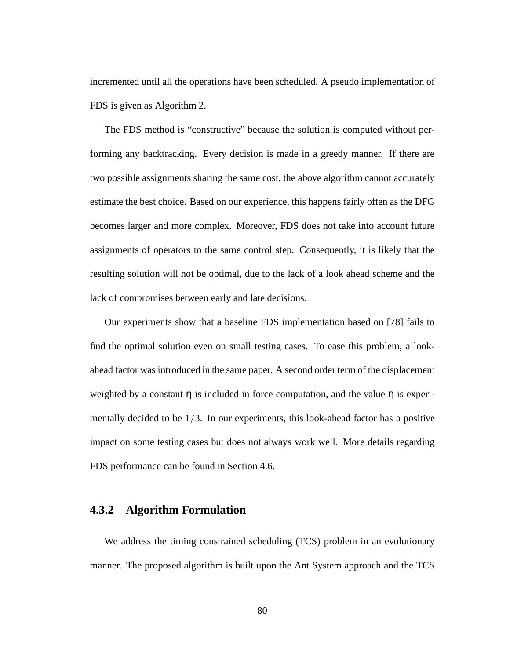incremented until all the operations have been scheduled. A pseudo implementation of FDS is given as Algorithm 2.

The FDS method is "constructive" because the solution is computed without performing any backtracking. Every decision is made in a greedy manner. If there are two possible assignments sharing the same cost, the above algorithm cannot accurately estimate the best choice. Based on our experience, this happens fairly often as the DFG becomes larger and more complex. Moreover, FDS does not take into account future assignments of operators to the same control step. Consequently, it is likely that the resulting solution will not be optimal, due to the lack of a look ahead scheme and the lack of compromises between early and late decisions.

Our experiments show that a baseline FDS implementation based on [78] fails to find the optimal solution even on small testing cases. To ease this problem, a lookahead factor was introduced in the same paper. A second order term of the displacement weighted by a constant  $\eta$  is included in force computation, and the value  $\eta$  is experimentally decided to be  $1/3$ . In our experiments, this look-ahead factor has a positive impact on some testing cases but does not always work well. More details regarding FDS performance can be found in Section 4.6.

### **4.3.2 Algorithm Formulation**

We address the timing constrained scheduling (TCS) problem in an evolutionary manner. The proposed algorithm is built upon the Ant System approach and the TCS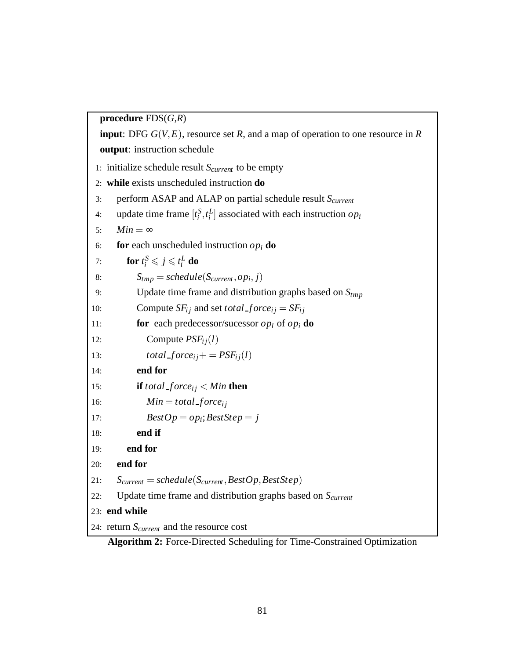**procedure** FDS(*G*,*R*) **input**: DFG *G*(*V*,*E*), resource set *R*, and a map of operation to one resource in *R* **output**: instruction schedule 1: initialize schedule result *Scurrent* to be empty 2: **while** exists unscheduled instruction **do** 3: perform ASAP and ALAP on partial schedule result *Scurrent* 4: update time frame  $[t_i^S, t_i^L]$  associated with each instruction  $\mathfrak{op}_i$ 5:  $Min = \infty$ 6: **for** each unscheduled instruction  $op_i$  **do** 7: **for**  $t_i^S \leqslant j \leqslant t_i^L$  do 8:  $S_{tmp} = schedule(S_{current}, op_i, j)$ 9: Update time frame and distribution graphs based on *Stmp* 10: Compute  $SF_{ij}$  and set *total\_force*<sub>ij</sub> =  $SF_{ij}$ 11: **for** each predecessor/sucessor  $op_l$  of  $op_i$  **do** 12: Compute  $PSF<sub>ij</sub>(l)$ 13:  $total\_force_{ij} += PSF_{ij}(l)$ 14: **end for** 15: **if**  $total\_force_{ij} < Min$  **then** 16:  $Min = total\_force_{ij}$ 17: **Best** $Op = op_i;$ **Best** $Step = j$ 18: **end if** 19: **end for** 20: **end for** 21: *Scurrent* = *schedule*(*Scurrent*,*BestOp*,*BestStep*) 22: Update time frame and distribution graphs based on *Scurrent* 23: **end while** 24: return *Scurrent* and the resource cost

**Algorithm 2:** Force-Directed Scheduling for Time-Constrained Optimization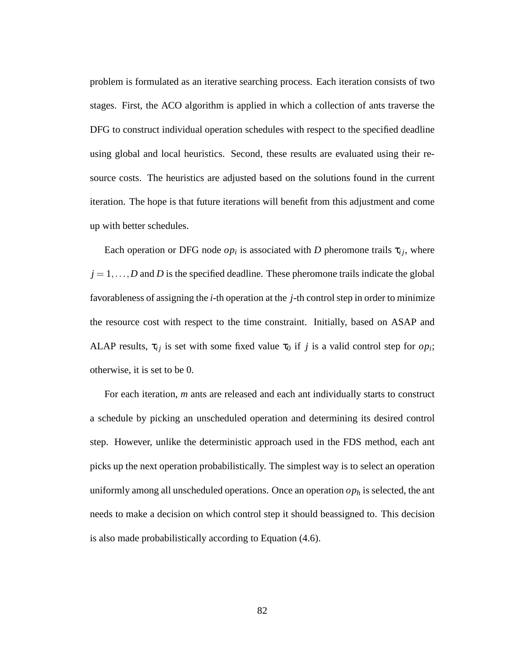problem is formulated as an iterative searching process. Each iteration consists of two stages. First, the ACO algorithm is applied in which a collection of ants traverse the DFG to construct individual operation schedules with respect to the specified deadline using global and local heuristics. Second, these results are evaluated using their resource costs. The heuristics are adjusted based on the solutions found in the current iteration. The hope is that future iterations will benefit from this adjustment and come up with better schedules.

Each operation or DFG node  $op_i$  is associated with *D* pheromone trails  $\tau_{ij}$ , where  $j = 1, \ldots, D$  and *D* is the specified deadline. These pheromone trails indicate the global favorableness of assigning the *i*-th operation at the *j*-th control step in order to minimize the resource cost with respect to the time constraint. Initially, based on ASAP and ALAP results,  $\tau_{ij}$  is set with some fixed value  $\tau_0$  if *j* is a valid control step for  $\sigma p_i$ ; otherwise, it is set to be 0.

For each iteration, *m* ants are released and each ant individually starts to construct a schedule by picking an unscheduled operation and determining its desired control step. However, unlike the deterministic approach used in the FDS method, each ant picks up the next operation probabilistically. The simplest way is to select an operation uniformly among all unscheduled operations. Once an operation  $op<sub>h</sub>$  is selected, the ant needs to make a decision on which control step it should beassigned to. This decision is also made probabilistically according to Equation (4.6).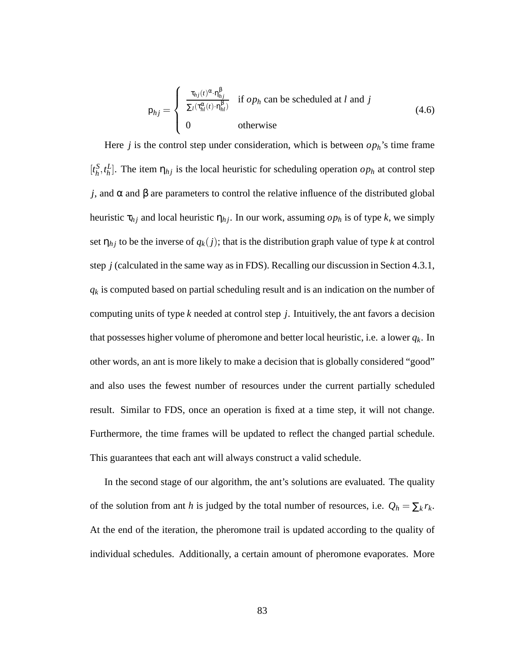$$
\mathsf{p}_{hj} = \begin{cases}\n\frac{\tau_{hj}(t)^{\alpha} \cdot \eta_{hj}^{\beta}}{\sum_{l} (\tau_{hl}^{\alpha}(t) \cdot \eta_{hl}^{\beta})} & \text{if } op_h \text{ can be scheduled at } l \text{ and } j \\
0 & \text{otherwise}\n\end{cases}
$$
\n(4.6)

Here *j* is the control step under consideration, which is between  $op<sub>h</sub>$ 's time frame  $[t_h^S$  $_{h}^{S}, t_{h}^{L}$  $_h^L$ . The item  $\eta_{hj}$  is the local heuristic for scheduling operation  $op_h$  at control step *j*, and  $\alpha$  and  $\beta$  are parameters to control the relative influence of the distributed global heuristic  $\tau_{hj}$  and local heuristic  $\eta_{hj}$ . In our work, assuming  $op_h$  is of type k, we simply set  $\eta_{hj}$  to be the inverse of  $q_k(j)$ ; that is the distribution graph value of type k at control step *j* (calculated in the same way as in FDS). Recalling our discussion in Section 4.3.1, *qk* is computed based on partial scheduling result and is an indication on the number of computing units of type *k* needed at control step *j*. Intuitively, the ant favors a decision that possesses higher volume of pheromone and better local heuristic, i.e. a lower *qk*. In other words, an ant is more likely to make a decision that is globally considered "good" and also uses the fewest number of resources under the current partially scheduled result. Similar to FDS, once an operation is fixed at a time step, it will not change. Furthermore, the time frames will be updated to reflect the changed partial schedule. This guarantees that each ant will always construct a valid schedule.

In the second stage of our algorithm, the ant's solutions are evaluated. The quality of the solution from ant *h* is judged by the total number of resources, i.e.  $Q_h = \sum_k r_k$ . At the end of the iteration, the pheromone trail is updated according to the quality of individual schedules. Additionally, a certain amount of pheromone evaporates. More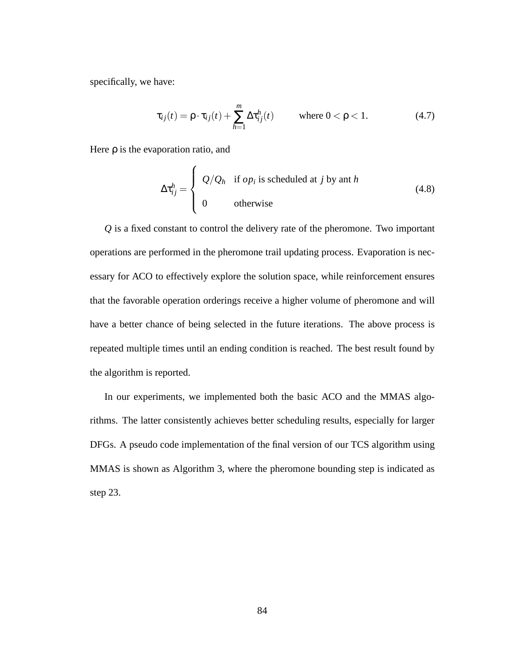specifically, we have:

$$
\tau_{ij}(t) = \rho \cdot \tau_{ij}(t) + \sum_{h=1}^{m} \Delta \tau_{ij}^{h}(t) \quad \text{where } 0 < \rho < 1. \tag{4.7}
$$

Here  $\rho$  is the evaporation ratio, and

$$
\Delta \tau_{ij}^h = \begin{cases} Q/Q_h & \text{if } op_i \text{ is scheduled at } j \text{ by ant } h \\ 0 & \text{otherwise} \end{cases}
$$
 (4.8)

*Q* is a fixed constant to control the delivery rate of the pheromone. Two important operations are performed in the pheromone trail updating process. Evaporation is necessary for ACO to effectively explore the solution space, while reinforcement ensures that the favorable operation orderings receive a higher volume of pheromone and will have a better chance of being selected in the future iterations. The above process is repeated multiple times until an ending condition is reached. The best result found by the algorithm is reported.

In our experiments, we implemented both the basic ACO and the MMAS algorithms. The latter consistently achieves better scheduling results, especially for larger DFGs. A pseudo code implementation of the final version of our TCS algorithm using MMAS is shown as Algorithm 3, where the pheromone bounding step is indicated as step 23.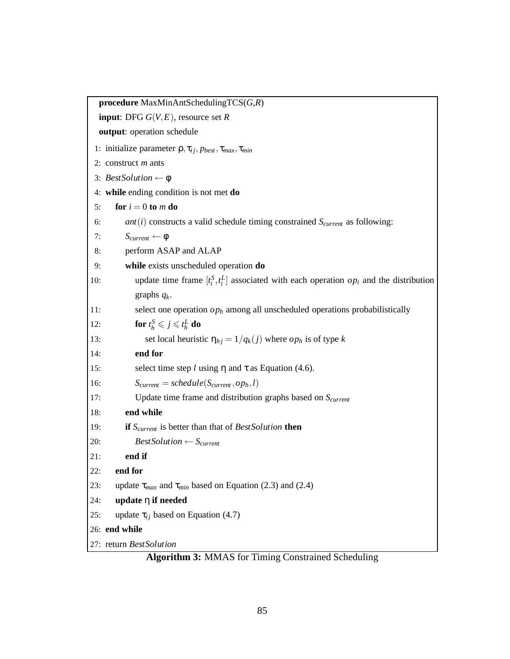| procedure MaxMinAntSchedulingTCS $(G,R)$ |                                                                                               |  |  |  |  |
|------------------------------------------|-----------------------------------------------------------------------------------------------|--|--|--|--|
|                                          | <b>input:</b> DFG $G(V, E)$ , resource set R                                                  |  |  |  |  |
|                                          | output: operation schedule                                                                    |  |  |  |  |
|                                          | 1: initialize parameter $\rho, \tau_{ij}, p_{best}, \tau_{max}, \tau_{min}$                   |  |  |  |  |
|                                          | 2: construct $m$ ants                                                                         |  |  |  |  |
|                                          | 3: BestSolution $\leftarrow \phi$                                                             |  |  |  |  |
|                                          | 4: while ending condition is not met do                                                       |  |  |  |  |
| 5:                                       | for $i = 0$ to m do                                                                           |  |  |  |  |
| 6:                                       | $ant(i)$ constructs a valid schedule timing constrained $S_{current}$ as following:           |  |  |  |  |
| 7:                                       | $S_{current} \leftarrow \phi$                                                                 |  |  |  |  |
| 8:                                       | perform ASAP and ALAP                                                                         |  |  |  |  |
| 9:                                       | while exists unscheduled operation do                                                         |  |  |  |  |
| 10:                                      | update time frame $[t_i^S, t_i^L]$ associated with each operation $op_i$ and the distribution |  |  |  |  |
|                                          | graphs $q_k$ .                                                                                |  |  |  |  |
| 11:                                      | select one operation $oph$ among all unscheduled operations probabilistically                 |  |  |  |  |
| 12:                                      | for $t_h^S \leqslant j \leqslant t_h^L$ do                                                    |  |  |  |  |
| 13:                                      | set local heuristic $\eta_{hj} = 1/q_k(j)$ where $op_h$ is of type k                          |  |  |  |  |
| 14:                                      | end for                                                                                       |  |  |  |  |
| 15:                                      | select time step <i>l</i> using $\eta$ and $\tau$ as Equation (4.6).                          |  |  |  |  |
| 16:                                      | $S_{current} = schedule(S_{current}, op_h, l)$                                                |  |  |  |  |
| 17:                                      | Update time frame and distribution graphs based on S <sub>current</sub>                       |  |  |  |  |
| 18:                                      | end while                                                                                     |  |  |  |  |
| 19:                                      | <b>if</b> $S_{current}$ is better than that of <i>Best Solution</i> then                      |  |  |  |  |
| 20:                                      | $BestSolution \leftarrow S_{current}$                                                         |  |  |  |  |
| 21:                                      | end if                                                                                        |  |  |  |  |
| 22:                                      | end for                                                                                       |  |  |  |  |
| 23:                                      | update $\tau_{max}$ and $\tau_{min}$ based on Equation (2.3) and (2.4)                        |  |  |  |  |
| 24:                                      | update η if needed                                                                            |  |  |  |  |
| 25:                                      | update $\tau_{ij}$ based on Equation (4.7)                                                    |  |  |  |  |
|                                          | 26: end while                                                                                 |  |  |  |  |
|                                          | 27: return BestSolution                                                                       |  |  |  |  |

**Algorithm 3:** MMAS for Timing Constrained Scheduling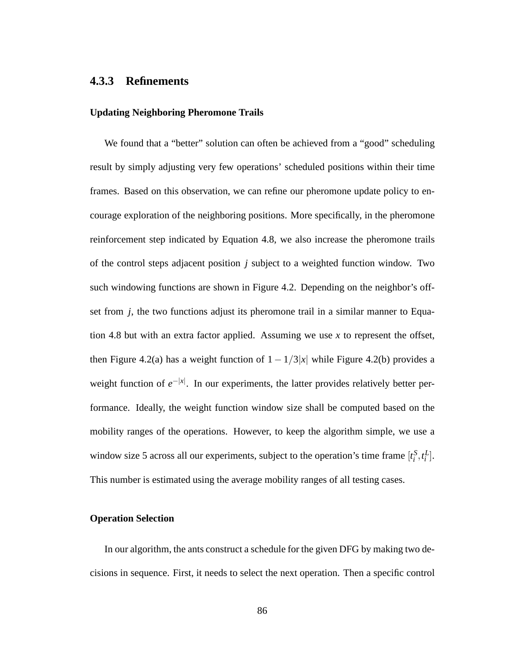### **4.3.3 Refinements**

#### **Updating Neighboring Pheromone Trails**

We found that a "better" solution can often be achieved from a "good" scheduling result by simply adjusting very few operations' scheduled positions within their time frames. Based on this observation, we can refine our pheromone update policy to encourage exploration of the neighboring positions. More specifically, in the pheromone reinforcement step indicated by Equation 4.8, we also increase the pheromone trails of the control steps adjacent position *j* subject to a weighted function window. Two such windowing functions are shown in Figure 4.2. Depending on the neighbor's offset from *j*, the two functions adjust its pheromone trail in a similar manner to Equation 4.8 but with an extra factor applied. Assuming we use *x* to represent the offset, then Figure 4.2(a) has a weight function of  $1 - 1/3|x|$  while Figure 4.2(b) provides a weight function of  $e^{-|x|}$ . In our experiments, the latter provides relatively better performance. Ideally, the weight function window size shall be computed based on the mobility ranges of the operations. However, to keep the algorithm simple, we use a window size 5 across all our experiments, subject to the operation's time frame  $[t_i^S, t_i^L]$ . This number is estimated using the average mobility ranges of all testing cases.

#### **Operation Selection**

In our algorithm, the ants construct a schedule for the given DFG by making two decisions in sequence. First, it needs to select the next operation. Then a specific control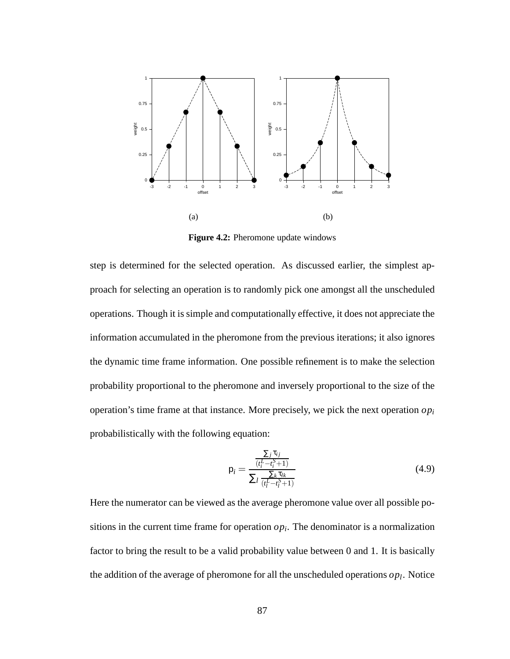

**Figure 4.2:** Pheromone update windows

step is determined for the selected operation. As discussed earlier, the simplest approach for selecting an operation is to randomly pick one amongst all the unscheduled operations. Though it is simple and computationally effective, it does not appreciate the information accumulated in the pheromone from the previous iterations; it also ignores the dynamic time frame information. One possible refinement is to make the selection probability proportional to the pheromone and inversely proportional to the size of the operation's time frame at that instance. More precisely, we pick the next operation *op<sup>i</sup>* probabilistically with the following equation:

$$
\mathsf{p}_{i} = \frac{\frac{\sum_{j} \tau_{ij}}{(t_{i}^{L} - t_{i}^{S} + 1)}}{\sum_{l} \frac{\sum_{k} \tau_{lk}}{(t_{l}^{L} - t_{l}^{S} + 1)}}
$$
(4.9)

Here the numerator can be viewed as the average pheromone value over all possible positions in the current time frame for operation  $op<sub>i</sub>$ . The denominator is a normalization factor to bring the result to be a valid probability value between 0 and 1. It is basically the addition of the average of pheromone for all the unscheduled operations *op<sup>l</sup>* . Notice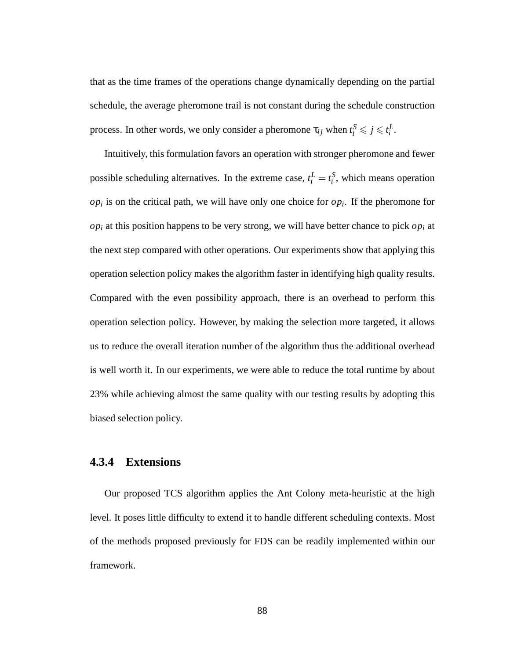that as the time frames of the operations change dynamically depending on the partial schedule, the average pheromone trail is not constant during the schedule construction process. In other words, we only consider a pheromone  $\tau_{ij}$  when  $t_i^S \leq j \leq t_i^L$ .

Intuitively, this formulation favors an operation with stronger pheromone and fewer possible scheduling alternatives. In the extreme case,  $t_i^L = t_i^S$ , which means operation  $op<sub>i</sub>$  is on the critical path, we will have only one choice for  $op<sub>i</sub>$ . If the pheromone for *op<sup>i</sup>* at this position happens to be very strong, we will have better chance to pick *op<sup>i</sup>* at the next step compared with other operations. Our experiments show that applying this operation selection policy makes the algorithm faster in identifying high quality results. Compared with the even possibility approach, there is an overhead to perform this operation selection policy. However, by making the selection more targeted, it allows us to reduce the overall iteration number of the algorithm thus the additional overhead is well worth it. In our experiments, we were able to reduce the total runtime by about 23% while achieving almost the same quality with our testing results by adopting this biased selection policy.

#### **4.3.4 Extensions**

Our proposed TCS algorithm applies the Ant Colony meta-heuristic at the high level. It poses little difficulty to extend it to handle different scheduling contexts. Most of the methods proposed previously for FDS can be readily implemented within our framework.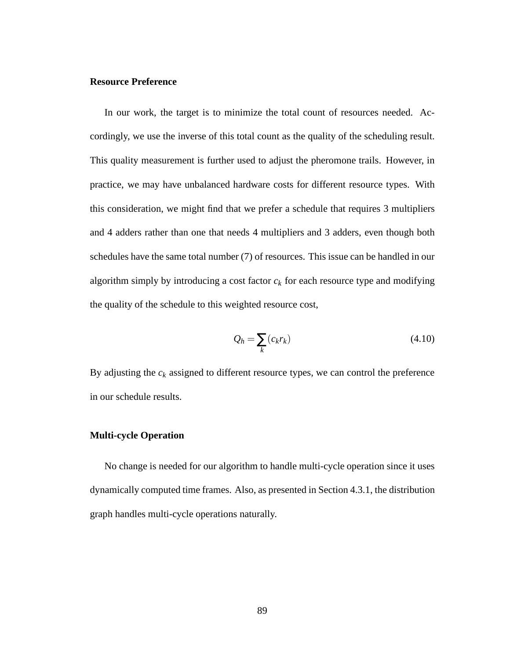#### **Resource Preference**

In our work, the target is to minimize the total count of resources needed. Accordingly, we use the inverse of this total count as the quality of the scheduling result. This quality measurement is further used to adjust the pheromone trails. However, in practice, we may have unbalanced hardware costs for different resource types. With this consideration, we might find that we prefer a schedule that requires 3 multipliers and 4 adders rather than one that needs 4 multipliers and 3 adders, even though both schedules have the same total number (7) of resources. This issue can be handled in our algorithm simply by introducing a cost factor  $c_k$  for each resource type and modifying the quality of the schedule to this weighted resource cost,

$$
Q_h = \sum_k (c_k r_k) \tag{4.10}
$$

By adjusting the  $c_k$  assigned to different resource types, we can control the preference in our schedule results.

#### **Multi-cycle Operation**

No change is needed for our algorithm to handle multi-cycle operation since it uses dynamically computed time frames. Also, as presented in Section 4.3.1, the distribution graph handles multi-cycle operations naturally.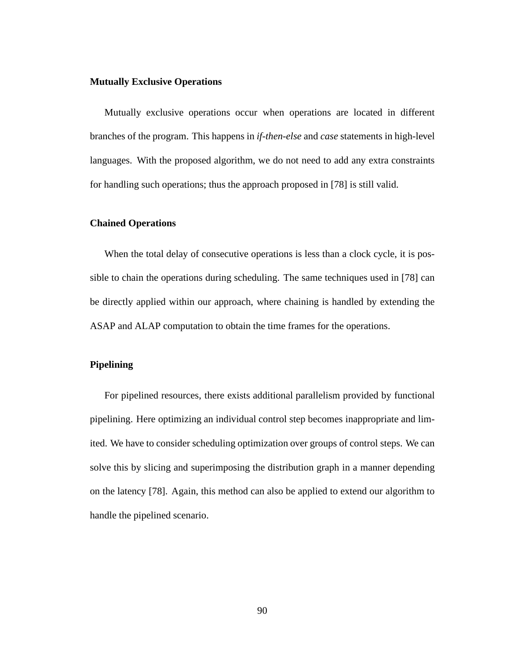#### **Mutually Exclusive Operations**

Mutually exclusive operations occur when operations are located in different branches of the program. This happens in *if-then-else* and *case* statements in high-level languages. With the proposed algorithm, we do not need to add any extra constraints for handling such operations; thus the approach proposed in [78] is still valid.

#### **Chained Operations**

When the total delay of consecutive operations is less than a clock cycle, it is possible to chain the operations during scheduling. The same techniques used in [78] can be directly applied within our approach, where chaining is handled by extending the ASAP and ALAP computation to obtain the time frames for the operations.

#### **Pipelining**

For pipelined resources, there exists additional parallelism provided by functional pipelining. Here optimizing an individual control step becomes inappropriate and limited. We have to consider scheduling optimization over groups of control steps. We can solve this by slicing and superimposing the distribution graph in a manner depending on the latency [78]. Again, this method can also be applied to extend our algorithm to handle the pipelined scenario.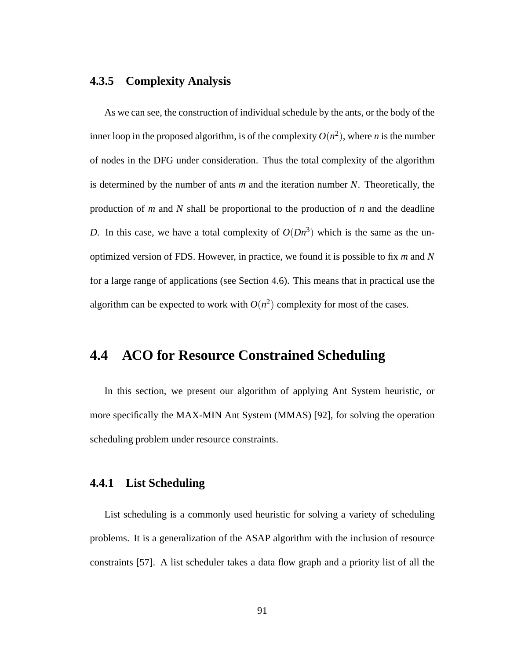# **4.3.5 Complexity Analysis**

As we can see, the construction of individual schedule by the ants, or the body of the inner loop in the proposed algorithm, is of the complexity  $O(n^2)$ , where *n* is the number of nodes in the DFG under consideration. Thus the total complexity of the algorithm is determined by the number of ants *m* and the iteration number *N*. Theoretically, the production of *m* and *N* shall be proportional to the production of *n* and the deadline *D*. In this case, we have a total complexity of  $O(Dn^3)$  which is the same as the unoptimized version of FDS. However, in practice, we found it is possible to fix *m* and *N* for a large range of applications (see Section 4.6). This means that in practical use the algorithm can be expected to work with  $O(n^2)$  complexity for most of the cases.

# **4.4 ACO for Resource Constrained Scheduling**

In this section, we present our algorithm of applying Ant System heuristic, or more specifically the MAX-MIN Ant System (MMAS) [92], for solving the operation scheduling problem under resource constraints.

## **4.4.1 List Scheduling**

List scheduling is a commonly used heuristic for solving a variety of scheduling problems. It is a generalization of the ASAP algorithm with the inclusion of resource constraints [57]. A list scheduler takes a data flow graph and a priority list of all the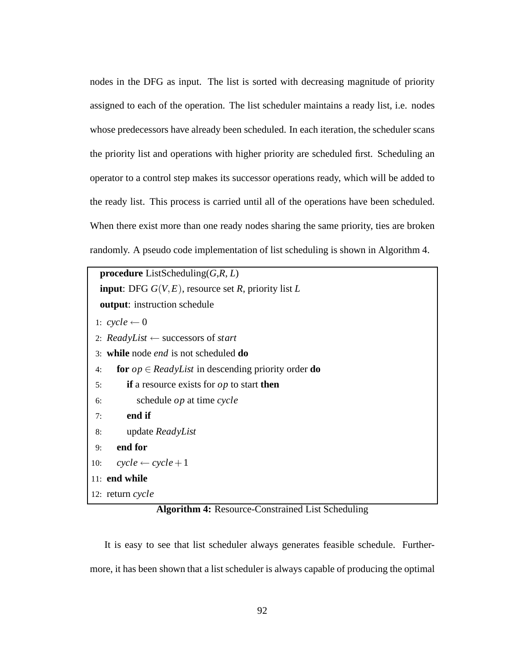nodes in the DFG as input. The list is sorted with decreasing magnitude of priority assigned to each of the operation. The list scheduler maintains a ready list, i.e. nodes whose predecessors have already been scheduled. In each iteration, the scheduler scans the priority list and operations with higher priority are scheduled first. Scheduling an operator to a control step makes its successor operations ready, which will be added to the ready list. This process is carried until all of the operations have been scheduled. When there exist more than one ready nodes sharing the same priority, ties are broken randomly. A pseudo code implementation of list scheduling is shown in Algorithm 4.

**procedure** ListScheduling(*G*,*R*, *L*) **input**: DFG *G*(*V*,*E*), resource set *R*, priority list *L* **output**: instruction schedule 1:  $cycle \leftarrow 0$ 2: *ReadyList* ← successors of *start* 3: **while** node *end* is not scheduled **do** 4: **for** *op* ∈ *ReadyList* in descending priority order **do** 5: **if** a resource exists for *op* to start **then** 6: schedule *op* at time *cycle* 7: **end if** 8: update *ReadyList* 9: **end for** 10:  $cycle \leftarrow cycle + 1$ 11: **end while** 12: return *cycle*

**Algorithm 4:** Resource-Constrained List Scheduling

It is easy to see that list scheduler always generates feasible schedule. Furthermore, it has been shown that a list scheduler is always capable of producing the optimal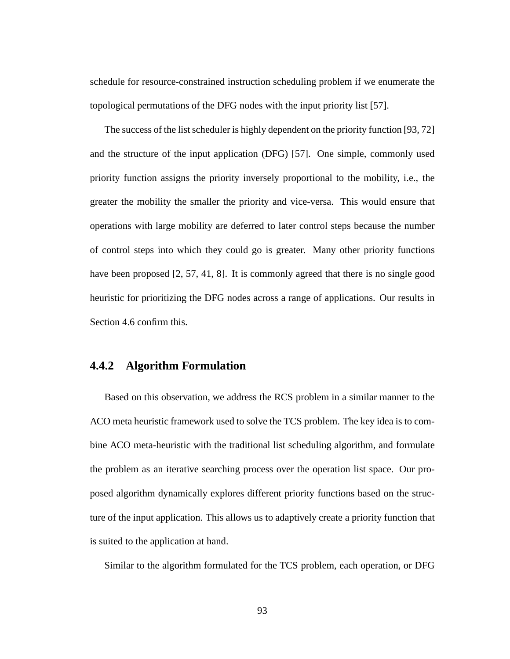schedule for resource-constrained instruction scheduling problem if we enumerate the topological permutations of the DFG nodes with the input priority list [57].

The success of the list scheduler is highly dependent on the priority function [93, 72] and the structure of the input application (DFG) [57]. One simple, commonly used priority function assigns the priority inversely proportional to the mobility, i.e., the greater the mobility the smaller the priority and vice-versa. This would ensure that operations with large mobility are deferred to later control steps because the number of control steps into which they could go is greater. Many other priority functions have been proposed [2, 57, 41, 8]. It is commonly agreed that there is no single good heuristic for prioritizing the DFG nodes across a range of applications. Our results in Section 4.6 confirm this.

#### **4.4.2 Algorithm Formulation**

Based on this observation, we address the RCS problem in a similar manner to the ACO meta heuristic framework used to solve the TCS problem. The key idea is to combine ACO meta-heuristic with the traditional list scheduling algorithm, and formulate the problem as an iterative searching process over the operation list space. Our proposed algorithm dynamically explores different priority functions based on the structure of the input application. This allows us to adaptively create a priority function that is suited to the application at hand.

Similar to the algorithm formulated for the TCS problem, each operation, or DFG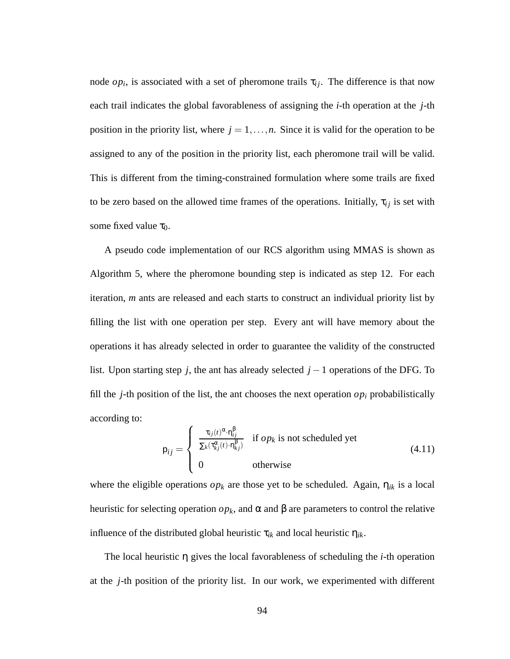node  $op_i$ , is associated with a set of pheromone trails  $\tau_{ij}$ . The difference is that now each trail indicates the global favorableness of assigning the *i*-th operation at the *j*-th position in the priority list, where  $j = 1, \ldots, n$ . Since it is valid for the operation to be assigned to any of the position in the priority list, each pheromone trail will be valid. This is different from the timing-constrained formulation where some trails are fixed to be zero based on the allowed time frames of the operations. Initially,  $\tau_{ij}$  is set with some fixed value  $\tau_0$ .

A pseudo code implementation of our RCS algorithm using MMAS is shown as Algorithm 5, where the pheromone bounding step is indicated as step 12. For each iteration, *m* ants are released and each starts to construct an individual priority list by filling the list with one operation per step. Every ant will have memory about the operations it has already selected in order to guarantee the validity of the constructed list. Upon starting step *j*, the ant has already selected *j* −1 operations of the DFG. To fill the *j*-th position of the list, the ant chooses the next operation  $op<sub>i</sub>$  probabilistically according to:

$$
\mathsf{p}_{ij} = \begin{cases}\n\frac{\tau_{ij}(t)^{\alpha} \cdot \mathsf{n}_{ij}^{\beta}}{\Sigma_k(\tau_{kj}^{\alpha}(t) \cdot \mathsf{n}_{kj}^{\beta})} & \text{if } op_k \text{ is not scheduled yet} \\
0 & \text{otherwise}\n\end{cases}
$$
\n(4.11)

where the eligible operations  $op_k$  are those yet to be scheduled. Again,  $\eta_{ik}$  is a local heuristic for selecting operation  $\partial p_k$ , and α and β are parameters to control the relative influence of the distributed global heuristic  $\tau_{ik}$  and local heuristic  $\eta_{ik}$ .

The local heuristic η gives the local favorableness of scheduling the *i*-th operation at the *j*-th position of the priority list. In our work, we experimented with different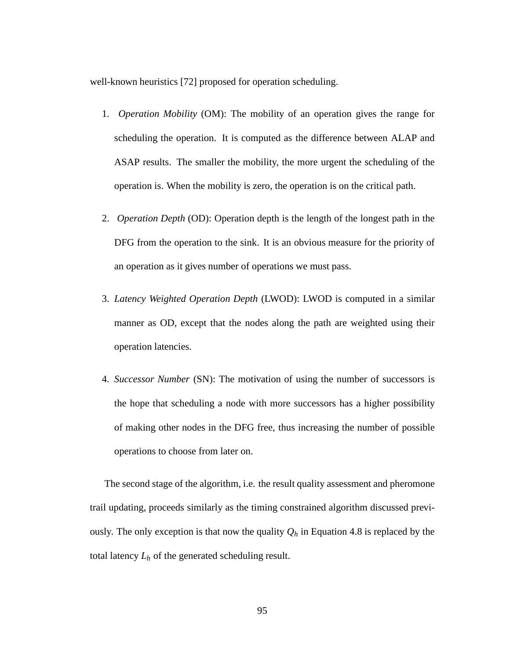well-known heuristics [72] proposed for operation scheduling.

- 1. *Operation Mobility* (OM): The mobility of an operation gives the range for scheduling the operation. It is computed as the difference between ALAP and ASAP results. The smaller the mobility, the more urgent the scheduling of the operation is. When the mobility is zero, the operation is on the critical path.
- 2. *Operation Depth* (OD): Operation depth is the length of the longest path in the DFG from the operation to the sink. It is an obvious measure for the priority of an operation as it gives number of operations we must pass.
- 3. *Latency Weighted Operation Depth* (LWOD): LWOD is computed in a similar manner as OD, except that the nodes along the path are weighted using their operation latencies.
- 4. *Successor Number* (SN): The motivation of using the number of successors is the hope that scheduling a node with more successors has a higher possibility of making other nodes in the DFG free, thus increasing the number of possible operations to choose from later on.

The second stage of the algorithm, i.e. the result quality assessment and pheromone trail updating, proceeds similarly as the timing constrained algorithm discussed previously. The only exception is that now the quality  $Q_h$  in Equation 4.8 is replaced by the total latency  $L_h$  of the generated scheduling result.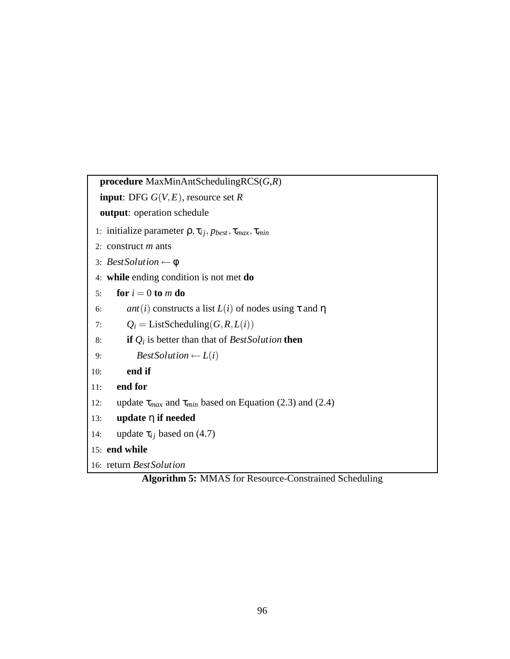**procedure** MaxMinAntSchedulingRCS(*G*,*R*)

**input**: DFG *G*(*V*,*E*), resource set *R*

**output**: operation schedule

1: initialize parameter ρ, τ*i j*, *pbest*, τ*max*, τ*min*

2: construct *m* ants

```
3: BestSolution ← φ
```
4: **while** ending condition is not met **do**

```
5: for i = 0 to m do
```
6: *ant*(*i*) constructs a list *L*(*i*) of nodes using τ and η

7:  $Q_i = \text{ListScheduling}(G, R, L(i))$ 

8: **if** *Q<sup>i</sup>* is better than that of *BestSolution* **then**

```
9: BestSolution \leftarrow L(i)
```

```
10: end if
```

```
11: end for
```
- 12: update τ*max* and τ*min* based on Equation (2.3) and (2.4)
- 13: **update** η **if needed**
- 14: update  $\tau_{ij}$  based on (4.7)
- 15: **end while**

```
16: return BestSolution
```
**Algorithm 5:** MMAS for Resource-Constrained Scheduling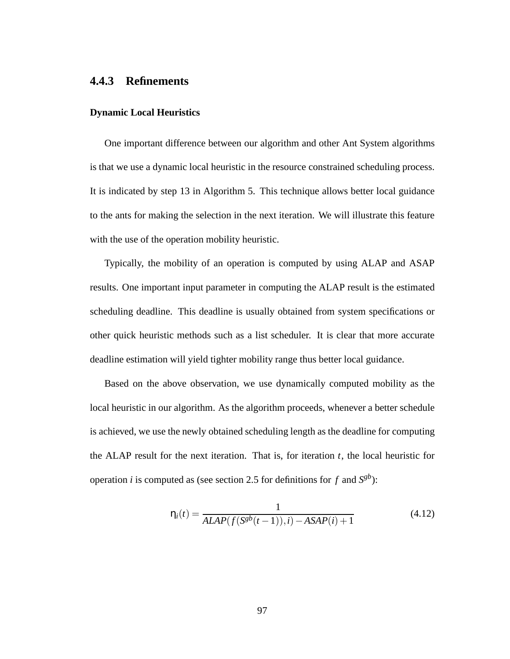### **4.4.3 Refinements**

#### **Dynamic Local Heuristics**

One important difference between our algorithm and other Ant System algorithms is that we use a dynamic local heuristic in the resource constrained scheduling process. It is indicated by step 13 in Algorithm 5. This technique allows better local guidance to the ants for making the selection in the next iteration. We will illustrate this feature with the use of the operation mobility heuristic.

Typically, the mobility of an operation is computed by using ALAP and ASAP results. One important input parameter in computing the ALAP result is the estimated scheduling deadline. This deadline is usually obtained from system specifications or other quick heuristic methods such as a list scheduler. It is clear that more accurate deadline estimation will yield tighter mobility range thus better local guidance.

Based on the above observation, we use dynamically computed mobility as the local heuristic in our algorithm. As the algorithm proceeds, whenever a better schedule is achieved, we use the newly obtained scheduling length as the deadline for computing the ALAP result for the next iteration. That is, for iteration *t*, the local heuristic for operation *i* is computed as (see section 2.5 for definitions for  $f$  and  $S^{gb}$ ):

$$
\eta_i(t) = \frac{1}{ALAP(f(S^{gb}(t-1)), i) - ASAP(i) + 1}
$$
(4.12)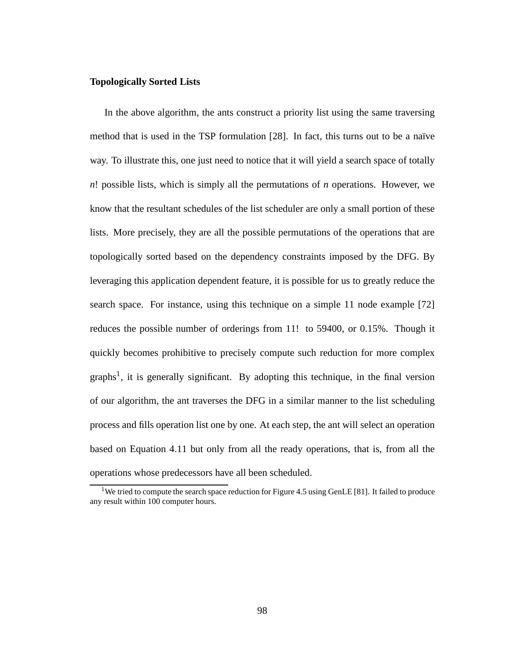#### **Topologically Sorted Lists**

In the above algorithm, the ants construct a priority list using the same traversing method that is used in the TSP formulation  $[28]$ . In fact, this turns out to be a naïve way. To illustrate this, one just need to notice that it will yield a search space of totally *n*! possible lists, which is simply all the permutations of *n* operations. However, we know that the resultant schedules of the list scheduler are only a small portion of these lists. More precisely, they are all the possible permutations of the operations that are topologically sorted based on the dependency constraints imposed by the DFG. By leveraging this application dependent feature, it is possible for us to greatly reduce the search space. For instance, using this technique on a simple 11 node example [72] reduces the possible number of orderings from 11! to 59400, or 0.15%. Though it quickly becomes prohibitive to precisely compute such reduction for more complex graphs<sup>1</sup>, it is generally significant. By adopting this technique, in the final version of our algorithm, the ant traverses the DFG in a similar manner to the list scheduling process and fills operation list one by one. At each step, the ant will select an operation based on Equation 4.11 but only from all the ready operations, that is, from all the operations whose predecessors have all been scheduled.

<sup>&</sup>lt;sup>1</sup>We tried to compute the search space reduction for Figure 4.5 using GenLE [81]. It failed to produce any result within 100 computer hours.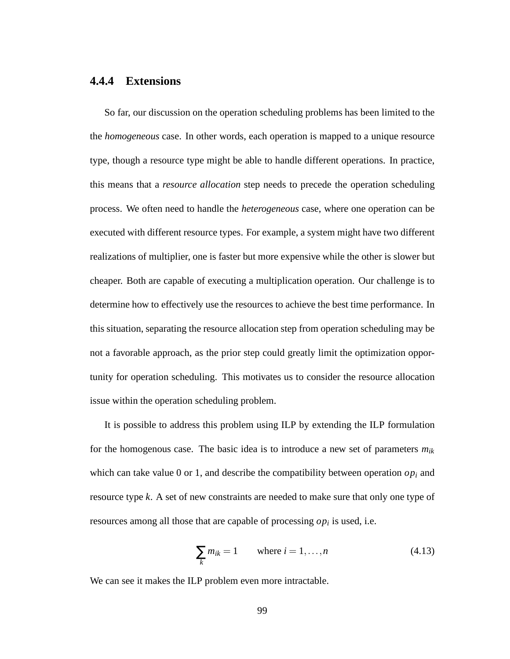## **4.4.4 Extensions**

So far, our discussion on the operation scheduling problems has been limited to the the *homogeneous* case. In other words, each operation is mapped to a unique resource type, though a resource type might be able to handle different operations. In practice, this means that a *resource allocation* step needs to precede the operation scheduling process. We often need to handle the *heterogeneous* case, where one operation can be executed with different resource types. For example, a system might have two different realizations of multiplier, one is faster but more expensive while the other is slower but cheaper. Both are capable of executing a multiplication operation. Our challenge is to determine how to effectively use the resources to achieve the best time performance. In this situation, separating the resource allocation step from operation scheduling may be not a favorable approach, as the prior step could greatly limit the optimization opportunity for operation scheduling. This motivates us to consider the resource allocation issue within the operation scheduling problem.

It is possible to address this problem using ILP by extending the ILP formulation for the homogenous case. The basic idea is to introduce a new set of parameters *mik* which can take value 0 or 1, and describe the compatibility between operation  $op_i$  and resource type *k*. A set of new constraints are needed to make sure that only one type of resources among all those that are capable of processing *op<sup>i</sup>* is used, i.e.

$$
\sum_{k} m_{ik} = 1 \qquad \text{where } i = 1, \dots, n \tag{4.13}
$$

We can see it makes the ILP problem even more intractable.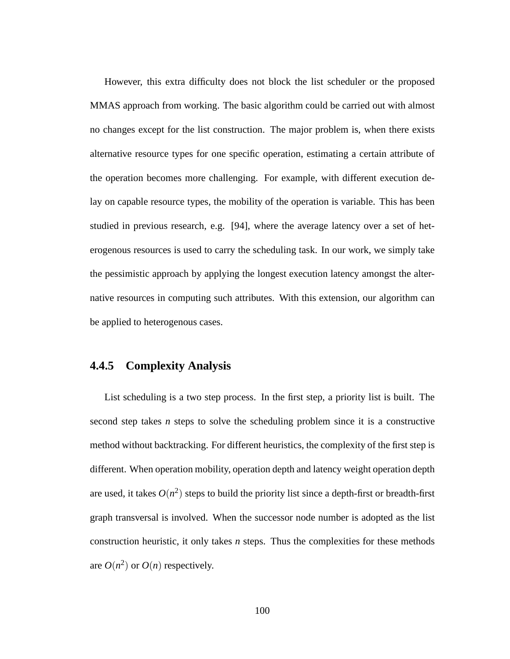However, this extra difficulty does not block the list scheduler or the proposed MMAS approach from working. The basic algorithm could be carried out with almost no changes except for the list construction. The major problem is, when there exists alternative resource types for one specific operation, estimating a certain attribute of the operation becomes more challenging. For example, with different execution delay on capable resource types, the mobility of the operation is variable. This has been studied in previous research, e.g. [94], where the average latency over a set of heterogenous resources is used to carry the scheduling task. In our work, we simply take the pessimistic approach by applying the longest execution latency amongst the alternative resources in computing such attributes. With this extension, our algorithm can be applied to heterogenous cases.

### **4.4.5 Complexity Analysis**

List scheduling is a two step process. In the first step, a priority list is built. The second step takes *n* steps to solve the scheduling problem since it is a constructive method without backtracking. For different heuristics, the complexity of the first step is different. When operation mobility, operation depth and latency weight operation depth are used, it takes  $O(n^2)$  steps to build the priority list since a depth-first or breadth-first graph transversal is involved. When the successor node number is adopted as the list construction heuristic, it only takes *n* steps. Thus the complexities for these methods are  $O(n^2)$  or  $O(n)$  respectively.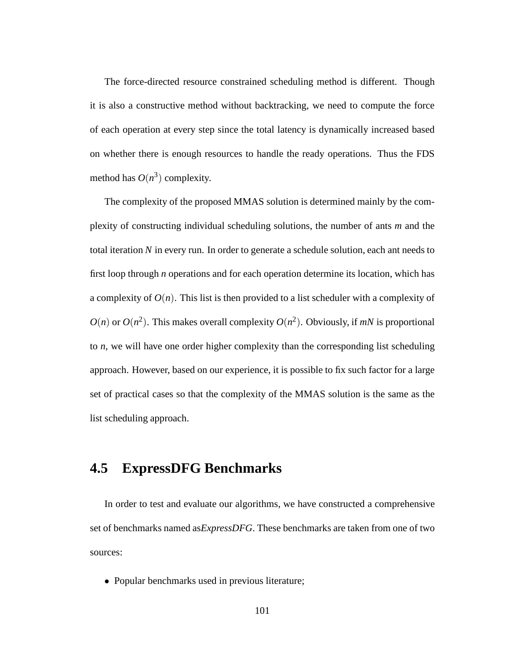The force-directed resource constrained scheduling method is different. Though it is also a constructive method without backtracking, we need to compute the force of each operation at every step since the total latency is dynamically increased based on whether there is enough resources to handle the ready operations. Thus the FDS method has  $O(n^3)$  complexity.

The complexity of the proposed MMAS solution is determined mainly by the complexity of constructing individual scheduling solutions, the number of ants *m* and the total iteration *N* in every run. In order to generate a schedule solution, each ant needs to first loop through *n* operations and for each operation determine its location, which has a complexity of  $O(n)$ . This list is then provided to a list scheduler with a complexity of  $O(n)$  or  $O(n^2)$ . This makes overall complexity  $O(n^2)$ . Obviously, if *mN* is proportional to *n*, we will have one order higher complexity than the corresponding list scheduling approach. However, based on our experience, it is possible to fix such factor for a large set of practical cases so that the complexity of the MMAS solution is the same as the list scheduling approach.

# **4.5 ExpressDFG Benchmarks**

In order to test and evaluate our algorithms, we have constructed a comprehensive set of benchmarks named as*ExpressDFG*. These benchmarks are taken from one of two sources:

• Popular benchmarks used in previous literature;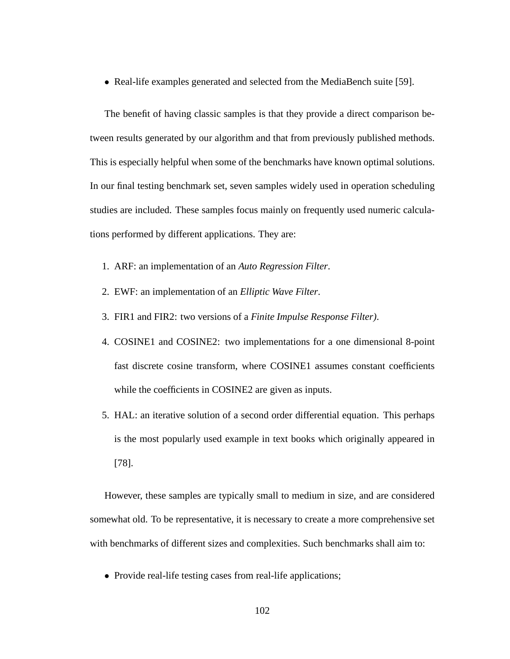• Real-life examples generated and selected from the MediaBench suite [59].

The benefit of having classic samples is that they provide a direct comparison between results generated by our algorithm and that from previously published methods. This is especially helpful when some of the benchmarks have known optimal solutions. In our final testing benchmark set, seven samples widely used in operation scheduling studies are included. These samples focus mainly on frequently used numeric calculations performed by different applications. They are:

- 1. ARF: an implementation of an *Auto Regression Filter*.
- 2. EWF: an implementation of an *Elliptic Wave Filter*.
- 3. FIR1 and FIR2: two versions of a *Finite Impulse Response Filter)*.
- 4. COSINE1 and COSINE2: two implementations for a one dimensional 8-point fast discrete cosine transform, where COSINE1 assumes constant coefficients while the coefficients in COSINE2 are given as inputs.
- 5. HAL: an iterative solution of a second order differential equation. This perhaps is the most popularly used example in text books which originally appeared in [78].

However, these samples are typically small to medium in size, and are considered somewhat old. To be representative, it is necessary to create a more comprehensive set with benchmarks of different sizes and complexities. Such benchmarks shall aim to:

• Provide real-life testing cases from real-life applications;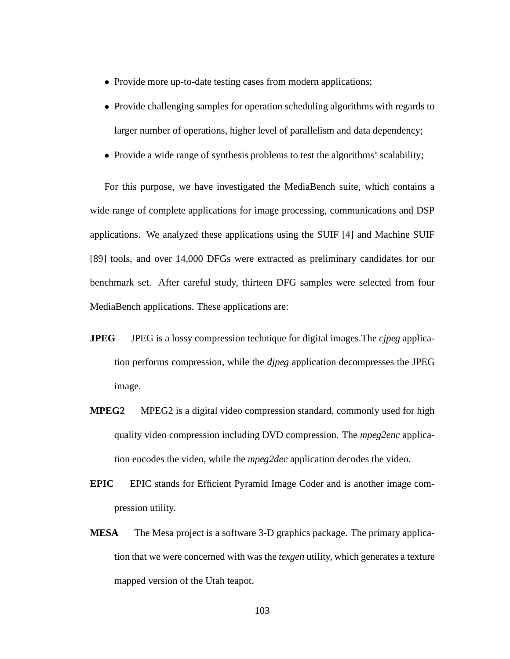- Provide more up-to-date testing cases from modern applications;
- Provide challenging samples for operation scheduling algorithms with regards to larger number of operations, higher level of parallelism and data dependency;
- Provide a wide range of synthesis problems to test the algorithms' scalability;

For this purpose, we have investigated the MediaBench suite, which contains a wide range of complete applications for image processing, communications and DSP applications. We analyzed these applications using the SUIF [4] and Machine SUIF [89] tools, and over 14,000 DFGs were extracted as preliminary candidates for our benchmark set. After careful study, thirteen DFG samples were selected from four MediaBench applications. These applications are:

- **JPEG** JPEG is a lossy compression technique for digital images.The *cjpeg* application performs compression, while the *djpeg* application decompresses the JPEG image.
- **MPEG2** MPEG2 is a digital video compression standard, commonly used for high quality video compression including DVD compression. The *mpeg2enc* application encodes the video, while the *mpeg2dec* application decodes the video.
- **EPIC** EPIC stands for Efficient Pyramid Image Coder and is another image compression utility.
- **MESA** The Mesa project is a software 3-D graphics package. The primary application that we were concerned with was the *texgen* utility, which generates a texture mapped version of the Utah teapot.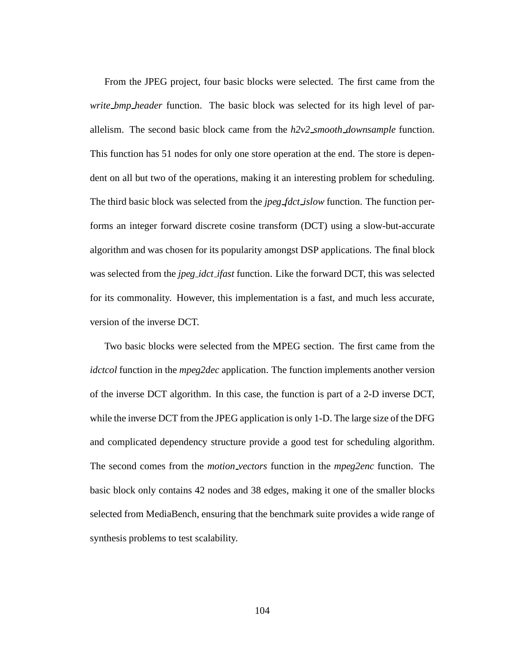From the JPEG project, four basic blocks were selected. The first came from the *write bmp header* function. The basic block was selected for its high level of parallelism. The second basic block came from the *h2v2 smooth downsample* function. This function has 51 nodes for only one store operation at the end. The store is dependent on all but two of the operations, making it an interesting problem for scheduling. The third basic block was selected from the *jpeg fdct islow* function. The function performs an integer forward discrete cosine transform (DCT) using a slow-but-accurate algorithm and was chosen for its popularity amongst DSP applications. The final block was selected from the *jpeg idct ifast* function. Like the forward DCT, this was selected for its commonality. However, this implementation is a fast, and much less accurate, version of the inverse DCT.

Two basic blocks were selected from the MPEG section. The first came from the *idctcol* function in the *mpeg2dec* application. The function implements another version of the inverse DCT algorithm. In this case, the function is part of a 2-D inverse DCT, while the inverse DCT from the JPEG application is only 1-D. The large size of the DFG and complicated dependency structure provide a good test for scheduling algorithm. The second comes from the *motion vectors* function in the *mpeg2enc* function. The basic block only contains 42 nodes and 38 edges, making it one of the smaller blocks selected from MediaBench, ensuring that the benchmark suite provides a wide range of synthesis problems to test scalability.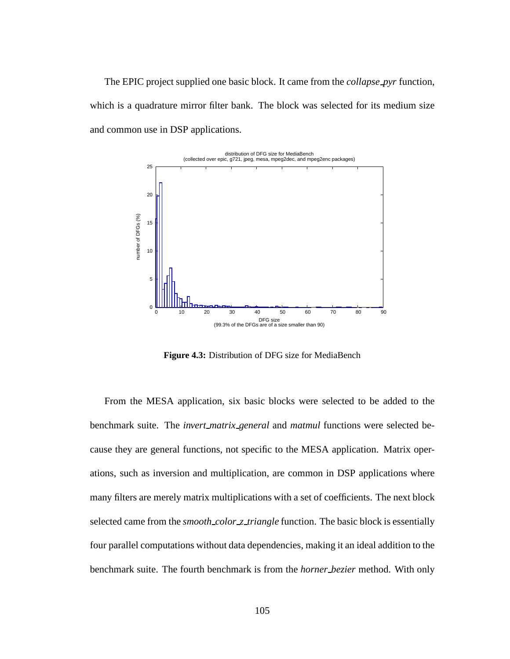The EPIC project supplied one basic block. It came from the *collapse pyr* function, which is a quadrature mirror filter bank. The block was selected for its medium size and common use in DSP applications.



**Figure 4.3:** Distribution of DFG size for MediaBench

From the MESA application, six basic blocks were selected to be added to the benchmark suite. The *invert matrix general* and *matmul* functions were selected because they are general functions, not specific to the MESA application. Matrix operations, such as inversion and multiplication, are common in DSP applications where many filters are merely matrix multiplications with a set of coefficients. The next block selected came from the *smooth color z triangle* function. The basic block is essentially four parallel computations without data dependencies, making it an ideal addition to the benchmark suite. The fourth benchmark is from the *horner bezier* method. With only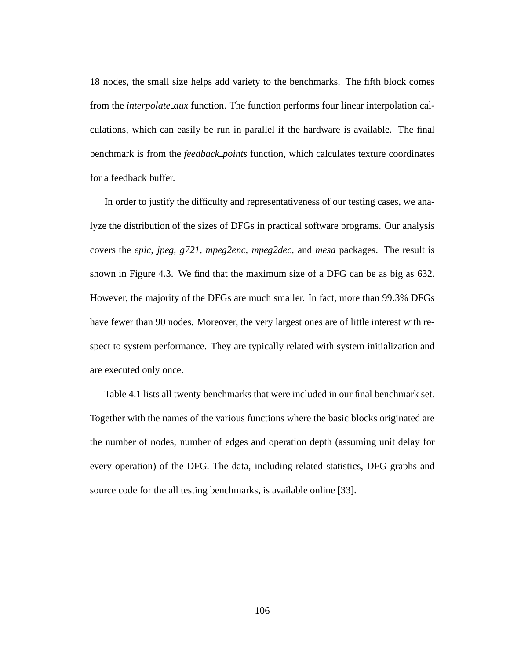18 nodes, the small size helps add variety to the benchmarks. The fifth block comes from the *interpolate aux* function. The function performs four linear interpolation calculations, which can easily be run in parallel if the hardware is available. The final benchmark is from the *feedback points* function, which calculates texture coordinates for a feedback buffer.

In order to justify the difficulty and representativeness of our testing cases, we analyze the distribution of the sizes of DFGs in practical software programs. Our analysis covers the *epic, jpeg, g721, mpeg2enc, mpeg2dec*, and *mesa* packages. The result is shown in Figure 4.3. We find that the maximum size of a DFG can be as big as 632. However, the majority of the DFGs are much smaller. In fact, more than 99.3% DFGs have fewer than 90 nodes. Moreover, the very largest ones are of little interest with respect to system performance. They are typically related with system initialization and are executed only once.

Table 4.1 lists all twenty benchmarks that were included in our final benchmark set. Together with the names of the various functions where the basic blocks originated are the number of nodes, number of edges and operation depth (assuming unit delay for every operation) of the DFG. The data, including related statistics, DFG graphs and source code for the all testing benchmarks, is available online [33].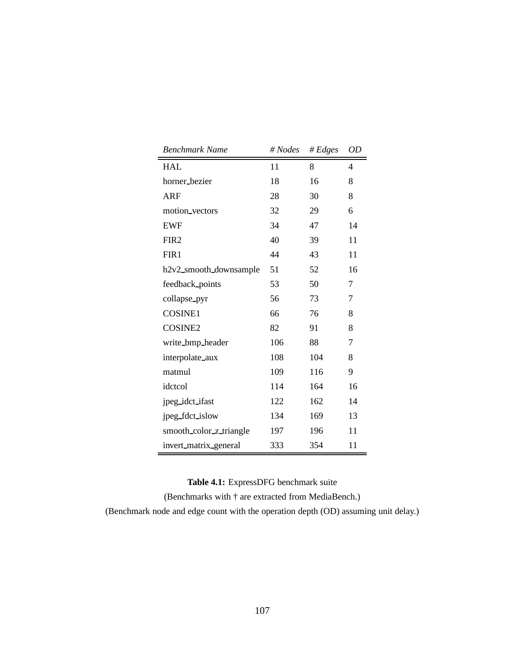| <b>Benchmark Name</b>   | # Nodes | # $Edges$ | OD             |
|-------------------------|---------|-----------|----------------|
| <b>HAL</b>              | 11      | 8         | $\overline{4}$ |
| horner_bezier           | 18      | 16        | 8              |
| <b>ARF</b>              | 28      | 30        | 8              |
| motion_vectors          | 32      | 29        | 6              |
| <b>EWF</b>              | 34      | 47        | 14             |
| FIR2                    | 40      | 39        | 11             |
| FIR1                    | 44      | 43        | 11             |
| h2v2_smooth_downsample  | 51      | 52        | 16             |
| feedback_points         | 53      | 50        | 7              |
| collapse_pyr            | 56      | 73        | 7              |
| <b>COSINE1</b>          | 66      | 76        | 8              |
| COSINE2                 | 82      | 91        | 8              |
| write_bmp_header        | 106     | 88        | 7              |
| interpolate_aux         | 108     | 104       | 8              |
| matmul                  | 109     | 116       | 9              |
| idctcol                 | 114     | 164       | 16             |
| jpeg_idct_ifast         | 122     | 162       | 14             |
| jpeg_fdct_islow         | 134     | 169       | 13             |
| smooth_color_z_triangle | 197     | 196       | 11             |
| invert_matrix_general   | 333     | 354       | 11             |

## **Table 4.1:** ExpressDFG benchmark suite

(Benchmarks with † are extracted from MediaBench.) (Benchmark node and edge count with the operation depth (OD) assuming unit delay.)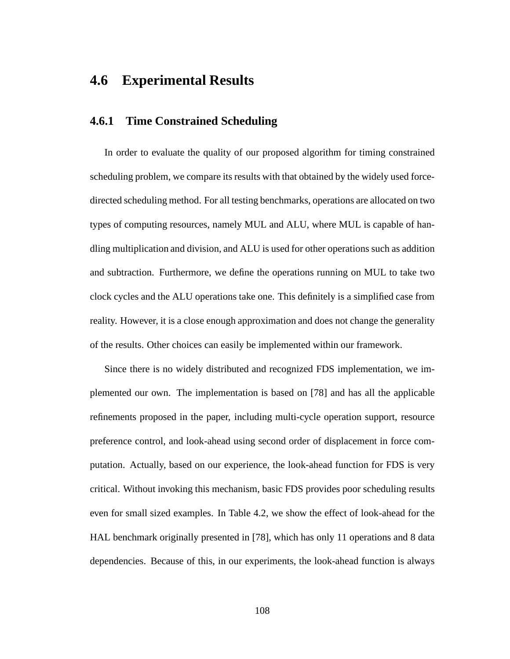# **4.6 Experimental Results**

## **4.6.1 Time Constrained Scheduling**

In order to evaluate the quality of our proposed algorithm for timing constrained scheduling problem, we compare its results with that obtained by the widely used forcedirected scheduling method. For all testing benchmarks, operations are allocated on two types of computing resources, namely MUL and ALU, where MUL is capable of handling multiplication and division, and ALU is used for other operations such as addition and subtraction. Furthermore, we define the operations running on MUL to take two clock cycles and the ALU operations take one. This definitely is a simplified case from reality. However, it is a close enough approximation and does not change the generality of the results. Other choices can easily be implemented within our framework.

Since there is no widely distributed and recognized FDS implementation, we implemented our own. The implementation is based on [78] and has all the applicable refinements proposed in the paper, including multi-cycle operation support, resource preference control, and look-ahead using second order of displacement in force computation. Actually, based on our experience, the look-ahead function for FDS is very critical. Without invoking this mechanism, basic FDS provides poor scheduling results even for small sized examples. In Table 4.2, we show the effect of look-ahead for the HAL benchmark originally presented in [78], which has only 11 operations and 8 data dependencies. Because of this, in our experiments, the look-ahead function is always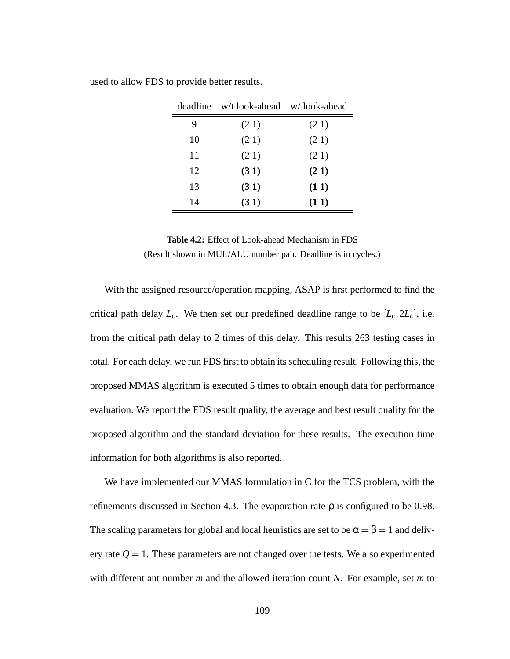|    | deadline w/t look-ahead w/look-ahead |      |
|----|--------------------------------------|------|
| 9  | (21)                                 | (21) |
| 10 | (21)                                 | (21) |
| 11 | (21)                                 | (21) |
| 12 | (31)                                 | (21) |
| 13 | (31)                                 | (11) |
| 14 | (31)                                 | (11) |

used to allow FDS to provide better results.

**Table 4.2:** Effect of Look-ahead Mechanism in FDS (Result shown in MUL/ALU number pair. Deadline is in cycles.)

With the assigned resource/operation mapping, ASAP is first performed to find the critical path delay  $L_c$ . We then set our predefined deadline range to be  $[L_c, 2L_c]$ , i.e. from the critical path delay to 2 times of this delay. This results 263 testing cases in total. For each delay, we run FDS first to obtain its scheduling result. Following this, the proposed MMAS algorithm is executed 5 times to obtain enough data for performance evaluation. We report the FDS result quality, the average and best result quality for the proposed algorithm and the standard deviation for these results. The execution time information for both algorithms is also reported.

We have implemented our MMAS formulation in C for the TCS problem, with the refinements discussed in Section 4.3. The evaporation rate ρ is configured to be 0.98. The scaling parameters for global and local heuristics are set to be  $\alpha = \beta = 1$  and delivery rate  $Q = 1$ . These parameters are not changed over the tests. We also experimented with different ant number *m* and the allowed iteration count *N*. For example, set *m* to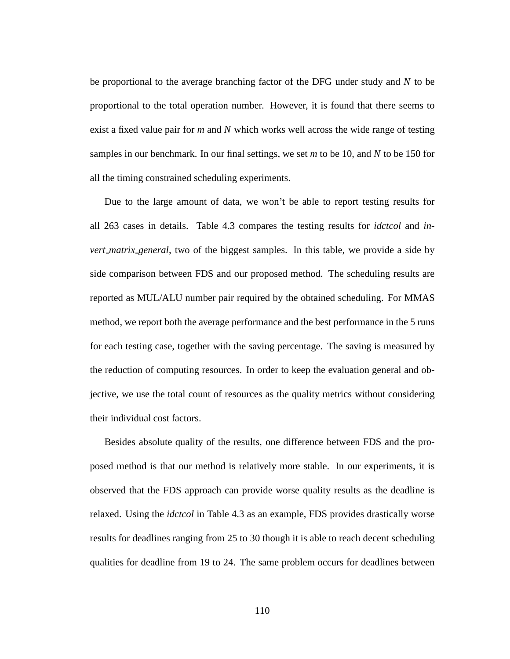be proportional to the average branching factor of the DFG under study and *N* to be proportional to the total operation number. However, it is found that there seems to exist a fixed value pair for *m* and *N* which works well across the wide range of testing samples in our benchmark. In our final settings, we set *m* to be 10, and *N* to be 150 for all the timing constrained scheduling experiments.

Due to the large amount of data, we won't be able to report testing results for all 263 cases in details. Table 4.3 compares the testing results for *idctcol* and *invert matrix general*, two of the biggest samples. In this table, we provide a side by side comparison between FDS and our proposed method. The scheduling results are reported as MUL/ALU number pair required by the obtained scheduling. For MMAS method, we report both the average performance and the best performance in the 5 runs for each testing case, together with the saving percentage. The saving is measured by the reduction of computing resources. In order to keep the evaluation general and objective, we use the total count of resources as the quality metrics without considering their individual cost factors.

Besides absolute quality of the results, one difference between FDS and the proposed method is that our method is relatively more stable. In our experiments, it is observed that the FDS approach can provide worse quality results as the deadline is relaxed. Using the *idctcol* in Table 4.3 as an example, FDS provides drastically worse results for deadlines ranging from 25 to 30 though it is able to reach decent scheduling qualities for deadline from 19 to 24. The same problem occurs for deadlines between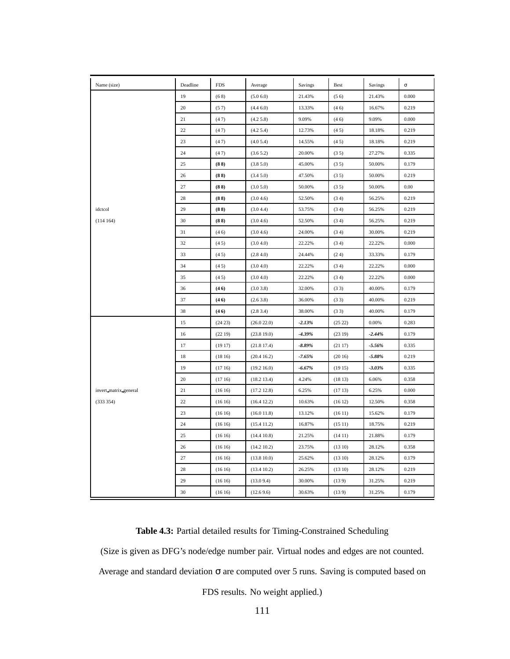| Name (size)           | Deadline | <b>FDS</b> | Average     | Savings  | <b>Best</b> | Savings  | $\sigma$ |
|-----------------------|----------|------------|-------------|----------|-------------|----------|----------|
|                       | 19       | (68)       | (5.06.0)    | 21.43%   | (56)        | 21.43%   | 0.000    |
|                       | 20       | (57)       | (4.46.0)    | 13.33%   | (46)        | 16.67%   | 0.219    |
|                       | 21       | (47)       | (4.25.8)    | 9.09%    | (46)        | 9.09%    | 0.000    |
|                       | 22       | (47)       | (4.25.4)    | 12.73%   | (4.5)       | 18.18%   | 0.219    |
|                       | 23       | (47)       | (4.05.4)    | 14.55%   | (4.5)       | 18.18%   | 0.219    |
|                       | 24       | (47)       | (3.65.2)    | 20.00%   | (3.5)       | 27.27%   | 0.335    |
|                       | 25       | (88)       | (3.85.0)    | 45.00%   | (3.5)       | 50.00%   | 0.179    |
|                       | 26       | (88)       | (3.45.0)    | 47.50%   | (3.5)       | 50.00%   | 0.219    |
|                       | 27       | (88)       | (3.05.0)    | 50.00%   | (3.5)       | 50.00%   | 0.00     |
|                       | 28       | (88)       | (3.04.6)    | 52.50%   | (34)        | 56.25%   | 0.219    |
| idctcol               | 29       | (88)       | (3.04.4)    | 53.75%   | (34)        | 56.25%   | 0.219    |
| (114164)              | 30       | (88)       | (3.04.6)    | 52.50%   | (34)        | 56.25%   | 0.219    |
|                       | 31       | (46)       | (3.04.6)    | 24.00%   | (34)        | 30.00%   | 0.219    |
|                       | 32       | (4.5)      | (3.0 4.0)   | 22.22%   | (34)        | 22.22%   | 0.000    |
|                       | 33       | (4.5)      | (2.84.0)    | 24.44%   | (24)        | 33.33%   | 0.179    |
|                       | 34       | (4.5)      | (3.0 4.0)   | 22.22%   | (34)        | 22.22%   | 0.000    |
|                       | 35       | (4.5)      | (3.0 4.0)   | 22.22%   | (34)        | 22.22%   | 0.000    |
|                       | 36       | (46)       | (3.03.8)    | 32.00%   | (33)        | 40.00%   | 0.179    |
|                       | 37       | (46)       | (2.63.8)    | 36.00%   | (33)        | 40.00%   | 0.219    |
|                       | 38       | (46)       | (2.83.4)    | 38.00%   | (33)        | 40.00%   | 0.179    |
|                       | 15       | (2423)     | (26.0 22.0) | $-2.13%$ | (25 22)     | 0.00%    | 0.283    |
|                       | 16       | (2219)     | (23.819.0)  | $-4.39%$ | (2319)      | $-2.44%$ | 0.179    |
|                       | 17       | (1917)     | (21.817.4)  | $-8.89%$ | (2117)      | $-5.56%$ | 0.335    |
|                       | 18       | (1816)     | (20.416.2)  | $-7.65%$ | (2016)      | $-5.88%$ | 0.219    |
|                       | 19       | (1716)     | (19.2 16.0) | $-6.67%$ | (1915)      | $-3.03%$ | 0.335    |
|                       | 20       | (1716)     | (18.2 13.4) | 4.24%    | (1813)      | 6.06%    | 0.358    |
| invert_matrix_general | 21       | (1616)     | (17.2 12.8) | 6.25%    | (1713)      | 6.25%    | 0.000    |
| (3333354)             | 22       | (1616)     | (16.4 12.2) | 10.63%   | (1612)      | 12.50%   | 0.358    |
|                       | 23       | (1616)     | (16.011.8)  | 13.12%   | (1611)      | 15.62%   | 0.179    |
|                       | 24       | (1616)     | (15.4 11.2) | 16.87%   | (1511)      | 18.75%   | 0.219    |
|                       | 25       | (1616)     | (14.4 10.8) | 21.25%   | (1411)      | 21.88%   | 0.179    |
|                       | 26       | (1616)     | (14.2 10.2) | 23.75%   | (1310)      | 28.12%   | 0.358    |
|                       | 27       | (1616)     | (13.8 10.0) | 25.62%   | (1310)      | 28.12%   | 0.179    |
|                       | 28       | (1616)     | (13.4 10.2) | 26.25%   | (1310)      | 28.12%   | 0.219    |
|                       | 29       | (1616)     | (13.09.4)   | 30.00%   | (139)       | 31.25%   | 0.219    |
|                       | 30       | (1616)     | (12.69.6)   | 30.63%   | (139)       | 31.25%   | 0.179    |

**Table 4.3:** Partial detailed results for Timing-Constrained Scheduling

(Size is given as DFG's node/edge number pair. Virtual nodes and edges are not counted.

Average and standard deviation  $\sigma$  are computed over 5 runs. Saving is computed based on

FDS results. No weight applied.)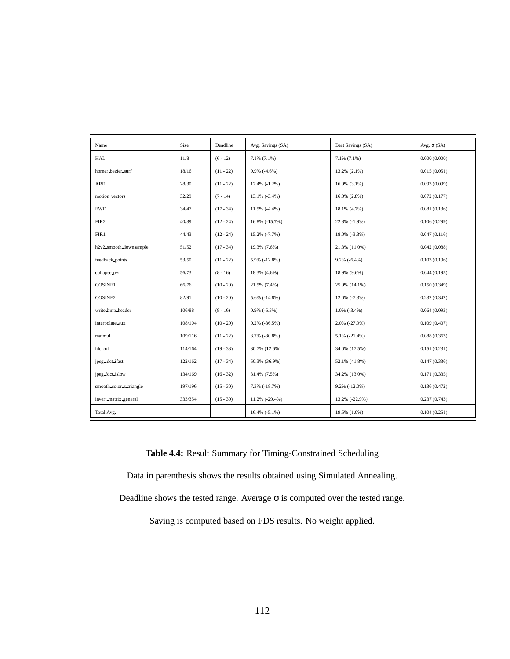| Name                    | Size    | Deadline    | Avg. Savings (SA)    | Best Savings (SA)     | Avg. $\sigma(SA)$ |
|-------------------------|---------|-------------|----------------------|-----------------------|-------------------|
| <b>HAL</b>              | 11/8    | $(6 - 12)$  | 7.1% (7.1%)          | 7.1% (7.1%)           | 0.000(0.000)      |
| horner bezier surf      | 18/16   | $(11 - 22)$ | $9.9\%$ (-4.6%)      | 13.2% (2.1%)          | 0.015(0.051)      |
| ARF                     | 28/30   | $(11 - 22)$ | 12.4% (-1.2%)        | $16.9\%$ $(3.1\%)$    | 0.093(0.099)      |
| motion vectors          | 32/29   | $(7 - 14)$  | $13.1\%$ (-3.4%)     | $16.0\%$ $(2.8\%)$    | 0.072(0.177)      |
| <b>EWF</b>              | 34/47   | $(17 - 34)$ | $11.5\%$ $(-4.4\%)$  | 18.1% (4.7%)          | 0.081(0.136)      |
| FIR2                    | 40/39   | $(12 - 24)$ | 16.8% (-15.7%)       | 22.8% (-1.9%)         | 0.106(0.299)      |
| FIR1                    | 44/43   | $(12 - 24)$ | 15.2% (-7.7%)        | 18.0% (-3.3%)         | 0.047(0.116)      |
| h2v2_smooth_downsample  | 51/52   | $(17 - 34)$ | 19.3% (7.6%)         | 21.3% (11.0%)         | 0.042(0.088)      |
| feedback points         | 53/50   | $(11 - 22)$ | 5.9% (-12.8%)        | $9.2\%$ (-6.4%)       | 0.103(0.196)      |
| collapse pyr            | 56/73   | $(8 - 16)$  | 18.3% (4.6%)         | 18.9% (9.6%)          | 0.044(0.195)      |
| COSINE1                 | 66/76   | $(10 - 20)$ | 21.5% (7.4%)         | 25.9% (14.1%)         | 0.150(0.349)      |
| COSINE2                 | 82/91   | $(10 - 20)$ | $5.6\%$ $(-14.8\%)$  | 12.0% (-7.3%)         | 0.232(0.342)      |
| write bmp header        | 106/88  | $(8 - 16)$  | $0.9\%$ ( $-5.3\%$ ) | $1.0\%$ (-3.4%)       | 0.064(0.093)      |
| interpolate aux         | 108/104 | $(10 - 20)$ | $0.2\%$ (-36.5%)     | 2.0% (-27.9%)         | 0.109(0.407)      |
| matmul                  | 109/116 | $(11 - 22)$ | 3.7% (-30.8%)        | $5.1\%$ (-21.4%)      | 0.088(0.363)      |
| idctcol                 | 114/164 | $(19 - 38)$ | 30.7% (12.6%)        | 34.0% (17.5%)         | 0.151(0.231)      |
| jpeg idct ifast         | 122/162 | $(17 - 34)$ | 50.3% (36.9%)        | 52.1% (41.8%)         | 0.147(0.336)      |
| jpeg fdct islow         | 134/169 | $(16 - 32)$ | 31.4% (7.5%)         | 34.2% (13.0%)         | 0.171(0.335)      |
| smooth color z triangle | 197/196 | $(15 - 30)$ | $7.3\%$ $(-18.7\%)$  | $9.2\%$ ( $-12.0\%$ ) | 0.136(0.472)      |
| invert matrix general   | 333/354 | $(15 - 30)$ | 11.2% (-29.4%)       | 13.2% (-22.9%)        | 0.237(0.743)      |
| Total Avg.              |         |             | $16.4\%$ (-5.1%)     | 19.5% (1.0%)          | 0.104(0.251)      |

**Table 4.4:** Result Summary for Timing-Constrained Scheduling

Data in parenthesis shows the results obtained using Simulated Annealing.

Deadline shows the tested range. Average  $\sigma$  is computed over the tested range.

Saving is computed based on FDS results. No weight applied.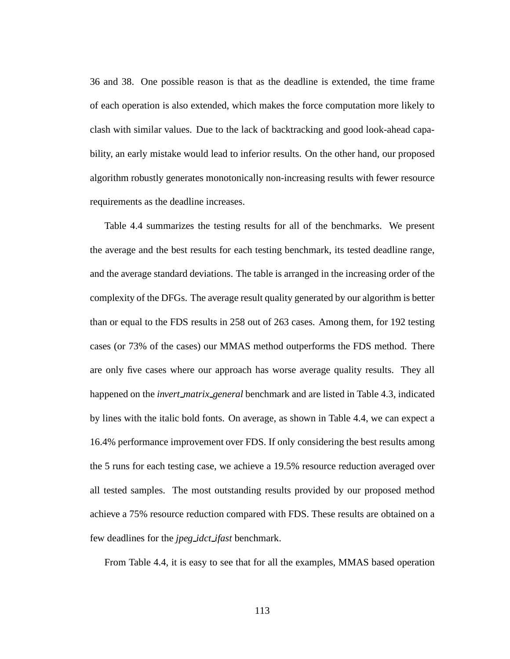36 and 38. One possible reason is that as the deadline is extended, the time frame of each operation is also extended, which makes the force computation more likely to clash with similar values. Due to the lack of backtracking and good look-ahead capability, an early mistake would lead to inferior results. On the other hand, our proposed algorithm robustly generates monotonically non-increasing results with fewer resource requirements as the deadline increases.

Table 4.4 summarizes the testing results for all of the benchmarks. We present the average and the best results for each testing benchmark, its tested deadline range, and the average standard deviations. The table is arranged in the increasing order of the complexity of the DFGs. The average result quality generated by our algorithm is better than or equal to the FDS results in 258 out of 263 cases. Among them, for 192 testing cases (or 73% of the cases) our MMAS method outperforms the FDS method. There are only five cases where our approach has worse average quality results. They all happened on the *invert matrix general* benchmark and are listed in Table 4.3, indicated by lines with the italic bold fonts. On average, as shown in Table 4.4, we can expect a 16.4% performance improvement over FDS. If only considering the best results among the 5 runs for each testing case, we achieve a 19.5% resource reduction averaged over all tested samples. The most outstanding results provided by our proposed method achieve a 75% resource reduction compared with FDS. These results are obtained on a few deadlines for the *jpeg idct ifast* benchmark.

From Table 4.4, it is easy to see that for all the examples, MMAS based operation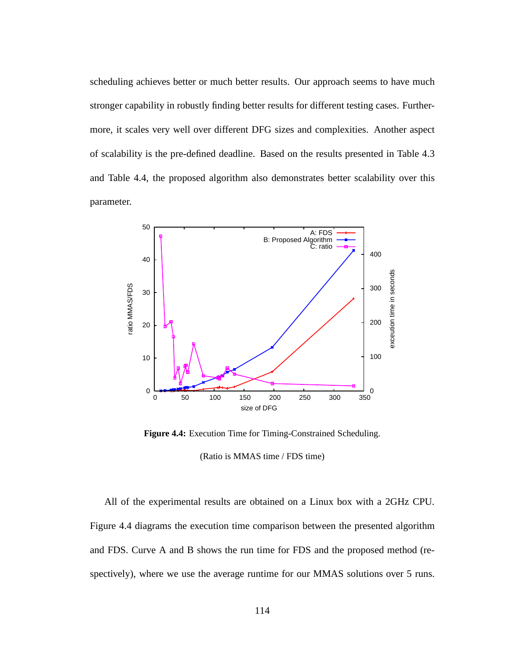scheduling achieves better or much better results. Our approach seems to have much stronger capability in robustly finding better results for different testing cases. Furthermore, it scales very well over different DFG sizes and complexities. Another aspect of scalability is the pre-defined deadline. Based on the results presented in Table 4.3 and Table 4.4, the proposed algorithm also demonstrates better scalability over this parameter.



**Figure 4.4:** Execution Time for Timing-Constrained Scheduling.

(Ratio is MMAS time / FDS time)

All of the experimental results are obtained on a Linux box with a 2GHz CPU. Figure 4.4 diagrams the execution time comparison between the presented algorithm and FDS. Curve A and B shows the run time for FDS and the proposed method (respectively), where we use the average runtime for our MMAS solutions over 5 runs.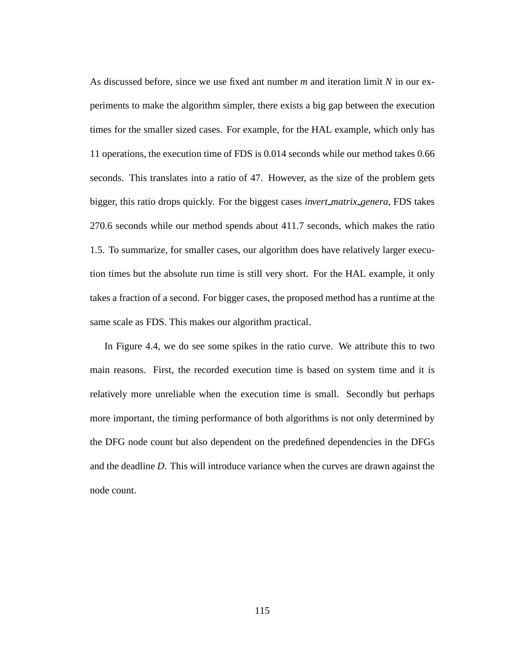As discussed before, since we use fixed ant number *m* and iteration limit *N* in our experiments to make the algorithm simpler, there exists a big gap between the execution times for the smaller sized cases. For example, for the HAL example, which only has 11 operations, the execution time of FDS is 0.014 seconds while our method takes 0.66 seconds. This translates into a ratio of 47. However, as the size of the problem gets bigger, this ratio drops quickly. For the biggest cases *invert matrix genera*, FDS takes 270.6 seconds while our method spends about 411.7 seconds, which makes the ratio 1.5. To summarize, for smaller cases, our algorithm does have relatively larger execution times but the absolute run time is still very short. For the HAL example, it only takes a fraction of a second. For bigger cases, the proposed method has a runtime at the same scale as FDS. This makes our algorithm practical.

In Figure 4.4, we do see some spikes in the ratio curve. We attribute this to two main reasons. First, the recorded execution time is based on system time and it is relatively more unreliable when the execution time is small. Secondly but perhaps more important, the timing performance of both algorithms is not only determined by the DFG node count but also dependent on the predefined dependencies in the DFGs and the deadline *D*. This will introduce variance when the curves are drawn against the node count.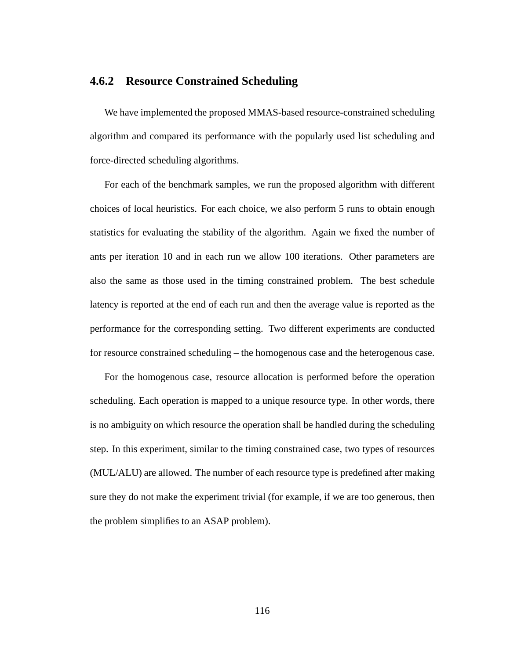## **4.6.2 Resource Constrained Scheduling**

We have implemented the proposed MMAS-based resource-constrained scheduling algorithm and compared its performance with the popularly used list scheduling and force-directed scheduling algorithms.

For each of the benchmark samples, we run the proposed algorithm with different choices of local heuristics. For each choice, we also perform 5 runs to obtain enough statistics for evaluating the stability of the algorithm. Again we fixed the number of ants per iteration 10 and in each run we allow 100 iterations. Other parameters are also the same as those used in the timing constrained problem. The best schedule latency is reported at the end of each run and then the average value is reported as the performance for the corresponding setting. Two different experiments are conducted for resource constrained scheduling – the homogenous case and the heterogenous case.

For the homogenous case, resource allocation is performed before the operation scheduling. Each operation is mapped to a unique resource type. In other words, there is no ambiguity on which resource the operation shall be handled during the scheduling step. In this experiment, similar to the timing constrained case, two types of resources (MUL/ALU) are allowed. The number of each resource type is predefined after making sure they do not make the experiment trivial (for example, if we are too generous, then the problem simplifies to an ASAP problem).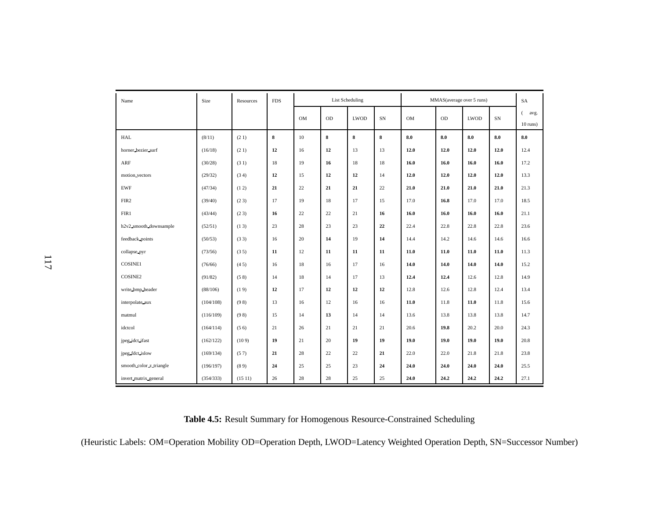| Name                    | Size      | Resources | <b>FDS</b> |           |           | List Scheduling |            |           | MMAS(average over 5 runs) |             | <b>SA</b>  |                                |
|-------------------------|-----------|-----------|------------|-----------|-----------|-----------------|------------|-----------|---------------------------|-------------|------------|--------------------------------|
|                         |           |           |            | <b>OM</b> | <b>OD</b> | <b>LWOD</b>     | ${\rm SN}$ | <b>OM</b> | <b>OD</b>                 | <b>LWOD</b> | ${\rm SN}$ | $\left($<br>avg.<br>$10$ runs) |
| <b>HAL</b>              | (8/11)    | (21)      | 8          | 10        | 8         | 8               | 8          | 8.0       | 8.0                       | 8.0         | 8.0        | 8.0                            |
| horner bezier surf      | (16/18)   | (21)      | 12         | 16        | 12        | 13              | 13         | 12.0      | 12.0                      | 12.0        | 12.0       | 12.4                           |
| ARF                     | (30/28)   | (31)      | 18         | 19        | 16        | 18              | 18         | 16.0      | 16.0                      | 16.0        | 16.0       | 17.2                           |
| motion vectors          | (29/32)   | (34)      | 12         | 15        | 12        | 12              | 14         | 12.0      | 12.0                      | 12.0        | 12.0       | 13.3                           |
| <b>EWF</b>              | (47/34)   | (12)      | 21         | 22        | 21        | 21              | 22         | 21.0      | 21.0                      | 21.0        | 21.0       | 21.3                           |
| FIR2                    | (39/40)   | (23)      | 17         | 19        | 18        | 17              | 15         | 17.0      | 16.8                      | 17.0        | 17.0       | 18.5                           |
| FIR1                    | (43/44)   | (23)      | 16         | 22        | 22        | 21              | 16         | 16.0      | 16.0                      | 16.0        | 16.0       | 21.1                           |
| h2v2_smooth_downsample  | (52/51)   | (13)      | 23         | 28        | 23        | 23              | 22         | 22.4      | 22.8                      | 22.8        | 22.8       | 23.6                           |
| feedback points         | (50/53)   | (33)      | 16         | 20        | 14        | 19              | 14         | 14.4      | 14.2                      | 14.6        | 14.6       | 16.6                           |
| collapse pyr            | (73/56)   | (3.5)     | 11         | 12        | 11        | 11              | 11         | 11.0      | 11.0                      | 11.0        | 11.0       | 11.3                           |
| COSINE1                 | (76/66)   | (4.5)     | 16         | 18        | 16        | 17              | 16         | 14.0      | 14.0                      | 14.0        | 14.0       | 15.2                           |
| COSINE2                 | (91/82)   | (58)      | 14         | 18        | 14        | 17              | 13         | 12.4      | 12.4                      | 12.6        | 12.8       | 14.9                           |
| write bmp header        | (88/106)  | (19)      | 12         | 17        | 12        | 12              | 12         | 12.8      | 12.6                      | 12.8        | 12.4       | 13.4                           |
| interpolate_aux         | (104/108) | (98)      | 13         | 16        | 12        | 16              | 16         | 11.0      | 11.8                      | 11.0        | 11.8       | 15.6                           |
| matmul                  | (116/109) | (98)      | 15         | 14        | 13        | 14              | 14         | 13.6      | 13.8                      | 13.8        | 13.8       | 14.7                           |
| idctcol                 | (164/114) | (56)      | 21         | 26        | 21        | 21              | 21         | 20.6      | 19.8                      | 20.2        | 20.0       | 24.3                           |
| jpeg idct ifast         | (162/122) | (109)     | 19         | 21        | 20        | 19              | 19         | 19.0      | 19.0                      | 19.0        | 19.0       | 20.8                           |
| jpeg fdct islow         | (169/134) | (57)      | 21         | 28        | 22        | 22              | 21         | 22.0      | 22.0                      | 21.8        | 21.8       | 23.8                           |
| smooth color z triangle | (196/197) | (89)      | 24         | 25        | 25        | 23              | 24         | 24.0      | 24.0                      | 24.0        | 24.0       | 25.5                           |
| invert matrix general   | (354/333) | (1511)    | 26         | 28        | 28        | 25              | 25         | 24.0      | 24.2                      | 24.2        | 24.2       | 27.1                           |

**Table 4.5:** Result Summary for Homogenous Resource-Constrained Scheduling

(Heuristic Labels: OM=Operation Mobility OD=Operation Depth, LWOD=Latency Weighted Operation Depth, SN=Successor Number)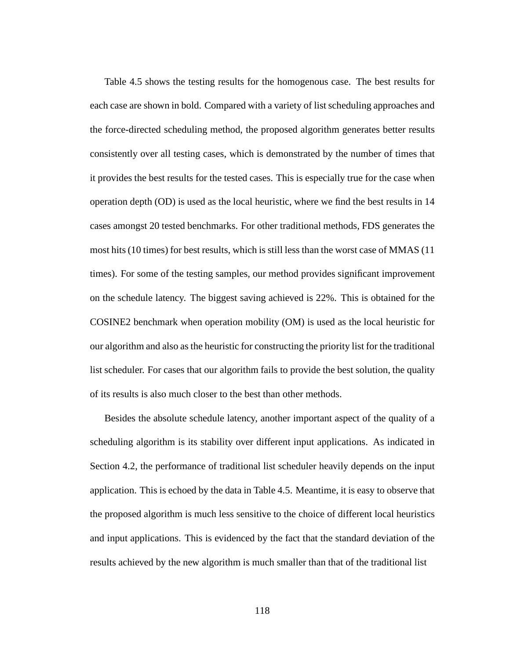Table 4.5 shows the testing results for the homogenous case. The best results for each case are shown in bold. Compared with a variety of list scheduling approaches and the force-directed scheduling method, the proposed algorithm generates better results consistently over all testing cases, which is demonstrated by the number of times that it provides the best results for the tested cases. This is especially true for the case when operation depth (OD) is used as the local heuristic, where we find the best results in 14 cases amongst 20 tested benchmarks. For other traditional methods, FDS generates the most hits (10 times) for best results, which is still less than the worst case of MMAS (11 times). For some of the testing samples, our method provides significant improvement on the schedule latency. The biggest saving achieved is 22%. This is obtained for the COSINE2 benchmark when operation mobility (OM) is used as the local heuristic for our algorithm and also as the heuristic for constructing the priority list for the traditional list scheduler. For cases that our algorithm fails to provide the best solution, the quality of its results is also much closer to the best than other methods.

Besides the absolute schedule latency, another important aspect of the quality of a scheduling algorithm is its stability over different input applications. As indicated in Section 4.2, the performance of traditional list scheduler heavily depends on the input application. This is echoed by the data in Table 4.5. Meantime, it is easy to observe that the proposed algorithm is much less sensitive to the choice of different local heuristics and input applications. This is evidenced by the fact that the standard deviation of the results achieved by the new algorithm is much smaller than that of the traditional list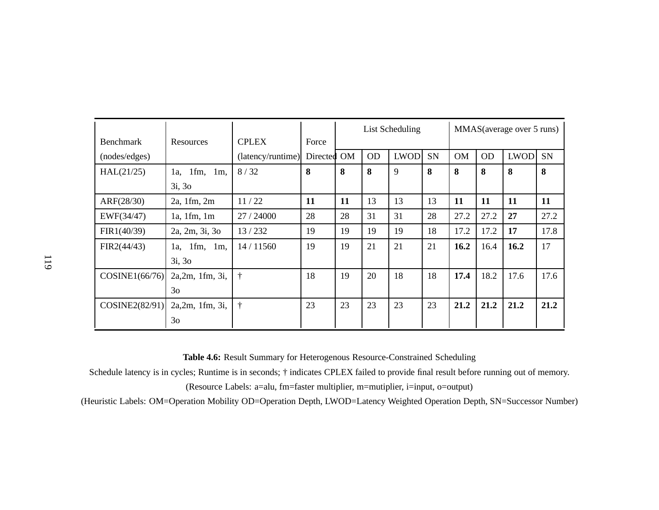|                  |                          |                   |          | List Scheduling |           |             |    | MMAS (average over 5 runs) |           |             |           |
|------------------|--------------------------|-------------------|----------|-----------------|-----------|-------------|----|----------------------------|-----------|-------------|-----------|
| <b>Benchmark</b> | Resources                | <b>CPLEX</b>      | Force    |                 |           |             |    |                            |           |             |           |
| (nodes/edges)    |                          | (latency/runtime) | Directed | <b>OM</b>       | <b>OD</b> | <b>LWOD</b> | SN | <b>OM</b>                  | <b>OD</b> | <b>LWOD</b> | <b>SN</b> |
| HAL(21/25)       | $1$ fm,<br>$1m$ ,<br>la. | 8/32              | 8        | 8               | 8         | 9           | 8  | 8                          | 8         | 8           | 8         |
|                  | 3i, 3o                   |                   |          |                 |           |             |    |                            |           |             |           |
| ARF(28/30)       | $2a$ , 1fm, $2m$         | 11/22             | 11       | 11              | 13        | 13          | 13 | 11                         | 11        | 11          | 11        |
| EWF(34/47)       | $1a$ , 1fm, 1m           | 27 / 24000        | 28       | 28              | 31        | 31          | 28 | 27.2                       | 27.2      | 27          | 27.2      |
| FIR1(40/39)      | 2a, 2m, 3i, 3o           | 13/232            | 19       | 19              | 19        | 19          | 18 | 17.2                       | 17.2      | 17          | 17.8      |
| FIR2(44/43)      | $1$ fm,<br>1m,<br>la.    | 14/11560          | 19       | 19              | 21        | 21          | 21 | 16.2                       | 16.4      | 16.2        | 17        |
|                  | 3i, 3o                   |                   |          |                 |           |             |    |                            |           |             |           |
| COSINE1(66/76)   | 2a, 2m, 1fm, 3i,         | $\ddagger$        | 18       | 19              | 20        | 18          | 18 | 17.4                       | 18.2      | 17.6        | 17.6      |
|                  | 3 <sub>o</sub>           |                   |          |                 |           |             |    |                            |           |             |           |
| COSINE2(82/91)   | 2a, 2m, 1fm, 3i,         | $\ddagger$        | 23       | 23              | 23        | 23          | 23 | 21.2                       | 21.2      | 21.2        | 21.2      |
|                  | 3 <sub>o</sub>           |                   |          |                 |           |             |    |                            |           |             |           |

**Table 4.6:** Result Summary for Heterogenous Resource-Constrained Scheduling

Schedule latency is in cycles; Runtime is in seconds; † indicates CPLEX failed to provide final result before running out of memory.

(Resource Labels: a=alu, fm=faster multiplier, m=mutiplier, i=input, o=output)

(Heuristic Labels: OM=Operation Mobility OD=Operation Depth, LWOD=Latency Weighted Operation Depth, SN=Successor Number)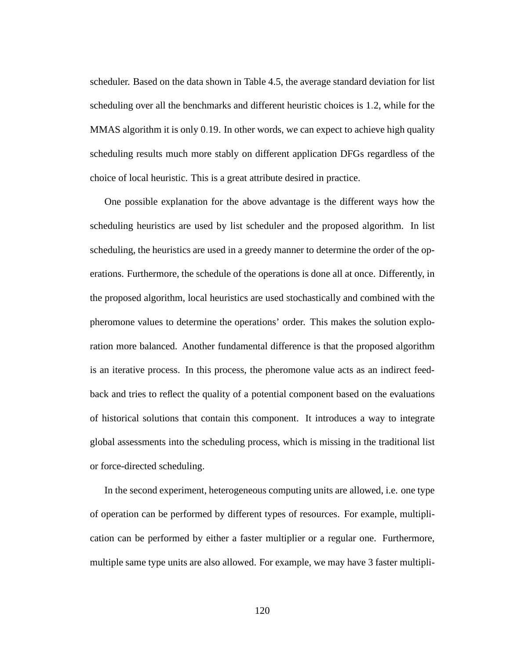scheduler. Based on the data shown in Table 4.5, the average standard deviation for list scheduling over all the benchmarks and different heuristic choices is 1.2, while for the MMAS algorithm it is only 0.19. In other words, we can expect to achieve high quality scheduling results much more stably on different application DFGs regardless of the choice of local heuristic. This is a great attribute desired in practice.

One possible explanation for the above advantage is the different ways how the scheduling heuristics are used by list scheduler and the proposed algorithm. In list scheduling, the heuristics are used in a greedy manner to determine the order of the operations. Furthermore, the schedule of the operations is done all at once. Differently, in the proposed algorithm, local heuristics are used stochastically and combined with the pheromone values to determine the operations' order. This makes the solution exploration more balanced. Another fundamental difference is that the proposed algorithm is an iterative process. In this process, the pheromone value acts as an indirect feedback and tries to reflect the quality of a potential component based on the evaluations of historical solutions that contain this component. It introduces a way to integrate global assessments into the scheduling process, which is missing in the traditional list or force-directed scheduling.

In the second experiment, heterogeneous computing units are allowed, i.e. one type of operation can be performed by different types of resources. For example, multiplication can be performed by either a faster multiplier or a regular one. Furthermore, multiple same type units are also allowed. For example, we may have 3 faster multipli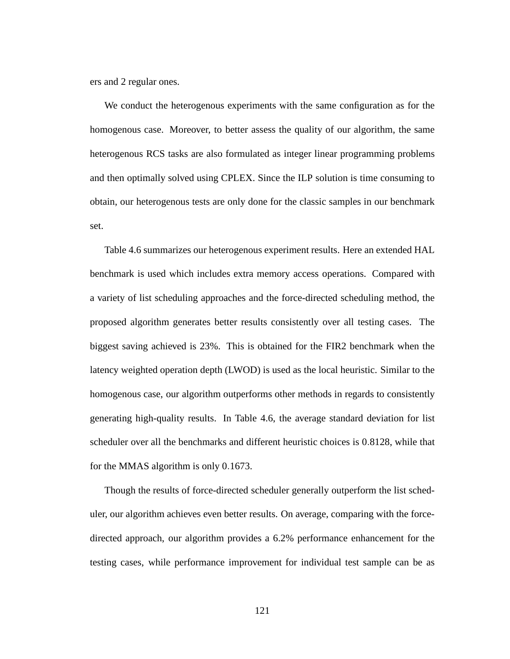ers and 2 regular ones.

We conduct the heterogenous experiments with the same configuration as for the homogenous case. Moreover, to better assess the quality of our algorithm, the same heterogenous RCS tasks are also formulated as integer linear programming problems and then optimally solved using CPLEX. Since the ILP solution is time consuming to obtain, our heterogenous tests are only done for the classic samples in our benchmark set.

Table 4.6 summarizes our heterogenous experiment results. Here an extended HAL benchmark is used which includes extra memory access operations. Compared with a variety of list scheduling approaches and the force-directed scheduling method, the proposed algorithm generates better results consistently over all testing cases. The biggest saving achieved is 23%. This is obtained for the FIR2 benchmark when the latency weighted operation depth (LWOD) is used as the local heuristic. Similar to the homogenous case, our algorithm outperforms other methods in regards to consistently generating high-quality results. In Table 4.6, the average standard deviation for list scheduler over all the benchmarks and different heuristic choices is 0.8128, while that for the MMAS algorithm is only 0.1673.

Though the results of force-directed scheduler generally outperform the list scheduler, our algorithm achieves even better results. On average, comparing with the forcedirected approach, our algorithm provides a 6.2% performance enhancement for the testing cases, while performance improvement for individual test sample can be as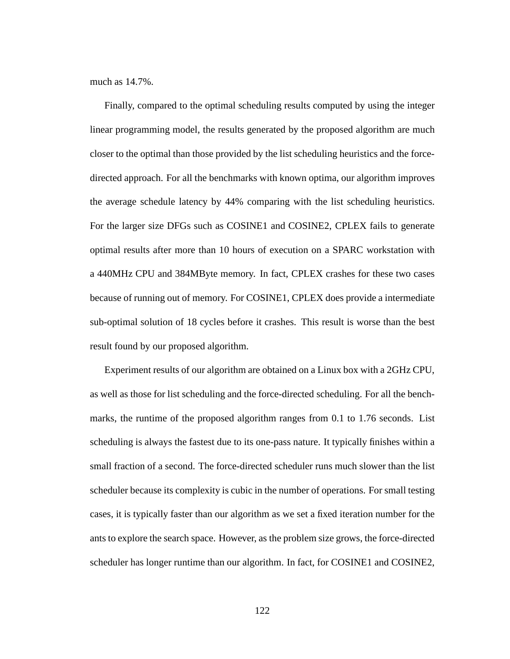much as 14.7%.

Finally, compared to the optimal scheduling results computed by using the integer linear programming model, the results generated by the proposed algorithm are much closer to the optimal than those provided by the list scheduling heuristics and the forcedirected approach. For all the benchmarks with known optima, our algorithm improves the average schedule latency by 44% comparing with the list scheduling heuristics. For the larger size DFGs such as COSINE1 and COSINE2, CPLEX fails to generate optimal results after more than 10 hours of execution on a SPARC workstation with a 440MHz CPU and 384MByte memory. In fact, CPLEX crashes for these two cases because of running out of memory. For COSINE1, CPLEX does provide a intermediate sub-optimal solution of 18 cycles before it crashes. This result is worse than the best result found by our proposed algorithm.

Experiment results of our algorithm are obtained on a Linux box with a 2GHz CPU, as well as those for list scheduling and the force-directed scheduling. For all the benchmarks, the runtime of the proposed algorithm ranges from 0.1 to 1.76 seconds. List scheduling is always the fastest due to its one-pass nature. It typically finishes within a small fraction of a second. The force-directed scheduler runs much slower than the list scheduler because its complexity is cubic in the number of operations. For small testing cases, it is typically faster than our algorithm as we set a fixed iteration number for the ants to explore the search space. However, as the problem size grows, the force-directed scheduler has longer runtime than our algorithm. In fact, for COSINE1 and COSINE2,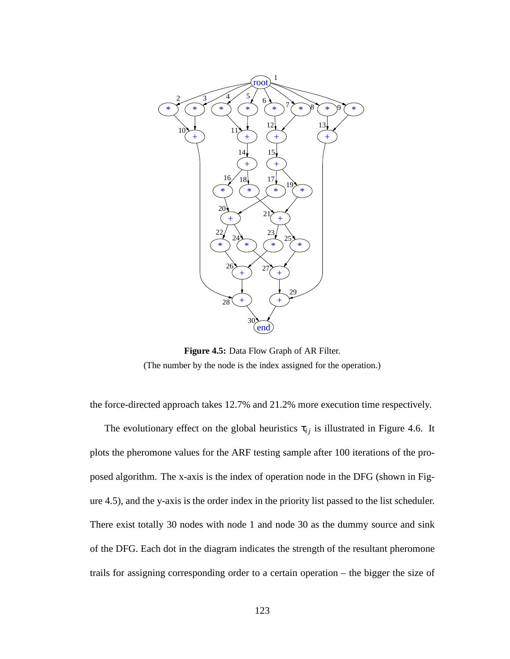

**Figure 4.5:** Data Flow Graph of AR Filter. (The number by the node is the index assigned for the operation.)

the force-directed approach takes 12.7% and 21.2% more execution time respectively.

The evolutionary effect on the global heuristics  $\tau_{ij}$  is illustrated in Figure 4.6. It plots the pheromone values for the ARF testing sample after 100 iterations of the proposed algorithm. The x-axis is the index of operation node in the DFG (shown in Figure 4.5), and the y-axis is the order index in the priority list passed to the list scheduler. There exist totally 30 nodes with node 1 and node 30 as the dummy source and sink of the DFG. Each dot in the diagram indicates the strength of the resultant pheromone trails for assigning corresponding order to a certain operation – the bigger the size of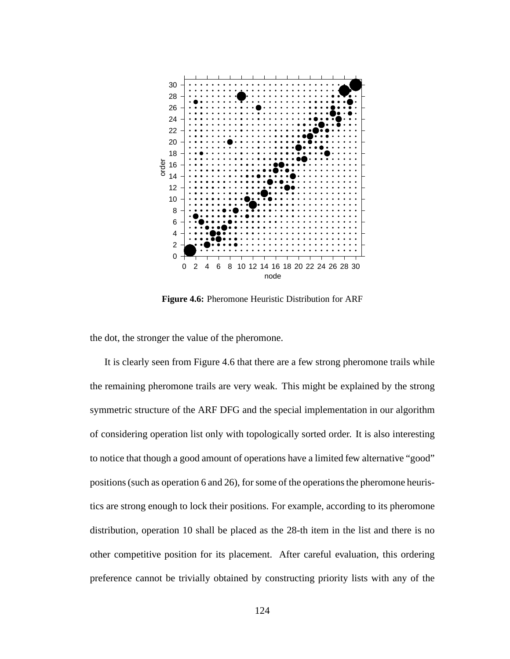

**Figure 4.6:** Pheromone Heuristic Distribution for ARF

the dot, the stronger the value of the pheromone.

It is clearly seen from Figure 4.6 that there are a few strong pheromone trails while the remaining pheromone trails are very weak. This might be explained by the strong symmetric structure of the ARF DFG and the special implementation in our algorithm of considering operation list only with topologically sorted order. It is also interesting to notice that though a good amount of operations have a limited few alternative "good" positions (such as operation 6 and 26), for some of the operations the pheromone heuristics are strong enough to lock their positions. For example, according to its pheromone distribution, operation 10 shall be placed as the 28-th item in the list and there is no other competitive position for its placement. After careful evaluation, this ordering preference cannot be trivially obtained by constructing priority lists with any of the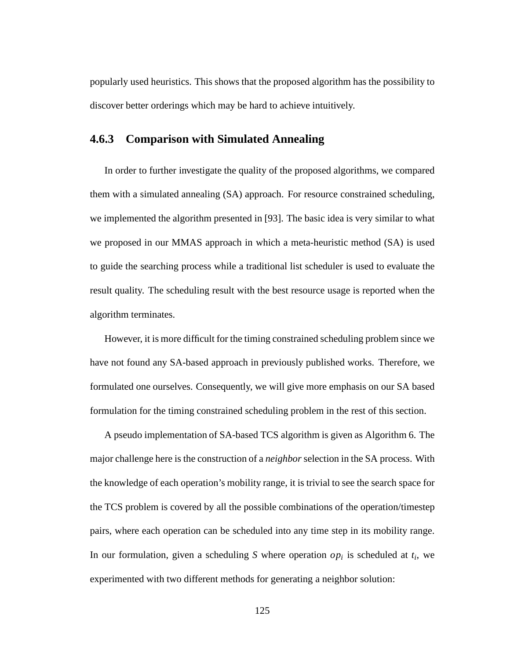popularly used heuristics. This shows that the proposed algorithm has the possibility to discover better orderings which may be hard to achieve intuitively.

## **4.6.3 Comparison with Simulated Annealing**

In order to further investigate the quality of the proposed algorithms, we compared them with a simulated annealing (SA) approach. For resource constrained scheduling, we implemented the algorithm presented in [93]. The basic idea is very similar to what we proposed in our MMAS approach in which a meta-heuristic method (SA) is used to guide the searching process while a traditional list scheduler is used to evaluate the result quality. The scheduling result with the best resource usage is reported when the algorithm terminates.

However, it is more difficult for the timing constrained scheduling problem since we have not found any SA-based approach in previously published works. Therefore, we formulated one ourselves. Consequently, we will give more emphasis on our SA based formulation for the timing constrained scheduling problem in the rest of this section.

A pseudo implementation of SA-based TCS algorithm is given as Algorithm 6. The major challenge here is the construction of a *neighbor* selection in the SA process. With the knowledge of each operation's mobility range, it is trivial to see the search space for the TCS problem is covered by all the possible combinations of the operation/timestep pairs, where each operation can be scheduled into any time step in its mobility range. In our formulation, given a scheduling S where operation  $op_i$  is scheduled at  $t_i$ , we experimented with two different methods for generating a neighbor solution: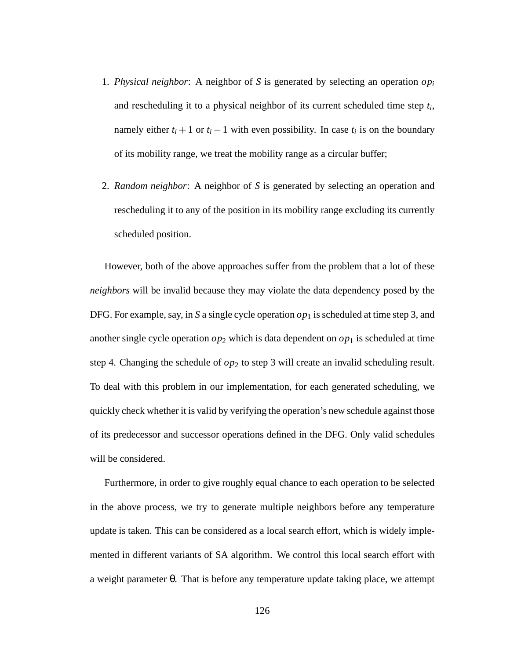- 1. *Physical neighbor*: A neighbor of *S* is generated by selecting an operation *op<sup>i</sup>* and rescheduling it to a physical neighbor of its current scheduled time step *t<sup>i</sup>* , namely either  $t_i + 1$  or  $t_i - 1$  with even possibility. In case  $t_i$  is on the boundary of its mobility range, we treat the mobility range as a circular buffer;
- 2. *Random neighbor*: A neighbor of *S* is generated by selecting an operation and rescheduling it to any of the position in its mobility range excluding its currently scheduled position.

However, both of the above approaches suffer from the problem that a lot of these *neighbors* will be invalid because they may violate the data dependency posed by the DFG. For example, say, in S a single cycle operation  $op<sub>1</sub>$  is scheduled at time step 3, and another single cycle operation  $op_2$  which is data dependent on  $op_1$  is scheduled at time step 4. Changing the schedule of  $op<sub>2</sub>$  to step 3 will create an invalid scheduling result. To deal with this problem in our implementation, for each generated scheduling, we quickly check whether it is valid by verifying the operation's new schedule against those of its predecessor and successor operations defined in the DFG. Only valid schedules will be considered.

Furthermore, in order to give roughly equal chance to each operation to be selected in the above process, we try to generate multiple neighbors before any temperature update is taken. This can be considered as a local search effort, which is widely implemented in different variants of SA algorithm. We control this local search effort with a weight parameter θ. That is before any temperature update taking place, we attempt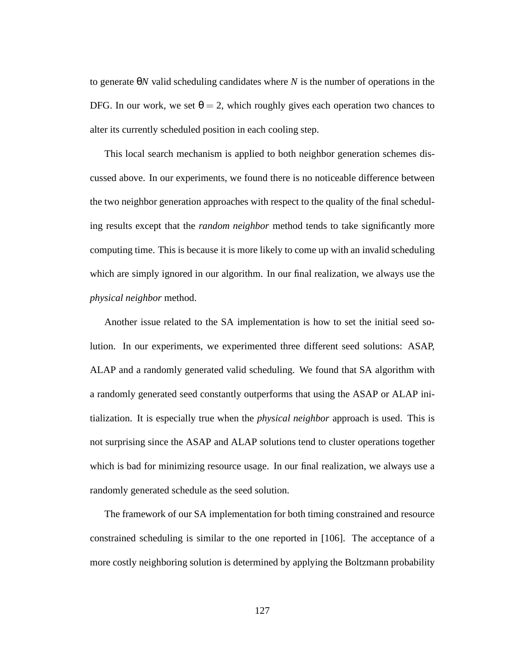to generate θ*N* valid scheduling candidates where *N* is the number of operations in the DFG. In our work, we set  $\theta = 2$ , which roughly gives each operation two chances to alter its currently scheduled position in each cooling step.

This local search mechanism is applied to both neighbor generation schemes discussed above. In our experiments, we found there is no noticeable difference between the two neighbor generation approaches with respect to the quality of the final scheduling results except that the *random neighbor* method tends to take significantly more computing time. This is because it is more likely to come up with an invalid scheduling which are simply ignored in our algorithm. In our final realization, we always use the *physical neighbor* method.

Another issue related to the SA implementation is how to set the initial seed solution. In our experiments, we experimented three different seed solutions: ASAP, ALAP and a randomly generated valid scheduling. We found that SA algorithm with a randomly generated seed constantly outperforms that using the ASAP or ALAP initialization. It is especially true when the *physical neighbor* approach is used. This is not surprising since the ASAP and ALAP solutions tend to cluster operations together which is bad for minimizing resource usage. In our final realization, we always use a randomly generated schedule as the seed solution.

The framework of our SA implementation for both timing constrained and resource constrained scheduling is similar to the one reported in [106]. The acceptance of a more costly neighboring solution is determined by applying the Boltzmann probability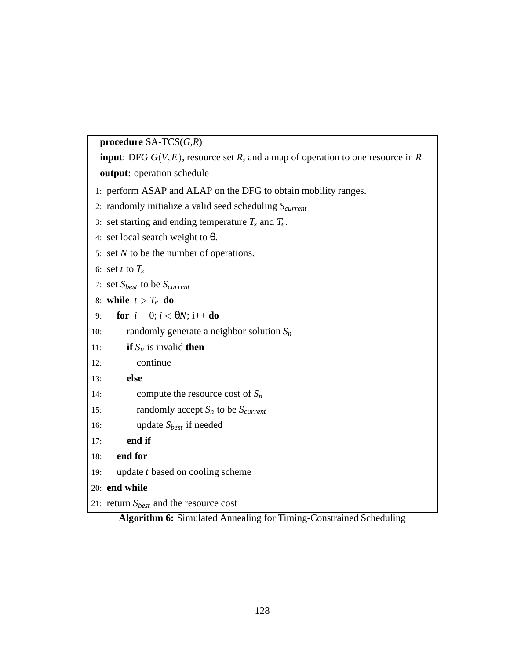**procedure** SA-TCS(*G*,*R*)

**input**: DFG *G*(*V*,*E*), resource set *R*, and a map of operation to one resource in *R* **output**: operation schedule

- 1: perform ASAP and ALAP on the DFG to obtain mobility ranges.
- 2: randomly initialize a valid seed scheduling *Scurrent*
- 3: set starting and ending temperature  $T_s$  and  $T_e$ .
- 4: set local search weight to  $\theta$ .
- 5: set *N* to be the number of operations.

6: set *t* to  $T_s$ 

- 7: set *Sbest* to be *Scurrent*
- 8: **while**  $t > T_e$  **do**
- 9: **for**  $i = 0$ ;  $i < \theta N$ ; i++ **do**
- 10: randomly generate a neighbor solution *S<sup>n</sup>*
- 11: **if**  $S_n$  is invalid **then**

```
12: continue
```
- 13: **else**
- 14: compute the resource cost of *S<sup>n</sup>*
- 15: randomly accept *S<sup>n</sup>* to be *Scurrent*
- 16: update *Sbest* if needed

```
17: end if
```

```
18: end for
```
- 19: update *t* based on cooling scheme
- 20: **end while**
- 21: return *Sbest* and the resource cost

**Algorithm 6:** Simulated Annealing for Timing-Constrained Scheduling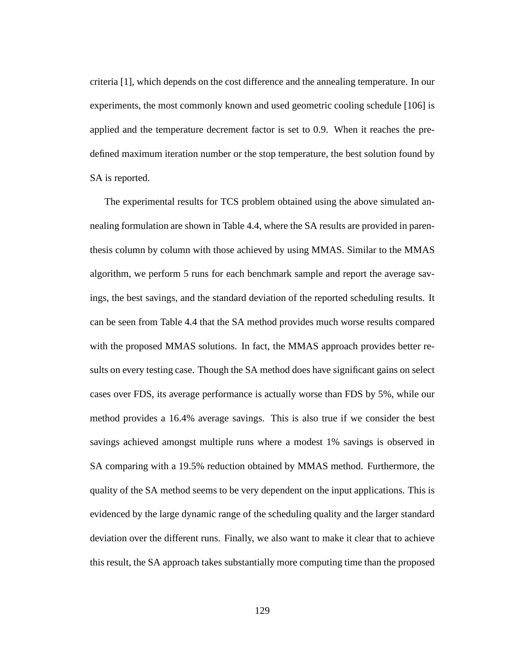criteria [1], which depends on the cost difference and the annealing temperature. In our experiments, the most commonly known and used geometric cooling schedule [106] is applied and the temperature decrement factor is set to 0.9. When it reaches the predefined maximum iteration number or the stop temperature, the best solution found by SA is reported.

The experimental results for TCS problem obtained using the above simulated annealing formulation are shown in Table 4.4, where the SA results are provided in parenthesis column by column with those achieved by using MMAS. Similar to the MMAS algorithm, we perform 5 runs for each benchmark sample and report the average savings, the best savings, and the standard deviation of the reported scheduling results. It can be seen from Table 4.4 that the SA method provides much worse results compared with the proposed MMAS solutions. In fact, the MMAS approach provides better results on every testing case. Though the SA method does have significant gains on select cases over FDS, its average performance is actually worse than FDS by 5%, while our method provides a 16.4% average savings. This is also true if we consider the best savings achieved amongst multiple runs where a modest 1% savings is observed in SA comparing with a 19.5% reduction obtained by MMAS method. Furthermore, the quality of the SA method seems to be very dependent on the input applications. This is evidenced by the large dynamic range of the scheduling quality and the larger standard deviation over the different runs. Finally, we also want to make it clear that to achieve this result, the SA approach takes substantially more computing time than the proposed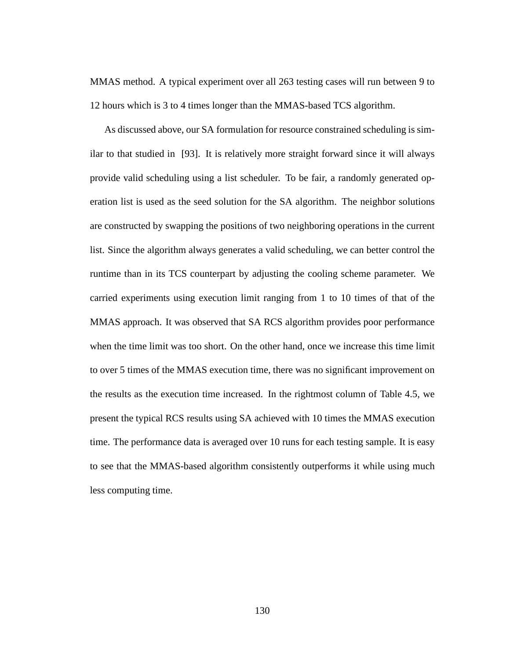MMAS method. A typical experiment over all 263 testing cases will run between 9 to 12 hours which is 3 to 4 times longer than the MMAS-based TCS algorithm.

As discussed above, our SA formulation for resource constrained scheduling is similar to that studied in [93]. It is relatively more straight forward since it will always provide valid scheduling using a list scheduler. To be fair, a randomly generated operation list is used as the seed solution for the SA algorithm. The neighbor solutions are constructed by swapping the positions of two neighboring operations in the current list. Since the algorithm always generates a valid scheduling, we can better control the runtime than in its TCS counterpart by adjusting the cooling scheme parameter. We carried experiments using execution limit ranging from 1 to 10 times of that of the MMAS approach. It was observed that SA RCS algorithm provides poor performance when the time limit was too short. On the other hand, once we increase this time limit to over 5 times of the MMAS execution time, there was no significant improvement on the results as the execution time increased. In the rightmost column of Table 4.5, we present the typical RCS results using SA achieved with 10 times the MMAS execution time. The performance data is averaged over 10 runs for each testing sample. It is easy to see that the MMAS-based algorithm consistently outperforms it while using much less computing time.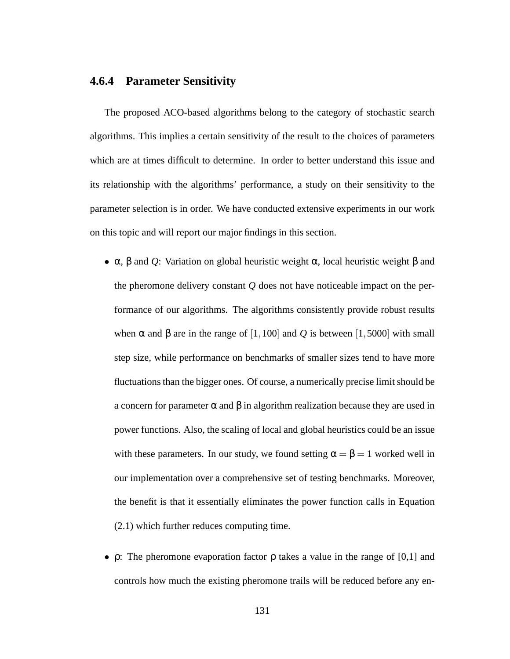#### **4.6.4 Parameter Sensitivity**

The proposed ACO-based algorithms belong to the category of stochastic search algorithms. This implies a certain sensitivity of the result to the choices of parameters which are at times difficult to determine. In order to better understand this issue and its relationship with the algorithms' performance, a study on their sensitivity to the parameter selection is in order. We have conducted extensive experiments in our work on this topic and will report our major findings in this section.

- $\alpha$ ,  $\beta$  and *O*: Variation on global heuristic weight  $\alpha$ , local heuristic weight  $\beta$  and the pheromone delivery constant *Q* does not have noticeable impact on the performance of our algorithms. The algorithms consistently provide robust results when  $\alpha$  and  $\beta$  are in the range of [1,100] and *Q* is between [1,5000] with small step size, while performance on benchmarks of smaller sizes tend to have more fluctuations than the bigger ones. Of course, a numerically precise limit should be a concern for parameter  $\alpha$  and  $\beta$  in algorithm realization because they are used in power functions. Also, the scaling of local and global heuristics could be an issue with these parameters. In our study, we found setting  $\alpha = \beta = 1$  worked well in our implementation over a comprehensive set of testing benchmarks. Moreover, the benefit is that it essentially eliminates the power function calls in Equation (2.1) which further reduces computing time.
- ρ: The pheromone evaporation factor  $ρ$  takes a value in the range of [0,1] and controls how much the existing pheromone trails will be reduced before any en-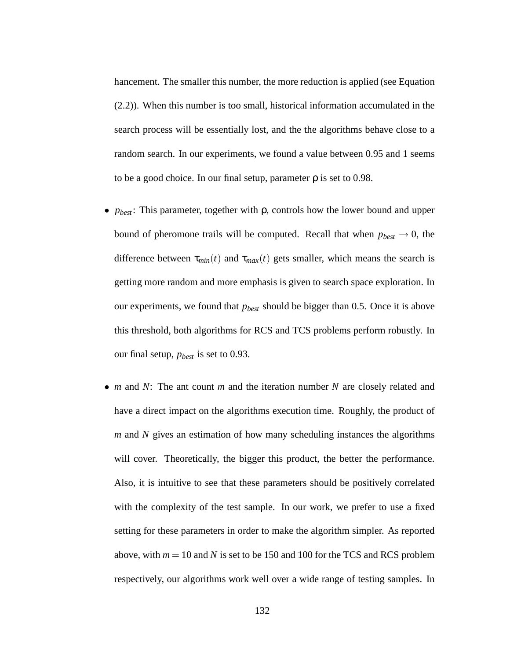hancement. The smaller this number, the more reduction is applied (see Equation (2.2)). When this number is too small, historical information accumulated in the search process will be essentially lost, and the the algorithms behave close to a random search. In our experiments, we found a value between 0.95 and 1 seems to be a good choice. In our final setup, parameter  $\rho$  is set to 0.98.

- *pbest*: This parameter, together with ρ, controls how the lower bound and upper bound of pheromone trails will be computed. Recall that when  $p_{best} \rightarrow 0$ , the difference between  $\tau_{min}(t)$  and  $\tau_{max}(t)$  gets smaller, which means the search is getting more random and more emphasis is given to search space exploration. In our experiments, we found that *pbest* should be bigger than 0.5. Once it is above this threshold, both algorithms for RCS and TCS problems perform robustly. In our final setup, *pbest* is set to 0.93.
- *m* and *N*: The ant count *m* and the iteration number *N* are closely related and have a direct impact on the algorithms execution time. Roughly, the product of *m* and *N* gives an estimation of how many scheduling instances the algorithms will cover. Theoretically, the bigger this product, the better the performance. Also, it is intuitive to see that these parameters should be positively correlated with the complexity of the test sample. In our work, we prefer to use a fixed setting for these parameters in order to make the algorithm simpler. As reported above, with  $m = 10$  and *N* is set to be 150 and 100 for the TCS and RCS problem respectively, our algorithms work well over a wide range of testing samples. In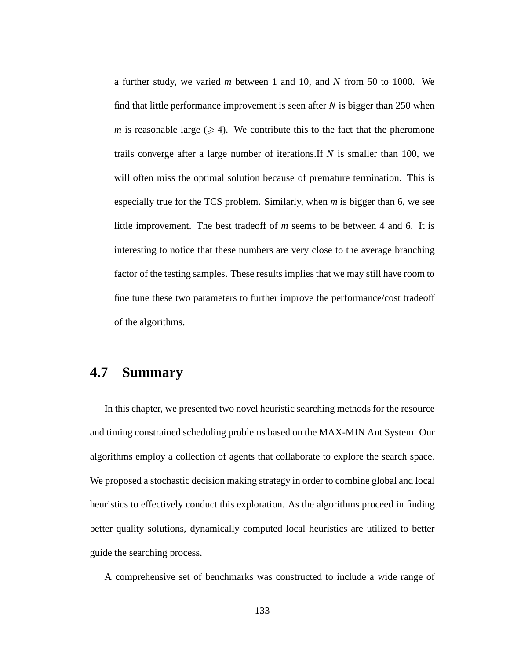a further study, we varied *m* between 1 and 10, and *N* from 50 to 1000. We find that little performance improvement is seen after *N* is bigger than 250 when *m* is reasonable large ( $\geq 4$ ). We contribute this to the fact that the pheromone trails converge after a large number of iterations.If *N* is smaller than 100, we will often miss the optimal solution because of premature termination. This is especially true for the TCS problem. Similarly, when *m* is bigger than 6, we see little improvement. The best tradeoff of *m* seems to be between 4 and 6. It is interesting to notice that these numbers are very close to the average branching factor of the testing samples. These results implies that we may still have room to fine tune these two parameters to further improve the performance/cost tradeoff of the algorithms.

### **4.7 Summary**

In this chapter, we presented two novel heuristic searching methods for the resource and timing constrained scheduling problems based on the MAX-MIN Ant System. Our algorithms employ a collection of agents that collaborate to explore the search space. We proposed a stochastic decision making strategy in order to combine global and local heuristics to effectively conduct this exploration. As the algorithms proceed in finding better quality solutions, dynamically computed local heuristics are utilized to better guide the searching process.

A comprehensive set of benchmarks was constructed to include a wide range of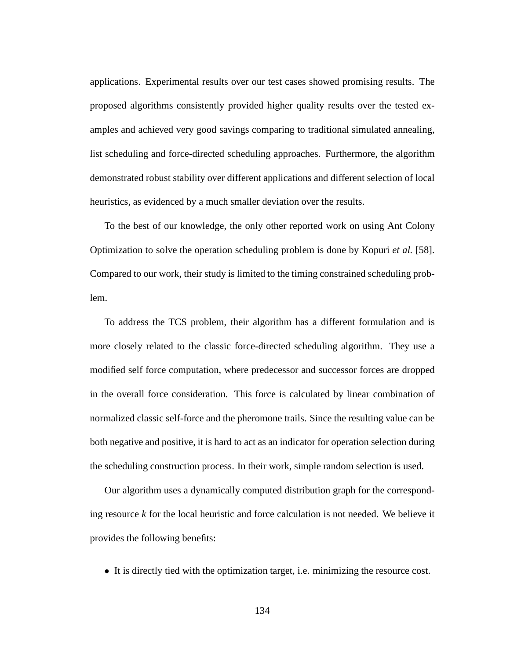applications. Experimental results over our test cases showed promising results. The proposed algorithms consistently provided higher quality results over the tested examples and achieved very good savings comparing to traditional simulated annealing, list scheduling and force-directed scheduling approaches. Furthermore, the algorithm demonstrated robust stability over different applications and different selection of local heuristics, as evidenced by a much smaller deviation over the results.

To the best of our knowledge, the only other reported work on using Ant Colony Optimization to solve the operation scheduling problem is done by Kopuri *et al.* [58]. Compared to our work, their study is limited to the timing constrained scheduling problem.

To address the TCS problem, their algorithm has a different formulation and is more closely related to the classic force-directed scheduling algorithm. They use a modified self force computation, where predecessor and successor forces are dropped in the overall force consideration. This force is calculated by linear combination of normalized classic self-force and the pheromone trails. Since the resulting value can be both negative and positive, it is hard to act as an indicator for operation selection during the scheduling construction process. In their work, simple random selection is used.

Our algorithm uses a dynamically computed distribution graph for the corresponding resource *k* for the local heuristic and force calculation is not needed. We believe it provides the following benefits:

• It is directly tied with the optimization target, i.e. minimizing the resource cost.

134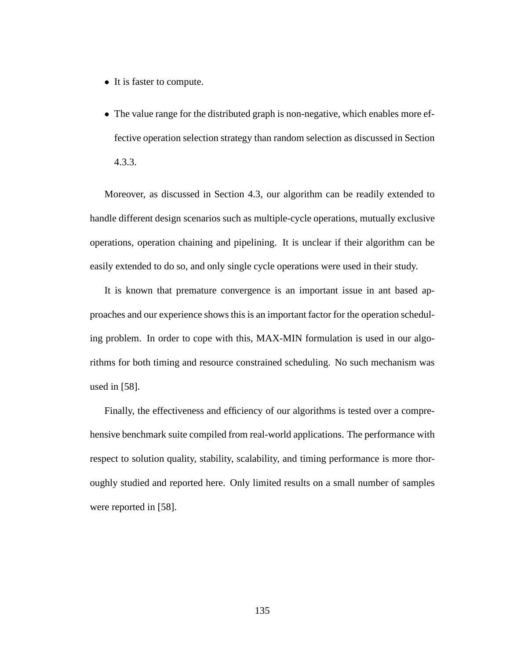- It is faster to compute.
- The value range for the distributed graph is non-negative, which enables more effective operation selection strategy than random selection as discussed in Section 4.3.3.

Moreover, as discussed in Section 4.3, our algorithm can be readily extended to handle different design scenarios such as multiple-cycle operations, mutually exclusive operations, operation chaining and pipelining. It is unclear if their algorithm can be easily extended to do so, and only single cycle operations were used in their study.

It is known that premature convergence is an important issue in ant based approaches and our experience shows this is an important factor for the operation scheduling problem. In order to cope with this, MAX-MIN formulation is used in our algorithms for both timing and resource constrained scheduling. No such mechanism was used in [58].

Finally, the effectiveness and efficiency of our algorithms is tested over a comprehensive benchmark suite compiled from real-world applications. The performance with respect to solution quality, stability, scalability, and timing performance is more thoroughly studied and reported here. Only limited results on a small number of samples were reported in [58].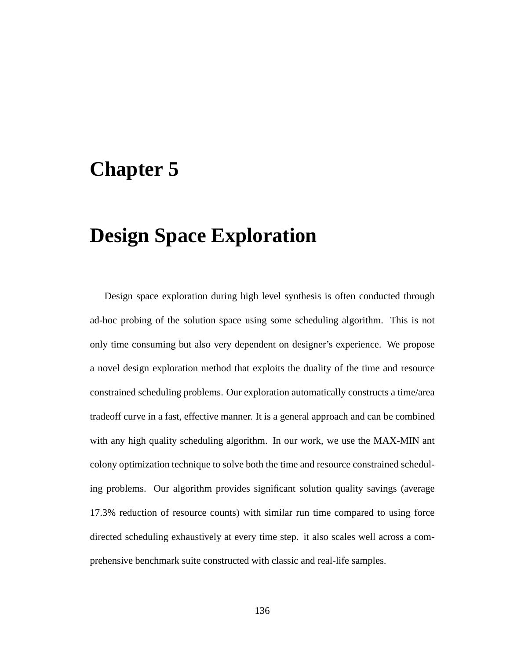## **Chapter 5**

## **Design Space Exploration**

Design space exploration during high level synthesis is often conducted through ad-hoc probing of the solution space using some scheduling algorithm. This is not only time consuming but also very dependent on designer's experience. We propose a novel design exploration method that exploits the duality of the time and resource constrained scheduling problems. Our exploration automatically constructs a time/area tradeoff curve in a fast, effective manner. It is a general approach and can be combined with any high quality scheduling algorithm. In our work, we use the MAX-MIN ant colony optimization technique to solve both the time and resource constrained scheduling problems. Our algorithm provides significant solution quality savings (average 17.3% reduction of resource counts) with similar run time compared to using force directed scheduling exhaustively at every time step. it also scales well across a comprehensive benchmark suite constructed with classic and real-life samples.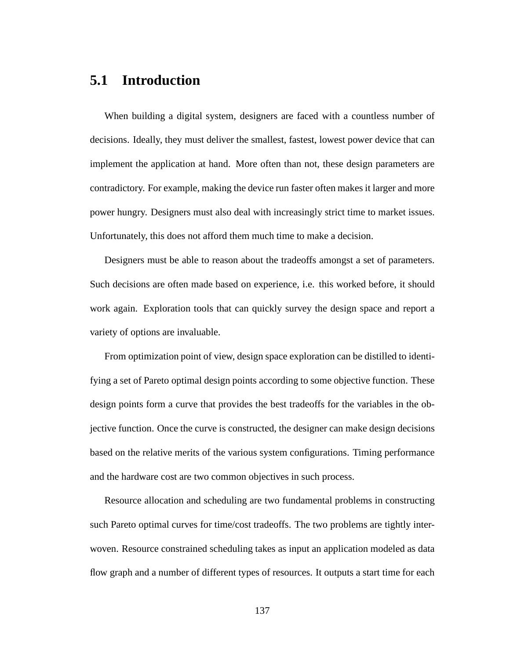## **5.1 Introduction**

When building a digital system, designers are faced with a countless number of decisions. Ideally, they must deliver the smallest, fastest, lowest power device that can implement the application at hand. More often than not, these design parameters are contradictory. For example, making the device run faster often makes it larger and more power hungry. Designers must also deal with increasingly strict time to market issues. Unfortunately, this does not afford them much time to make a decision.

Designers must be able to reason about the tradeoffs amongst a set of parameters. Such decisions are often made based on experience, i.e. this worked before, it should work again. Exploration tools that can quickly survey the design space and report a variety of options are invaluable.

From optimization point of view, design space exploration can be distilled to identifying a set of Pareto optimal design points according to some objective function. These design points form a curve that provides the best tradeoffs for the variables in the objective function. Once the curve is constructed, the designer can make design decisions based on the relative merits of the various system configurations. Timing performance and the hardware cost are two common objectives in such process.

Resource allocation and scheduling are two fundamental problems in constructing such Pareto optimal curves for time/cost tradeoffs. The two problems are tightly interwoven. Resource constrained scheduling takes as input an application modeled as data flow graph and a number of different types of resources. It outputs a start time for each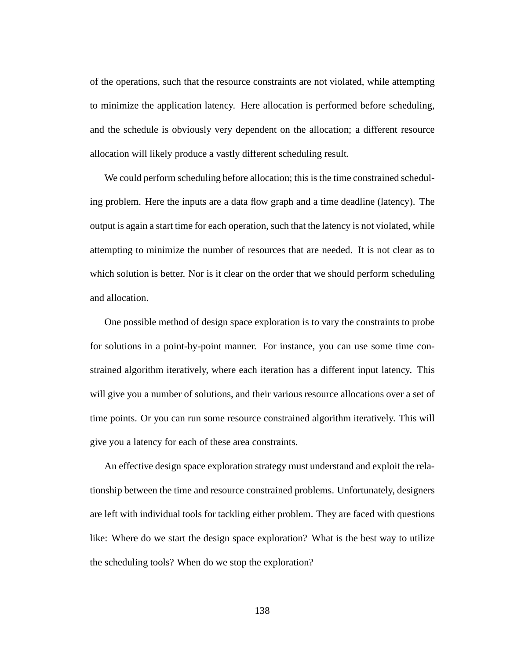of the operations, such that the resource constraints are not violated, while attempting to minimize the application latency. Here allocation is performed before scheduling, and the schedule is obviously very dependent on the allocation; a different resource allocation will likely produce a vastly different scheduling result.

We could perform scheduling before allocation; this is the time constrained scheduling problem. Here the inputs are a data flow graph and a time deadline (latency). The output is again a start time for each operation, such that the latency is not violated, while attempting to minimize the number of resources that are needed. It is not clear as to which solution is better. Nor is it clear on the order that we should perform scheduling and allocation.

One possible method of design space exploration is to vary the constraints to probe for solutions in a point-by-point manner. For instance, you can use some time constrained algorithm iteratively, where each iteration has a different input latency. This will give you a number of solutions, and their various resource allocations over a set of time points. Or you can run some resource constrained algorithm iteratively. This will give you a latency for each of these area constraints.

An effective design space exploration strategy must understand and exploit the relationship between the time and resource constrained problems. Unfortunately, designers are left with individual tools for tackling either problem. They are faced with questions like: Where do we start the design space exploration? What is the best way to utilize the scheduling tools? When do we stop the exploration?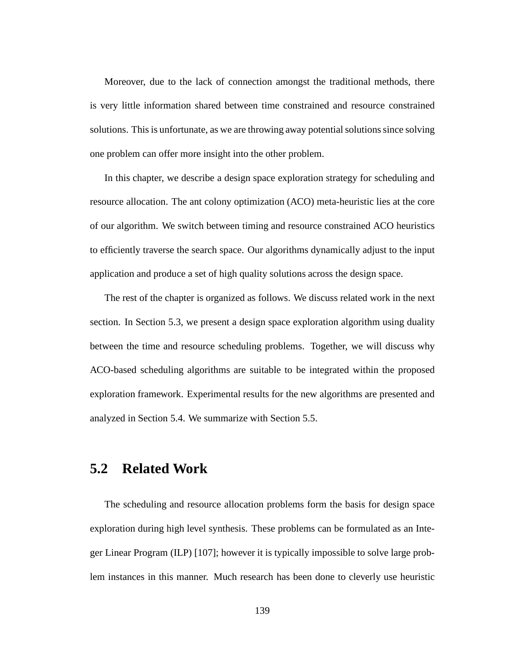Moreover, due to the lack of connection amongst the traditional methods, there is very little information shared between time constrained and resource constrained solutions. This is unfortunate, as we are throwing away potential solutions since solving one problem can offer more insight into the other problem.

In this chapter, we describe a design space exploration strategy for scheduling and resource allocation. The ant colony optimization (ACO) meta-heuristic lies at the core of our algorithm. We switch between timing and resource constrained ACO heuristics to efficiently traverse the search space. Our algorithms dynamically adjust to the input application and produce a set of high quality solutions across the design space.

The rest of the chapter is organized as follows. We discuss related work in the next section. In Section 5.3, we present a design space exploration algorithm using duality between the time and resource scheduling problems. Together, we will discuss why ACO-based scheduling algorithms are suitable to be integrated within the proposed exploration framework. Experimental results for the new algorithms are presented and analyzed in Section 5.4. We summarize with Section 5.5.

### **5.2 Related Work**

The scheduling and resource allocation problems form the basis for design space exploration during high level synthesis. These problems can be formulated as an Integer Linear Program (ILP) [107]; however it is typically impossible to solve large problem instances in this manner. Much research has been done to cleverly use heuristic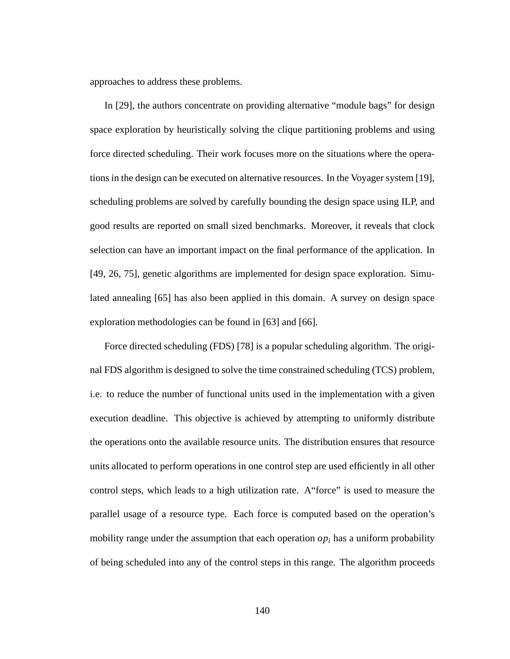approaches to address these problems.

In [29], the authors concentrate on providing alternative "module bags" for design space exploration by heuristically solving the clique partitioning problems and using force directed scheduling. Their work focuses more on the situations where the operations in the design can be executed on alternative resources. In the Voyager system [19], scheduling problems are solved by carefully bounding the design space using ILP, and good results are reported on small sized benchmarks. Moreover, it reveals that clock selection can have an important impact on the final performance of the application. In [49, 26, 75], genetic algorithms are implemented for design space exploration. Simulated annealing [65] has also been applied in this domain. A survey on design space exploration methodologies can be found in [63] and [66].

Force directed scheduling (FDS) [78] is a popular scheduling algorithm. The original FDS algorithm is designed to solve the time constrained scheduling (TCS) problem, i.e. to reduce the number of functional units used in the implementation with a given execution deadline. This objective is achieved by attempting to uniformly distribute the operations onto the available resource units. The distribution ensures that resource units allocated to perform operations in one control step are used efficiently in all other control steps, which leads to a high utilization rate. A"force" is used to measure the parallel usage of a resource type. Each force is computed based on the operation's mobility range under the assumption that each operation  $op_i$  has a uniform probability of being scheduled into any of the control steps in this range. The algorithm proceeds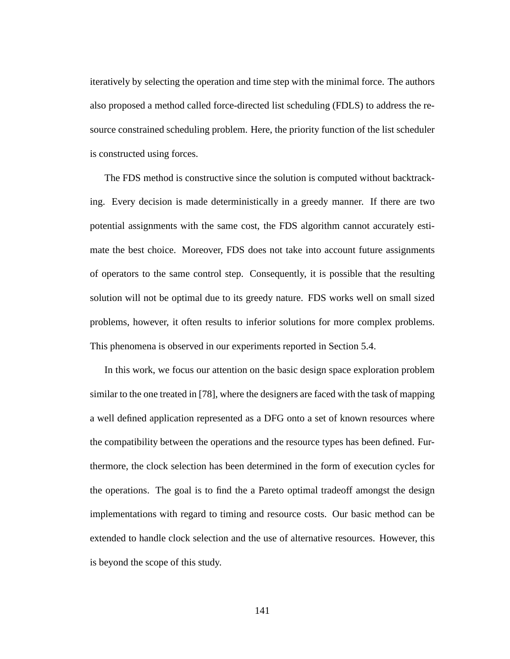iteratively by selecting the operation and time step with the minimal force. The authors also proposed a method called force-directed list scheduling (FDLS) to address the resource constrained scheduling problem. Here, the priority function of the list scheduler is constructed using forces.

The FDS method is constructive since the solution is computed without backtracking. Every decision is made deterministically in a greedy manner. If there are two potential assignments with the same cost, the FDS algorithm cannot accurately estimate the best choice. Moreover, FDS does not take into account future assignments of operators to the same control step. Consequently, it is possible that the resulting solution will not be optimal due to its greedy nature. FDS works well on small sized problems, however, it often results to inferior solutions for more complex problems. This phenomena is observed in our experiments reported in Section 5.4.

In this work, we focus our attention on the basic design space exploration problem similar to the one treated in [78], where the designers are faced with the task of mapping a well defined application represented as a DFG onto a set of known resources where the compatibility between the operations and the resource types has been defined. Furthermore, the clock selection has been determined in the form of execution cycles for the operations. The goal is to find the a Pareto optimal tradeoff amongst the design implementations with regard to timing and resource costs. Our basic method can be extended to handle clock selection and the use of alternative resources. However, this is beyond the scope of this study.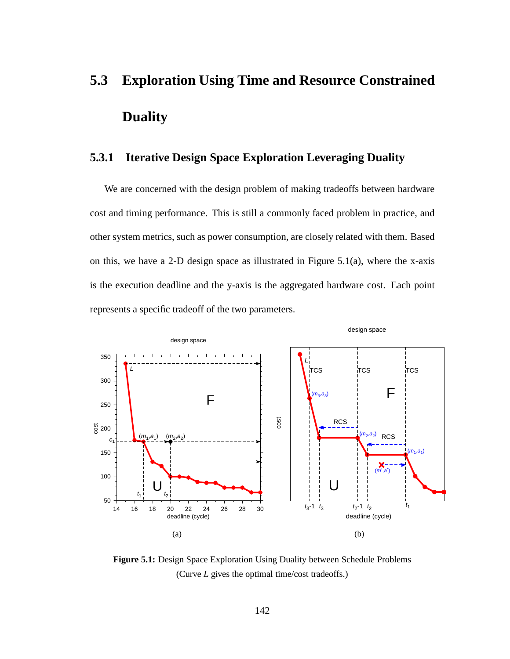# **5.3 Exploration Using Time and Resource Constrained Duality**

### **5.3.1 Iterative Design Space Exploration Leveraging Duality**

We are concerned with the design problem of making tradeoffs between hardware cost and timing performance. This is still a commonly faced problem in practice, and other system metrics, such as power consumption, are closely related with them. Based on this, we have a 2-D design space as illustrated in Figure 5.1(a), where the x-axis is the execution deadline and the y-axis is the aggregated hardware cost. Each point represents a specific tradeoff of the two parameters.



**Figure 5.1:** Design Space Exploration Using Duality between Schedule Problems (Curve *L* gives the optimal time/cost tradeoffs.)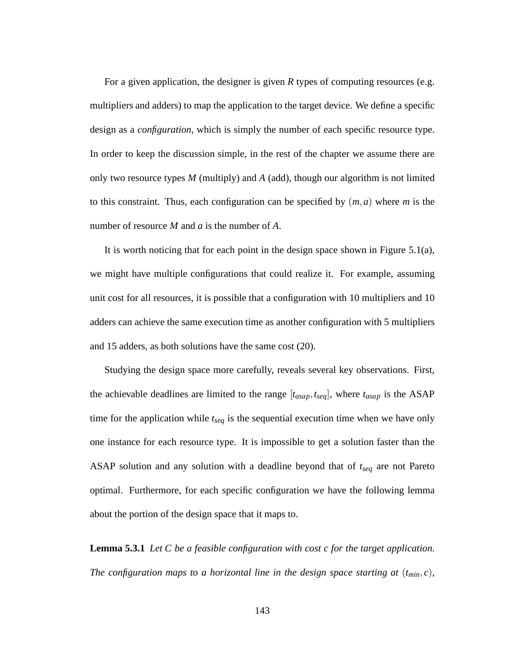For a given application, the designer is given *R* types of computing resources (e.g. multipliers and adders) to map the application to the target device. We define a specific design as a *configuration*, which is simply the number of each specific resource type. In order to keep the discussion simple, in the rest of the chapter we assume there are only two resource types *M* (multiply) and *A* (add), though our algorithm is not limited to this constraint. Thus, each configuration can be specified by (*m*,*a*) where *m* is the number of resource *M* and *a* is the number of *A*.

It is worth noticing that for each point in the design space shown in Figure  $5.1(a)$ , we might have multiple configurations that could realize it. For example, assuming unit cost for all resources, it is possible that a configuration with 10 multipliers and 10 adders can achieve the same execution time as another configuration with 5 multipliers and 15 adders, as both solutions have the same cost (20).

Studying the design space more carefully, reveals several key observations. First, the achievable deadlines are limited to the range [*tasap*,*tseq*], where *tasap* is the ASAP time for the application while *tseq* is the sequential execution time when we have only one instance for each resource type. It is impossible to get a solution faster than the ASAP solution and any solution with a deadline beyond that of *tseq* are not Pareto optimal. Furthermore, for each specific configuration we have the following lemma about the portion of the design space that it maps to.

**Lemma 5.3.1** *Let C be a feasible configuration with cost c for the target application. The configuration maps to a horizontal line in the design space starting at*  $(t_{min}, c)$ *,*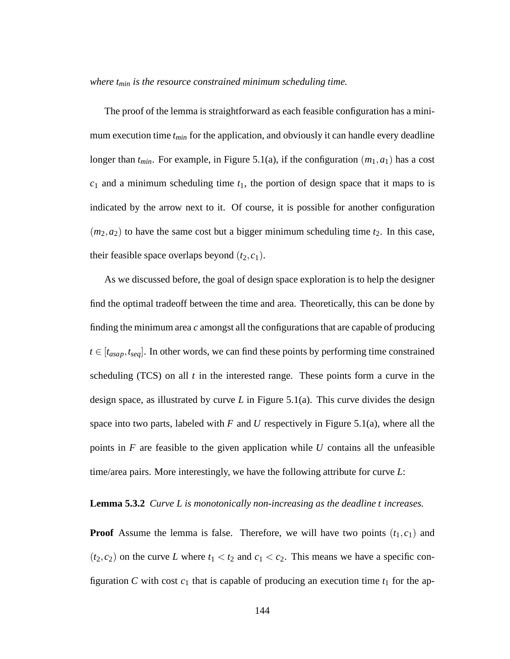*where tmin is the resource constrained minimum scheduling time.*

The proof of the lemma is straightforward as each feasible configuration has a minimum execution time  $t_{min}$  for the application, and obviously it can handle every deadline longer than  $t_{min}$ . For example, in Figure 5.1(a), if the configuration  $(m_1, a_1)$  has a cost  $c_1$  and a minimum scheduling time  $t_1$ , the portion of design space that it maps to is indicated by the arrow next to it. Of course, it is possible for another configuration  $(m_2, a_2)$  to have the same cost but a bigger minimum scheduling time  $t_2$ . In this case, their feasible space overlaps beyond  $(t_2, c_1)$ .

As we discussed before, the goal of design space exploration is to help the designer find the optimal tradeoff between the time and area. Theoretically, this can be done by finding the minimum area *c* amongst all the configurations that are capable of producing  $t \in [t_{asap}, t_{seq}]$ . In other words, we can find these points by performing time constrained scheduling (TCS) on all *t* in the interested range. These points form a curve in the design space, as illustrated by curve *L* in Figure 5.1(a). This curve divides the design space into two parts, labeled with *F* and *U* respectively in Figure 5.1(a), where all the points in *F* are feasible to the given application while *U* contains all the unfeasible time/area pairs. More interestingly, we have the following attribute for curve *L*:

#### **Lemma 5.3.2** *Curve L is monotonically non-increasing as the deadline t increases.*

**Proof** Assume the lemma is false. Therefore, we will have two points  $(t_1, c_1)$  and  $(t_2, c_2)$  on the curve *L* where  $t_1 < t_2$  and  $c_1 < c_2$ . This means we have a specific configuration *C* with cost  $c_1$  that is capable of producing an execution time  $t_1$  for the ap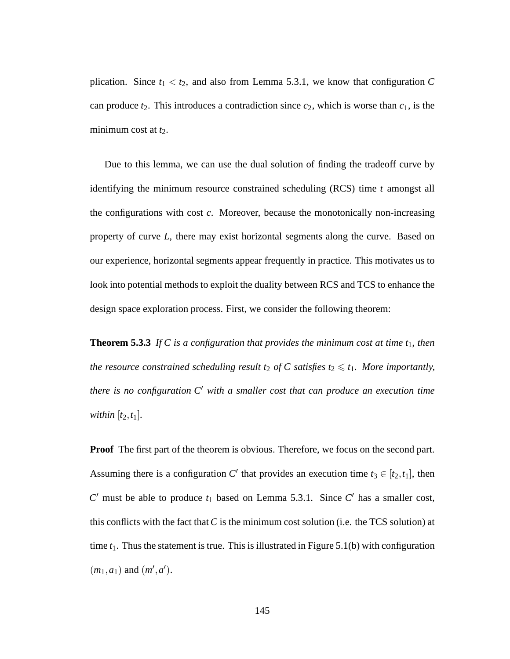plication. Since  $t_1 < t_2$ , and also from Lemma 5.3.1, we know that configuration C can produce  $t_2$ . This introduces a contradiction since  $c_2$ , which is worse than  $c_1$ , is the minimum cost at  $t_2$ .

Due to this lemma, we can use the dual solution of finding the tradeoff curve by identifying the minimum resource constrained scheduling (RCS) time *t* amongst all the configurations with cost *c*. Moreover, because the monotonically non-increasing property of curve *L*, there may exist horizontal segments along the curve. Based on our experience, horizontal segments appear frequently in practice. This motivates us to look into potential methods to exploit the duality between RCS and TCS to enhance the design space exploration process. First, we consider the following theorem:

**Theorem 5.3.3** If C is a configuration that provides the minimum cost at time  $t_1$ , then *the resource constrained scheduling result*  $t_2$  *of C satisfies*  $t_2 \leq t_1$ *. More importantly, there is no configuration C*′ *with a smaller cost that can produce an execution time within*  $[t_2, t_1]$ *.* 

**Proof** The first part of the theorem is obvious. Therefore, we focus on the second part. Assuming there is a configuration  $C'$  that provides an execution time  $t_3 \in [t_2, t_1]$ , then  $C'$  must be able to produce  $t_1$  based on Lemma 5.3.1. Since  $C'$  has a smaller cost, this conflicts with the fact that*C* is the minimum cost solution (i.e. the TCS solution) at time  $t_1$ . Thus the statement is true. This is illustrated in Figure 5.1(b) with configuration  $(m_1, a_1)$  and  $(m', a')$ .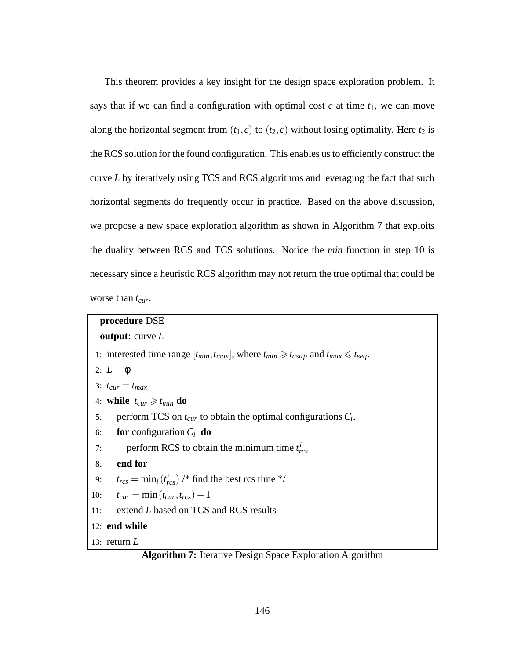This theorem provides a key insight for the design space exploration problem. It says that if we can find a configuration with optimal cost  $c$  at time  $t_1$ , we can move along the horizontal segment from  $(t_1, c)$  to  $(t_2, c)$  without losing optimality. Here  $t_2$  is the RCS solution for the found configuration. This enables usto efficiently construct the curve *L* by iteratively using TCS and RCS algorithms and leveraging the fact that such horizontal segments do frequently occur in practice. Based on the above discussion, we propose a new space exploration algorithm as shown in Algorithm 7 that exploits the duality between RCS and TCS solutions. Notice the *min* function in step 10 is necessary since a heuristic RCS algorithm may not return the true optimal that could be worse than *tcur*.

#### **procedure** DSE

**output**: curve *L*

- 1: interested time range  $[t_{min}, t_{max}]$ , where  $t_{min} \geq t_{asap}$  and  $t_{max} \leq t_{seq}$ .
- 2:  $L = \phi$
- 3:  $t_{cur} = t_{max}$
- 4: **while**  $t_{cur} \geq t_{min}$  **do**
- 5: perform TCS on  $t_{cur}$  to obtain the optimal configurations  $C_i$ .
- 6: **for** configuration  $C_i$  **do**
- 7: perform RCS to obtain the minimum time  $t_{rcs}$
- 8: **end for**
- 9:  $t_{rcs} = \min_i (t_{rcs}^i)$  /\* find the best rcs time \*/

$$
10: \t t_{cur} = \min(t_{cur}, t_{rcs}) - 1
$$

- 11: extend *L* based on TCS and RCS results
- 12: **end while**
- 13: return *L*

**Algorithm 7:** Iterative Design Space Exploration Algorithm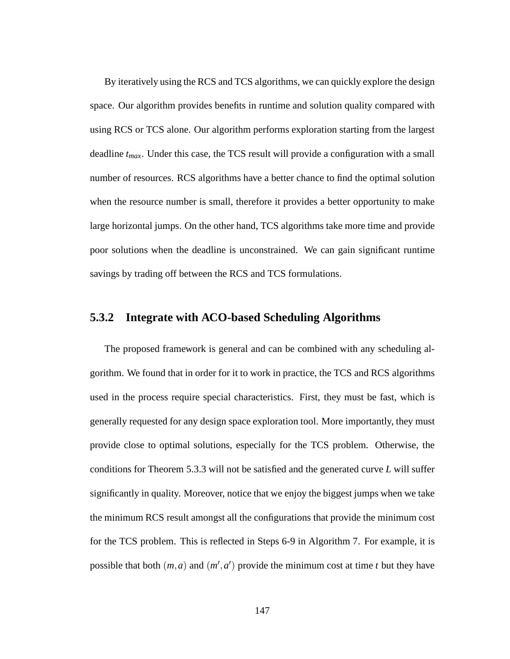By iteratively using the RCS and TCS algorithms, we can quickly explore the design space. Our algorithm provides benefits in runtime and solution quality compared with using RCS or TCS alone. Our algorithm performs exploration starting from the largest deadline *tmax*. Under this case, the TCS result will provide a configuration with a small number of resources. RCS algorithms have a better chance to find the optimal solution when the resource number is small, therefore it provides a better opportunity to make large horizontal jumps. On the other hand, TCS algorithms take more time and provide poor solutions when the deadline is unconstrained. We can gain significant runtime savings by trading off between the RCS and TCS formulations.

#### **5.3.2 Integrate with ACO-based Scheduling Algorithms**

The proposed framework is general and can be combined with any scheduling algorithm. We found that in order for it to work in practice, the TCS and RCS algorithms used in the process require special characteristics. First, they must be fast, which is generally requested for any design space exploration tool. More importantly, they must provide close to optimal solutions, especially for the TCS problem. Otherwise, the conditions for Theorem 5.3.3 will not be satisfied and the generated curve *L* will suffer significantly in quality. Moreover, notice that we enjoy the biggest jumps when we take the minimum RCS result amongst all the configurations that provide the minimum cost for the TCS problem. This is reflected in Steps 6-9 in Algorithm 7. For example, it is possible that both  $(m, a)$  and  $(m', a')$  provide the minimum cost at time *t* but they have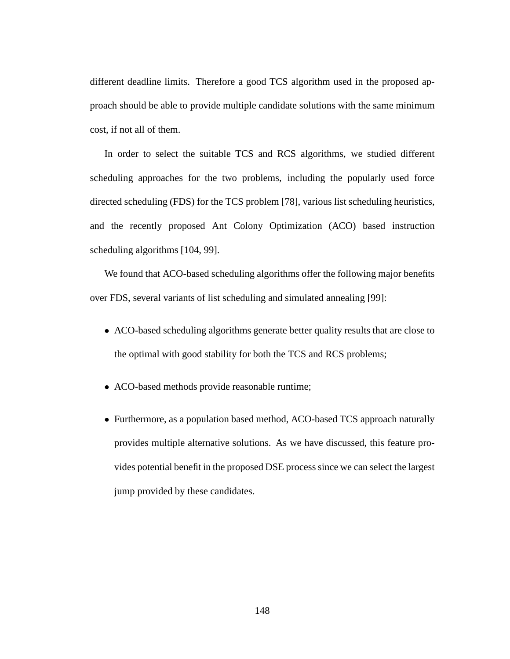different deadline limits. Therefore a good TCS algorithm used in the proposed approach should be able to provide multiple candidate solutions with the same minimum cost, if not all of them.

In order to select the suitable TCS and RCS algorithms, we studied different scheduling approaches for the two problems, including the popularly used force directed scheduling (FDS) for the TCS problem [78], various list scheduling heuristics, and the recently proposed Ant Colony Optimization (ACO) based instruction scheduling algorithms [104, 99].

We found that ACO-based scheduling algorithms offer the following major benefits over FDS, several variants of list scheduling and simulated annealing [99]:

- ACO-based scheduling algorithms generate better quality results that are close to the optimal with good stability for both the TCS and RCS problems;
- ACO-based methods provide reasonable runtime;
- Furthermore, as a population based method, ACO-based TCS approach naturally provides multiple alternative solutions. As we have discussed, this feature provides potential benefit in the proposed DSE process since we can select the largest jump provided by these candidates.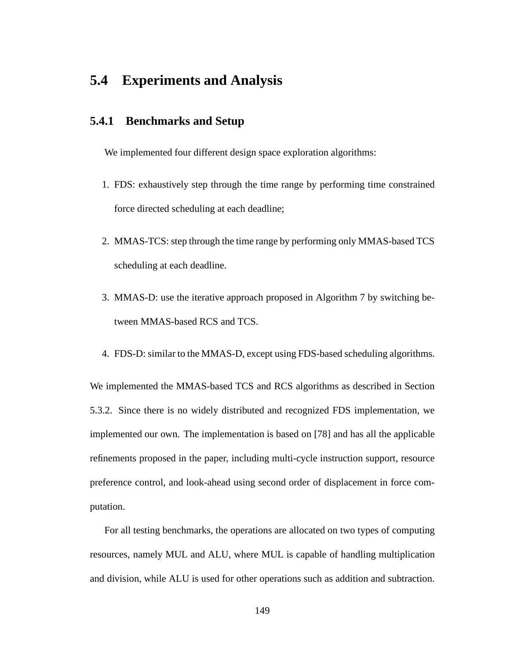## **5.4 Experiments and Analysis**

#### **5.4.1 Benchmarks and Setup**

We implemented four different design space exploration algorithms:

- 1. FDS: exhaustively step through the time range by performing time constrained force directed scheduling at each deadline;
- 2. MMAS-TCS: step through the time range by performing only MMAS-based TCS scheduling at each deadline.
- 3. MMAS-D: use the iterative approach proposed in Algorithm 7 by switching between MMAS-based RCS and TCS.
- 4. FDS-D: similar to the MMAS-D, except using FDS-based scheduling algorithms.

We implemented the MMAS-based TCS and RCS algorithms as described in Section 5.3.2. Since there is no widely distributed and recognized FDS implementation, we implemented our own. The implementation is based on [78] and has all the applicable refinements proposed in the paper, including multi-cycle instruction support, resource preference control, and look-ahead using second order of displacement in force computation.

For all testing benchmarks, the operations are allocated on two types of computing resources, namely MUL and ALU, where MUL is capable of handling multiplication and division, while ALU is used for other operations such as addition and subtraction.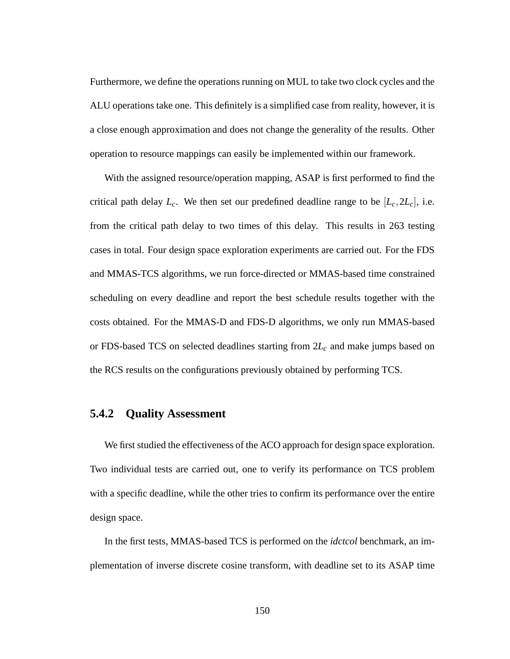Furthermore, we define the operations running on MUL to take two clock cycles and the ALU operations take one. This definitely is a simplified case from reality, however, it is a close enough approximation and does not change the generality of the results. Other operation to resource mappings can easily be implemented within our framework.

With the assigned resource/operation mapping, ASAP is first performed to find the critical path delay  $L_c$ . We then set our predefined deadline range to be  $[L_c, 2L_c]$ , i.e. from the critical path delay to two times of this delay. This results in 263 testing cases in total. Four design space exploration experiments are carried out. For the FDS and MMAS-TCS algorithms, we run force-directed or MMAS-based time constrained scheduling on every deadline and report the best schedule results together with the costs obtained. For the MMAS-D and FDS-D algorithms, we only run MMAS-based or FDS-based TCS on selected deadlines starting from 2*L<sup>c</sup>* and make jumps based on the RCS results on the configurations previously obtained by performing TCS.

#### **5.4.2 Quality Assessment**

We first studied the effectiveness of the ACO approach for design space exploration. Two individual tests are carried out, one to verify its performance on TCS problem with a specific deadline, while the other tries to confirm its performance over the entire design space.

In the first tests, MMAS-based TCS is performed on the *idctcol* benchmark, an implementation of inverse discrete cosine transform, with deadline set to its ASAP time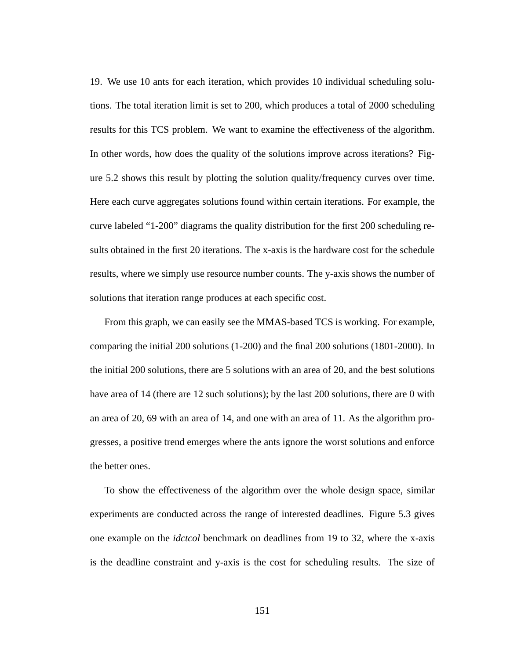19. We use 10 ants for each iteration, which provides 10 individual scheduling solutions. The total iteration limit is set to 200, which produces a total of 2000 scheduling results for this TCS problem. We want to examine the effectiveness of the algorithm. In other words, how does the quality of the solutions improve across iterations? Figure 5.2 shows this result by plotting the solution quality/frequency curves over time. Here each curve aggregates solutions found within certain iterations. For example, the curve labeled "1-200" diagrams the quality distribution for the first 200 scheduling results obtained in the first 20 iterations. The x-axis is the hardware cost for the schedule results, where we simply use resource number counts. The y-axis shows the number of solutions that iteration range produces at each specific cost.

From this graph, we can easily see the MMAS-based TCS is working. For example, comparing the initial 200 solutions (1-200) and the final 200 solutions (1801-2000). In the initial 200 solutions, there are 5 solutions with an area of 20, and the best solutions have area of 14 (there are 12 such solutions); by the last 200 solutions, there are 0 with an area of 20, 69 with an area of 14, and one with an area of 11. As the algorithm progresses, a positive trend emerges where the ants ignore the worst solutions and enforce the better ones.

To show the effectiveness of the algorithm over the whole design space, similar experiments are conducted across the range of interested deadlines. Figure 5.3 gives one example on the *idctcol* benchmark on deadlines from 19 to 32, where the x-axis is the deadline constraint and y-axis is the cost for scheduling results. The size of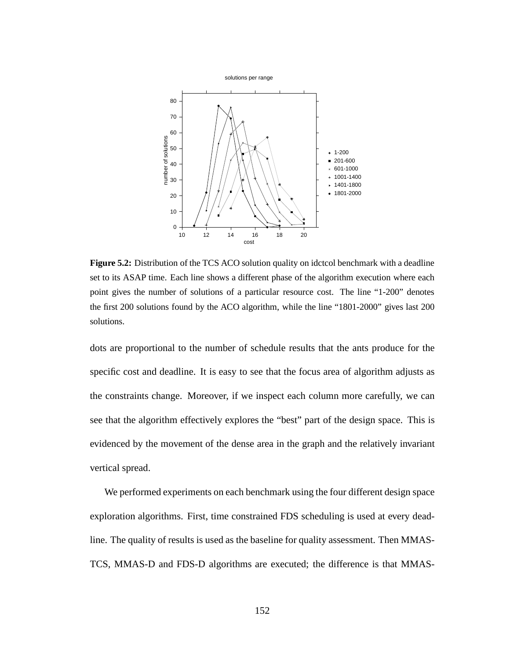

**Figure 5.2:** Distribution of the TCS ACO solution quality on idctcol benchmark with a deadline set to its ASAP time. Each line shows a different phase of the algorithm execution where each point gives the number of solutions of a particular resource cost. The line "1-200" denotes the first 200 solutions found by the ACO algorithm, while the line "1801-2000" gives last 200 solutions.

dots are proportional to the number of schedule results that the ants produce for the specific cost and deadline. It is easy to see that the focus area of algorithm adjusts as the constraints change. Moreover, if we inspect each column more carefully, we can see that the algorithm effectively explores the "best" part of the design space. This is evidenced by the movement of the dense area in the graph and the relatively invariant vertical spread.

We performed experiments on each benchmark using the four different design space exploration algorithms. First, time constrained FDS scheduling is used at every deadline. The quality of results is used as the baseline for quality assessment. Then MMAS-TCS, MMAS-D and FDS-D algorithms are executed; the difference is that MMAS-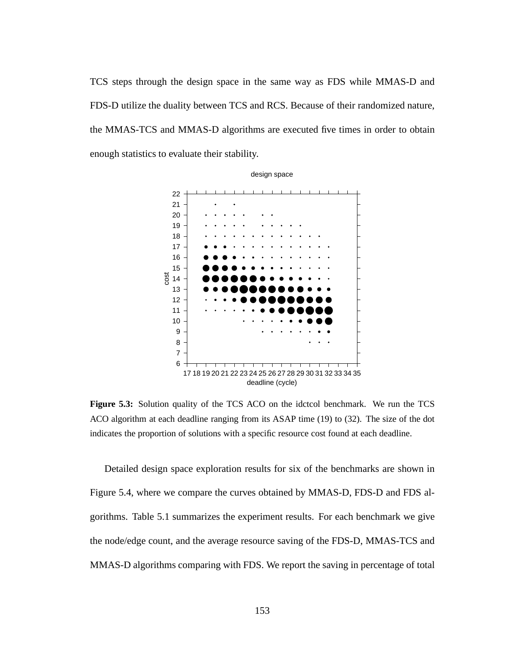TCS steps through the design space in the same way as FDS while MMAS-D and FDS-D utilize the duality between TCS and RCS. Because of their randomized nature, the MMAS-TCS and MMAS-D algorithms are executed five times in order to obtain enough statistics to evaluate their stability.



**Figure 5.3:** Solution quality of the TCS ACO on the idctcol benchmark. We run the TCS ACO algorithm at each deadline ranging from its ASAP time (19) to (32). The size of the dot indicates the proportion of solutions with a specific resource cost found at each deadline.

Detailed design space exploration results for six of the benchmarks are shown in Figure 5.4, where we compare the curves obtained by MMAS-D, FDS-D and FDS algorithms. Table 5.1 summarizes the experiment results. For each benchmark we give the node/edge count, and the average resource saving of the FDS-D, MMAS-TCS and MMAS-D algorithms comparing with FDS. We report the saving in percentage of total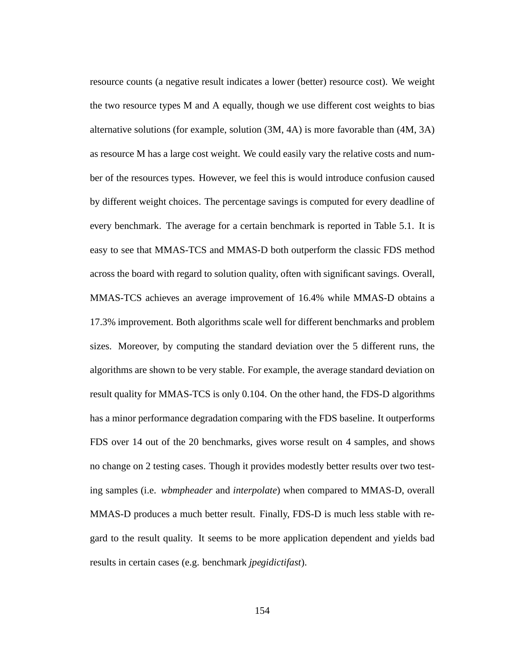resource counts (a negative result indicates a lower (better) resource cost). We weight the two resource types M and A equally, though we use different cost weights to bias alternative solutions (for example, solution (3M, 4A) is more favorable than (4M, 3A) as resource M has a large cost weight. We could easily vary the relative costs and number of the resources types. However, we feel this is would introduce confusion caused by different weight choices. The percentage savings is computed for every deadline of every benchmark. The average for a certain benchmark is reported in Table 5.1. It is easy to see that MMAS-TCS and MMAS-D both outperform the classic FDS method across the board with regard to solution quality, often with significant savings. Overall, MMAS-TCS achieves an average improvement of 16.4% while MMAS-D obtains a 17.3% improvement. Both algorithms scale well for different benchmarks and problem sizes. Moreover, by computing the standard deviation over the 5 different runs, the algorithms are shown to be very stable. For example, the average standard deviation on result quality for MMAS-TCS is only 0.104. On the other hand, the FDS-D algorithms has a minor performance degradation comparing with the FDS baseline. It outperforms FDS over 14 out of the 20 benchmarks, gives worse result on 4 samples, and shows no change on 2 testing cases. Though it provides modestly better results over two testing samples (i.e. *wbmpheader* and *interpolate*) when compared to MMAS-D, overall MMAS-D produces a much better result. Finally, FDS-D is much less stable with regard to the result quality. It seems to be more application dependent and yields bad results in certain cases (e.g. benchmark *jpegidictifast*).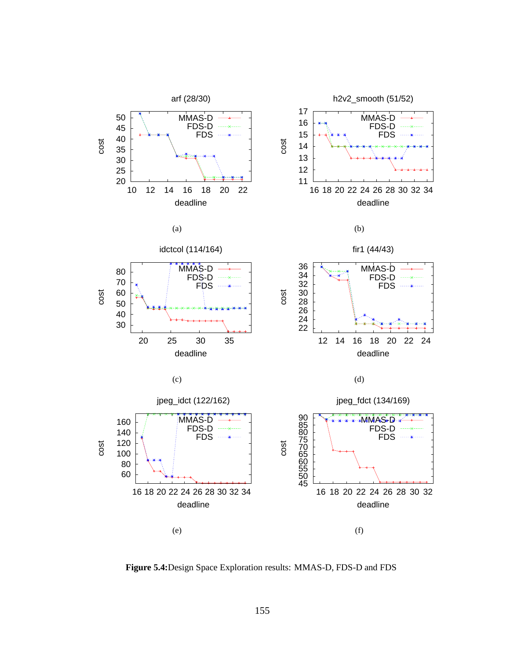

**Figure 5.4:**Design Space Exploration results: MMAS-D, FDS-D and FDS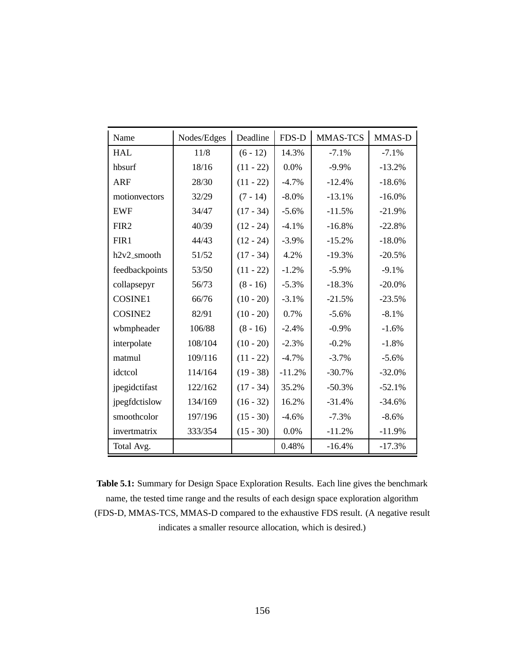| Name                    | Nodes/Edges | Deadline    | FDS-D    | MMAS-TCS | MMAS-D    |
|-------------------------|-------------|-------------|----------|----------|-----------|
| <b>HAL</b>              | 11/8        | $(6 - 12)$  | 14.3%    | $-7.1%$  | $-7.1%$   |
| hbsurf                  | 18/16       | $(11 - 22)$ | 0.0%     | $-9.9\%$ | $-13.2%$  |
| <b>ARF</b>              | 28/30       | $(11 - 22)$ | $-4.7%$  | $-12.4%$ | $-18.6%$  |
| motionvectors           | 32/29       | $(7 - 14)$  | $-8.0\%$ | $-13.1%$ | $-16.0%$  |
| <b>EWF</b>              | 34/47       | $(17 - 34)$ | $-5.6%$  | $-11.5%$ | $-21.9%$  |
| FIR2                    | 40/39       | $(12 - 24)$ | $-4.1%$  | $-16.8%$ | $-22.8%$  |
| FIR1                    | 44/43       | $(12 - 24)$ | $-3.9%$  | $-15.2%$ | $-18.0%$  |
| h <sub>2v2_smooth</sub> | 51/52       | $(17 - 34)$ | 4.2%     | $-19.3%$ | $-20.5%$  |
| feedbackpoints          | 53/50       | $(11 - 22)$ | $-1.2%$  | $-5.9\%$ | $-9.1%$   |
| collapsepyr             | 56/73       | $(8 - 16)$  | $-5.3%$  | $-18.3%$ | $-20.0\%$ |
| <b>COSINE1</b>          | 66/76       | $(10 - 20)$ | $-3.1%$  | $-21.5%$ | $-23.5%$  |
| COSINE2                 | 82/91       | $(10 - 20)$ | 0.7%     | $-5.6%$  | $-8.1%$   |
| wbmpheader              | 106/88      | $(8 - 16)$  | $-2.4%$  | $-0.9%$  | $-1.6%$   |
| interpolate             | 108/104     | $(10 - 20)$ | $-2.3%$  | $-0.2%$  | $-1.8%$   |
| matmul                  | 109/116     | $(11 - 22)$ | $-4.7%$  | $-3.7%$  | $-5.6%$   |
| idctcol                 | 114/164     | $(19 - 38)$ | $-11.2%$ | $-30.7%$ | $-32.0%$  |
| jpegidctifast           | 122/162     | $(17 - 34)$ | 35.2%    | $-50.3%$ | $-52.1%$  |
| jpegfdctislow           | 134/169     | $(16 - 32)$ | 16.2%    | $-31.4%$ | $-34.6%$  |
| smoothcolor             | 197/196     | $(15 - 30)$ | $-4.6%$  | $-7.3%$  | $-8.6%$   |
| invertmatrix            | 333/354     | $(15 - 30)$ | 0.0%     | $-11.2%$ | $-11.9%$  |
| Total Avg.              |             |             | 0.48%    | $-16.4%$ | $-17.3%$  |

**Table 5.1:** Summary for Design Space Exploration Results. Each line gives the benchmark name, the tested time range and the results of each design space exploration algorithm (FDS-D, MMAS-TCS, MMAS-D compared to the exhaustive FDS result. (A negative result indicates a smaller resource allocation, which is desired.)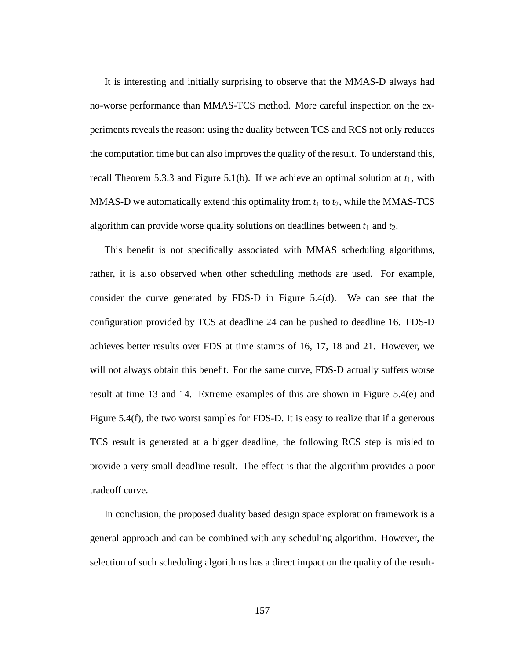It is interesting and initially surprising to observe that the MMAS-D always had no-worse performance than MMAS-TCS method. More careful inspection on the experiments reveals the reason: using the duality between TCS and RCS not only reduces the computation time but can also improves the quality of the result. To understand this, recall Theorem 5.3.3 and Figure 5.1(b). If we achieve an optimal solution at  $t_1$ , with MMAS-D we automatically extend this optimality from  $t_1$  to  $t_2$ , while the MMAS-TCS algorithm can provide worse quality solutions on deadlines between  $t_1$  and  $t_2$ .

This benefit is not specifically associated with MMAS scheduling algorithms, rather, it is also observed when other scheduling methods are used. For example, consider the curve generated by FDS-D in Figure 5.4(d). We can see that the configuration provided by TCS at deadline 24 can be pushed to deadline 16. FDS-D achieves better results over FDS at time stamps of 16, 17, 18 and 21. However, we will not always obtain this benefit. For the same curve, FDS-D actually suffers worse result at time 13 and 14. Extreme examples of this are shown in Figure 5.4(e) and Figure 5.4(f), the two worst samples for FDS-D. It is easy to realize that if a generous TCS result is generated at a bigger deadline, the following RCS step is misled to provide a very small deadline result. The effect is that the algorithm provides a poor tradeoff curve.

In conclusion, the proposed duality based design space exploration framework is a general approach and can be combined with any scheduling algorithm. However, the selection of such scheduling algorithms has a direct impact on the quality of the result-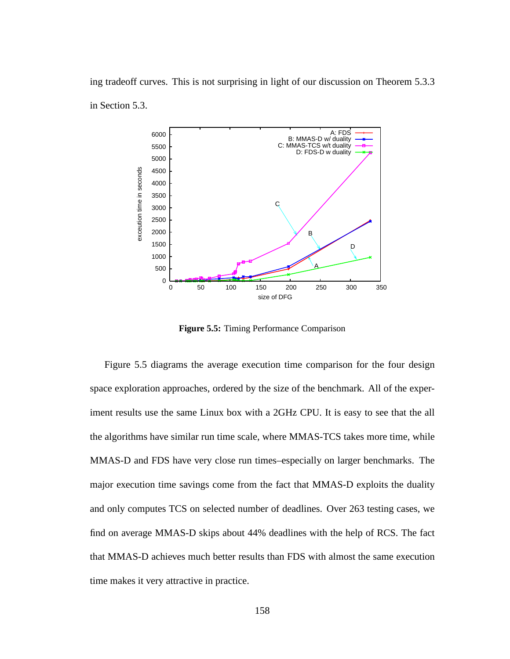ing tradeoff curves. This is not surprising in light of our discussion on Theorem 5.3.3 in Section 5.3.



**Figure 5.5:** Timing Performance Comparison

Figure 5.5 diagrams the average execution time comparison for the four design space exploration approaches, ordered by the size of the benchmark. All of the experiment results use the same Linux box with a 2GHz CPU. It is easy to see that the all the algorithms have similar run time scale, where MMAS-TCS takes more time, while MMAS-D and FDS have very close run times–especially on larger benchmarks. The major execution time savings come from the fact that MMAS-D exploits the duality and only computes TCS on selected number of deadlines. Over 263 testing cases, we find on average MMAS-D skips about 44% deadlines with the help of RCS. The fact that MMAS-D achieves much better results than FDS with almost the same execution time makes it very attractive in practice.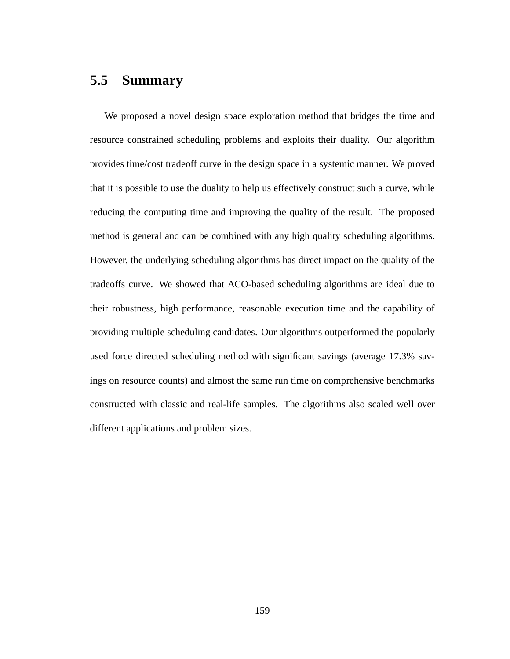### **5.5 Summary**

We proposed a novel design space exploration method that bridges the time and resource constrained scheduling problems and exploits their duality. Our algorithm provides time/cost tradeoff curve in the design space in a systemic manner. We proved that it is possible to use the duality to help us effectively construct such a curve, while reducing the computing time and improving the quality of the result. The proposed method is general and can be combined with any high quality scheduling algorithms. However, the underlying scheduling algorithms has direct impact on the quality of the tradeoffs curve. We showed that ACO-based scheduling algorithms are ideal due to their robustness, high performance, reasonable execution time and the capability of providing multiple scheduling candidates. Our algorithms outperformed the popularly used force directed scheduling method with significant savings (average 17.3% savings on resource counts) and almost the same run time on comprehensive benchmarks constructed with classic and real-life samples. The algorithms also scaled well over different applications and problem sizes.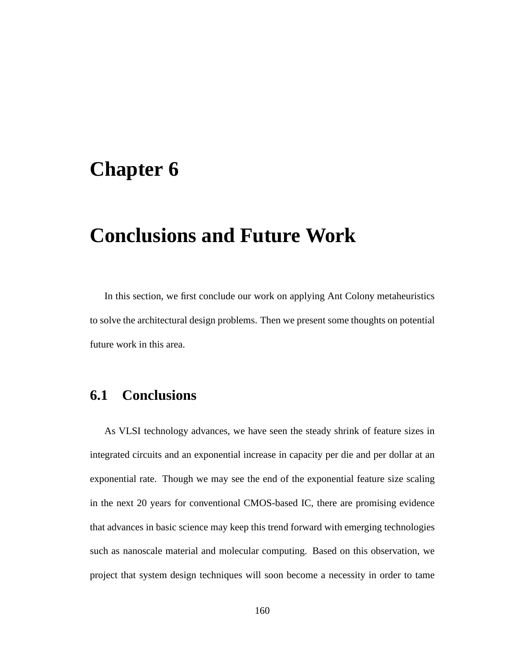## **Chapter 6**

## **Conclusions and Future Work**

In this section, we first conclude our work on applying Ant Colony metaheuristics to solve the architectural design problems. Then we present some thoughts on potential future work in this area.

## **6.1 Conclusions**

As VLSI technology advances, we have seen the steady shrink of feature sizes in integrated circuits and an exponential increase in capacity per die and per dollar at an exponential rate. Though we may see the end of the exponential feature size scaling in the next 20 years for conventional CMOS-based IC, there are promising evidence that advances in basic science may keep this trend forward with emerging technologies such as nanoscale material and molecular computing. Based on this observation, we project that system design techniques will soon become a necessity in order to tame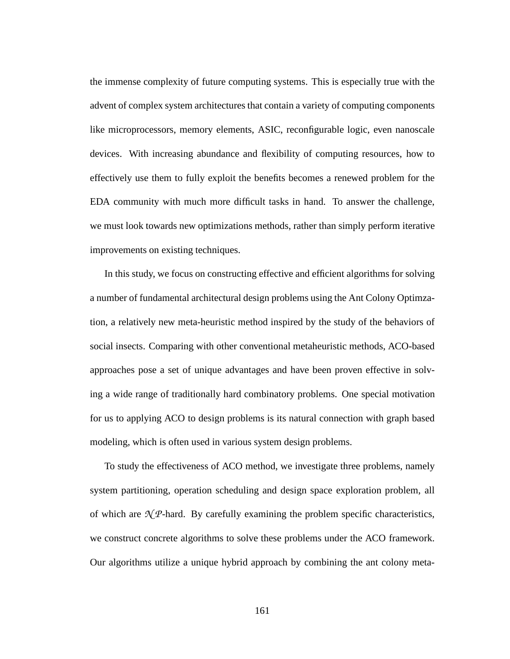the immense complexity of future computing systems. This is especially true with the advent of complex system architectures that contain a variety of computing components like microprocessors, memory elements, ASIC, reconfigurable logic, even nanoscale devices. With increasing abundance and flexibility of computing resources, how to effectively use them to fully exploit the benefits becomes a renewed problem for the EDA community with much more difficult tasks in hand. To answer the challenge, we must look towards new optimizations methods, rather than simply perform iterative improvements on existing techniques.

In this study, we focus on constructing effective and efficient algorithms for solving a number of fundamental architectural design problems using the Ant Colony Optimzation, a relatively new meta-heuristic method inspired by the study of the behaviors of social insects. Comparing with other conventional metaheuristic methods, ACO-based approaches pose a set of unique advantages and have been proven effective in solving a wide range of traditionally hard combinatory problems. One special motivation for us to applying ACO to design problems is its natural connection with graph based modeling, which is often used in various system design problems.

To study the effectiveness of ACO method, we investigate three problems, namely system partitioning, operation scheduling and design space exploration problem, all of which are  $\mathcal{N}$ *P*-hard. By carefully examining the problem specific characteristics, we construct concrete algorithms to solve these problems under the ACO framework. Our algorithms utilize a unique hybrid approach by combining the ant colony meta-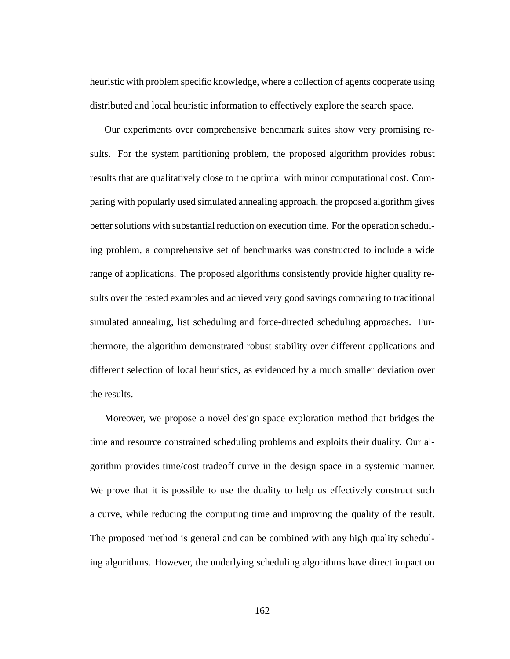heuristic with problem specific knowledge, where a collection of agents cooperate using distributed and local heuristic information to effectively explore the search space.

Our experiments over comprehensive benchmark suites show very promising results. For the system partitioning problem, the proposed algorithm provides robust results that are qualitatively close to the optimal with minor computational cost. Comparing with popularly used simulated annealing approach, the proposed algorithm gives better solutions with substantial reduction on execution time. For the operation scheduling problem, a comprehensive set of benchmarks was constructed to include a wide range of applications. The proposed algorithms consistently provide higher quality results over the tested examples and achieved very good savings comparing to traditional simulated annealing, list scheduling and force-directed scheduling approaches. Furthermore, the algorithm demonstrated robust stability over different applications and different selection of local heuristics, as evidenced by a much smaller deviation over the results.

Moreover, we propose a novel design space exploration method that bridges the time and resource constrained scheduling problems and exploits their duality. Our algorithm provides time/cost tradeoff curve in the design space in a systemic manner. We prove that it is possible to use the duality to help us effectively construct such a curve, while reducing the computing time and improving the quality of the result. The proposed method is general and can be combined with any high quality scheduling algorithms. However, the underlying scheduling algorithms have direct impact on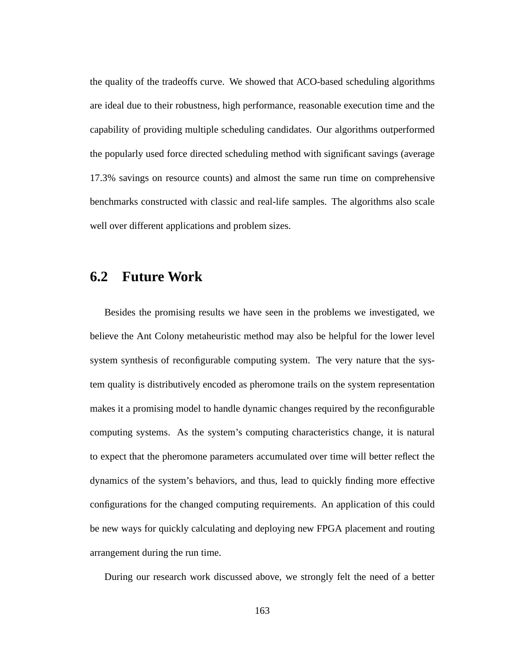the quality of the tradeoffs curve. We showed that ACO-based scheduling algorithms are ideal due to their robustness, high performance, reasonable execution time and the capability of providing multiple scheduling candidates. Our algorithms outperformed the popularly used force directed scheduling method with significant savings (average 17.3% savings on resource counts) and almost the same run time on comprehensive benchmarks constructed with classic and real-life samples. The algorithms also scale well over different applications and problem sizes.

## **6.2 Future Work**

Besides the promising results we have seen in the problems we investigated, we believe the Ant Colony metaheuristic method may also be helpful for the lower level system synthesis of reconfigurable computing system. The very nature that the system quality is distributively encoded as pheromone trails on the system representation makes it a promising model to handle dynamic changes required by the reconfigurable computing systems. As the system's computing characteristics change, it is natural to expect that the pheromone parameters accumulated over time will better reflect the dynamics of the system's behaviors, and thus, lead to quickly finding more effective configurations for the changed computing requirements. An application of this could be new ways for quickly calculating and deploying new FPGA placement and routing arrangement during the run time.

During our research work discussed above, we strongly felt the need of a better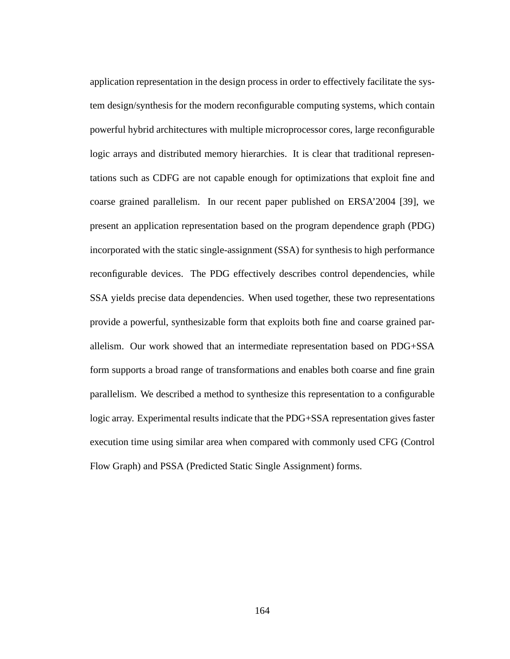application representation in the design process in order to effectively facilitate the system design/synthesis for the modern reconfigurable computing systems, which contain powerful hybrid architectures with multiple microprocessor cores, large reconfigurable logic arrays and distributed memory hierarchies. It is clear that traditional representations such as CDFG are not capable enough for optimizations that exploit fine and coarse grained parallelism. In our recent paper published on ERSA'2004 [39], we present an application representation based on the program dependence graph (PDG) incorporated with the static single-assignment (SSA) for synthesis to high performance reconfigurable devices. The PDG effectively describes control dependencies, while SSA yields precise data dependencies. When used together, these two representations provide a powerful, synthesizable form that exploits both fine and coarse grained parallelism. Our work showed that an intermediate representation based on PDG+SSA form supports a broad range of transformations and enables both coarse and fine grain parallelism. We described a method to synthesize this representation to a configurable logic array. Experimental results indicate that the PDG+SSA representation gives faster execution time using similar area when compared with commonly used CFG (Control Flow Graph) and PSSA (Predicted Static Single Assignment) forms.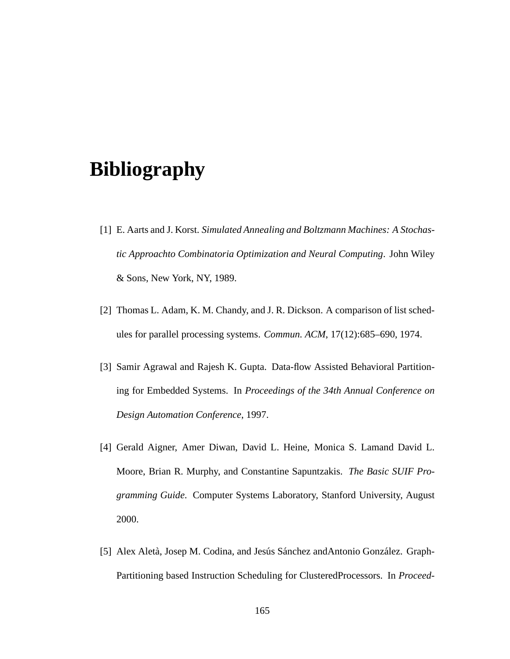## **Bibliography**

- [1] E. Aarts and J. Korst. *Simulated Annealing and Boltzmann Machines: A Stochastic Approachto Combinatoria Optimization and Neural Computing*. John Wiley & Sons, New York, NY, 1989.
- [2] Thomas L. Adam, K. M. Chandy, and J. R. Dickson. A comparison of list schedules for parallel processing systems. *Commun. ACM*, 17(12):685–690, 1974.
- [3] Samir Agrawal and Rajesh K. Gupta. Data-flow Assisted Behavioral Partitioning for Embedded Systems. In *Proceedings of the 34th Annual Conference on Design Automation Conference*, 1997.
- [4] Gerald Aigner, Amer Diwan, David L. Heine, Monica S. Lamand David L. Moore, Brian R. Murphy, and Constantine Sapuntzakis. *The Basic SUIF Programming Guide*. Computer Systems Laboratory, Stanford University, August 2000.
- [5] Alex Aletà, Josep M. Codina, and Jesús Sánchez andAntonio González. Graph-Partitioning based Instruction Scheduling for ClusteredProcessors. In *Proceed-*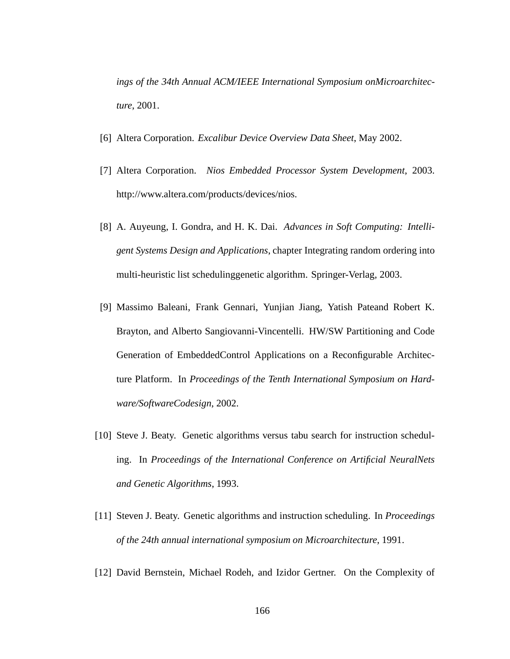*ings of the 34th Annual ACM/IEEE International Symposium onMicroarchitecture*, 2001.

- [6] Altera Corporation. *Excalibur Device Overview Data Sheet*, May 2002.
- [7] Altera Corporation. *Nios Embedded Processor System Development*, 2003. http://www.altera.com/products/devices/nios.
- [8] A. Auyeung, I. Gondra, and H. K. Dai. *Advances in Soft Computing: Intelligent Systems Design and Applications*, chapter Integrating random ordering into multi-heuristic list schedulinggenetic algorithm. Springer-Verlag, 2003.
- [9] Massimo Baleani, Frank Gennari, Yunjian Jiang, Yatish Pateand Robert K. Brayton, and Alberto Sangiovanni-Vincentelli. HW/SW Partitioning and Code Generation of EmbeddedControl Applications on a Reconfigurable Architecture Platform. In *Proceedings of the Tenth International Symposium on Hardware/SoftwareCodesign*, 2002.
- [10] Steve J. Beaty. Genetic algorithms versus tabu search for instruction scheduling. In *Proceedings of the International Conference on Artificial NeuralNets and Genetic Algorithms*, 1993.
- [11] Steven J. Beaty. Genetic algorithms and instruction scheduling. In *Proceedings of the 24th annual international symposium on Microarchitecture*, 1991.
- [12] David Bernstein, Michael Rodeh, and Izidor Gertner. On the Complexity of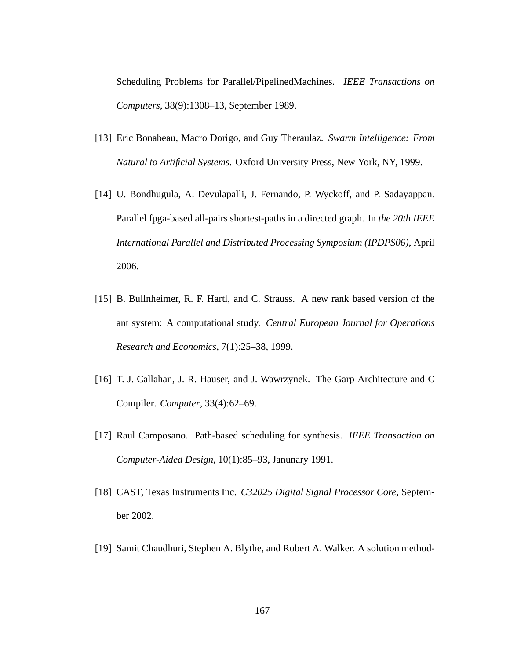Scheduling Problems for Parallel/PipelinedMachines. *IEEE Transactions on Computers*, 38(9):1308–13, September 1989.

- [13] Eric Bonabeau, Macro Dorigo, and Guy Theraulaz. *Swarm Intelligence: From Natural to Artificial Systems*. Oxford University Press, New York, NY, 1999.
- [14] U. Bondhugula, A. Devulapalli, J. Fernando, P. Wyckoff, and P. Sadayappan. Parallel fpga-based all-pairs shortest-paths in a directed graph. In *the 20th IEEE International Parallel and Distributed Processing Symposium (IPDPS06)*, April 2006.
- [15] B. Bullnheimer, R. F. Hartl, and C. Strauss. A new rank based version of the ant system: A computational study. *Central European Journal for Operations Research and Economics*, 7(1):25–38, 1999.
- [16] T. J. Callahan, J. R. Hauser, and J. Wawrzynek. The Garp Architecture and C Compiler. *Computer*, 33(4):62–69.
- [17] Raul Camposano. Path-based scheduling for synthesis. *IEEE Transaction on Computer-Aided Design*, 10(1):85–93, Janunary 1991.
- [18] CAST, Texas Instruments Inc. *C32025 Digital Signal Processor Core*, September 2002.
- [19] Samit Chaudhuri, Stephen A. Blythe, and Robert A. Walker. A solution method-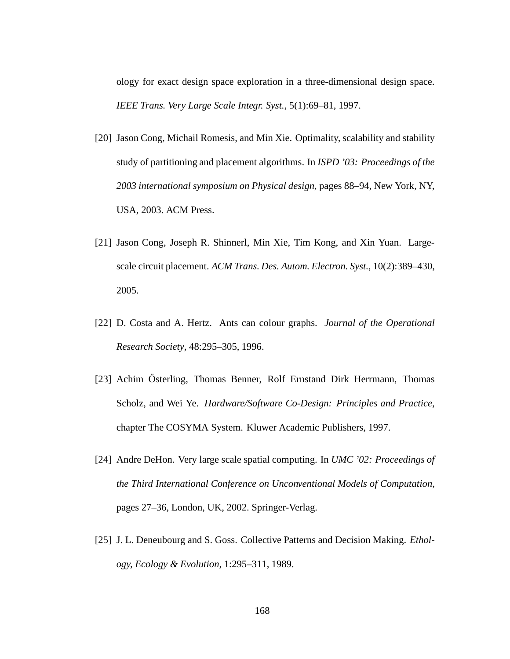ology for exact design space exploration in a three-dimensional design space. *IEEE Trans. Very Large Scale Integr. Syst.*, 5(1):69–81, 1997.

- [20] Jason Cong, Michail Romesis, and Min Xie. Optimality, scalability and stability study of partitioning and placement algorithms. In *ISPD '03: Proceedings of the 2003 international symposium on Physical design*, pages 88–94, New York, NY, USA, 2003. ACM Press.
- [21] Jason Cong, Joseph R. Shinnerl, Min Xie, Tim Kong, and Xin Yuan. Largescale circuit placement. *ACM Trans. Des. Autom. Electron. Syst.*, 10(2):389–430, 2005.
- [22] D. Costa and A. Hertz. Ants can colour graphs. *Journal of the Operational Research Society*, 48:295–305, 1996.
- [23] Achim Österling, Thomas Benner, Rolf Ernstand Dirk Herrmann, Thomas Scholz, and Wei Ye. *Hardware/Software Co-Design: Principles and Practice*, chapter The COSYMA System. Kluwer Academic Publishers, 1997.
- [24] Andre DeHon. Very large scale spatial computing. In *UMC '02: Proceedings of the Third International Conference on Unconventional Models of Computation*, pages 27–36, London, UK, 2002. Springer-Verlag.
- [25] J. L. Deneubourg and S. Goss. Collective Patterns and Decision Making. *Ethology, Ecology & Evolution*, 1:295–311, 1989.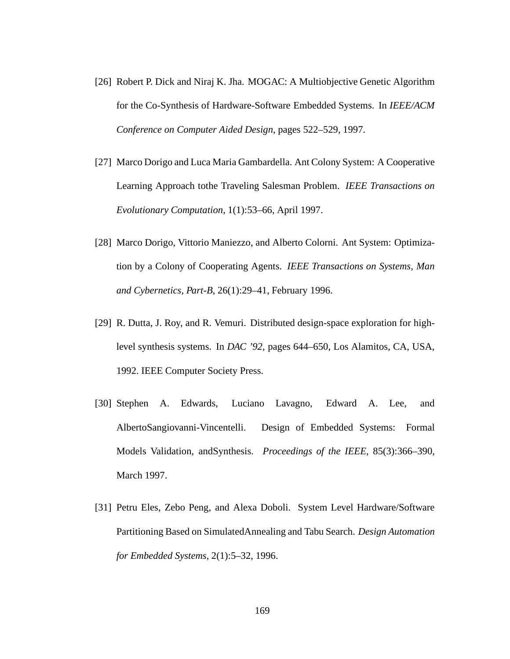- [26] Robert P. Dick and Niraj K. Jha. MOGAC: A Multiobjective Genetic Algorithm for the Co-Synthesis of Hardware-Software Embedded Systems. In *IEEE/ACM Conference on Computer Aided Design*, pages 522–529, 1997.
- [27] Marco Dorigo and Luca Maria Gambardella. Ant Colony System: A Cooperative Learning Approach tothe Traveling Salesman Problem. *IEEE Transactions on Evolutionary Computation*, 1(1):53–66, April 1997.
- [28] Marco Dorigo, Vittorio Maniezzo, and Alberto Colorni. Ant System: Optimization by a Colony of Cooperating Agents. *IEEE Transactions on Systems, Man and Cybernetics, Part-B*, 26(1):29–41, February 1996.
- [29] R. Dutta, J. Roy, and R. Vemuri. Distributed design-space exploration for highlevel synthesis systems. In *DAC '92*, pages 644–650, Los Alamitos, CA, USA, 1992. IEEE Computer Society Press.
- [30] Stephen A. Edwards, Luciano Lavagno, Edward A. Lee, and AlbertoSangiovanni-Vincentelli. Design of Embedded Systems: Formal Models Validation, andSynthesis. *Proceedings of the IEEE*, 85(3):366–390, March 1997.
- [31] Petru Eles, Zebo Peng, and Alexa Doboli. System Level Hardware/Software Partitioning Based on SimulatedAnnealing and Tabu Search. *Design Automation for Embedded Systems*, 2(1):5–32, 1996.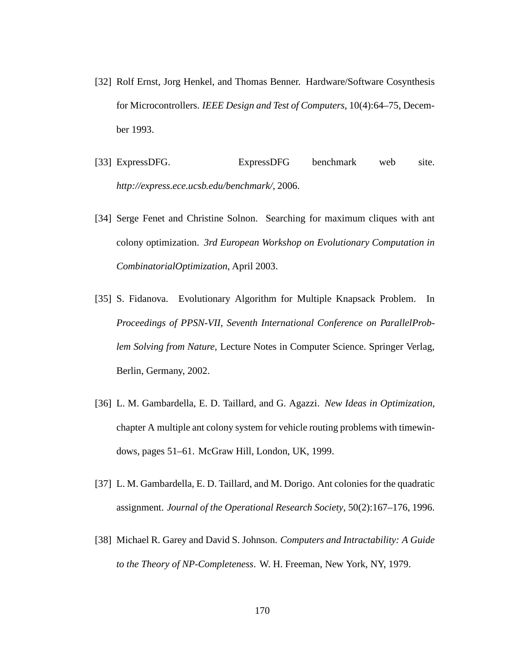- [32] Rolf Ernst, Jorg Henkel, and Thomas Benner. Hardware/Software Cosynthesis for Microcontrollers. *IEEE Design and Test of Computers*, 10(4):64–75, December 1993.
- [33] ExpressDFG. ExpressDFG benchmark web site. *http://express.ece.ucsb.edu/benchmark/*, 2006.
- [34] Serge Fenet and Christine Solnon. Searching for maximum cliques with ant colony optimization. *3rd European Workshop on Evolutionary Computation in CombinatorialOptimization*, April 2003.
- [35] S. Fidanova. Evolutionary Algorithm for Multiple Knapsack Problem. In *Proceedings of PPSN-VII, Seventh International Conference on ParallelProblem Solving from Nature*, Lecture Notes in Computer Science. Springer Verlag, Berlin, Germany, 2002.
- [36] L. M. Gambardella, E. D. Taillard, and G. Agazzi. *New Ideas in Optimization*, chapter A multiple ant colony system for vehicle routing problems with timewindows, pages 51–61. McGraw Hill, London, UK, 1999.
- [37] L. M. Gambardella, E. D. Taillard, and M. Dorigo. Ant colonies for the quadratic assignment. *Journal of the Operational Research Society*, 50(2):167–176, 1996.
- [38] Michael R. Garey and David S. Johnson. *Computers and Intractability: A Guide to the Theory of NP-Completeness*. W. H. Freeman, New York, NY, 1979.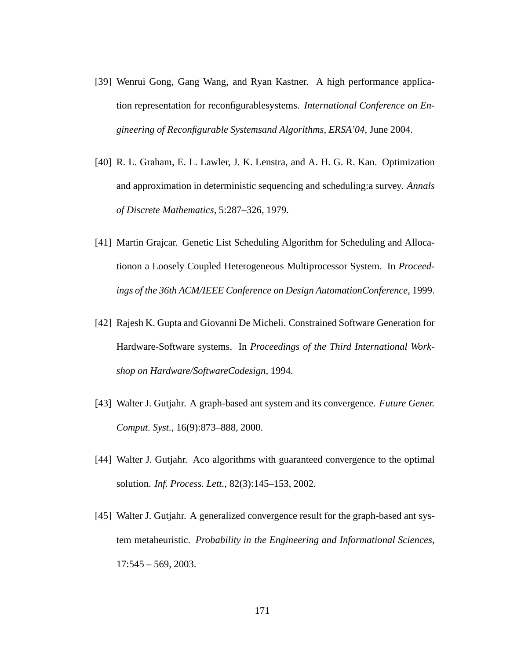- [39] Wenrui Gong, Gang Wang, and Ryan Kastner. A high performance application representation for reconfigurablesystems. *International Conference on Engineering of Reconfigurable Systemsand Algorithms, ERSA'04*, June 2004.
- [40] R. L. Graham, E. L. Lawler, J. K. Lenstra, and A. H. G. R. Kan. Optimization and approximation in deterministic sequencing and scheduling:a survey. *Annals of Discrete Mathematics*, 5:287–326, 1979.
- [41] Martin Grajcar. Genetic List Scheduling Algorithm for Scheduling and Allocationon a Loosely Coupled Heterogeneous Multiprocessor System. In *Proceedings of the 36th ACM/IEEE Conference on Design AutomationConference*, 1999.
- [42] Rajesh K. Gupta and Giovanni De Micheli. Constrained Software Generation for Hardware-Software systems. In *Proceedings of the Third International Workshop on Hardware/SoftwareCodesign*, 1994.
- [43] Walter J. Gutjahr. A graph-based ant system and its convergence. *Future Gener. Comput. Syst.*, 16(9):873–888, 2000.
- [44] Walter J. Gutjahr. Aco algorithms with guaranteed convergence to the optimal solution. *Inf. Process. Lett.*, 82(3):145–153, 2002.
- [45] Walter J. Gutjahr. A generalized convergence result for the graph-based ant system metaheuristic. *Probability in the Engineering and Informational Sciences*,  $17:545 - 569, 2003.$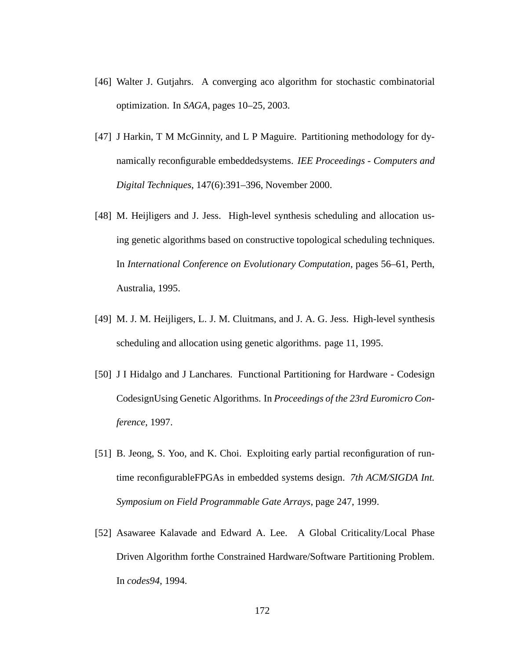- [46] Walter J. Gutjahrs. A converging aco algorithm for stochastic combinatorial optimization. In *SAGA*, pages 10–25, 2003.
- [47] J Harkin, T M McGinnity, and L P Maguire. Partitioning methodology for dynamically reconfigurable embeddedsystems. *IEE Proceedings - Computers and Digital Techniques*, 147(6):391–396, November 2000.
- [48] M. Heijligers and J. Jess. High-level synthesis scheduling and allocation using genetic algorithms based on constructive topological scheduling techniques. In *International Conference on Evolutionary Computation*, pages 56–61, Perth, Australia, 1995.
- [49] M. J. M. Heijligers, L. J. M. Cluitmans, and J. A. G. Jess. High-level synthesis scheduling and allocation using genetic algorithms. page 11, 1995.
- [50] J I Hidalgo and J Lanchares. Functional Partitioning for Hardware Codesign CodesignUsing Genetic Algorithms. In *Proceedings of the 23rd Euromicro Conference*, 1997.
- [51] B. Jeong, S. Yoo, and K. Choi. Exploiting early partial reconfiguration of runtime reconfigurableFPGAs in embedded systems design. *7th ACM/SIGDA Int. Symposium on Field Programmable Gate Arrays*, page 247, 1999.
- [52] Asawaree Kalavade and Edward A. Lee. A Global Criticality/Local Phase Driven Algorithm forthe Constrained Hardware/Software Partitioning Problem. In *codes94*, 1994.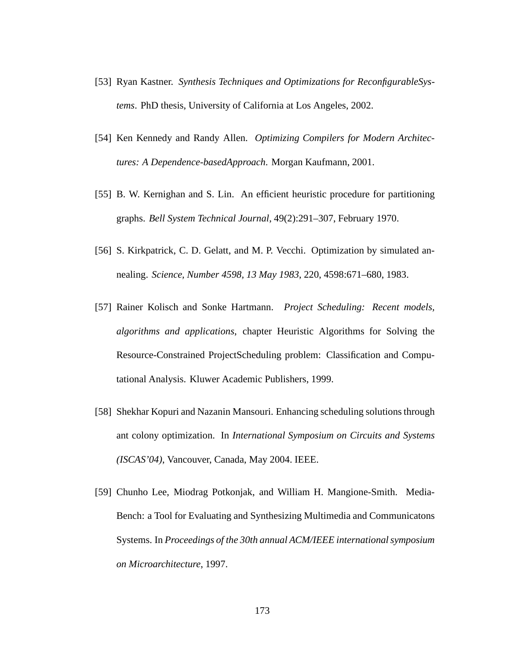- [53] Ryan Kastner. *Synthesis Techniques and Optimizations for ReconfigurableSystems*. PhD thesis, University of California at Los Angeles, 2002.
- [54] Ken Kennedy and Randy Allen. *Optimizing Compilers for Modern Architectures: A Dependence-basedApproach*. Morgan Kaufmann, 2001.
- [55] B. W. Kernighan and S. Lin. An efficient heuristic procedure for partitioning graphs. *Bell System Technical Journal*, 49(2):291–307, February 1970.
- [56] S. Kirkpatrick, C. D. Gelatt, and M. P. Vecchi. Optimization by simulated annealing. *Science, Number 4598, 13 May 1983*, 220, 4598:671–680, 1983.
- [57] Rainer Kolisch and Sonke Hartmann. *Project Scheduling: Recent models, algorithms and applications*, chapter Heuristic Algorithms for Solving the Resource-Constrained ProjectScheduling problem: Classification and Computational Analysis. Kluwer Academic Publishers, 1999.
- [58] Shekhar Kopuri and Nazanin Mansouri. Enhancing scheduling solutions through ant colony optimization. In *International Symposium on Circuits and Systems (ISCAS'04)*, Vancouver, Canada, May 2004. IEEE.
- [59] Chunho Lee, Miodrag Potkonjak, and William H. Mangione-Smith. Media-Bench: a Tool for Evaluating and Synthesizing Multimedia and Communicatons Systems. In *Proceedings of the 30th annual ACM/IEEE international symposium on Microarchitecture*, 1997.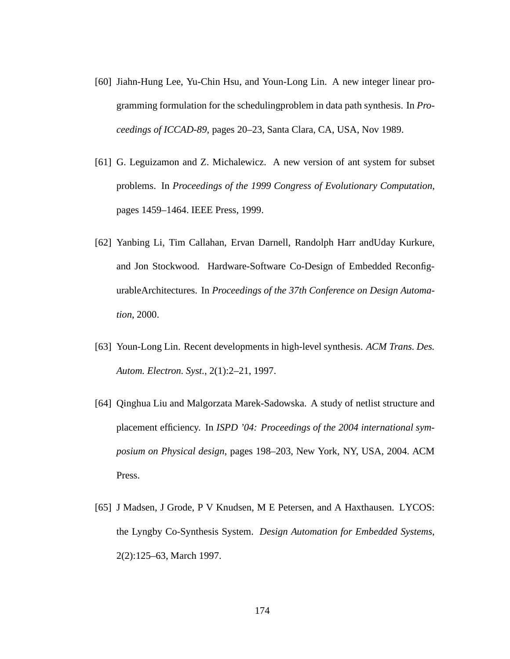- [60] Jiahn-Hung Lee, Yu-Chin Hsu, and Youn-Long Lin. A new integer linear programming formulation for the schedulingproblem in data path synthesis. In *Proceedings of ICCAD-89*, pages 20–23, Santa Clara, CA, USA, Nov 1989.
- [61] G. Leguizamon and Z. Michalewicz. A new version of ant system for subset problems. In *Proceedings of the 1999 Congress of Evolutionary Computation*, pages 1459–1464. IEEE Press, 1999.
- [62] Yanbing Li, Tim Callahan, Ervan Darnell, Randolph Harr andUday Kurkure, and Jon Stockwood. Hardware-Software Co-Design of Embedded ReconfigurableArchitectures. In *Proceedings of the 37th Conference on Design Automation*, 2000.
- [63] Youn-Long Lin. Recent developments in high-level synthesis. *ACM Trans. Des. Autom. Electron. Syst.*, 2(1):2–21, 1997.
- [64] Qinghua Liu and Malgorzata Marek-Sadowska. A study of netlist structure and placement efficiency. In *ISPD '04: Proceedings of the 2004 international symposium on Physical design*, pages 198–203, New York, NY, USA, 2004. ACM Press.
- [65] J Madsen, J Grode, P V Knudsen, M E Petersen, and A Haxthausen. LYCOS: the Lyngby Co-Synthesis System. *Design Automation for Embedded Systems*, 2(2):125–63, March 1997.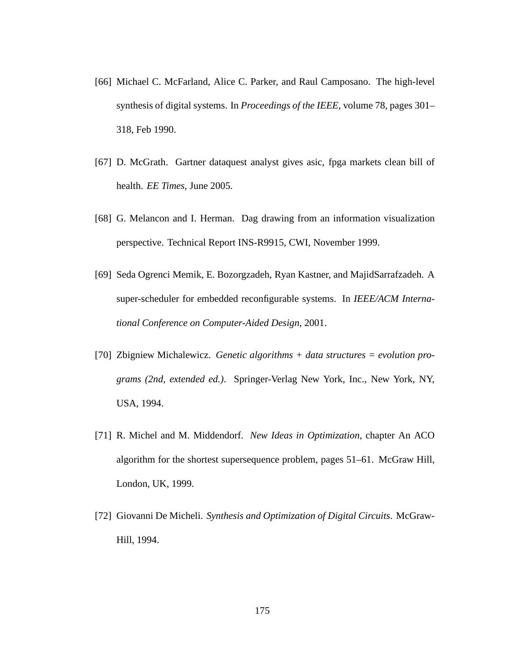- [66] Michael C. McFarland, Alice C. Parker, and Raul Camposano. The high-level synthesis of digital systems. In *Proceedings of the IEEE*, volume 78, pages 301– 318, Feb 1990.
- [67] D. McGrath. Gartner dataquest analyst gives asic, fpga markets clean bill of health. *EE Times*, June 2005.
- [68] G. Melancon and I. Herman. Dag drawing from an information visualization perspective. Technical Report INS-R9915, CWI, November 1999.
- [69] Seda Ogrenci Memik, E. Bozorgzadeh, Ryan Kastner, and MajidSarrafzadeh. A super-scheduler for embedded reconfigurable systems. In *IEEE/ACM International Conference on Computer-Aided Design*, 2001.
- [70] Zbigniew Michalewicz. *Genetic algorithms + data structures = evolution programs (2nd, extended ed.)*. Springer-Verlag New York, Inc., New York, NY, USA, 1994.
- [71] R. Michel and M. Middendorf. *New Ideas in Optimization*, chapter An ACO algorithm for the shortest supersequence problem, pages 51–61. McGraw Hill, London, UK, 1999.
- [72] Giovanni De Micheli. *Synthesis and Optimization of Digital Circuits*. McGraw-Hill, 1994.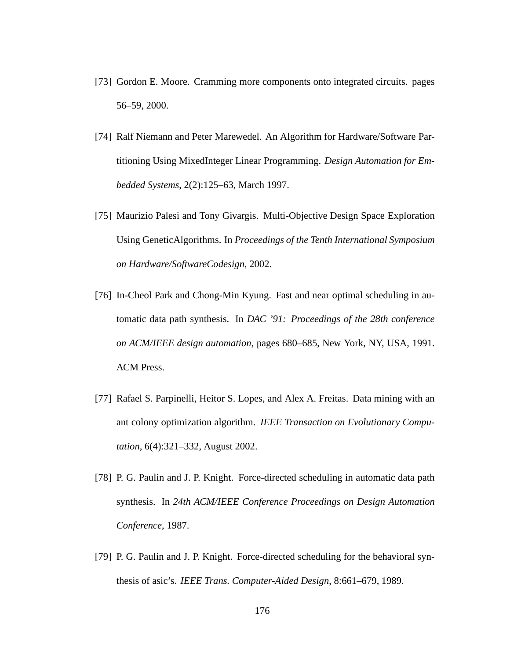- [73] Gordon E. Moore. Cramming more components onto integrated circuits. pages 56–59, 2000.
- [74] Ralf Niemann and Peter Marewedel. An Algorithm for Hardware/Software Partitioning Using MixedInteger Linear Programming. *Design Automation for Embedded Systems*, 2(2):125–63, March 1997.
- [75] Maurizio Palesi and Tony Givargis. Multi-Objective Design Space Exploration Using GeneticAlgorithms. In *Proceedings of the Tenth International Symposium on Hardware/SoftwareCodesign*, 2002.
- [76] In-Cheol Park and Chong-Min Kyung. Fast and near optimal scheduling in automatic data path synthesis. In *DAC '91: Proceedings of the 28th conference on ACM/IEEE design automation*, pages 680–685, New York, NY, USA, 1991. ACM Press.
- [77] Rafael S. Parpinelli, Heitor S. Lopes, and Alex A. Freitas. Data mining with an ant colony optimization algorithm. *IEEE Transaction on Evolutionary Computation*, 6(4):321–332, August 2002.
- [78] P. G. Paulin and J. P. Knight. Force-directed scheduling in automatic data path synthesis. In *24th ACM/IEEE Conference Proceedings on Design Automation Conference*, 1987.
- [79] P. G. Paulin and J. P. Knight. Force-directed scheduling for the behavioral synthesis of asic's. *IEEE Trans. Computer-Aided Design*, 8:661–679, 1989.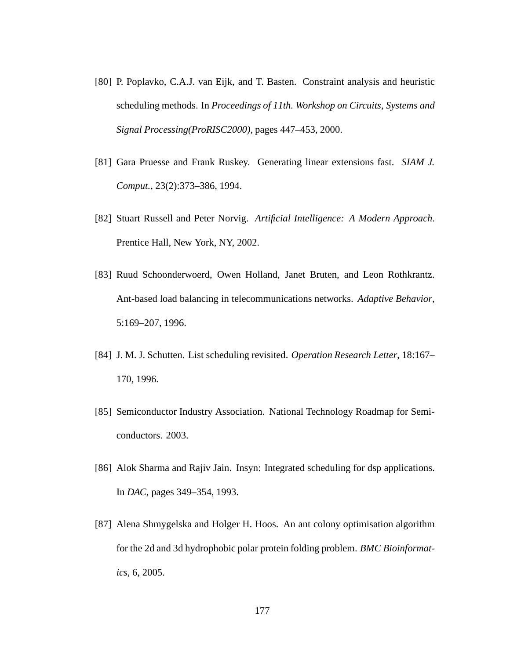- [80] P. Poplavko, C.A.J. van Eijk, and T. Basten. Constraint analysis and heuristic scheduling methods. In *Proceedings of 11th. Workshop on Circuits, Systems and Signal Processing(ProRISC2000)*, pages 447–453, 2000.
- [81] Gara Pruesse and Frank Ruskey. Generating linear extensions fast. *SIAM J. Comput.*, 23(2):373–386, 1994.
- [82] Stuart Russell and Peter Norvig. *Artificial Intelligence: A Modern Approach*. Prentice Hall, New York, NY, 2002.
- [83] Ruud Schoonderwoerd, Owen Holland, Janet Bruten, and Leon Rothkrantz. Ant-based load balancing in telecommunications networks. *Adaptive Behavior*, 5:169–207, 1996.
- [84] J. M. J. Schutten. List scheduling revisited. *Operation Research Letter*, 18:167– 170, 1996.
- [85] Semiconductor Industry Association. National Technology Roadmap for Semiconductors. 2003.
- [86] Alok Sharma and Rajiv Jain. Insyn: Integrated scheduling for dsp applications. In *DAC*, pages 349–354, 1993.
- [87] Alena Shmygelska and Holger H. Hoos. An ant colony optimisation algorithm for the 2d and 3d hydrophobic polar protein folding problem. *BMC Bioinformatics*, 6, 2005.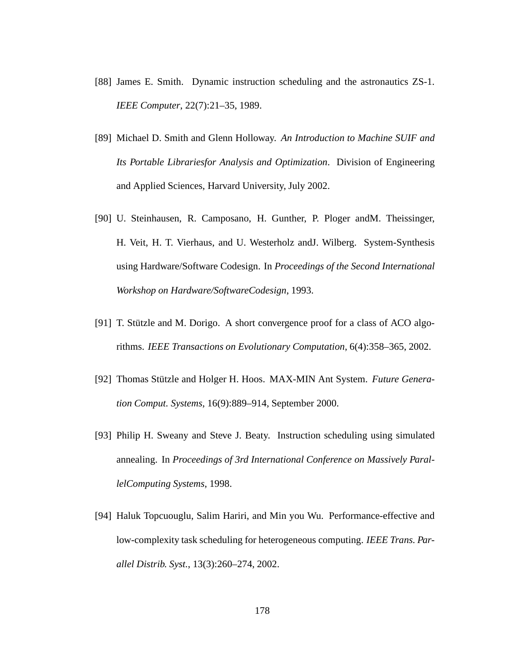- [88] James E. Smith. Dynamic instruction scheduling and the astronautics ZS-1. *IEEE Computer*, 22(7):21–35, 1989.
- [89] Michael D. Smith and Glenn Holloway. *An Introduction to Machine SUIF and Its Portable Librariesfor Analysis and Optimization*. Division of Engineering and Applied Sciences, Harvard University, July 2002.
- [90] U. Steinhausen, R. Camposano, H. Gunther, P. Ploger andM. Theissinger, H. Veit, H. T. Vierhaus, and U. Westerholz andJ. Wilberg. System-Synthesis using Hardware/Software Codesign. In *Proceedings of the Second International Workshop on Hardware/SoftwareCodesign*, 1993.
- [91] T. Stützle and M. Dorigo. A short convergence proof for a class of ACO algorithms. *IEEE Transactions on Evolutionary Computation*, 6(4):358–365, 2002.
- [92] Thomas Stützle and Holger H. Hoos. MAX-MIN Ant System. *Future Generation Comput. Systems*, 16(9):889–914, September 2000.
- [93] Philip H. Sweany and Steve J. Beaty. Instruction scheduling using simulated annealing. In *Proceedings of 3rd International Conference on Massively ParallelComputing Systems*, 1998.
- [94] Haluk Topcuouglu, Salim Hariri, and Min you Wu. Performance-effective and low-complexity task scheduling for heterogeneous computing. *IEEE Trans. Parallel Distrib. Syst.*, 13(3):260–274, 2002.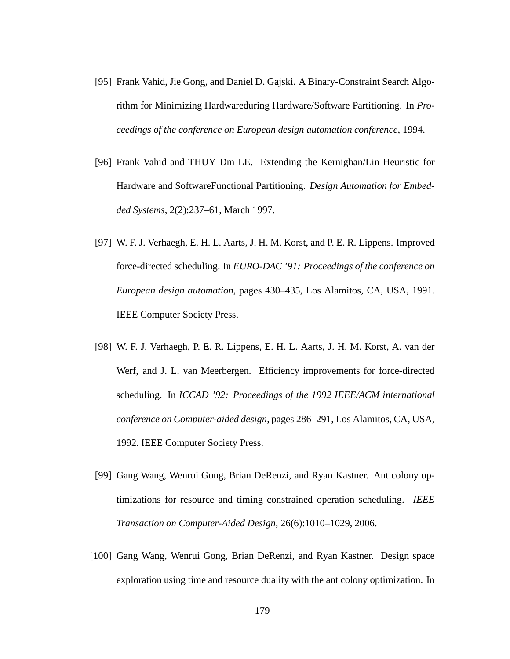- [95] Frank Vahid, Jie Gong, and Daniel D. Gajski. A Binary-Constraint Search Algorithm for Minimizing Hardwareduring Hardware/Software Partitioning. In *Proceedings of the conference on European design automation conference*, 1994.
- [96] Frank Vahid and THUY Dm LE. Extending the Kernighan/Lin Heuristic for Hardware and SoftwareFunctional Partitioning. *Design Automation for Embedded Systems*, 2(2):237–61, March 1997.
- [97] W. F. J. Verhaegh, E. H. L. Aarts, J. H. M. Korst, and P. E. R. Lippens. Improved force-directed scheduling. In *EURO-DAC '91: Proceedings of the conference on European design automation*, pages 430–435, Los Alamitos, CA, USA, 1991. IEEE Computer Society Press.
- [98] W. F. J. Verhaegh, P. E. R. Lippens, E. H. L. Aarts, J. H. M. Korst, A. van der Werf, and J. L. van Meerbergen. Efficiency improvements for force-directed scheduling. In *ICCAD '92: Proceedings of the 1992 IEEE/ACM international conference on Computer-aided design*, pages 286–291, Los Alamitos, CA, USA, 1992. IEEE Computer Society Press.
- [99] Gang Wang, Wenrui Gong, Brian DeRenzi, and Ryan Kastner. Ant colony optimizations for resource and timing constrained operation scheduling. *IEEE Transaction on Computer-Aided Design*, 26(6):1010–1029, 2006.
- [100] Gang Wang, Wenrui Gong, Brian DeRenzi, and Ryan Kastner. Design space exploration using time and resource duality with the ant colony optimization. In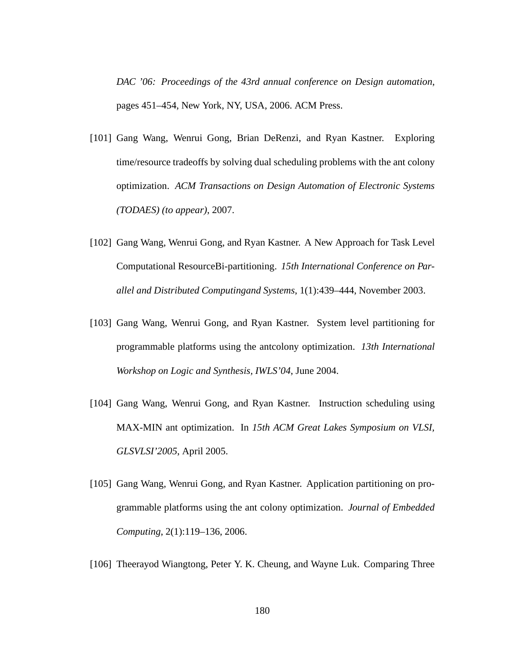*DAC '06: Proceedings of the 43rd annual conference on Design automation*, pages 451–454, New York, NY, USA, 2006. ACM Press.

- [101] Gang Wang, Wenrui Gong, Brian DeRenzi, and Ryan Kastner. Exploring time/resource tradeoffs by solving dual scheduling problems with the ant colony optimization. *ACM Transactions on Design Automation of Electronic Systems (TODAES) (to appear)*, 2007.
- [102] Gang Wang, Wenrui Gong, and Ryan Kastner. A New Approach for Task Level Computational ResourceBi-partitioning. *15th International Conference on Parallel and Distributed Computingand Systems*, 1(1):439–444, November 2003.
- [103] Gang Wang, Wenrui Gong, and Ryan Kastner. System level partitioning for programmable platforms using the antcolony optimization. *13th International Workshop on Logic and Synthesis, IWLS'04*, June 2004.
- [104] Gang Wang, Wenrui Gong, and Ryan Kastner. Instruction scheduling using MAX-MIN ant optimization. In *15th ACM Great Lakes Symposium on VLSI, GLSVLSI'2005*, April 2005.
- [105] Gang Wang, Wenrui Gong, and Ryan Kastner. Application partitioning on programmable platforms using the ant colony optimization. *Journal of Embedded Computing*, 2(1):119–136, 2006.
- [106] Theerayod Wiangtong, Peter Y. K. Cheung, and Wayne Luk. Comparing Three